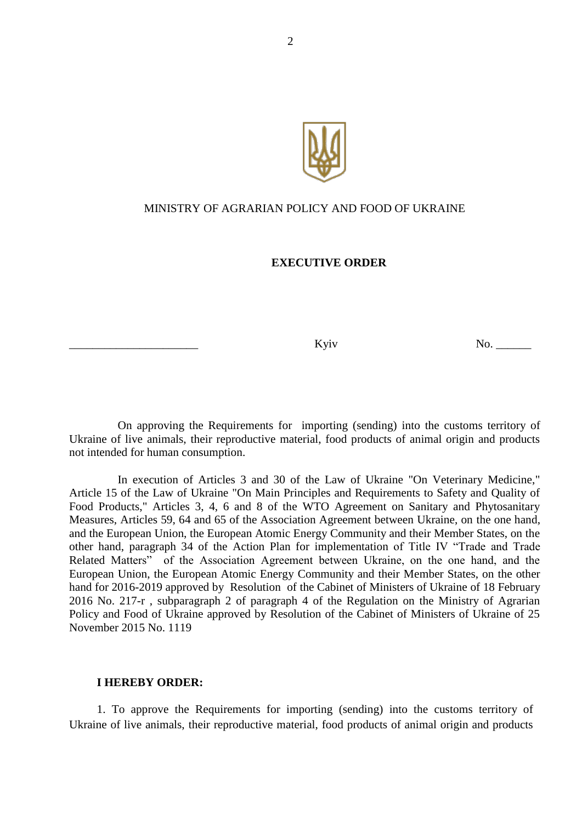

## MINISTRY OF AGRARIAN POLICY AND FOOD OF UKRAINE

## **EXECUTIVE ORDER**

Kyiv No.

On approving the Requirements for importing (sending) into the customs territory of Ukraine of live animals, their reproductive material, food products of animal origin and products not intended for human consumption.

In execution of Articles 3 and 30 of the Law of Ukraine "On Veterinary Medicine," Article 15 of the Law of Ukraine "On Main Principles and Requirements to Safety and Quality of Food Products," Articles 3, 4, 6 and 8 of the WTO Agreement on Sanitary and Phytosanitary Measures, Articles 59, 64 and 65 of the Association Agreement between Ukraine, on the one hand, and the European Union, the European Atomic Energy Community and their Member States, on the other hand, paragraph 34 of the Action Plan for implementation of Title IV "Trade and Trade Related Matters" of the Association Agreement between Ukraine, on the one hand, and the European Union, the European Atomic Energy Community and their Member States, on the other hand for 2016-2019 approved by Resolution of the Cabinet of Ministers of Ukraine of 18 February 2016 No. 217-r , subparagraph 2 of paragraph 4 of the Regulation on the Ministry of Agrarian Policy and Food of Ukraine approved by Resolution of the Cabinet of Ministers of Ukraine of 25 November 2015 No. 1119

#### **I HEREBY ORDER:**

1. To approve the Requirements for importing (sending) into the customs territory of Ukraine of live animals, their reproductive material, food products of animal origin and products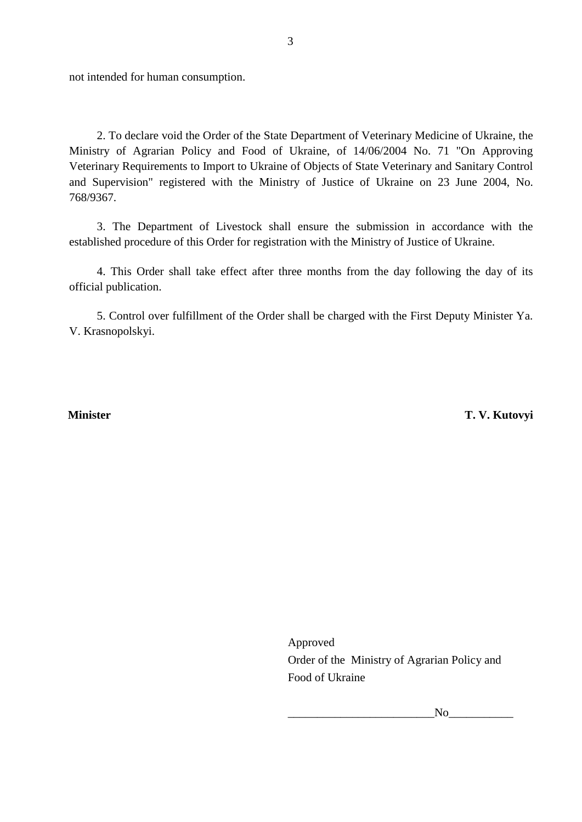not intended for human consumption.

2. To declare void the Order of the State Department of Veterinary Medicine of Ukraine, the Ministry of Agrarian Policy and Food of Ukraine, of 14/06/2004 No. 71 "On Approving Veterinary Requirements to Import to Ukraine of Objects of State Veterinary and Sanitary Control and Supervision" registered with the Ministry of Justice of Ukraine on 23 June 2004, No. 768/9367.

3. The Department of Livestock shall ensure the submission in accordance with the established procedure of this Order for registration with the Ministry of Justice of Ukraine.

4. This Order shall take effect after three months from the day following the day of its official publication.

5. Control over fulfillment of the Order shall be charged with the First Deputy Minister Ya. V. Krasnopolskyi.

 **Minister T. V. Kutovyi** 

Approved Order of the Ministry of Agrarian Policy and Food of Ukraine

 $\rm No$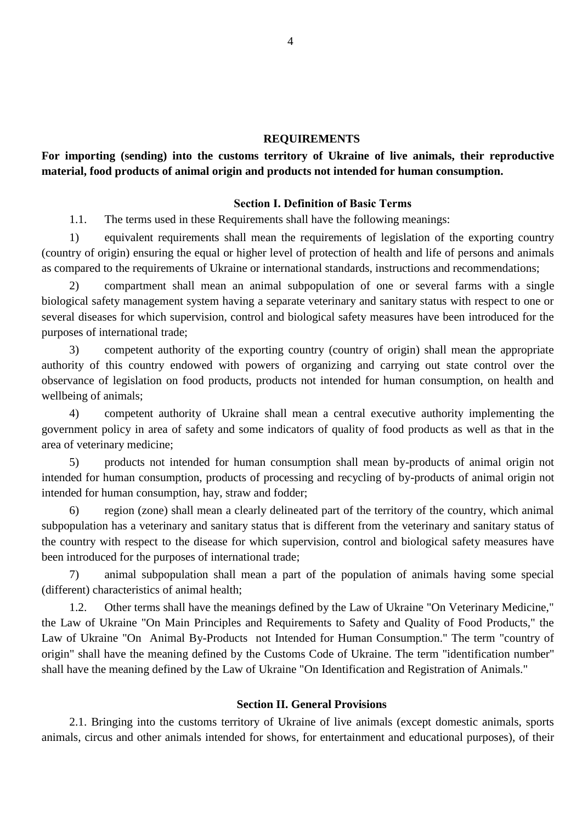#### **REQUIREMENTS**

## **For importing (sending) into the customs territory of Ukraine of live animals, their reproductive material, food products of animal origin and products not intended for human consumption.**

## **Section І. Definition of Basic Terms**

1.1. The terms used in these Requirements shall have the following meanings:

1) equivalent requirements shall mean the requirements of legislation of the exporting country (country of origin) ensuring the equal or higher level of protection of health and life of persons and animals as compared to the requirements of Ukraine or international standards, instructions and recommendations;

2) compartment shall mean an animal subpopulation of one or several farms with a single biological safety management system having a separate veterinary and sanitary status with respect to one or several diseases for which supervision, control and biological safety measures have been introduced for the purposes of international trade;

3) competent authority of the exporting country (country of origin) shall mean the appropriate authority of this country endowed with powers of organizing and carrying out state control over the observance of legislation on food products, products not intended for human consumption, on health and wellbeing of animals;

4) competent authority of Ukraine shall mean a central executive authority implementing the government policy in area of safety and some indicators of quality of food products as well as that in the area of veterinary medicine;

5) products not intended for human consumption shall mean by-products of animal origin not intended for human consumption, products of processing and recycling of by-products of animal origin not intended for human consumption, hay, straw and fodder;

6) region (zone) shall mean a clearly delineated part of the territory of the country, which animal subpopulation has a veterinary and sanitary status that is different from the veterinary and sanitary status of the country with respect to the disease for which supervision, control and biological safety measures have been introduced for the purposes of international trade;

7) animal subpopulation shall mean a part of the population of animals having some special (different) characteristics of animal health;

1.2. Other terms shall have the meanings defined by the Law of Ukraine "On Veterinary Medicine," the Law of Ukraine "On Main Principles and Requirements to Safety and Quality of Food Products," the Law of Ukraine "On Animal By-Products not Intended for Human Consumption." The term "country of origin" shall have the meaning defined by the Customs Code of Ukraine. The term "identification number" shall have the meaning defined by the Law of Ukraine "On Identification and Registration of Animals."

## **Section II. General Provisions**

2.1. Bringing into the customs territory of Ukraine of live animals (except domestic animals, sports animals, circus and other animals intended for shows, for entertainment and educational purposes), of their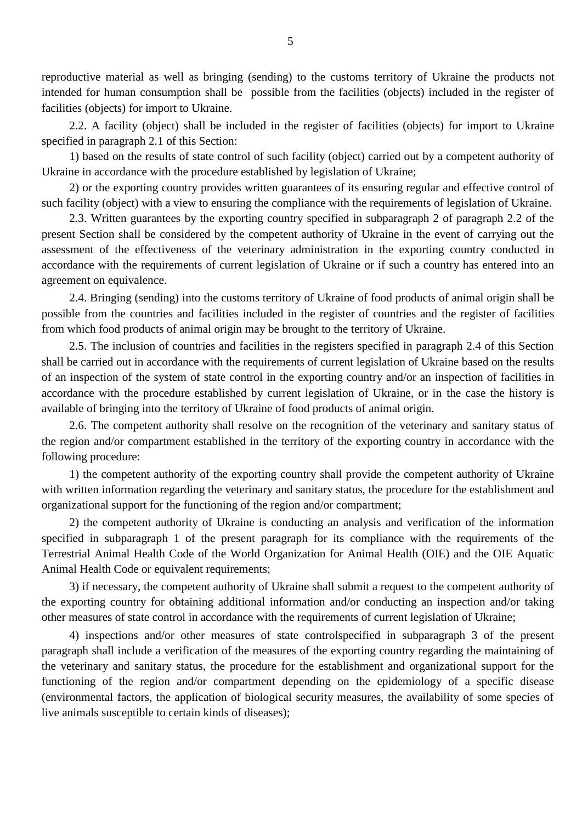reproductive material as well as bringing (sending) to the customs territory of Ukraine the products not intended for human consumption shall be possible from the facilities (objects) included in the register of facilities (objects) for import to Ukraine.

2.2. A facility (object) shall be included in the register of facilities (objects) for import to Ukraine specified in paragraph 2.1 of this Section:

1) based on the results of state control of such facility (object) carried out by a competent authority of Ukraine in accordance with the procedure established by legislation of Ukraine;

2) or the exporting country provides written guarantees of its ensuring regular and effective control of such facility (object) with a view to ensuring the compliance with the requirements of legislation of Ukraine.

2.3. Written guarantees by the exporting country specified in subparagraph 2 of paragraph 2.2 of the present Section shall be considered by the competent authority of Ukraine in the event of carrying out the assessment of the effectiveness of the veterinary administration in the exporting country conducted in accordance with the requirements of current legislation of Ukraine or if such a country has entered into an agreement on equivalence.

2.4. Bringing (sending) into the customs territory of Ukraine of food products of animal origin shall be possible from the countries and facilities included in the register of countries and the register of facilities from which food products of animal origin may be brought to the territory of Ukraine.

2.5. The inclusion of countries and facilities in the registers specified in paragraph 2.4 of this Section shall be carried out in accordance with the requirements of current legislation of Ukraine based on the results of an inspection of the system of state control in the exporting country and/or an inspection of facilities in accordance with the procedure established by current legislation of Ukraine, or in the case the history is available of bringing into the territory of Ukraine of food products of animal origin.

2.6. The competent authority shall resolve on the recognition of the veterinary and sanitary status of the region and/or compartment established in the territory of the exporting country in accordance with the following procedure:

1) the competent authority of the exporting country shall provide the competent authority of Ukraine with written information regarding the veterinary and sanitary status, the procedure for the establishment and organizational support for the functioning of the region and/or compartment;

2) the competent authority of Ukraine is conducting an analysis and verification of the information specified in subparagraph 1 of the present paragraph for its compliance with the requirements of the Terrestrial Animal Health Code of the World Organization for Animal Health (OIE) and the OIE Aquatic Animal Health Code or equivalent requirements;

3) if necessary, the competent authority of Ukraine shall submit a request to the competent authority of the exporting country for obtaining additional information and/or conducting an inspection and/or taking other measures of state control in accordance with the requirements of current legislation of Ukraine;

4) inspections and/or other measures of state controlspecified in subparagraph 3 of the present paragraph shall include a verification of the measures of the exporting country regarding the maintaining of the veterinary and sanitary status, the procedure for the establishment and organizational support for the functioning of the region and/or compartment depending on the epidemiology of a specific disease (environmental factors, the application of biological security measures, the availability of some species of live animals susceptible to certain kinds of diseases);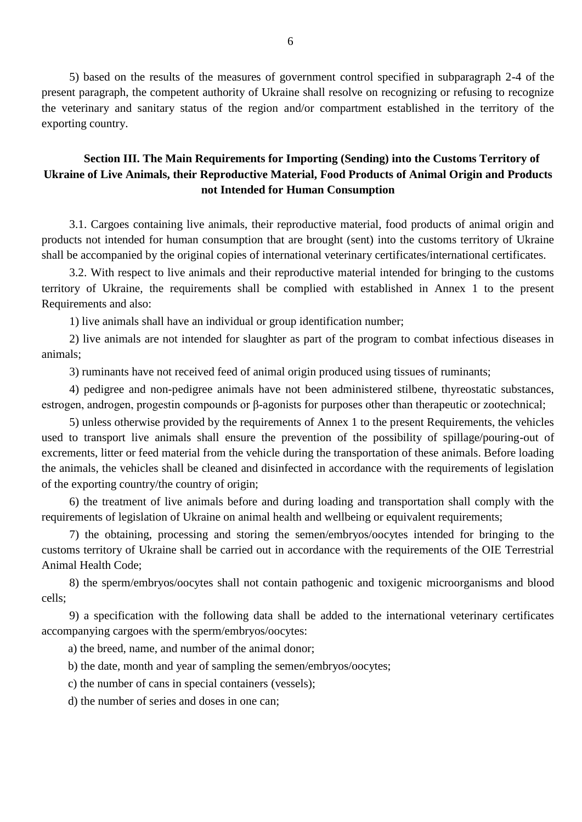5) based on the results of the measures of government control specified in subparagraph 2-4 of the present paragraph, the competent authority of Ukraine shall resolve on recognizing or refusing to recognize the veterinary and sanitary status of the region and/or compartment established in the territory of the exporting country.

## **Section III. The Main Requirements for Importing (Sending) into the Customs Territory of Ukraine of Live Animals, their Reproductive Material, Food Products of Animal Origin and Products not Intended for Human Consumption**

3.1. Cargoes containing live animals, their reproductive material, food products of animal origin and products not intended for human consumption that are brought (sent) into the customs territory of Ukraine shall be accompanied by the original copies of international veterinary certificates/international certificates.

3.2. With respect to live animals and their reproductive material intended for bringing to the customs territory of Ukraine, the requirements shall be complied with established in Annex 1 to the present Requirements and also:

1) live animals shall have an individual or group identification number;

2) live animals are not intended for slaughter as part of the program to combat infectious diseases in animals;

3) ruminants have not received feed of animal origin produced using tissues of ruminants;

4) pedigree and non-pedigree animals have not been administered stilbene, thyreostatic substances, estrogen, androgen, progestin compounds or β-agonists for purposes other than therapeutic or zootechnical;

5) unless otherwise provided by the requirements of Annex 1 to the present Requirements, the vehicles used to transport live animals shall ensure the prevention of the possibility of spillage/pouring-out of excrements, litter or feed material from the vehicle during the transportation of these animals. Before loading the animals, the vehicles shall be cleaned and disinfected in accordance with the requirements of legislation of the exporting country/the country of origin;

6) the treatment of live animals before and during loading and transportation shall comply with the requirements of legislation of Ukraine on animal health and wellbeing or equivalent requirements;

7) the obtaining, processing and storing the semen/embryos/oocytes intended for bringing to the customs territory of Ukraine shall be carried out in accordance with the requirements of the OIE Terrestrial Animal Health Code;

8) the sperm/embryos/oocytes shall not contain pathogenic and toxigenic microorganisms and blood cells;

9) a specification with the following data shall be added to the international veterinary certificates accompanying cargoes with the sperm/embryos/oocytes:

a) the breed, name, and number of the animal donor;

b) the date, month and year of sampling the semen/embryos/oocytes;

c) the number of cans in special containers (vessels);

d) the number of series and doses in one can;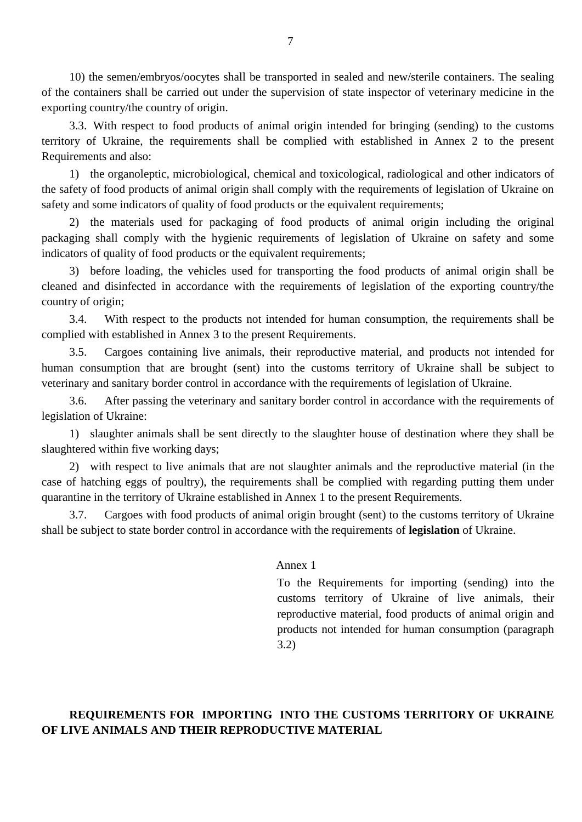10) the semen/embryos/oocytes shall be transported in sealed and new/sterile containers. The sealing of the containers shall be carried out under the supervision of state inspector of veterinary medicine in the exporting country/the country of origin.

3.3. With respect to food products of animal origin intended for bringing (sending) to the customs territory of Ukraine, the requirements shall be complied with established in Annex 2 to the present Requirements and also:

1) the organoleptic, microbiological, chemical and toxicological, radiological and other indicators of the safety of food products of animal origin shall comply with the requirements of legislation of Ukraine on safety and some indicators of quality of food products or the equivalent requirements;

2) the materials used for packaging of food products of animal origin including the original packaging shall comply with the hygienic requirements of legislation of Ukraine on safety and some indicators of quality of food products or the equivalent requirements;

3) before loading, the vehicles used for transporting the food products of animal origin shall be cleaned and disinfected in accordance with the requirements of legislation of the exporting country/the country of origin;

3.4. With respect to the products not intended for human consumption, the requirements shall be complied with established in Annex 3 to the present Requirements.

3.5. Cargoes containing live animals, their reproductive material, and products not intended for human consumption that are brought (sent) into the customs territory of Ukraine shall be subject to veterinary and sanitary border control in accordance with the requirements of legislation of Ukraine.

3.6. After passing the veterinary and sanitary border control in accordance with the requirements of legislation of Ukraine:

1) slaughter animals shall be sent directly to the slaughter house of destination where they shall be slaughtered within five working days;

2) with respect to live animals that are not slaughter animals and the reproductive material (in the case of hatching eggs of poultry), the requirements shall be complied with regarding putting them under quarantine in the territory of Ukraine established in Annex 1 to the present Requirements.

3.7. Cargoes with food products of animal origin brought (sent) to the customs territory of Ukraine shall be subject to state border control in accordance with the requirements of **legislation** of Ukraine.

## Annex 1

To the Requirements for importing (sending) into the customs territory of Ukraine of live animals, their reproductive material, food products of animal origin and products not intended for human consumption (paragraph 3.2)

# **REQUIREMENTS FOR IMPORTING INTO THE CUSTOMS TERRITORY OF UKRAINE OF LIVE ANIMALS AND THEIR REPRODUCTIVE MATERIAL**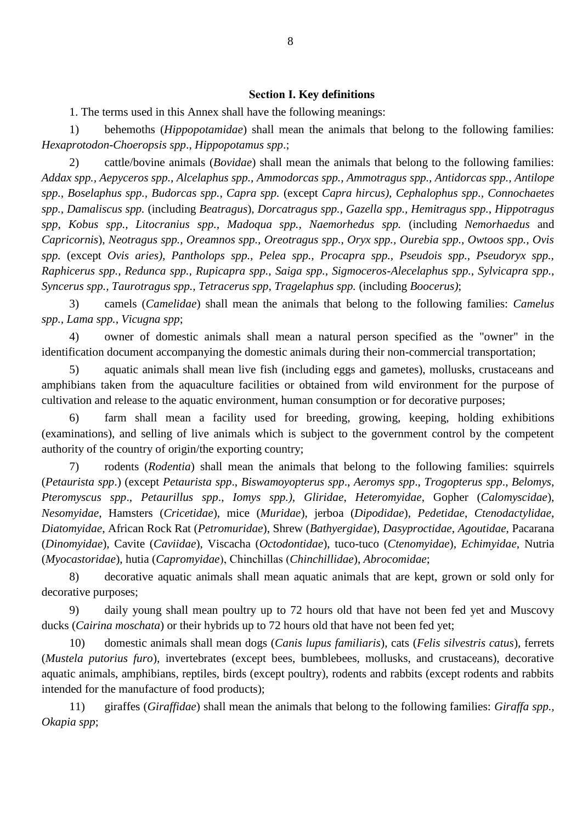#### **Section І. Key definitions**

1. The terms used in this Annex shall have the following meanings:

1) behemoths (*Hippopotamidae*) shall mean the animals that belong to the following families: *Hexaprotodon-Choeropsis spp*., *Hippopotamus spp*.;

2) cattle/bovine animals (*Bovidae*) shall mean the animals that belong to the following families: *Addax spp., Aepyceros spp., Alcelaphus spp., Ammodorcas spp., Ammotragus spp., Antidorcas spp., Antilope spp., Boselaphus spp., Budorcas spp., Capra spp.* (except *Capra hircus), Cephalophus spp., Connochaetes spp., Damaliscus spp.* (including *Beatragus*)*, Dorcatragus spp., Gazella spp., Hemitragus spp., Hippotragus spp, Kobus spp., Litocranius spp., Madoqua spp., Naemorhedus spp.* (including *Nemorhaedus* and *Capricornis*)*, Neotragus spp., Oreamnos spp., Oreotragus spp., Oryx spp., Ourebia spp., Owtoos spp., Ovis spp.* (except *Ovis aries), Pantholops spp., Pelea spp., Procapra spp., Pseudois spp., Pseudoryx spp., Raphicerus spp., Redunca spp., Rupicapra spp., Saiga spp., Sigmoceros-Alecelaphus spp., Sylvicapra spp., Syncerus spp., Taurotragus spp., Tetracerus spp, Tragelaphus spp.* (including *Boocerus)*;

3) camels (*Camelidae*) shall mean the animals that belong to the following families: *Camelus spp., Lama spp., Vicugna spp*;

4) owner of domestic animals shall mean a natural person specified as the "owner" in the identification document accompanying the domestic animals during their non-commercial transportation;

5) aquatic animals shall mean live fish (including eggs and gametes), mollusks, crustaceans and amphibians taken from the aquaculture facilities or obtained from wild environment for the purpose of cultivation and release to the aquatic environment, human consumption or for decorative purposes;

6) farm shall mean a facility used for breeding, growing, keeping, holding exhibitions (examinations), and selling of live animals which is subject to the government control by the competent authority of the country of origin/the exporting country;

7) rodents (*Rodentia*) shall mean the animals that belong to the following families: squirrels (*Petaurista spp*.) (except *Petaurista spp*., *Biswamoyopterus spp*., *Aeromys spp*., *Trogopterus spp*., *Belomys*, *Pteromyscus spp*., *Petaurillus spp*., *Iomys spp.), Gliridae*, *Heteromyidae*, Gopher (*Calomyscidae*), *Nesomyidae*, Hamsters (*Cricetidae*), mice (*Muridae*), jerboa (*Dipodidae*), *Pedetidae*, *Ctenodactylidae*, *Diatomyidae*, African Rock Rat (*Petromuridae*), Shrew (*Bathyergidae*), *Dasyproctidae*, *Agoutidae*, Pacarana (*Dinomyidae*), Cavite (*Caviidae*), Viscacha (*Octodontidae*), tuco-tuco (*Ctenomyidae*), *Echimyidae*, Nutria (*Myocastoridae*), hutia (*Capromyidae*), Сhinchillas (*Chinchillidae*), *Abrocomidae*;

8) decorative aquatic animals shall mean aquatic animals that are kept, grown or sold only for decorative purposes;

9) daily young shall mean poultry up to 72 hours old that have not been fed yet and Muscovy ducks (*Cairina moschata*) or their hybrids up to 72 hours old that have not been fed yet;

10) domestic animals shall mean dogs (*Canis lupus familiaris*), cats (*Felis silvestris catus*), ferrets (*Mustela putorius furo*), invertebrates (except bees, bumblebees, mollusks, and crustaceans), decorative aquatic animals, amphibians, reptiles, birds (except poultry), rodents and rabbits (except rodents and rabbits intended for the manufacture of food products);

11) giraffes (*Giraffidae*) shall mean the animals that belong to the following families: *Giraffa spp., Okapia spp*;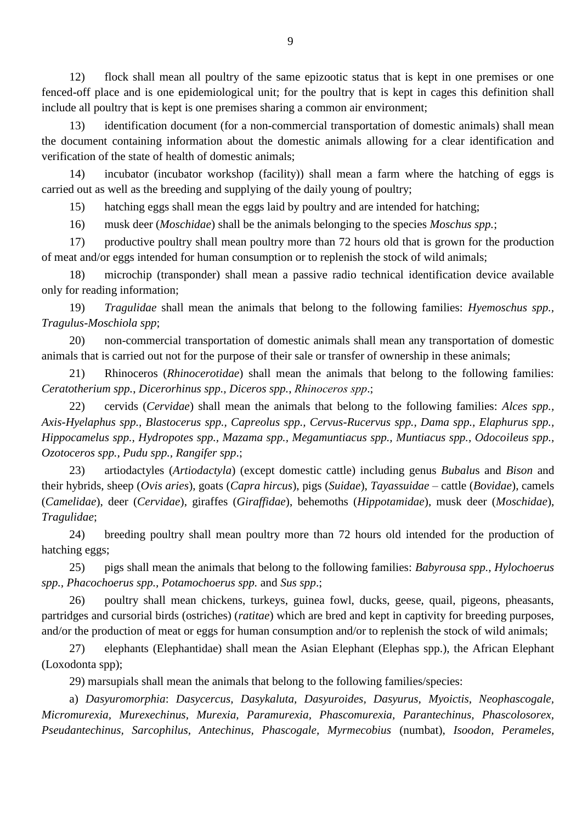12) flock shall mean all poultry of the same epizootic status that is kept in one premises or one fenced-off place and is one epidemiological unit; for the poultry that is kept in cages this definition shall include all poultry that is kept is one premises sharing a common air environment;

13) identification document (for a non-commercial transportation of domestic animals) shall mean the document containing information about the domestic animals allowing for a clear identification and verification of the state of health of domestic animals;

14) incubator (incubator workshop (facility)) shall mean a farm where the hatching of eggs is carried out as well as the breeding and supplying of the daily young of poultry;

15) hatching eggs shall mean the eggs laid by poultry and are intended for hatching;

16) musk deer (*Moschidae*) shall be the animals belonging to the species *Moschus spp.*;

17) productive poultry shall mean poultry more than 72 hours old that is grown for the production of meat and/or eggs intended for human consumption or to replenish the stock of wild animals;

18) microchip (transponder) shall mean a passive radio technical identification device available only for reading information;

19) *Tragulidae* shall mean the animals that belong to the following families: *Hyemoschus spp., Tragulus-Moschiola spp*;

20) non-commercial transportation of domestic animals shall mean any transportation of domestic animals that is carried out not for the purpose of their sale or transfer of ownership in these animals;

21) Rhinoceros (*Rhinocerotidae*) shall mean the animals that belong to the following families: *Ceratotherium spp.*, *Dicerorhinus spp., Diceros spp.*, *Rhinoceros spр*.;

22) cervids (*Cervidae*) shall mean the animals that belong to the following families: *Alces spp., Axis-Hyelaphus spp., Blastocerus spp., Capreolus spp., Cervus-Rucervus spp., Dama spp., Elaphurus spp., Hippocamelus spp., Hydropotes spp., Mazama spp., Megamuntiacus spp., Muntiacus spp., Odocoileus spp., Ozotoceros spp., Pudu spp., Rangifer spp*.;

23) artiodactyles (*Artiodactyla*) (except domestic cattle) including genus *Bubalu*s and *Bison* and their hybrids, sheep (*Ovis aries*), goats (*Capra hircus*), pigs (*Suidae*), *Tayassuidae* – cattle (*Bovidae*), camels (*Camelidae*), deer (*Cervidae*), giraffes (*Giraffidae*), behemoths (*Hippotamidae*), musk deer (*Moschidae*), *Tragulidae*;

24) breeding poultry shall mean poultry more than 72 hours old intended for the production of hatching eggs;

25) pigs shall mean the animals that belong to the following families: *Babyrousa spp., Hylochoerus spp., Phacochoerus spp., Potamochoerus spp.* and *Sus spp*.;

26) poultry shall mean chickens, turkeys, guinea fowl, ducks, geese, quail, pigeons, pheasants, partridges and cursorial birds (ostriches) (*ratitae*) which are bred and kept in captivity for breeding purposes, and/or the production of meat or eggs for human consumption and/or to replenish the stock of wild animals;

27) elephants (Elephantidae) shall mean the Asian Elephant (Elephas spp.), the African Elephant (Loxodonta spp);

29) marsupials shall mean the animals that belong to the following families/species:

a) *Dasyuromorphia*: *Dasycercus, Dasykaluta, Dasyuroides, Dasyurus, Myoictis, Neophascogale, Micromurexia, Murexechinus, Murexia, Paramurexia, Phascomurexia, Parantechinus, Phascolosorex, Pseudantechinus, Sarcophilus, Antechinus, Phascogale, Myrmecobius* (numbat), *Isoodon, Perameles,*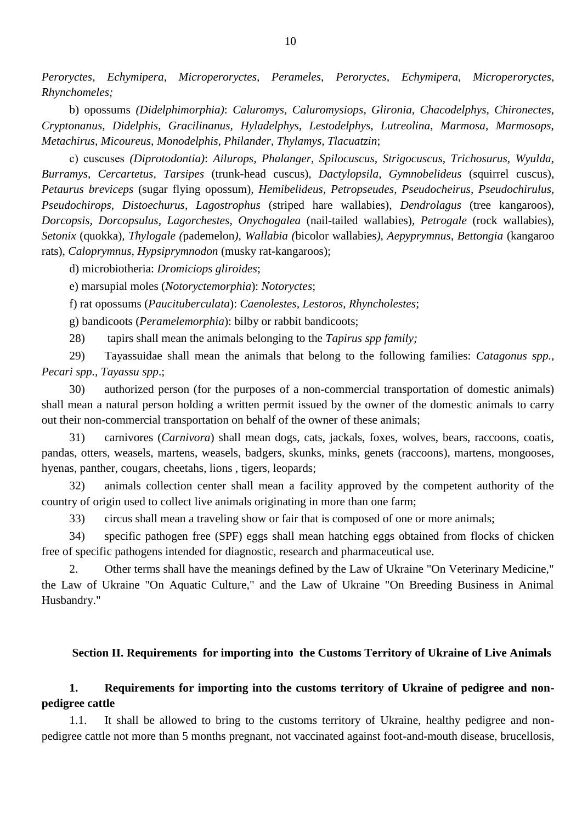*Peroryctes, Echymipera, Microperoryctes, Perameles, Peroryctes, Echymipera, Microperoryctes, Rhynchomeles;*

b) opossums *(Didelphimorphia)*: *Caluromys, Caluromysiops, Glironia, Chacodelphys, Chironectes, Cryptonanus, Didelphis, Gracilinanus, Hyladelphys, Lestodelphys, Lutreolina, Marmosa, Marmosops, Metachirus, Micoureus*, *Monodelphis, Philander, Thylamys, Tlacuatzin*;

с) cuscuses *(Diprotodontia)*: *Ailurops, Phalanger, Spilocuscus, Strigocuscus, Trichosurus, Wyulda, Burramys, Cercartetus, Tarsipes* (trunk-head cuscus)*, Dactylopsila, Gymnobelideus* (squirrel cuscus)*, Petaurus breviceps* (sugar flying opossum)*, Hemibelideus, Petropseudes, Pseudocheirus, Pseudochirulus, Pseudochirops, Distoechurus, Lagostrophus* (striped hare wallabies)*, Dendrolagus* (tree kangaroos), *Dorcopsis, Dorcopsulus, Lagorchestes, Onychogalea* (nail-tailed wallabies)*, Petrogale* (rock wallabies), *Setonix* (quokka)*, Thylogale (*pademelon*), Wallabia (*bicolor wallabies*), Aepyprymnus*, *Bettongia* (kangaroo rats), *Caloprymnus, Hypsiprymnodon* (musky rat-kangaroos);

d) microbiotheria: *Dromiciops gliroides*;

e) marsupial moles (*Notoryctemorphia*): *Notoryctes*;

f) rat opossums (*Paucituberculata*): *Caenolestes, Lestoros, Rhyncholestes*;

g) bandicoots (*Peramelemorphia*): bilby or rabbit bandicoots;

28) tapirs shall mean the animals belonging to the *Tapirus spp family;*

29) Tayassuidae shall mean the animals that belong to the following families: *Catagonus spp., Pecari spp., Tayassu spp*.;

30) authorized person (for the purposes of a non-commercial transportation of domestic animals) shall mean a natural person holding a written permit issued by the owner of the domestic animals to carry out their non-commercial transportation on behalf of the owner of these animals;

31) carnivores (*Carnivora*) shall mean dogs, cats, jackals, foxes, wolves, bears, raccoons, coatis, pandas, otters, weasels, martens, weasels, badgers, skunks, minks, genets (raccoons), martens, mongooses, hyenas, panther, cougars, cheetahs, lions , tigers, leopards;

32) animals collection center shall mean a facility approved by the competent authority of the country of origin used to collect live animals originating in more than one farm;

33) circus shall mean a traveling show or fair that is composed of one or more animals;

34) specific pathogen free (SPF) eggs shall mean hatching eggs obtained from flocks of chicken free of specific pathogens intended for diagnostic, research and pharmaceutical use.

2. Other terms shall have the meanings defined by the Law of Ukraine "On Veterinary Medicine," the Law of Ukraine "On Aquatic Culture," and the Law of Ukraine "On Breeding Business in Animal Husbandry."

## **Section II. Requirements for importing into the Customs Territory of Ukraine of Live Animals**

## **1. Requirements for importing into the customs territory of Ukraine of pedigree and nonpedigree cattle**

1.1. It shall be allowed to bring to the customs territory of Ukraine, healthy pedigree and nonpedigree cattle not more than 5 months pregnant, not vaccinated against foot-and-mouth disease, brucellosis,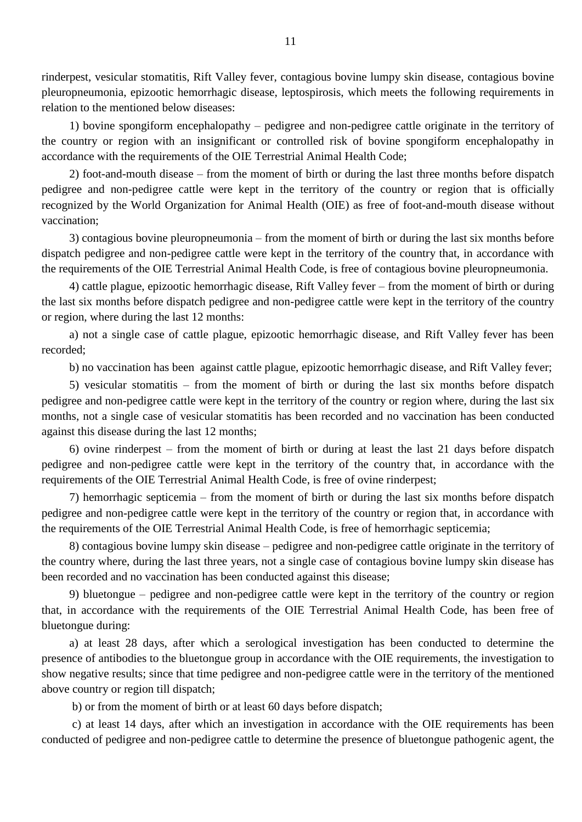rinderpest, vesicular stomatitis, Rift Valley fever, contagious bovine lumpy skin disease, contagious bovine pleuropneumonia, epizootic hemorrhagic disease, leptospirosis, which meets the following requirements in relation to the mentioned below diseases:

1) bovine spongiform encephalopathy – pedigree and non-pedigree cattle originate in the territory of the country or region with an insignificant or controlled risk of bovine spongiform encephalopathy in accordance with the requirements of the OIE Terrestrial Animal Health Code;

2) foot-and-mouth disease – from the moment of birth or during the last three months before dispatch pedigree and non-pedigree cattle were kept in the territory of the country or region that is officially recognized by the World Organization for Animal Health (OIE) as free of foot-and-mouth disease without vaccination;

3) contagious bovine pleuropneumonia – from the moment of birth or during the last six months before dispatch pedigree and non-pedigree cattle were kept in the territory of the country that, in accordance with the requirements of the OIE Terrestrial Animal Health Code, is free of contagious bovine pleuropneumonia.

4) cattle plague, epizootic hemorrhagic disease, Rift Valley fever – from the moment of birth or during the last six months before dispatch pedigree and non-pedigree cattle were kept in the territory of the country or region, where during the last 12 months:

a) not a single case of cattle plague, epizootic hemorrhagic disease, and Rift Valley fever has been recorded;

b) no vaccination has been against cattle plague, epizootic hemorrhagic disease, and Rift Valley fever;

5) vesicular stomatitis – from the moment of birth or during the last six months before dispatch pedigree and non-pedigree cattle were kept in the territory of the country or region where, during the last six months, not a single case of vesicular stomatitis has been recorded and no vaccination has been conducted against this disease during the last 12 months;

6) ovine rinderpest – from the moment of birth or during at least the last 21 days before dispatch pedigree and non-pedigree cattle were kept in the territory of the country that, in accordance with the requirements of the OIE Terrestrial Animal Health Code, is free of ovine rinderpest;

7) hemorrhagic septicemia – from the moment of birth or during the last six months before dispatch pedigree and non-pedigree cattle were kept in the territory of the country or region that, in accordance with the requirements of the OIE Terrestrial Animal Health Code, is free of hemorrhagic septicemia;

8) contagious bovine lumpy skin disease – pedigree and non-pedigree cattle originate in the territory of the country where, during the last three years, not a single case of contagious bovine lumpy skin disease has been recorded and no vaccination has been conducted against this disease;

9) bluetongue – pedigree and non-pedigree cattle were kept in the territory of the country or region that, in accordance with the requirements of the OIE Terrestrial Animal Health Code, has been free of bluetongue during:

a) at least 28 days, after which a serological investigation has been conducted to determine the presence of antibodies to the bluetongue group in accordance with the OIE requirements, the investigation to show negative results; since that time pedigree and non-pedigree cattle were in the territory of the mentioned above country or region till dispatch;

b) or from the moment of birth or at least 60 days before dispatch;

c) at least 14 days, after which an investigation in accordance with the OIE requirements has been conducted of pedigree and non-pedigree cattle to determine the presence of bluetongue pathogenic agent, the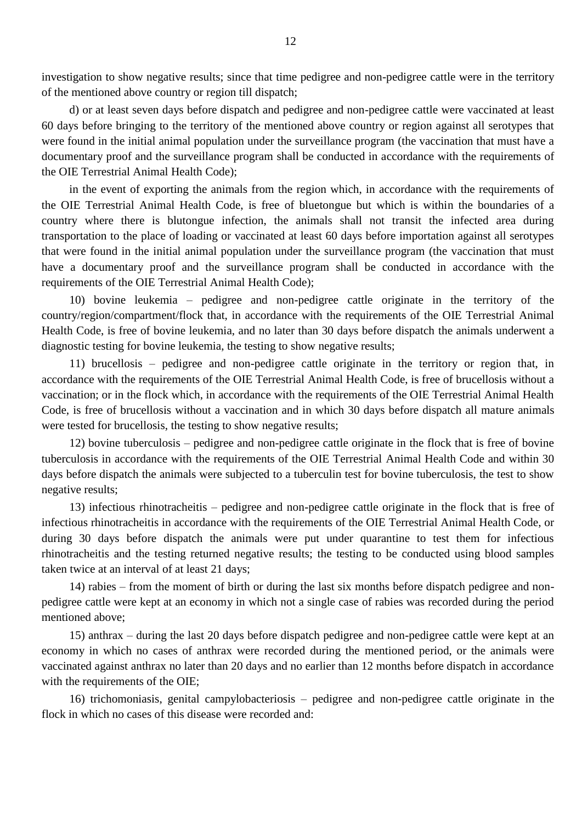investigation to show negative results; since that time pedigree and non-pedigree cattle were in the territory of the mentioned above country or region till dispatch;

d) or at least seven days before dispatch and pedigree and non-pedigree cattle were vaccinated at least 60 days before bringing to the territory of the mentioned above country or region against all serotypes that were found in the initial animal population under the surveillance program (the vaccination that must have a documentary proof and the surveillance program shall be conducted in accordance with the requirements of the OIE Terrestrial Animal Health Code);

in the event of exporting the animals from the region which, in accordance with the requirements of the OIE Terrestrial Animal Health Code, is free of bluetongue but which is within the boundaries of a country where there is blutongue infection, the animals shall not transit the infected area during transportation to the place of loading or vaccinated at least 60 days before importation against all serotypes that were found in the initial animal population under the surveillance program (the vaccination that must have a documentary proof and the surveillance program shall be conducted in accordance with the requirements of the OIE Terrestrial Animal Health Code);

10) bovine leukemia – pedigree and non-pedigree cattle originate in the territory of the country/region/compartment/flock that, in accordance with the requirements of the OIE Terrestrial Animal Health Code, is free of bovine leukemia, and no later than 30 days before dispatch the animals underwent a diagnostic testing for bovine leukemia, the testing to show negative results;

11) brucellosis – pedigree and non-pedigree cattle originate in the territory or region that, in accordance with the requirements of the OIE Terrestrial Animal Health Code, is free of brucellosis without a vaccination; or in the flock which, in accordance with the requirements of the OIE Terrestrial Animal Health Code, is free of brucellosis without a vaccination and in which 30 days before dispatch all mature animals were tested for brucellosis, the testing to show negative results;

12) bovine tuberculosis – pedigree and non-pedigree cattle originate in the flock that is free of bovine tuberculosis in accordance with the requirements of the OIE Terrestrial Animal Health Code and within 30 days before dispatch the animals were subjected to a tuberculin test for bovine tuberculosis, the test to show negative results;

13) infectious rhinotracheitis – pedigree and non-pedigree cattle originate in the flock that is free of infectious rhinotracheitis in accordance with the requirements of the OIE Terrestrial Animal Health Code, or during 30 days before dispatch the animals were put under quarantine to test them for infectious rhinotracheitis and the testing returned negative results; the testing to be conducted using blood samples taken twice at an interval of at least 21 days;

14) rabies – from the moment of birth or during the last six months before dispatch pedigree and nonpedigree cattle were kept at an economy in which not a single case of rabies was recorded during the period mentioned above;

15) anthrax – during the last 20 days before dispatch pedigree and non-pedigree cattle were kept at an economy in which no cases of anthrax were recorded during the mentioned period, or the animals were vaccinated against anthrax no later than 20 days and no earlier than 12 months before dispatch in accordance with the requirements of the OIE;

16) trichomoniasis, genital campylobacteriosis – pedigree and non-pedigree cattle originate in the flock in which no cases of this disease were recorded and: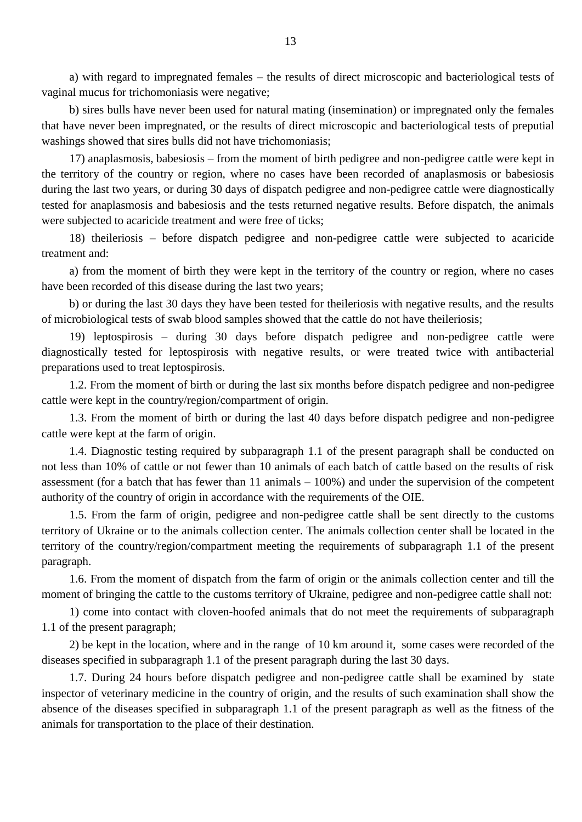a) with regard to impregnated females – the results of direct microscopic and bacteriological tests of vaginal mucus for trichomoniasis were negative;

b) sires bulls have never been used for natural mating (insemination) or impregnated only the females that have never been impregnated, or the results of direct microscopic and bacteriological tests of preputial washings showed that sires bulls did not have trichomoniasis;

17) anaplasmosis, babesiosis – from the moment of birth pedigree and non-pedigree cattle were kept in the territory of the country or region, where no cases have been recorded of anaplasmosis or babesiosis during the last two years, or during 30 days of dispatch pedigree and non-pedigree cattle were diagnostically tested for anaplasmosis and babesiosis and the tests returned negative results. Before dispatch, the animals were subjected to acaricide treatment and were free of ticks;

18) theileriosis – before dispatch pedigree and non-pedigree cattle were subjected to acaricide treatment and:

a) from the moment of birth they were kept in the territory of the country or region, where no cases have been recorded of this disease during the last two years;

b) or during the last 30 days they have been tested for theileriosis with negative results, and the results of microbiological tests of swab blood samples showed that the cattle do not have theileriosis;

19) leptospirosis – during 30 days before dispatch pedigree and non-pedigree cattle were diagnostically tested for leptospirosis with negative results, or were treated twice with antibacterial preparations used to treat leptospirosis.

1.2. From the moment of birth or during the last six months before dispatch pedigree and non-pedigree cattle were kept in the country/region/compartment of origin.

1.3. From the moment of birth or during the last 40 days before dispatch pedigree and non-pedigree cattle were kept at the farm of origin.

1.4. Diagnostic testing required by subparagraph 1.1 of the present paragraph shall be conducted on not less than 10% of cattle or not fewer than 10 animals of each batch of cattle based on the results of risk assessment (for a batch that has fewer than 11 animals – 100%) and under the supervision of the competent authority of the country of origin in accordance with the requirements of the OIE.

1.5. From the farm of origin, pedigree and non-pedigree cattle shall be sent directly to the customs territory of Ukraine or to the animals collection center. The animals collection center shall be located in the territory of the country/region/compartment meeting the requirements of subparagraph 1.1 of the present paragraph.

1.6. From the moment of dispatch from the farm of origin or the animals collection center and till the moment of bringing the cattle to the customs territory of Ukraine, pedigree and non-pedigree cattle shall not:

1) come into contact with cloven-hoofed animals that do not meet the requirements of subparagraph 1.1 of the present paragraph;

2) be kept in the location, where and in the range of 10 km around it, some cases were recorded of the diseases specified in subparagraph 1.1 of the present paragraph during the last 30 days.

1.7. During 24 hours before dispatch pedigree and non-pedigree cattle shall be examined by state inspector of veterinary medicine in the country of origin, and the results of such examination shall show the absence of the diseases specified in subparagraph 1.1 of the present paragraph as well as the fitness of the animals for transportation to the place of their destination.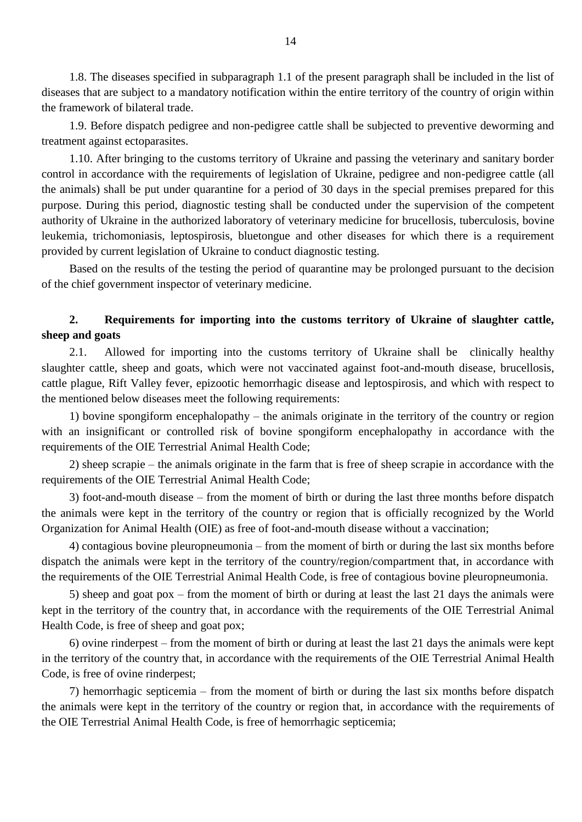1.8. The diseases specified in subparagraph 1.1 of the present paragraph shall be included in the list of diseases that are subject to a mandatory notification within the entire territory of the country of origin within the framework of bilateral trade.

1.9. Before dispatch pedigree and non-pedigree cattle shall be subjected to preventive deworming and treatment against ectoparasites.

1.10. After bringing to the customs territory of Ukraine and passing the veterinary and sanitary border control in accordance with the requirements of legislation of Ukraine, pedigree and non-pedigree cattle (all the animals) shall be put under quarantine for a period of 30 days in the special premises prepared for this purpose. During this period, diagnostic testing shall be conducted under the supervision of the competent authority of Ukraine in the authorized laboratory of veterinary medicine for brucellosis, tuberculosis, bovine leukemia, trichomoniasis, leptospirosis, bluetongue and other diseases for which there is a requirement provided by current legislation of Ukraine to conduct diagnostic testing.

Based on the results of the testing the period of quarantine may be prolonged pursuant to the decision of the chief government inspector of veterinary medicine.

# **2. Requirements for importing into the customs territory of Ukraine of slaughter cattle, sheep and goats**

2.1. Allowed for importing into the customs territory of Ukraine shall be clinically healthy slaughter cattle, sheep and goats, which were not vaccinated against foot-and-mouth disease, brucellosis, cattle plague, Rift Valley fever, epizootic hemorrhagic disease and leptospirosis, and which with respect to the mentioned below diseases meet the following requirements:

1) bovine spongiform encephalopathy – the animals originate in the territory of the country or region with an insignificant or controlled risk of bovine spongiform encephalopathy in accordance with the requirements of the OIE Terrestrial Animal Health Code;

2) sheep scrapie – the animals originate in the farm that is free of sheep scrapie in accordance with the requirements of the OIE Terrestrial Animal Health Code;

3) foot-and-mouth disease – from the moment of birth or during the last three months before dispatch the animals were kept in the territory of the country or region that is officially recognized by the World Organization for Animal Health (OIE) as free of foot-and-mouth disease without a vaccination;

4) contagious bovine pleuropneumonia – from the moment of birth or during the last six months before dispatch the animals were kept in the territory of the country/region/compartment that, in accordance with the requirements of the OIE Terrestrial Animal Health Code, is free of contagious bovine pleuropneumonia.

5) sheep and goat pox – from the moment of birth or during at least the last 21 days the animals were kept in the territory of the country that, in accordance with the requirements of the OIE Terrestrial Animal Health Code, is free of sheep and goat pox;

6) ovine rinderpest – from the moment of birth or during at least the last 21 days the animals were kept in the territory of the country that, in accordance with the requirements of the OIE Terrestrial Animal Health Code, is free of ovine rinderpest;

7) hemorrhagic septicemia – from the moment of birth or during the last six months before dispatch the animals were kept in the territory of the country or region that, in accordance with the requirements of the OIE Terrestrial Animal Health Code, is free of hemorrhagic septicemia;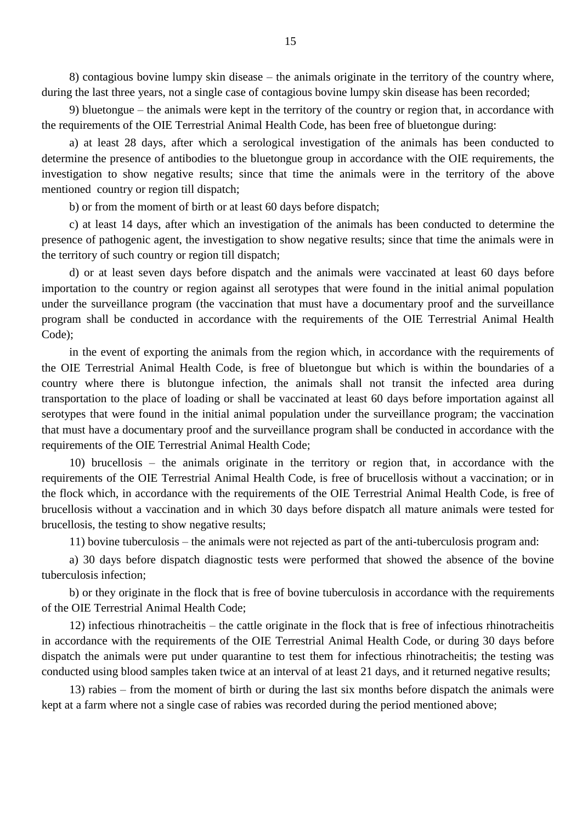8) contagious bovine lumpy skin disease – the animals originate in the territory of the country where, during the last three years, not a single case of contagious bovine lumpy skin disease has been recorded;

9) bluetongue – the animals were kept in the territory of the country or region that, in accordance with the requirements of the OIE Terrestrial Animal Health Code, has been free of bluetongue during:

a) at least 28 days, after which a serological investigation of the animals has been conducted to determine the presence of antibodies to the bluetongue group in accordance with the OIE requirements, the investigation to show negative results; since that time the animals were in the territory of the above mentioned country or region till dispatch;

b) or from the moment of birth or at least 60 days before dispatch;

c) at least 14 days, after which an investigation of the animals has been conducted to determine the presence of pathogenic agent, the investigation to show negative results; since that time the animals were in the territory of such country or region till dispatch;

d) or at least seven days before dispatch and the animals were vaccinated at least 60 days before importation to the country or region against all serotypes that were found in the initial animal population under the surveillance program (the vaccination that must have a documentary proof and the surveillance program shall be conducted in accordance with the requirements of the OIE Terrestrial Animal Health Code);

in the event of exporting the animals from the region which, in accordance with the requirements of the OIE Terrestrial Animal Health Code, is free of bluetongue but which is within the boundaries of a country where there is blutongue infection, the animals shall not transit the infected area during transportation to the place of loading or shall be vaccinated at least 60 days before importation against all serotypes that were found in the initial animal population under the surveillance program; the vaccination that must have a documentary proof and the surveillance program shall be conducted in accordance with the requirements of the OIE Terrestrial Animal Health Code;

10) brucellosis – the animals originate in the territory or region that, in accordance with the requirements of the OIE Terrestrial Animal Health Code, is free of brucellosis without a vaccination; or in the flock which, in accordance with the requirements of the OIE Terrestrial Animal Health Code, is free of brucellosis without a vaccination and in which 30 days before dispatch all mature animals were tested for brucellosis, the testing to show negative results;

11) bovine tuberculosis – the animals were not rejected as part of the anti-tuberculosis program and:

a) 30 days before dispatch diagnostic tests were performed that showed the absence of the bovine tuberculosis infection;

b) or they originate in the flock that is free of bovine tuberculosis in accordance with the requirements of the OIE Terrestrial Animal Health Code;

12) infectious rhinotracheitis – the cattle originate in the flock that is free of infectious rhinotracheitis in accordance with the requirements of the OIE Terrestrial Animal Health Code, or during 30 days before dispatch the animals were put under quarantine to test them for infectious rhinotracheitis; the testing was conducted using blood samples taken twice at an interval of at least 21 days, and it returned negative results;

13) rabies – from the moment of birth or during the last six months before dispatch the animals were kept at a farm where not a single case of rabies was recorded during the period mentioned above;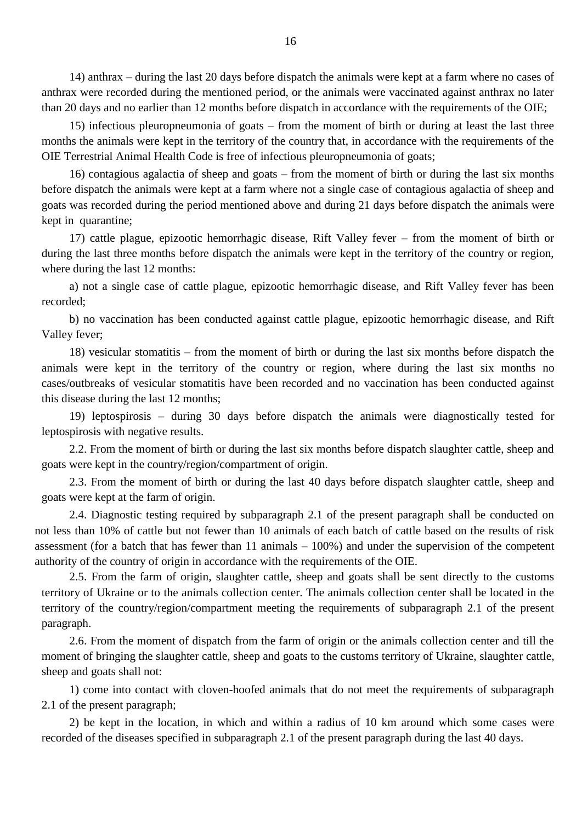14) anthrax – during the last 20 days before dispatch the animals were kept at a farm where no cases of anthrax were recorded during the mentioned period, or the animals were vaccinated against anthrax no later than 20 days and no earlier than 12 months before dispatch in accordance with the requirements of the OIE;

15) infectious pleuropneumonia of goats – from the moment of birth or during at least the last three months the animals were kept in the territory of the country that, in accordance with the requirements of the OIE Terrestrial Animal Health Code is free of infectious pleuropneumonia of goats;

16) contagious agalactia of sheep and goats – from the moment of birth or during the last six months before dispatch the animals were kept at a farm where not a single case of contagious agalactia of sheep and goats was recorded during the period mentioned above and during 21 days before dispatch the animals were kept in quarantine;

17) cattle plague, epizootic hemorrhagic disease, Rift Valley fever – from the moment of birth or during the last three months before dispatch the animals were kept in the territory of the country or region, where during the last 12 months:

a) not a single case of cattle plague, epizootic hemorrhagic disease, and Rift Valley fever has been recorded;

b) no vaccination has been conducted against cattle plague, epizootic hemorrhagic disease, and Rift Valley fever;

18) vesicular stomatitis – from the moment of birth or during the last six months before dispatch the animals were kept in the territory of the country or region, where during the last six months no cases/outbreaks of vesicular stomatitis have been recorded and no vaccination has been conducted against this disease during the last 12 months;

19) leptospirosis – during 30 days before dispatch the animals were diagnostically tested for leptospirosis with negative results.

2.2. From the moment of birth or during the last six months before dispatch slaughter cattle, sheep and goats were kept in the country/region/compartment of origin.

2.3. From the moment of birth or during the last 40 days before dispatch slaughter cattle, sheep and goats were kept at the farm of origin.

2.4. Diagnostic testing required by subparagraph 2.1 of the present paragraph shall be conducted on not less than 10% of cattle but not fewer than 10 animals of each batch of cattle based on the results of risk assessment (for a batch that has fewer than 11 animals – 100%) and under the supervision of the competent authority of the country of origin in accordance with the requirements of the OIE.

2.5. From the farm of origin, slaughter cattle, sheep and goats shall be sent directly to the customs territory of Ukraine or to the animals collection center. The animals collection center shall be located in the territory of the country/region/compartment meeting the requirements of subparagraph 2.1 of the present paragraph.

2.6. From the moment of dispatch from the farm of origin or the animals collection center and till the moment of bringing the slaughter cattle, sheep and goats to the customs territory of Ukraine, slaughter cattle, sheep and goats shall not:

1) come into contact with cloven-hoofed animals that do not meet the requirements of subparagraph 2.1 of the present paragraph;

2) be kept in the location, in which and within a radius of 10 km around which some cases were recorded of the diseases specified in subparagraph 2.1 of the present paragraph during the last 40 days.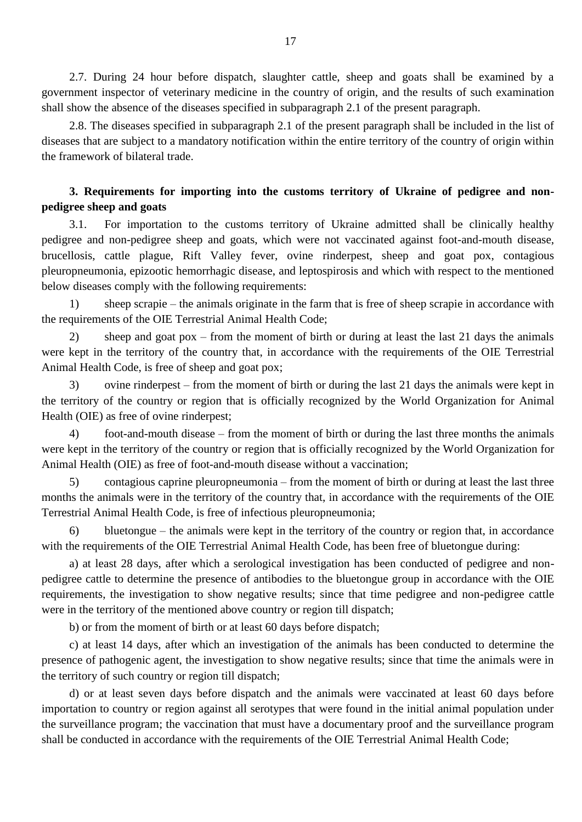2.7. During 24 hour before dispatch, slaughter cattle, sheep and goats shall be examined by a government inspector of veterinary medicine in the country of origin, and the results of such examination shall show the absence of the diseases specified in subparagraph 2.1 of the present paragraph.

2.8. The diseases specified in subparagraph 2.1 of the present paragraph shall be included in the list of diseases that are subject to a mandatory notification within the entire territory of the country of origin within the framework of bilateral trade.

## **3. Requirements for importing into the customs territory of Ukraine of pedigree and nonpedigree sheep and goats**

3.1. For importation to the customs territory of Ukraine admitted shall be clinically healthy pedigree and non-pedigree sheep and goats, which were not vaccinated against foot-and-mouth disease, brucellosis, cattle plague, Rift Valley fever, ovine rinderpest, sheep and goat pox, contagious pleuropneumonia, epizootic hemorrhagic disease, and leptospirosis and which with respect to the mentioned below diseases comply with the following requirements:

1) sheep scrapie – the animals originate in the farm that is free of sheep scrapie in accordance with the requirements of the OIE Terrestrial Animal Health Code;

2) sheep and goat pox – from the moment of birth or during at least the last 21 days the animals were kept in the territory of the country that, in accordance with the requirements of the OIE Terrestrial Animal Health Code, is free of sheep and goat pox;

3) ovine rinderpest – from the moment of birth or during the last 21 days the animals were kept in the territory of the country or region that is officially recognized by the World Organization for Animal Health (OIE) as free of ovine rinderpest;

4) foot-and-mouth disease – from the moment of birth or during the last three months the animals were kept in the territory of the country or region that is officially recognized by the World Organization for Animal Health (OIE) as free of foot-and-mouth disease without a vaccination;

5) contagious caprine pleuropneumonia – from the moment of birth or during at least the last three months the animals were in the territory of the country that, in accordance with the requirements of the OIE Terrestrial Animal Health Code, is free of infectious pleuropneumonia;

6) bluetongue – the animals were kept in the territory of the country or region that, in accordance with the requirements of the OIE Terrestrial Animal Health Code, has been free of bluetongue during:

a) at least 28 days, after which a serological investigation has been conducted of pedigree and nonpedigree cattle to determine the presence of antibodies to the bluetongue group in accordance with the OIE requirements, the investigation to show negative results; since that time pedigree and non-pedigree cattle were in the territory of the mentioned above country or region till dispatch;

b) or from the moment of birth or at least 60 days before dispatch;

c) at least 14 days, after which an investigation of the animals has been conducted to determine the presence of pathogenic agent, the investigation to show negative results; since that time the animals were in the territory of such country or region till dispatch;

d) or at least seven days before dispatch and the animals were vaccinated at least 60 days before importation to country or region against all serotypes that were found in the initial animal population under the surveillance program; the vaccination that must have a documentary proof and the surveillance program shall be conducted in accordance with the requirements of the OIE Terrestrial Animal Health Code;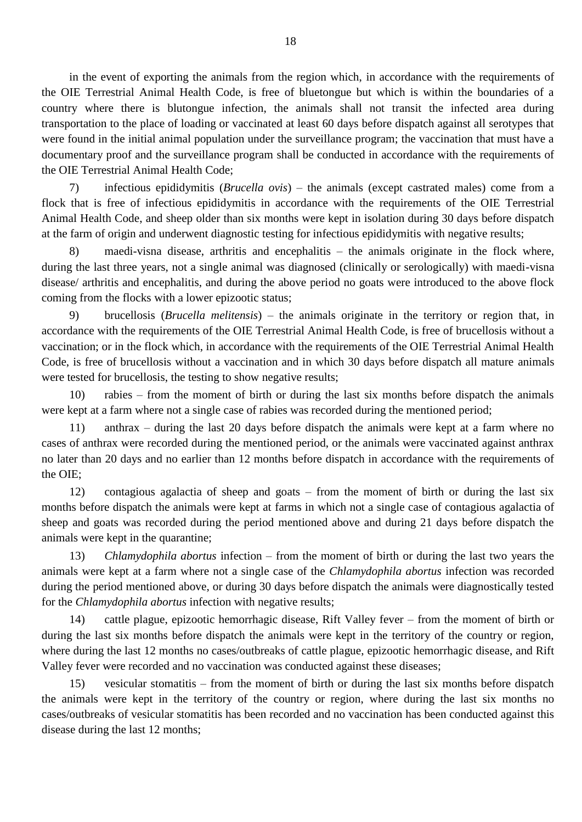in the event of exporting the animals from the region which, in accordance with the requirements of the OIE Terrestrial Animal Health Code, is free of bluetongue but which is within the boundaries of a country where there is blutongue infection, the animals shall not transit the infected area during transportation to the place of loading or vaccinated at least 60 days before dispatch against all serotypes that were found in the initial animal population under the surveillance program; the vaccination that must have a documentary proof and the surveillance program shall be conducted in accordance with the requirements of the OIE Terrestrial Animal Health Code;

7) infectious epididymitis (*Brucella ovis*) – the animals (except castrated males) come from a flock that is free of infectious epididymitis in accordance with the requirements of the OIE Terrestrial Animal Health Code, and sheep older than six months were kept in isolation during 30 days before dispatch at the farm of origin and underwent diagnostic testing for infectious epididymitis with negative results;

8) maedi-visna disease, arthritis and encephalitis – the animals originate in the flock where, during the last three years, not a single animal was diagnosed (clinically or serologically) with maedi-visna disease/ arthritis and encephalitis, and during the above period no goats were introduced to the above flock coming from the flocks with a lower epizootic status;

9) brucellosis (*Brucella melitensis*) – the animals originate in the territory or region that, in accordance with the requirements of the OIE Terrestrial Animal Health Code, is free of brucellosis without a vaccination; or in the flock which, in accordance with the requirements of the OIE Terrestrial Animal Health Code, is free of brucellosis without a vaccination and in which 30 days before dispatch all mature animals were tested for brucellosis, the testing to show negative results;

10) rabies – from the moment of birth or during the last six months before dispatch the animals were kept at a farm where not a single case of rabies was recorded during the mentioned period;

11) anthrax – during the last 20 days before dispatch the animals were kept at a farm where no cases of anthrax were recorded during the mentioned period, or the animals were vaccinated against anthrax no later than 20 days and no earlier than 12 months before dispatch in accordance with the requirements of the OIE;

12) contagious agalactia of sheep and goats – from the moment of birth or during the last six months before dispatch the animals were kept at farms in which not a single case of contagious agalactia of sheep and goats was recorded during the period mentioned above and during 21 days before dispatch the animals were kept in the quarantine;

13) *Chlamydophila abortus* infection – from the moment of birth or during the last two years the animals were kept at a farm where not a single case of the *Chlamydophila abortus* infection was recorded during the period mentioned above, or during 30 days before dispatch the animals were diagnostically tested for the *Chlamydophila abortus* infection with negative results;

14) cattle plague, epizootic hemorrhagic disease, Rift Valley fever – from the moment of birth or during the last six months before dispatch the animals were kept in the territory of the country or region, where during the last 12 months no cases/outbreaks of cattle plague, epizootic hemorrhagic disease, and Rift Valley fever were recorded and no vaccination was conducted against these diseases;

15) vesicular stomatitis – from the moment of birth or during the last six months before dispatch the animals were kept in the territory of the country or region, where during the last six months no cases/outbreaks of vesicular stomatitis has been recorded and no vaccination has been conducted against this disease during the last 12 months;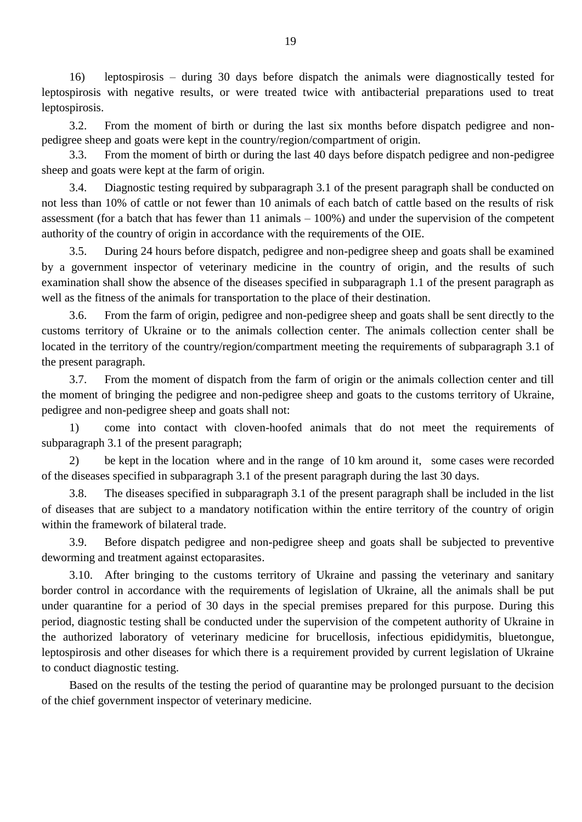16) leptospirosis – during 30 days before dispatch the animals were diagnostically tested for leptospirosis with negative results, or were treated twice with antibacterial preparations used to treat leptospirosis.

3.2. From the moment of birth or during the last six months before dispatch pedigree and nonpedigree sheep and goats were kept in the country/region/compartment of origin.

3.3. From the moment of birth or during the last 40 days before dispatch pedigree and non-pedigree sheep and goats were kept at the farm of origin.

3.4. Diagnostic testing required by subparagraph 3.1 of the present paragraph shall be conducted on not less than 10% of cattle or not fewer than 10 animals of each batch of cattle based on the results of risk assessment (for a batch that has fewer than 11 animals – 100%) and under the supervision of the competent authority of the country of origin in accordance with the requirements of the OIE.

3.5. During 24 hours before dispatch, pedigree and non-pedigree sheep and goats shall be examined by a government inspector of veterinary medicine in the country of origin, and the results of such examination shall show the absence of the diseases specified in subparagraph 1.1 of the present paragraph as well as the fitness of the animals for transportation to the place of their destination.

3.6. From the farm of origin, pedigree and non-pedigree sheep and goats shall be sent directly to the customs territory of Ukraine or to the animals collection center. The animals collection center shall be located in the territory of the country/region/compartment meeting the requirements of subparagraph 3.1 of the present paragraph.

3.7. From the moment of dispatch from the farm of origin or the animals collection center and till the moment of bringing the pedigree and non-pedigree sheep and goats to the customs territory of Ukraine, pedigree and non-pedigree sheep and goats shall not:

1) come into contact with cloven-hoofed animals that do not meet the requirements of subparagraph 3.1 of the present paragraph;

2) be kept in the location where and in the range of 10 km around it, some cases were recorded of the diseases specified in subparagraph 3.1 of the present paragraph during the last 30 days.

3.8. The diseases specified in subparagraph 3.1 of the present paragraph shall be included in the list of diseases that are subject to a mandatory notification within the entire territory of the country of origin within the framework of bilateral trade.

3.9. Before dispatch pedigree and non-pedigree sheep and goats shall be subjected to preventive deworming and treatment against ectoparasites.

3.10. After bringing to the customs territory of Ukraine and passing the veterinary and sanitary border control in accordance with the requirements of legislation of Ukraine, all the animals shall be put under quarantine for a period of 30 days in the special premises prepared for this purpose. During this period, diagnostic testing shall be conducted under the supervision of the competent authority of Ukraine in the authorized laboratory of veterinary medicine for brucellosis, infectious epididymitis, bluetongue, leptospirosis and other diseases for which there is a requirement provided by current legislation of Ukraine to conduct diagnostic testing.

Based on the results of the testing the period of quarantine may be prolonged pursuant to the decision of the chief government inspector of veterinary medicine.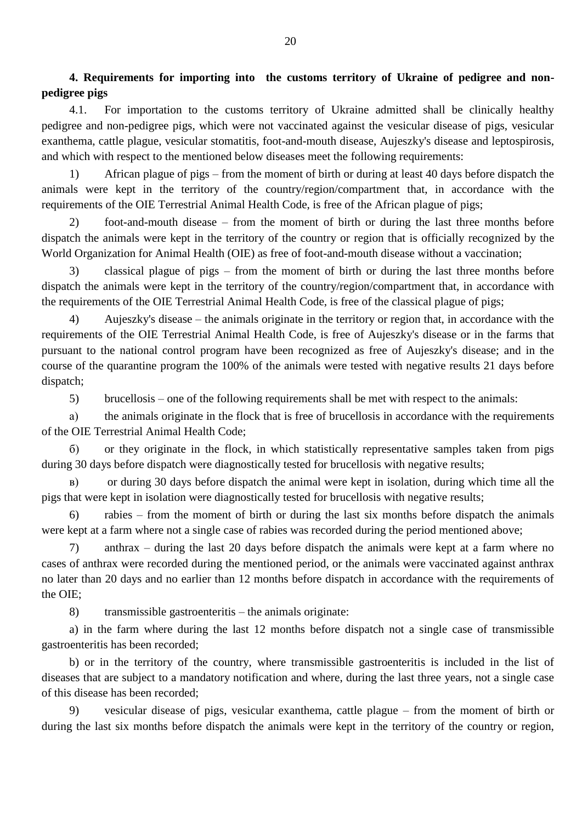**4. Requirements for importing into the customs territory of Ukraine of pedigree and nonpedigree pigs**

4.1. For importation to the customs territory of Ukraine admitted shall be clinically healthy pedigree and non-pedigree pigs, which were not vaccinated against the vesicular disease of pigs, vesicular exanthema, cattle plague, vesicular stomatitis, foot-and-mouth disease, Aujeszky's disease and leptospirosis, and which with respect to the mentioned below diseases meet the following requirements:

1) African plague of pigs – from the moment of birth or during at least 40 days before dispatch the animals were kept in the territory of the country/region/compartment that, in accordance with the requirements of the OIE Terrestrial Animal Health Code, is free of the African plague of pigs;

2) foot-and-mouth disease – from the moment of birth or during the last three months before dispatch the animals were kept in the territory of the country or region that is officially recognized by the World Organization for Animal Health (OIE) as free of foot-and-mouth disease without a vaccination;

3) classical plague of pigs – from the moment of birth or during the last three months before dispatch the animals were kept in the territory of the country/region/compartment that, in accordance with the requirements of the OIE Terrestrial Animal Health Code, is free of the classical plague of pigs;

4) Aujeszky's disease – the animals originate in the territory or region that, in accordance with the requirements of the OIE Terrestrial Animal Health Code, is free of Aujeszky's disease or in the farms that pursuant to the national control program have been recognized as free of Aujeszky's disease; and in the course of the quarantine program the 100% of the animals were tested with negative results 21 days before dispatch;

5) brucellosis – one of the following requirements shall be met with respect to the animals:

а) the animals originate in the flock that is free of brucellosis in accordance with the requirements of the OIE Terrestrial Animal Health Code;

б) or they originate in the flock, in which statistically representative samples taken from pigs during 30 days before dispatch were diagnostically tested for brucellosis with negative results;

в) or during 30 days before dispatch the animal were kept in isolation, during which time all the pigs that were kept in isolation were diagnostically tested for brucellosis with negative results;

6) rabies – from the moment of birth or during the last six months before dispatch the animals were kept at a farm where not a single case of rabies was recorded during the period mentioned above;

7) anthrax – during the last 20 days before dispatch the animals were kept at a farm where no cases of anthrax were recorded during the mentioned period, or the animals were vaccinated against anthrax no later than 20 days and no earlier than 12 months before dispatch in accordance with the requirements of the OIE;

8) transmissible gastroenteritis – the animals originate:

a) in the farm where during the last 12 months before dispatch not a single case of transmissible gastroenteritis has been recorded;

b) or in the territory of the country, where transmissible gastroenteritis is included in the list of diseases that are subject to a mandatory notification and where, during the last three years, not a single case of this disease has been recorded;

9) vesicular disease of pigs, vesicular exanthema, cattle plague – from the moment of birth or during the last six months before dispatch the animals were kept in the territory of the country or region,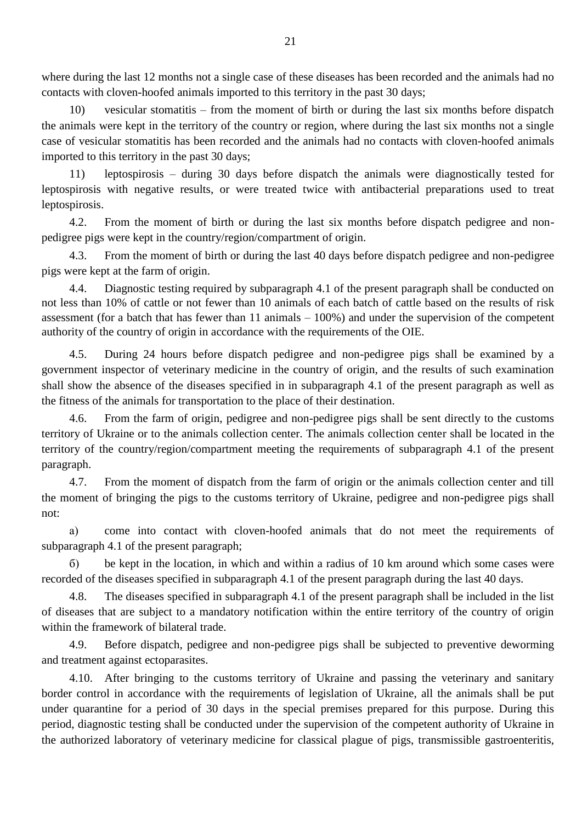where during the last 12 months not a single case of these diseases has been recorded and the animals had no contacts with cloven-hoofed animals imported to this territory in the past 30 days;

10) vesicular stomatitis – from the moment of birth or during the last six months before dispatch the animals were kept in the territory of the country or region, where during the last six months not a single case of vesicular stomatitis has been recorded and the animals had no contacts with cloven-hoofed animals imported to this territory in the past 30 days;

11) leptospirosis – during 30 days before dispatch the animals were diagnostically tested for leptospirosis with negative results, or were treated twice with antibacterial preparations used to treat leptospirosis.

4.2. From the moment of birth or during the last six months before dispatch pedigree and nonpedigree pigs were kept in the country/region/compartment of origin.

4.3. From the moment of birth or during the last 40 days before dispatch pedigree and non-pedigree pigs were kept at the farm of origin.

4.4. Diagnostic testing required by subparagraph 4.1 of the present paragraph shall be conducted on not less than 10% of cattle or not fewer than 10 animals of each batch of cattle based on the results of risk assessment (for a batch that has fewer than 11 animals – 100%) and under the supervision of the competent authority of the country of origin in accordance with the requirements of the OIE.

4.5. During 24 hours before dispatch pedigree and non-pedigree pigs shall be examined by a government inspector of veterinary medicine in the country of origin, and the results of such examination shall show the absence of the diseases specified in in subparagraph 4.1 of the present paragraph as well as the fitness of the animals for transportation to the place of their destination.

4.6. From the farm of origin, pedigree and non-pedigree pigs shall be sent directly to the customs territory of Ukraine or to the animals collection center. The animals collection center shall be located in the territory of the country/region/compartment meeting the requirements of subparagraph 4.1 of the present paragraph.

4.7. From the moment of dispatch from the farm of origin or the animals collection center and till the moment of bringing the pigs to the customs territory of Ukraine, pedigree and non-pedigree pigs shall not:

а) come into contact with cloven-hoofed animals that do not meet the requirements of subparagraph 4.1 of the present paragraph;

б) be kept in the location, in which and within a radius of 10 km around which some cases were recorded of the diseases specified in subparagraph 4.1 of the present paragraph during the last 40 days.

4.8. The diseases specified in subparagraph 4.1 of the present paragraph shall be included in the list of diseases that are subject to a mandatory notification within the entire territory of the country of origin within the framework of bilateral trade.

4.9. Before dispatch, pedigree and non-pedigree pigs shall be subjected to preventive deworming and treatment against ectoparasites.

4.10. After bringing to the customs territory of Ukraine and passing the veterinary and sanitary border control in accordance with the requirements of legislation of Ukraine, all the animals shall be put under quarantine for a period of 30 days in the special premises prepared for this purpose. During this period, diagnostic testing shall be conducted under the supervision of the competent authority of Ukraine in the authorized laboratory of veterinary medicine for classical plague of pigs, transmissible gastroenteritis,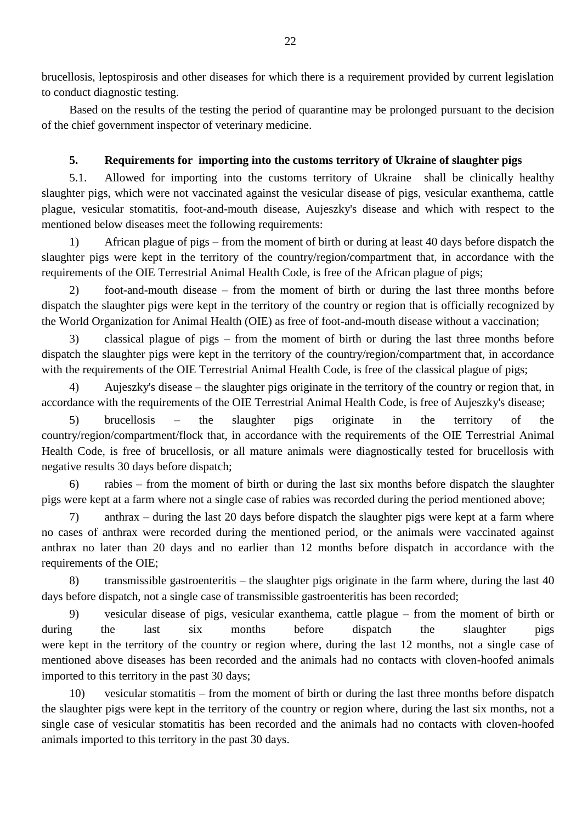brucellosis, leptospirosis and other diseases for which there is a requirement provided by current legislation to conduct diagnostic testing.

Based on the results of the testing the period of quarantine may be prolonged pursuant to the decision of the chief government inspector of veterinary medicine.

## **5. Requirements for importing into the customs territory of Ukraine of slaughter pigs**

5.1. Allowed for importing into the customs territory of Ukraine shall be clinically healthy slaughter pigs, which were not vaccinated against the vesicular disease of pigs, vesicular exanthema, cattle plague, vesicular stomatitis, foot-and-mouth disease, Aujeszky's disease and which with respect to the mentioned below diseases meet the following requirements:

1) African plague of pigs – from the moment of birth or during at least 40 days before dispatch the slaughter pigs were kept in the territory of the country/region/compartment that, in accordance with the requirements of the OIE Terrestrial Animal Health Code, is free of the African plague of pigs;

2) foot-and-mouth disease – from the moment of birth or during the last three months before dispatch the slaughter pigs were kept in the territory of the country or region that is officially recognized by the World Organization for Animal Health (OIE) as free of foot-and-mouth disease without a vaccination;

3) classical plague of pigs – from the moment of birth or during the last three months before dispatch the slaughter pigs were kept in the territory of the country/region/compartment that, in accordance with the requirements of the OIE Terrestrial Animal Health Code, is free of the classical plague of pigs;

4) Aujeszky's disease – the slaughter pigs originate in the territory of the country or region that, in accordance with the requirements of the OIE Terrestrial Animal Health Code, is free of Aujeszky's disease;

5) brucellosis – the slaughter pigs originate in the territory of the country/region/compartment/flock that, in accordance with the requirements of the OIE Terrestrial Animal Health Code, is free of brucellosis, or all mature animals were diagnostically tested for brucellosis with negative results 30 days before dispatch;

6) rabies – from the moment of birth or during the last six months before dispatch the slaughter pigs were kept at a farm where not a single case of rabies was recorded during the period mentioned above;

7) anthrax – during the last 20 days before dispatch the slaughter pigs were kept at a farm where no cases of anthrax were recorded during the mentioned period, or the animals were vaccinated against anthrax no later than 20 days and no earlier than 12 months before dispatch in accordance with the requirements of the OIE;

8) transmissible gastroenteritis – the slaughter pigs originate in the farm where, during the last 40 days before dispatch, not a single case of transmissible gastroenteritis has been recorded;

9) vesicular disease of pigs, vesicular exanthema, cattle plague – from the moment of birth or during the last six months before dispatch the slaughter pigs were kept in the territory of the country or region where, during the last 12 months, not a single case of mentioned above diseases has been recorded and the animals had no contacts with cloven-hoofed animals imported to this territory in the past 30 days;

10) vesicular stomatitis – from the moment of birth or during the last three months before dispatch the slaughter pigs were kept in the territory of the country or region where, during the last six months, not a single case of vesicular stomatitis has been recorded and the animals had no contacts with cloven-hoofed animals imported to this territory in the past 30 days.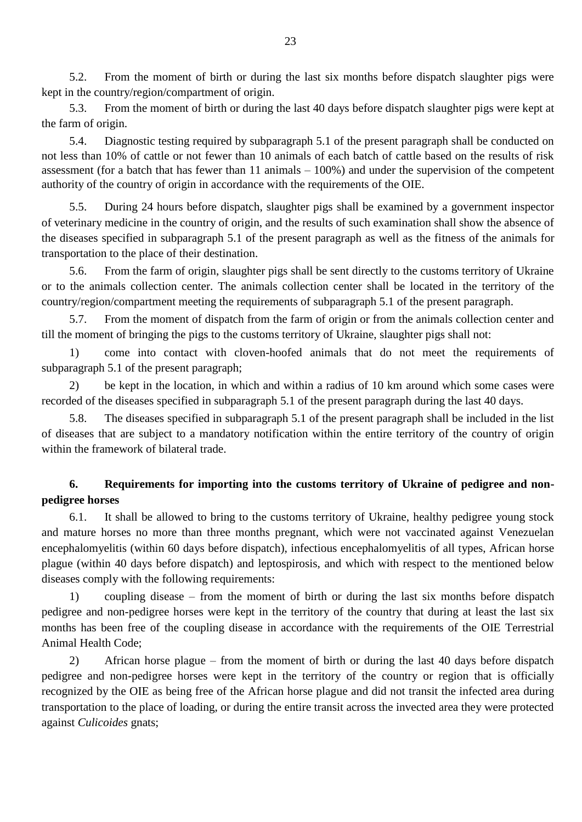5.2. From the moment of birth or during the last six months before dispatch slaughter pigs were kept in the country/region/compartment of origin.

5.3. From the moment of birth or during the last 40 days before dispatch slaughter pigs were kept at the farm of origin.

5.4. Diagnostic testing required by subparagraph 5.1 of the present paragraph shall be conducted on not less than 10% of cattle or not fewer than 10 animals of each batch of cattle based on the results of risk assessment (for a batch that has fewer than 11 animals – 100%) and under the supervision of the competent authority of the country of origin in accordance with the requirements of the OIE.

5.5. During 24 hours before dispatch, slaughter pigs shall be examined by a government inspector of veterinary medicine in the country of origin, and the results of such examination shall show the absence of the diseases specified in subparagraph 5.1 of the present paragraph as well as the fitness of the animals for transportation to the place of their destination.

5.6. From the farm of origin, slaughter pigs shall be sent directly to the customs territory of Ukraine or to the animals collection center. The animals collection center shall be located in the territory of the country/region/compartment meeting the requirements of subparagraph 5.1 of the present paragraph.

5.7. From the moment of dispatch from the farm of origin or from the animals collection center and till the moment of bringing the pigs to the customs territory of Ukraine, slaughter pigs shall not:

1) come into contact with cloven-hoofed animals that do not meet the requirements of subparagraph 5.1 of the present paragraph;

2) be kept in the location, in which and within a radius of 10 km around which some cases were recorded of the diseases specified in subparagraph 5.1 of the present paragraph during the last 40 days.

5.8. The diseases specified in subparagraph 5.1 of the present paragraph shall be included in the list of diseases that are subject to a mandatory notification within the entire territory of the country of origin within the framework of bilateral trade.

# **6. Requirements for importing into the customs territory of Ukraine of pedigree and nonpedigree horses**

6.1. It shall be allowed to bring to the customs territory of Ukraine, healthy pedigree young stock and mature horses no more than three months pregnant, which were not vaccinated against Venezuelan encephalomyelitis (within 60 days before dispatch), infectious encephalomyelitis of all types, African horse plague (within 40 days before dispatch) and leptospirosis, and which with respect to the mentioned below diseases comply with the following requirements:

1) coupling disease – from the moment of birth or during the last six months before dispatch pedigree and non-pedigree horses were kept in the territory of the country that during at least the last six months has been free of the coupling disease in accordance with the requirements of the OIE Terrestrial Animal Health Code;

2) African horse plague – from the moment of birth or during the last 40 days before dispatch pedigree and non-pedigree horses were kept in the territory of the country or region that is officially recognized by the OIE as being free of the African horse plague and did not transit the infected area during transportation to the place of loading, or during the entire transit across the invected area they were protected against *Culicoides* gnats;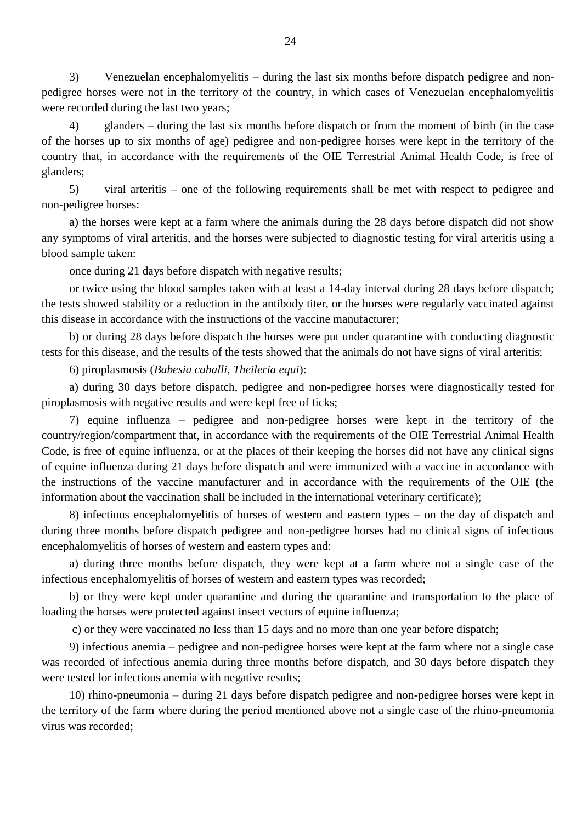3) Venezuelan encephalomyelitis – during the last six months before dispatch pedigree and nonpedigree horses were not in the territory of the country, in which cases of Venezuelan encephalomyelitis were recorded during the last two years;

4) glanders – during the last six months before dispatch or from the moment of birth (in the case of the horses up to six months of age) pedigree and non-pedigree horses were kept in the territory of the country that, in accordance with the requirements of the OIE Terrestrial Animal Health Code, is free of glanders;

5) viral arteritis – one of the following requirements shall be met with respect to pedigree and non-pedigree horses:

a) the horses were kept at a farm where the animals during the 28 days before dispatch did not show any symptoms of viral arteritis, and the horses were subjected to diagnostic testing for viral arteritis using a blood sample taken:

once during 21 days before dispatch with negative results;

or twice using the blood samples taken with at least a 14-day interval during 28 days before dispatch; the tests showed stability or a reduction in the antibody titer, or the horses were regularly vaccinated against this disease in accordance with the instructions of the vaccine manufacturer;

b) or during 28 days before dispatch the horses were put under quarantine with conducting diagnostic tests for this disease, and the results of the tests showed that the animals do not have signs of viral arteritis;

6) piroplasmosis (*Babesia caballi, Theileria equi*):

a) during 30 days before dispatch, pedigree and non-pedigree horses were diagnostically tested for piroplasmosis with negative results and were kept free of ticks;

7) equine influenza – pedigree and non-pedigree horses were kept in the territory of the country/region/compartment that, in accordance with the requirements of the OIE Terrestrial Animal Health Code, is free of equine influenza, or at the places of their keeping the horses did not have any clinical signs of equine influenza during 21 days before dispatch and were immunized with a vaccine in accordance with the instructions of the vaccine manufacturer and in accordance with the requirements of the OIE (the information about the vaccination shall be included in the international veterinary certificate);

8) infectious encephalomyelitis of horses of western and eastern types – on the day of dispatch and during three months before dispatch pedigree and non-pedigree horses had no clinical signs of infectious encephalomyelitis of horses of western and eastern types and:

a) during three months before dispatch, they were kept at a farm where not a single case of the infectious encephalomyelitis of horses of western and eastern types was recorded;

b) or they were kept under quarantine and during the quarantine and transportation to the place of loading the horses were protected against insect vectors of equine influenza;

c) or they were vaccinated no less than 15 days and no more than one year before dispatch;

9) infectious anemia – pedigree and non-pedigree horses were kept at the farm where not a single case was recorded of infectious anemia during three months before dispatch, and 30 days before dispatch they were tested for infectious anemia with negative results;

10) rhino-pneumonia – during 21 days before dispatch pedigree and non-pedigree horses were kept in the territory of the farm where during the period mentioned above not a single case of the rhino-pneumonia virus was recorded;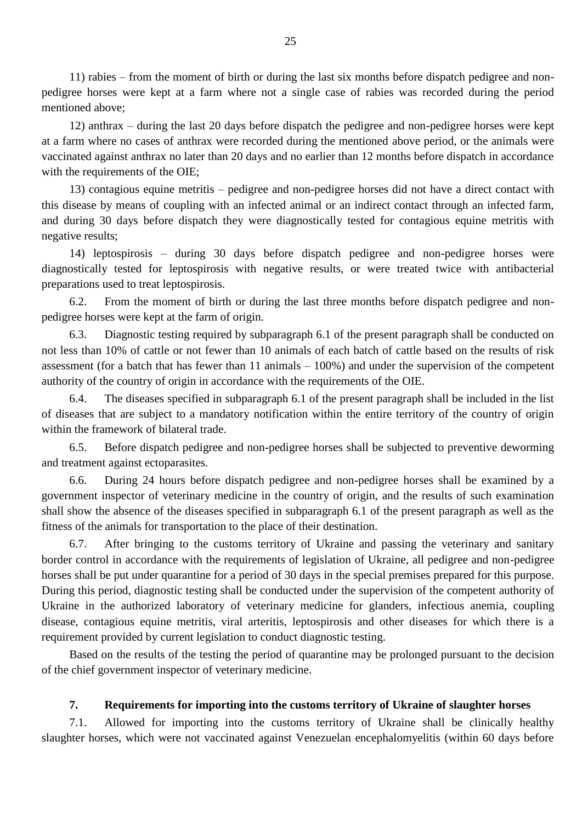11) rabies – from the moment of birth or during the last six months before dispatch pedigree and nonpedigree horses were kept at a farm where not a single case of rabies was recorded during the period mentioned above;

12) anthrax – during the last 20 days before dispatch the pedigree and non-pedigree horses were kept at a farm where no cases of anthrax were recorded during the mentioned above period, or the animals were vaccinated against anthrax no later than 20 days and no earlier than 12 months before dispatch in accordance with the requirements of the OIE;

13) contagious equine metritis – pedigree and non-pedigree horses did not have a direct contact with this disease by means of coupling with an infected animal or an indirect contact through an infected farm, and during 30 days before dispatch they were diagnostically tested for contagious equine metritis with negative results;

14) leptospirosis – during 30 days before dispatch pedigree and non-pedigree horses were diagnostically tested for leptospirosis with negative results, or were treated twice with antibacterial preparations used to treat leptospirosis.

6.2. From the moment of birth or during the last three months before dispatch pedigree and nonpedigree horses were kept at the farm of origin.

6.3. Diagnostic testing required by subparagraph 6.1 of the present paragraph shall be conducted on not less than 10% of cattle or not fewer than 10 animals of each batch of cattle based on the results of risk assessment (for a batch that has fewer than 11 animals – 100%) and under the supervision of the competent authority of the country of origin in accordance with the requirements of the OIE.

6.4. The diseases specified in subparagraph 6.1 of the present paragraph shall be included in the list of diseases that are subject to a mandatory notification within the entire territory of the country of origin within the framework of bilateral trade.

6.5. Before dispatch pedigree and non-pedigree horses shall be subjected to preventive deworming and treatment against ectoparasites.

6.6. During 24 hours before dispatch pedigree and non-pedigree horses shall be examined by a government inspector of veterinary medicine in the country of origin, and the results of such examination shall show the absence of the diseases specified in subparagraph 6.1 of the present paragraph as well as the fitness of the animals for transportation to the place of their destination.

6.7. After bringing to the customs territory of Ukraine and passing the veterinary and sanitary border control in accordance with the requirements of legislation of Ukraine, all pedigree and non-pedigree horses shall be put under quarantine for a period of 30 days in the special premises prepared for this purpose. During this period, diagnostic testing shall be conducted under the supervision of the competent authority of Ukraine in the authorized laboratory of veterinary medicine for glanders, infectious anemia, coupling disease, contagious equine metritis, viral arteritis, leptospirosis and other diseases for which there is a requirement provided by current legislation to conduct diagnostic testing.

Based on the results of the testing the period of quarantine may be prolonged pursuant to the decision of the chief government inspector of veterinary medicine.

## **7. Requirements for importing into the customs territory of Ukraine of slaughter horses**

7.1. Allowed for importing into the customs territory of Ukraine shall be clinically healthy slaughter horses, which were not vaccinated against Venezuelan encephalomyelitis (within 60 days before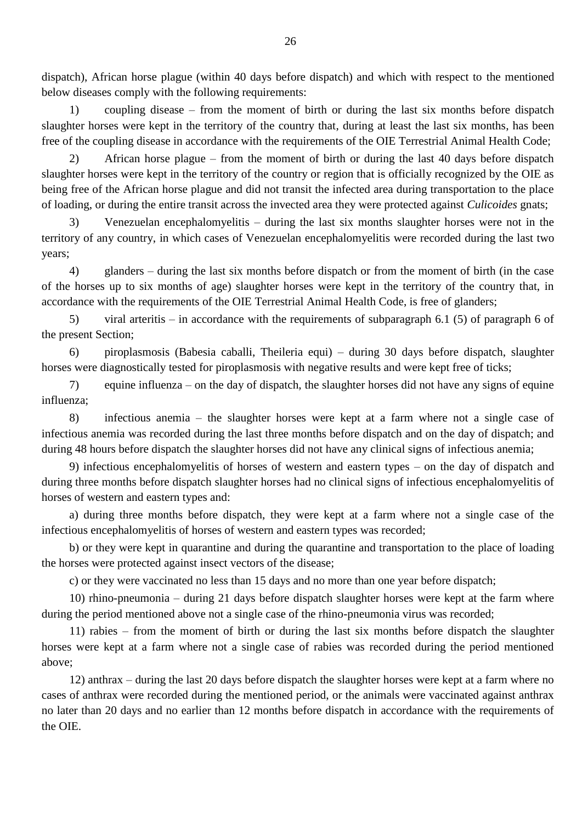dispatch), African horse plague (within 40 days before dispatch) and which with respect to the mentioned below diseases comply with the following requirements:

1) coupling disease – from the moment of birth or during the last six months before dispatch slaughter horses were kept in the territory of the country that, during at least the last six months, has been free of the coupling disease in accordance with the requirements of the OIE Terrestrial Animal Health Code;

2) African horse plague – from the moment of birth or during the last 40 days before dispatch slaughter horses were kept in the territory of the country or region that is officially recognized by the OIE as being free of the African horse plague and did not transit the infected area during transportation to the place of loading, or during the entire transit across the invected area they were protected against *Culicoides* gnats;

3) Venezuelan encephalomyelitis – during the last six months slaughter horses were not in the territory of any country, in which cases of Venezuelan encephalomyelitis were recorded during the last two years;

4) glanders – during the last six months before dispatch or from the moment of birth (in the case of the horses up to six months of age) slaughter horses were kept in the territory of the country that, in accordance with the requirements of the OIE Terrestrial Animal Health Code, is free of glanders;

5) viral arteritis – in accordance with the requirements of subparagraph 6.1 (5) of paragraph 6 of the present Section;

6) piroplasmosis (Babesia caballi, Theileria equi) – during 30 days before dispatch, slaughter horses were diagnostically tested for piroplasmosis with negative results and were kept free of ticks;

7) equine influenza – on the day of dispatch, the slaughter horses did not have any signs of equine influenza;

8) infectious anemia – the slaughter horses were kept at a farm where not a single case of infectious anemia was recorded during the last three months before dispatch and on the day of dispatch; and during 48 hours before dispatch the slaughter horses did not have any clinical signs of infectious anemia;

9) infectious encephalomyelitis of horses of western and eastern types – on the day of dispatch and during three months before dispatch slaughter horses had no clinical signs of infectious encephalomyelitis of horses of western and eastern types and:

a) during three months before dispatch, they were kept at a farm where not a single case of the infectious encephalomyelitis of horses of western and eastern types was recorded;

b) or they were kept in quarantine and during the quarantine and transportation to the place of loading the horses were protected against insect vectors of the disease;

c) or they were vaccinated no less than 15 days and no more than one year before dispatch;

10) rhino-pneumonia – during 21 days before dispatch slaughter horses were kept at the farm where during the period mentioned above not a single case of the rhino-pneumonia virus was recorded;

11) rabies – from the moment of birth or during the last six months before dispatch the slaughter horses were kept at a farm where not a single case of rabies was recorded during the period mentioned above;

12) anthrax – during the last 20 days before dispatch the slaughter horses were kept at a farm where no cases of anthrax were recorded during the mentioned period, or the animals were vaccinated against anthrax no later than 20 days and no earlier than 12 months before dispatch in accordance with the requirements of the OIE.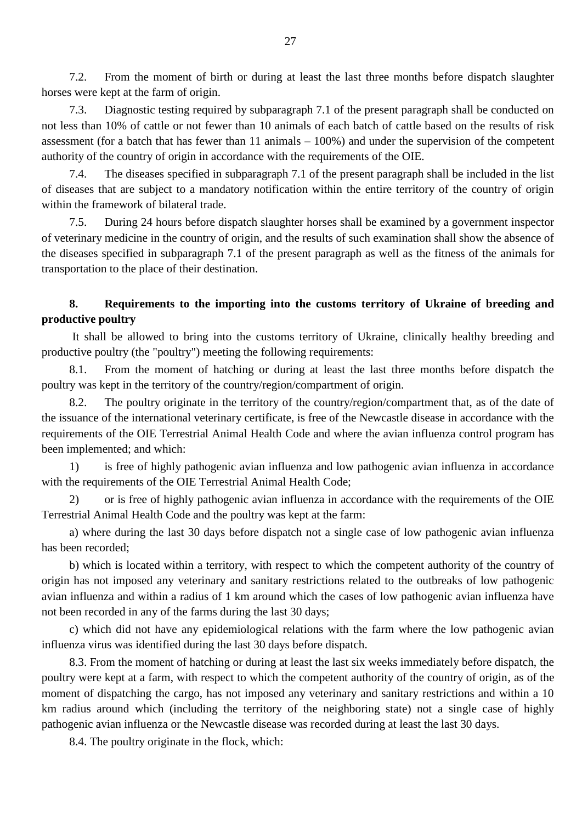7.2. From the moment of birth or during at least the last three months before dispatch slaughter horses were kept at the farm of origin.

7.3. Diagnostic testing required by subparagraph 7.1 of the present paragraph shall be conducted on not less than 10% of cattle or not fewer than 10 animals of each batch of cattle based on the results of risk assessment (for a batch that has fewer than 11 animals – 100%) and under the supervision of the competent authority of the country of origin in accordance with the requirements of the OIE.

7.4. The diseases specified in subparagraph 7.1 of the present paragraph shall be included in the list of diseases that are subject to a mandatory notification within the entire territory of the country of origin within the framework of bilateral trade.

7.5. During 24 hours before dispatch slaughter horses shall be examined by a government inspector of veterinary medicine in the country of origin, and the results of such examination shall show the absence of the diseases specified in subparagraph 7.1 of the present paragraph as well as the fitness of the animals for transportation to the place of their destination.

# **8. Requirements to the importing into the customs territory of Ukraine of breeding and productive poultry**

It shall be allowed to bring into the customs territory of Ukraine, clinically healthy breeding and productive poultry (the "poultry") meeting the following requirements:

8.1. From the moment of hatching or during at least the last three months before dispatch the poultry was kept in the territory of the country/region/compartment of origin.

8.2. The poultry originate in the territory of the country/region/compartment that, as of the date of the issuance of the international veterinary certificate, is free of the Newcastle disease in accordance with the requirements of the OIE Terrestrial Animal Health Code and where the avian influenza control program has been implemented; and which:

1) is free of highly pathogenic avian influenza and low pathogenic avian influenza in accordance with the requirements of the OIE Terrestrial Animal Health Code;

2) or is free of highly pathogenic avian influenza in accordance with the requirements of the OIE Terrestrial Animal Health Code and the poultry was kept at the farm:

a) where during the last 30 days before dispatch not a single case of low pathogenic avian influenza has been recorded;

b) which is located within a territory, with respect to which the competent authority of the country of origin has not imposed any veterinary and sanitary restrictions related to the outbreaks of low pathogenic avian influenza and within a radius of 1 km around which the cases of low pathogenic avian influenza have not been recorded in any of the farms during the last 30 days;

c) which did not have any epidemiological relations with the farm where the low pathogenic avian influenza virus was identified during the last 30 days before dispatch.

8.3. From the moment of hatching or during at least the last six weeks immediately before dispatch, the poultry were kept at a farm, with respect to which the competent authority of the country of origin, as of the moment of dispatching the cargo, has not imposed any veterinary and sanitary restrictions and within a 10 km radius around which (including the territory of the neighboring state) not a single case of highly pathogenic avian influenza or the Newcastle disease was recorded during at least the last 30 days.

8.4. The poultry originate in the flock, which: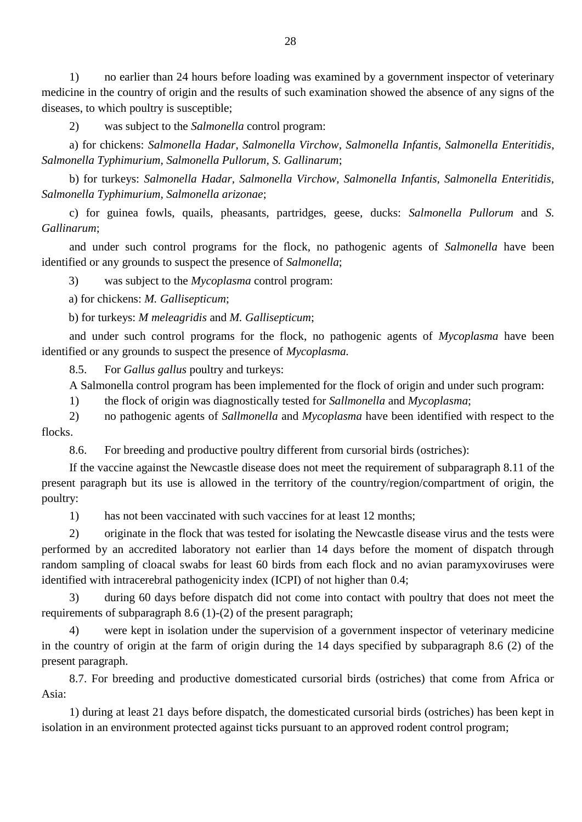1) no earlier than 24 hours before loading was examined by a government inspector of veterinary medicine in the country of origin and the results of such examination showed the absence of any signs of the diseases, to which poultry is susceptible;

2) was subject to the *Salmonella* control program:

a) for chickens: *Salmonella Hadar*, *Salmonella Virchow*, *Salmonella Infantis, Salmonella Enteritidis*, *Salmonella Typhimurium, Salmonella Pullorum, S. Gallinarum*;

b) for turkeys: *Salmonella Hadar, Salmonella Virchow, Salmonella Infantis, Salmonella Enteritidis, Salmonella Typhimurium, Salmonella arizonae*;

c) for guinea fowls, quails, pheasants, partridges, geese, ducks: *Salmonella Pullorum* and *S. Gallinarum*;

and under such control programs for the flock, no pathogenic agents of *Salmonella* have been identified or any grounds to suspect the presence of *Salmonella*;

3) was subject to the *Mycoplasma* control program:

a) for chickens: *M. Gallisepticum*;

b) for turkeys: *M meleagridis* and *M. Gallisepticum*;

and under such control programs for the flock, no pathogenic agents of *Mycoplasma* have been identified or any grounds to suspect the presence of *Mycoplasma.*

8.5. For *Gallus gallus* poultry and turkeys:

A Salmonella control program has been implemented for the flock of origin and under such program:

1) the flock of origin was diagnostically tested for *Sallmonella* and *Mycoplasma*;

2) no pathogenic agents of *Sallmonella* and *Mycoplasma* have been identified with respect to the flocks.

8.6. For breeding and productive poultry different from cursorial birds (ostriches):

If the vaccine against the Newcastle disease does not meet the requirement of subparagraph 8.11 of the present paragraph but its use is allowed in the territory of the country/region/compartment of origin, the poultry:

1) has not been vaccinated with such vaccines for at least 12 months;

2) originate in the flock that was tested for isolating the Newcastle disease virus and the tests were performed by an accredited laboratory not earlier than 14 days before the moment of dispatch through random sampling of cloacal swabs for least 60 birds from each flock and no avian paramyxoviruses were identified with intracerebral pathogenicity index (ICPI) of not higher than 0.4;

3) during 60 days before dispatch did not come into contact with poultry that does not meet the requirements of subparagraph 8.6 (1)-(2) of the present paragraph;

4) were kept in isolation under the supervision of a government inspector of veterinary medicine in the country of origin at the farm of origin during the 14 days specified by subparagraph 8.6 (2) of the present paragraph.

8.7. For breeding and productive domesticated cursorial birds (ostriches) that come from Africa or Asia:

1) during at least 21 days before dispatch, the domesticated cursorial birds (ostriches) has been kept in isolation in an environment protected against ticks pursuant to an approved rodent control program;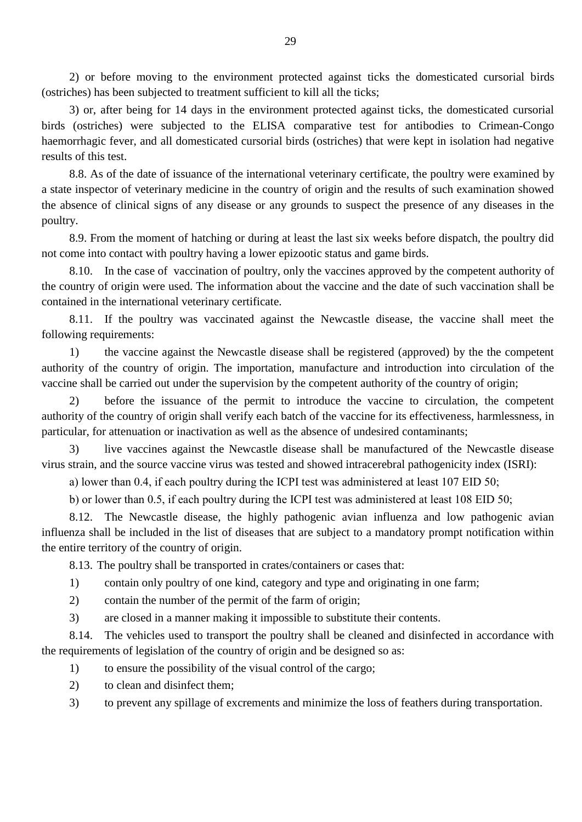2) or before moving to the environment protected against ticks the domesticated cursorial birds (ostriches) has been subjected to treatment sufficient to kill all the ticks;

3) or, after being for 14 days in the environment protected against ticks, the domesticated cursorial birds (ostriches) were subjected to the ELISA comparative test for antibodies to Crimean-Congo haemorrhagic fever, and all domesticated cursorial birds (ostriches) that were kept in isolation had negative results of this test.

8.8. As of the date of issuance of the international veterinary certificate, the poultry were examined by a state inspector of veterinary medicine in the country of origin and the results of such examination showed the absence of clinical signs of any disease or any grounds to suspect the presence of any diseases in the poultry.

8.9. From the moment of hatching or during at least the last six weeks before dispatch, the poultry did not come into contact with poultry having a lower epizootic status and game birds.

8.10. In the case of vaccination of poultry, only the vaccines approved by the competent authority of the country of origin were used. The information about the vaccine and the date of such vaccination shall be contained in the international veterinary certificate.

8.11. If the poultry was vaccinated against the Newcastle disease, the vaccine shall meet the following requirements:

1) the vaccine against the Newcastle disease shall be registered (approved) by the the competent authority of the country of origin. The importation, manufacture and introduction into circulation of the vaccine shall be carried out under the supervision by the competent authority of the country of origin;

2) before the issuance of the permit to introduce the vaccine to circulation, the competent authority of the country of origin shall verify each batch of the vaccine for its effectiveness, harmlessness, in particular, for attenuation or inactivation as well as the absence of undesired contaminants;

3) live vaccines against the Newcastle disease shall be manufactured of the Newcastle disease virus strain, and the source vaccine virus was tested and showed intracerebral pathogenicity index (ISRI):

a) lower than 0.4, if each poultry during the ІСРІ test was administered at least 107 EID 50;

b) or lower than 0.5, if each poultry during the ІСРІ test was administered at least 108 EID 50;

8.12. The Newcastle disease, the highly pathogenic avian influenza and low pathogenic avian influenza shall be included in the list of diseases that are subject to a mandatory prompt notification within the entire territory of the country of origin.

8.13. The poultry shall be transported in crates/containers or cases that:

- 1) contain only poultry of one kind, category and type and originating in one farm;
- 2) contain the number of the permit of the farm of origin;
- 3) are closed in a manner making it impossible to substitute their contents.

8.14. The vehicles used to transport the poultry shall be cleaned and disinfected in accordance with the requirements of legislation of the country of origin and be designed so as:

- 1) to ensure the possibility of the visual control of the cargo;
- 2) to clean and disinfect them;
- 3) to prevent any spillage of excrements and minimize the loss of feathers during transportation.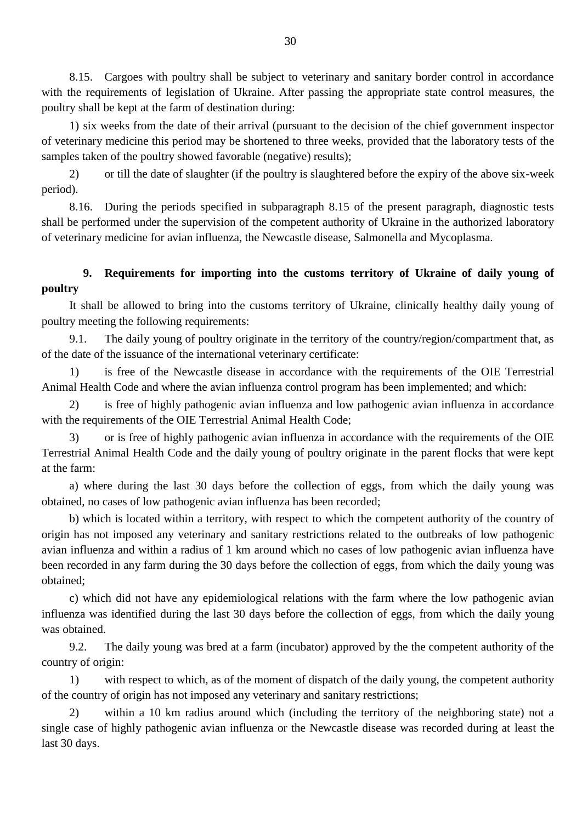8.15. Cargoes with poultry shall be subject to veterinary and sanitary border control in accordance with the requirements of legislation of Ukraine. After passing the appropriate state control measures, the poultry shall be kept at the farm of destination during:

1) six weeks from the date of their arrival (pursuant to the decision of the chief government inspector of veterinary medicine this period may be shortened to three weeks, provided that the laboratory tests of the samples taken of the poultry showed favorable (negative) results);

2) or till the date of slaughter (if the poultry is slaughtered before the expiry of the above six-week period).

8.16. During the periods specified in subparagraph 8.15 of the present paragraph, diagnostic tests shall be performed under the supervision of the competent authority of Ukraine in the authorized laboratory of veterinary medicine for avian influenza, the Newcastle disease, Salmonella and Mycoplasma.

# **9. Requirements for importing into the customs territory of Ukraine of daily young of poultry**

It shall be allowed to bring into the customs territory of Ukraine, clinically healthy daily young of poultry meeting the following requirements:

9.1. The daily young of poultry originate in the territory of the country/region/compartment that, as of the date of the issuance of the international veterinary certificate:

1) is free of the Newcastle disease in accordance with the requirements of the OIE Terrestrial Animal Health Code and where the avian influenza control program has been implemented; and which:

2) is free of highly pathogenic avian influenza and low pathogenic avian influenza in accordance with the requirements of the OIE Terrestrial Animal Health Code;

3) or is free of highly pathogenic avian influenza in accordance with the requirements of the OIE Terrestrial Animal Health Code and the daily young of poultry originate in the parent flocks that were kept at the farm:

a) where during the last 30 days before the collection of eggs, from which the daily young was obtained, no cases of low pathogenic avian influenza has been recorded;

b) which is located within a territory, with respect to which the competent authority of the country of origin has not imposed any veterinary and sanitary restrictions related to the outbreaks of low pathogenic avian influenza and within a radius of 1 km around which no cases of low pathogenic avian influenza have been recorded in any farm during the 30 days before the collection of eggs, from which the daily young was obtained;

c) which did not have any epidemiological relations with the farm where the low pathogenic avian influenza was identified during the last 30 days before the collection of eggs, from which the daily young was obtained.

9.2. The daily young was bred at a farm (incubator) approved by the the competent authority of the country of origin:

1) with respect to which, as of the moment of dispatch of the daily young, the competent authority of the country of origin has not imposed any veterinary and sanitary restrictions;

2) within a 10 km radius around which (including the territory of the neighboring state) not a single case of highly pathogenic avian influenza or the Newcastle disease was recorded during at least the last 30 days.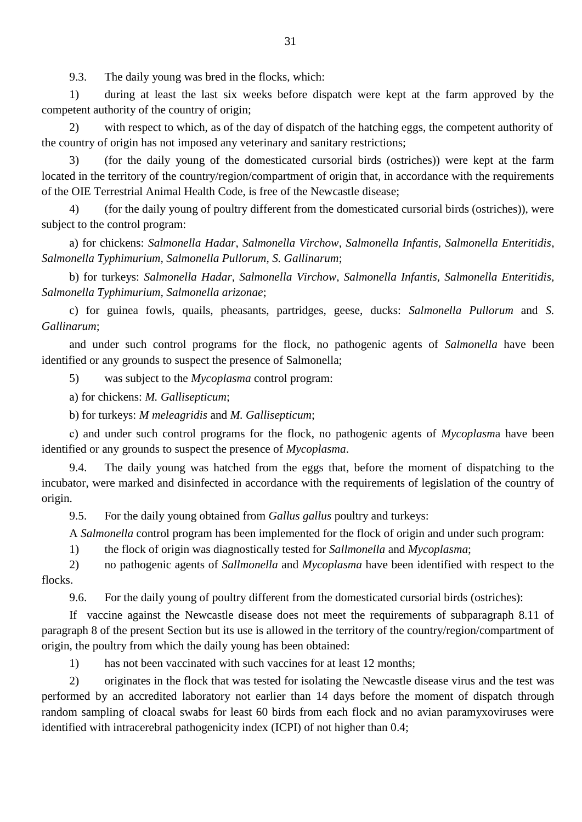9.3. The daily young was bred in the flocks, which:

1) during at least the last six weeks before dispatch were kept at the farm approved by the competent authority of the country of origin;

2) with respect to which, as of the day of dispatch of the hatching eggs, the competent authority of the country of origin has not imposed any veterinary and sanitary restrictions;

3) (for the daily young of the domesticated cursorial birds (ostriches)) were kept at the farm located in the territory of the country/region/compartment of origin that, in accordance with the requirements of the OIE Terrestrial Animal Health Code, is free of the Newcastle disease;

4) (for the daily young of poultry different from the domesticated cursorial birds (ostriches)), were subject to the control program:

a) for chickens: *Salmonella Hadar*, *Salmonella Virchow*, *Salmonella Infantis, Salmonella Enteritidis*, *Salmonella Typhimurium, Salmonella Pullorum, S. Gallinarum*;

b) for turkeys: *Salmonella Hadar, Salmonella Virchow, Salmonella Infantis, Salmonella Enteritidis, Salmonella Typhimurium, Salmonella arizonae*;

c) for guinea fowls, quails, pheasants, partridges, geese, ducks: *Salmonella Pullorum* and *S. Gallinarum*;

and under such control programs for the flock, no pathogenic agents of *Salmonella* have been identified or any grounds to suspect the presence of Salmonella;

5) was subject to the *Mycoplasma* control program:

a) for chickens: *M. Gallisepticum*;

b) for turkeys: *M meleagridis* and *M. Gallisepticum*;

с) and under such control programs for the flock, no pathogenic agents of *Mycoplasm*a have been identified or any grounds to suspect the presence of *Mycoplasma*.

9.4. The daily young was hatched from the eggs that, before the moment of dispatching to the incubator, were marked and disinfected in accordance with the requirements of legislation of the country of origin.

9.5. For the daily young obtained from *Gallus gallus* poultry and turkeys:

A *Salmonella* control program has been implemented for the flock of origin and under such program:

1) the flock of origin was diagnostically tested for *Sallmonella* and *Mycoplasma*;

2) no pathogenic agents of *Sallmonella* and *Mycoplasma* have been identified with respect to the flocks.

9.6. For the daily young of poultry different from the domesticated cursorial birds (ostriches):

If vaccine against the Newcastle disease does not meet the requirements of subparagraph 8.11 of paragraph 8 of the present Section but its use is allowed in the territory of the country/region/compartment of origin, the poultry from which the daily young has been obtained:

1) has not been vaccinated with such vaccines for at least 12 months;

2) originates in the flock that was tested for isolating the Newcastle disease virus and the test was performed by an accredited laboratory not earlier than 14 days before the moment of dispatch through random sampling of cloacal swabs for least 60 birds from each flock and no avian paramyxoviruses were identified with intracerebral pathogenicity index (ICPI) of not higher than 0.4;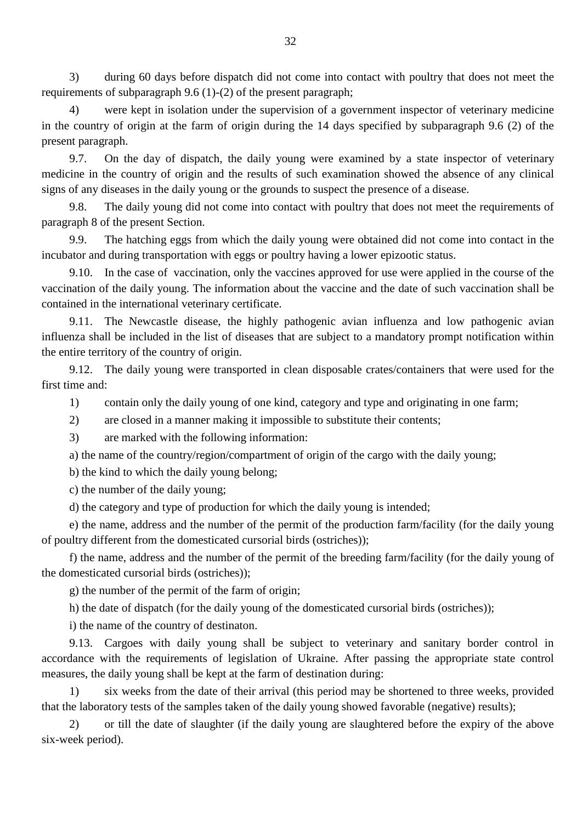3) during 60 days before dispatch did not come into contact with poultry that does not meet the requirements of subparagraph 9.6 (1)-(2) of the present paragraph;

4) were kept in isolation under the supervision of a government inspector of veterinary medicine in the country of origin at the farm of origin during the 14 days specified by subparagraph 9.6 (2) of the present paragraph.

9.7. On the day of dispatch, the daily young were examined by a state inspector of veterinary medicine in the country of origin and the results of such examination showed the absence of any clinical signs of any diseases in the daily young or the grounds to suspect the presence of a disease.

9.8. The daily young did not come into contact with poultry that does not meet the requirements of paragraph 8 of the present Section.

9.9. The hatching eggs from which the daily young were obtained did not come into contact in the incubator and during transportation with eggs or poultry having a lower epizootic status.

9.10. In the case of vaccination, only the vaccines approved for use were applied in the course of the vaccination of the daily young. The information about the vaccine and the date of such vaccination shall be contained in the international veterinary certificate.

9.11. The Newcastle disease, the highly pathogenic avian influenza and low pathogenic avian influenza shall be included in the list of diseases that are subject to a mandatory prompt notification within the entire territory of the country of origin.

9.12. The daily young were transported in clean disposable crates/containers that were used for the first time and:

1) contain only the daily young of one kind, category and type and originating in one farm;

2) are closed in a manner making it impossible to substitute their contents;

3) are marked with the following information:

a) the name of the country/region/compartment of origin of the cargo with the daily young;

b) the kind to which the daily young belong;

c) the number of the daily young;

d) the category and type of production for which the daily young is intended;

e) the name, address and the number of the permit of the production farm/facility (for the daily young of poultry different from the domesticated cursorial birds (ostriches));

f) the name, address and the number of the permit of the breeding farm/facility (for the daily young of the domesticated cursorial birds (ostriches));

g) the number of the permit of the farm of origin;

h) the date of dispatch (for the daily young of the domesticated cursorial birds (ostriches));

i) the name of the country of destinaton.

9.13. Cargoes with daily young shall be subject to veterinary and sanitary border control in accordance with the requirements of legislation of Ukraine. After passing the appropriate state control measures, the daily young shall be kept at the farm of destination during:

1) six weeks from the date of their arrival (this period may be shortened to three weeks, provided that the laboratory tests of the samples taken of the daily young showed favorable (negative) results);

2) or till the date of slaughter (if the daily young are slaughtered before the expiry of the above six-week period).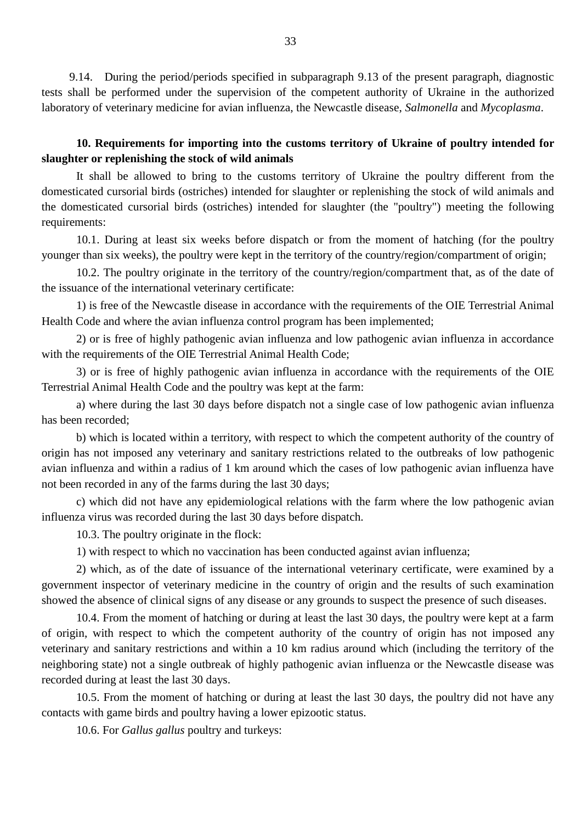9.14. During the period/periods specified in subparagraph 9.13 of the present paragraph, diagnostic tests shall be performed under the supervision of the competent authority of Ukraine in the authorized laboratory of veterinary medicine for avian influenza, the Newcastle disease, *Salmonella* and *Mycoplasma*.

## **10. Requirements for importing into the customs territory of Ukraine of poultry intended for slaughter or replenishing the stock of wild animals**

It shall be allowed to bring to the customs territory of Ukraine the poultry different from the domesticated cursorial birds (ostriches) intended for slaughter or replenishing the stock of wild animals and the domesticated cursorial birds (ostriches) intended for slaughter (the "poultry") meeting the following requirements:

10.1. During at least six weeks before dispatch or from the moment of hatching (for the poultry younger than six weeks), the poultry were kept in the territory of the country/region/compartment of origin;

10.2. The poultry originate in the territory of the country/region/compartment that, as of the date of the issuance of the international veterinary certificate:

1) is free of the Newcastle disease in accordance with the requirements of the OIE Terrestrial Animal Health Code and where the avian influenza control program has been implemented;

2) or is free of highly pathogenic avian influenza and low pathogenic avian influenza in accordance with the requirements of the OIE Terrestrial Animal Health Code;

3) or is free of highly pathogenic avian influenza in accordance with the requirements of the OIE Terrestrial Animal Health Code and the poultry was kept at the farm:

a) where during the last 30 days before dispatch not a single case of low pathogenic avian influenza has been recorded;

b) which is located within a territory, with respect to which the competent authority of the country of origin has not imposed any veterinary and sanitary restrictions related to the outbreaks of low pathogenic avian influenza and within a radius of 1 km around which the cases of low pathogenic avian influenza have not been recorded in any of the farms during the last 30 days;

c) which did not have any epidemiological relations with the farm where the low pathogenic avian influenza virus was recorded during the last 30 days before dispatch.

10.3. The poultry originate in the flock:

1) with respect to which no vaccination has been conducted against avian influenza;

2) which, as of the date of issuance of the international veterinary certificate, were examined by a government inspector of veterinary medicine in the country of origin and the results of such examination showed the absence of clinical signs of any disease or any grounds to suspect the presence of such diseases.

10.4. From the moment of hatching or during at least the last 30 days, the poultry were kept at a farm of origin, with respect to which the competent authority of the country of origin has not imposed any veterinary and sanitary restrictions and within a 10 km radius around which (including the territory of the neighboring state) not a single outbreak of highly pathogenic avian influenza or the Newcastle disease was recorded during at least the last 30 days.

10.5. From the moment of hatching or during at least the last 30 days, the poultry did not have any contacts with game birds and poultry having a lower epizootic status.

10.6. For *Gallus gallus* poultry and turkeys: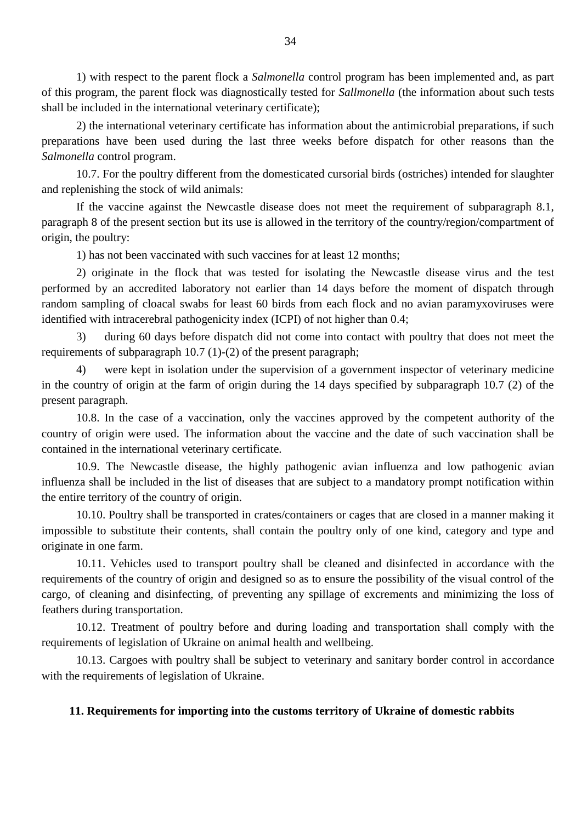1) with respect to the parent flock a *Salmonella* control program has been implemented and, as part of this program, the parent flock was diagnostically tested for *Sallmonella* (the information about such tests shall be included in the international veterinary certificate);

2) the international veterinary certificate has information about the antimicrobial preparations, if such preparations have been used during the last three weeks before dispatch for other reasons than the *Salmonella* control program.

10.7. For the poultry different from the domesticated cursorial birds (ostriches) intended for slaughter and replenishing the stock of wild animals:

If the vaccine against the Newcastle disease does not meet the requirement of subparagraph 8.1, paragraph 8 of the present section but its use is allowed in the territory of the country/region/compartment of origin, the poultry:

1) has not been vaccinated with such vaccines for at least 12 months;

2) originate in the flock that was tested for isolating the Newcastle disease virus and the test performed by an accredited laboratory not earlier than 14 days before the moment of dispatch through random sampling of cloacal swabs for least 60 birds from each flock and no avian paramyxoviruses were identified with intracerebral pathogenicity index (ICPI) of not higher than 0.4;

3) during 60 days before dispatch did not come into contact with poultry that does not meet the requirements of subparagraph 10.7 (1)-(2) of the present paragraph;

4) were kept in isolation under the supervision of a government inspector of veterinary medicine in the country of origin at the farm of origin during the 14 days specified by subparagraph 10.7 (2) of the present paragraph.

10.8. In the case of a vaccination, only the vaccines approved by the competent authority of the country of origin were used. The information about the vaccine and the date of such vaccination shall be contained in the international veterinary certificate.

10.9. The Newcastle disease, the highly pathogenic avian influenza and low pathogenic avian influenza shall be included in the list of diseases that are subject to a mandatory prompt notification within the entire territory of the country of origin.

10.10. Poultry shall be transported in crates/containers or cages that are closed in a manner making it impossible to substitute their contents, shall contain the poultry only of one kind, category and type and originate in one farm.

10.11. Vehicles used to transport poultry shall be cleaned and disinfected in accordance with the requirements of the country of origin and designed so as to ensure the possibility of the visual control of the cargo, of cleaning and disinfecting, of preventing any spillage of excrements and minimizing the loss of feathers during transportation.

10.12. Treatment of poultry before and during loading and transportation shall comply with the requirements of legislation of Ukraine on animal health and wellbeing.

10.13. Cargoes with poultry shall be subject to veterinary and sanitary border control in accordance with the requirements of legislation of Ukraine.

### **11. Requirements for importing into the customs territory of Ukraine of domestic rabbits**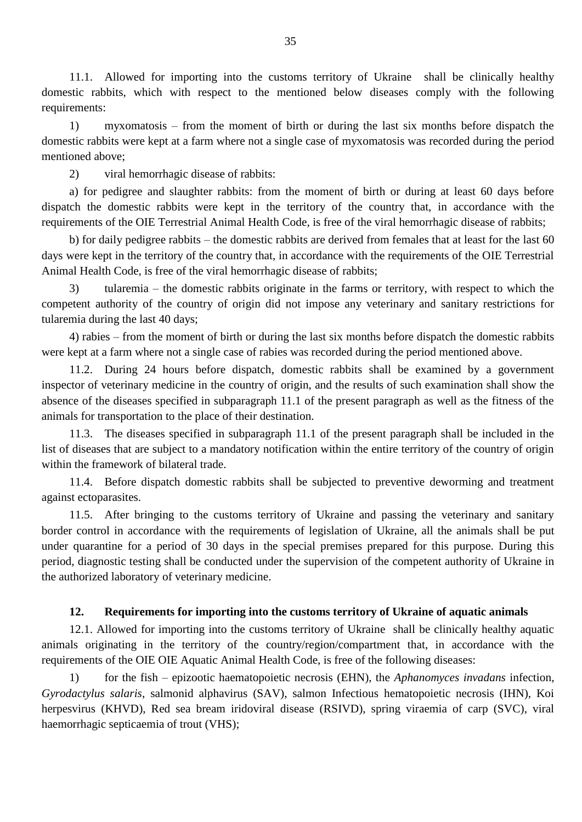11.1. Allowed for importing into the customs territory of Ukraine shall be clinically healthy domestic rabbits, which with respect to the mentioned below diseases comply with the following requirements:

1) myxomatosis – from the moment of birth or during the last six months before dispatch the domestic rabbits were kept at a farm where not a single case of myxomatosis was recorded during the period mentioned above;

2) viral hemorrhagic disease of rabbits:

a) for pedigree and slaughter rabbits: from the moment of birth or during at least 60 days before dispatch the domestic rabbits were kept in the territory of the country that, in accordance with the requirements of the OIE Terrestrial Animal Health Code, is free of the viral hemorrhagic disease of rabbits;

b) for daily pedigree rabbits – the domestic rabbits are derived from females that at least for the last 60 days were kept in the territory of the country that, in accordance with the requirements of the OIE Terrestrial Animal Health Code, is free of the viral hemorrhagic disease of rabbits;

3) tularemia – the domestic rabbits originate in the farms or territory, with respect to which the competent authority of the country of origin did not impose any veterinary and sanitary restrictions for tularemia during the last 40 days;

4) rabies – from the moment of birth or during the last six months before dispatch the domestic rabbits were kept at a farm where not a single case of rabies was recorded during the period mentioned above.

11.2. During 24 hours before dispatch, domestic rabbits shall be examined by a government inspector of veterinary medicine in the country of origin, and the results of such examination shall show the absence of the diseases specified in subparagraph 11.1 of the present paragraph as well as the fitness of the animals for transportation to the place of their destination.

11.3. The diseases specified in subparagraph 11.1 of the present paragraph shall be included in the list of diseases that are subject to a mandatory notification within the entire territory of the country of origin within the framework of bilateral trade.

11.4. Before dispatch domestic rabbits shall be subjected to preventive deworming and treatment against ectoparasites.

11.5. After bringing to the customs territory of Ukraine and passing the veterinary and sanitary border control in accordance with the requirements of legislation of Ukraine, all the animals shall be put under quarantine for a period of 30 days in the special premises prepared for this purpose. During this period, diagnostic testing shall be conducted under the supervision of the competent authority of Ukraine in the authorized laboratory of veterinary medicine.

## **12. Requirements for importing into the customs territory of Ukraine of aquatic animals**

12.1. Allowed for importing into the customs territory of Ukraine shall be clinically healthy aquatic animals originating in the territory of the country/region/compartment that, in accordance with the requirements of the OIE OIE Aquatic Animal Health Code, is free of the following diseases:

1) for the fish – epizootic haematopoietic necrosis (EHN), the *Aphanomyces invadans* infection, *Gyrodactylus salaris*, salmonid alphavirus (SAV), salmon Infectious hematopoietic necrosis (IHN), Koi herpesvirus (KHVD), Red sea bream iridoviral disease (RSIVD), spring viraemia of carp (SVC), viral haemorrhagic septicaemia of trout (VHS);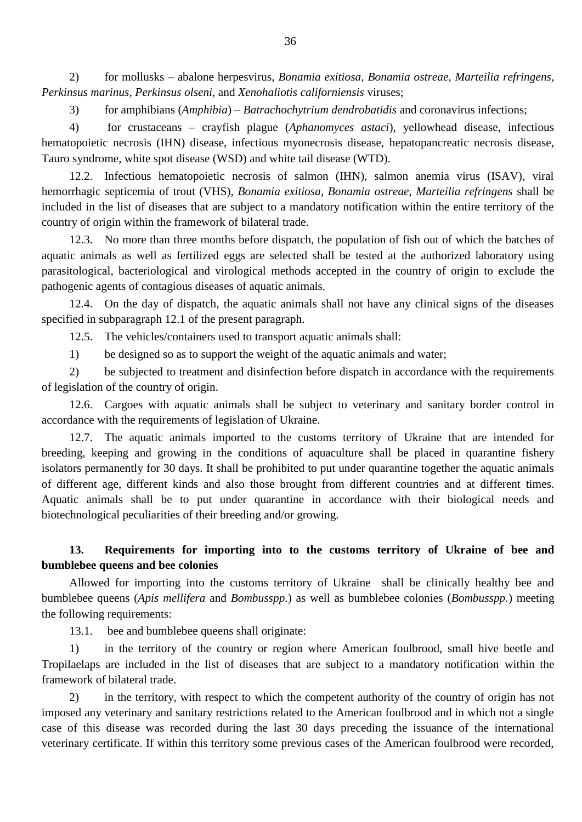2) for mollusks – abalone herpesvirus, *Bonamia exitiosa, Bonamia ostreae, Marteilia refringens, Perkinsus marinus, Perkinsus olseni,* and *Xenohaliotis californiensis* viruses;

3) for amphibians (*Amphibia*) – *Batrachochytrium dendrobatidis* and coronavirus infections;

4) for crustaceans – crayfish plague (*Aphanomyces astaci*), yellowhead disease, infectious hematopoietic necrosis (IHN) disease, infectious myonecrosis disease, hepatopancreatic necrosis disease, Tauro syndrome, white spot disease (WSD) and white tail disease (WTD).

12.2. Infectious hematopoietic necrosis of salmon (IHN), salmon anemia virus (ISAV), viral hemorrhagic septicemia of trout (VHS), *Bonamia exitiosa*, *Bonamia ostreae*, *Marteilia refringens* shall be included in the list of diseases that are subject to a mandatory notification within the entire territory of the country of origin within the framework of bilateral trade.

12.3. No more than three months before dispatch, the population of fish out of which the batches of aquatic animals as well as fertilized eggs are selected shall be tested at the authorized laboratory using parasitological, bacteriological and virological methods accepted in the country of origin to exclude the pathogenic agents of contagious diseases of aquatic animals.

12.4. On the day of dispatch, the aquatic animals shall not have any clinical signs of the diseases specified in subparagraph 12.1 of the present paragraph.

12.5. The vehicles/containers used to transport aquatic animals shall:

1) be designed so as to support the weight of the aquatic animals and water;

2) be subjected to treatment and disinfection before dispatch in accordance with the requirements of legislation of the country of origin.

12.6. Cargoes with aquatic animals shall be subject to veterinary and sanitary border control in accordance with the requirements of legislation of Ukraine.

12.7. The aquatic animals imported to the customs territory of Ukraine that are intended for breeding, keeping and growing in the conditions of aquaculture shall be placed in quarantine fishery isolators permanently for 30 days. It shall be prohibited to put under quarantine together the aquatic animals of different age, different kinds and also those brought from different countries and at different times. Aquatic animals shall be to put under quarantine in accordance with their biological needs and biotechnological peculiarities of their breeding and/or growing.

## **13. Requirements for importing into to the customs territory of Ukraine of bee and bumblebee queens and bee colonies**

Allowed for importing into the customs territory of Ukraine shall be clinically healthy bee and bumblebee queens (*Apis mellifera* and *Bombusspp.*) as well as bumblebee colonies (*Bombusspp.*) meeting the following requirements:

13.1. bee and bumblebee queens shall originate:

1) in the territory of the country or region where American foulbrood, small hive beetle and Tropilaelaps are included in the list of diseases that are subject to a mandatory notification within the framework of bilateral trade.

2) in the territory, with respect to which the competent authority of the country of origin has not imposed any veterinary and sanitary restrictions related to the American foulbrood and in which not a single case of this disease was recorded during the last 30 days preceding the issuance of the international veterinary certificate. If within this territory some previous cases of the American foulbrood were recorded,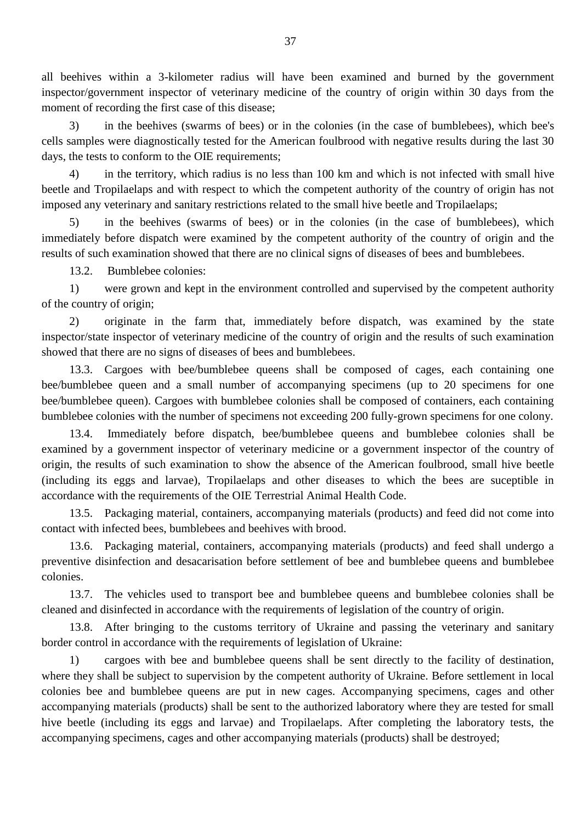all beehives within a 3-kilometer radius will have been examined and burned by the government inspector/government inspector of veterinary medicine of the country of origin within 30 days from the moment of recording the first case of this disease;

3) in the beehives (swarms of bees) or in the colonies (in the case of bumblebees), which bee's cells samples were diagnostically tested for the American foulbrood with negative results during the last 30 days, the tests to conform to the OIE requirements;

4) in the territory, which radius is no less than 100 km and which is not infected with small hive beetle and Tropilaelaps and with respect to which the competent authority of the country of origin has not imposed any veterinary and sanitary restrictions related to the small hive beetle and Tropilaelaps;

5) in the beehives (swarms of bees) or in the colonies (in the case of bumblebees), which immediately before dispatch were examined by the competent authority of the country of origin and the results of such examination showed that there are no clinical signs of diseases of bees and bumblebees.

13.2. Bumblebee colonies:

1) were grown and kept in the environment controlled and supervised by the competent authority of the country of origin;

2) originate in the farm that, immediately before dispatch, was examined by the state inspector/state inspector of veterinary medicine of the country of origin and the results of such examination showed that there are no signs of diseases of bees and bumblebees.

13.3. Cargoes with bee/bumblebee queens shall be composed of cages, each containing one bee/bumblebee queen and a small number of accompanying specimens (up to 20 specimens for one bee/bumblebee queen). Cargoes with bumblebee colonies shall be composed of containers, each containing bumblebee colonies with the number of specimens not exceeding 200 fully-grown specimens for one colony.

13.4. Immediately before dispatch, bee/bumblebee queens and bumblebee colonies shall be examined by a government inspector of veterinary medicine or a government inspector of the country of origin, the results of such examination to show the absence of the American foulbrood, small hive beetle (including its eggs and larvae), Tropilaelaps and other diseases to which the bees are suceptible in accordance with the requirements of the OIE Terrestrial Animal Health Code.

13.5. Packaging material, containers, accompanying materials (products) and feed did not come into contact with infected bees, bumblebees and beehives with brood.

13.6. Packaging material, containers, accompanying materials (products) and feed shall undergo a preventive disinfection and desacarisation before settlement of bee and bumblebee queens and bumblebee colonies.

13.7. The vehicles used to transport bee and bumblebee queens and bumblebee colonies shall be cleaned and disinfected in accordance with the requirements of legislation of the country of origin.

13.8. After bringing to the customs territory of Ukraine and passing the veterinary and sanitary border control in accordance with the requirements of legislation of Ukraine:

1) cargoes with bee and bumblebee queens shall be sent directly to the facility of destination, where they shall be subject to supervision by the competent authority of Ukraine. Before settlement in local colonies bee and bumblebee queens are put in new cages. Accompanying specimens, cages and other accompanying materials (products) shall be sent to the authorized laboratory where they are tested for small hive beetle (including its eggs and larvae) and Tropilaelaps. After completing the laboratory tests, the accompanying specimens, cages and other accompanying materials (products) shall be destroyed;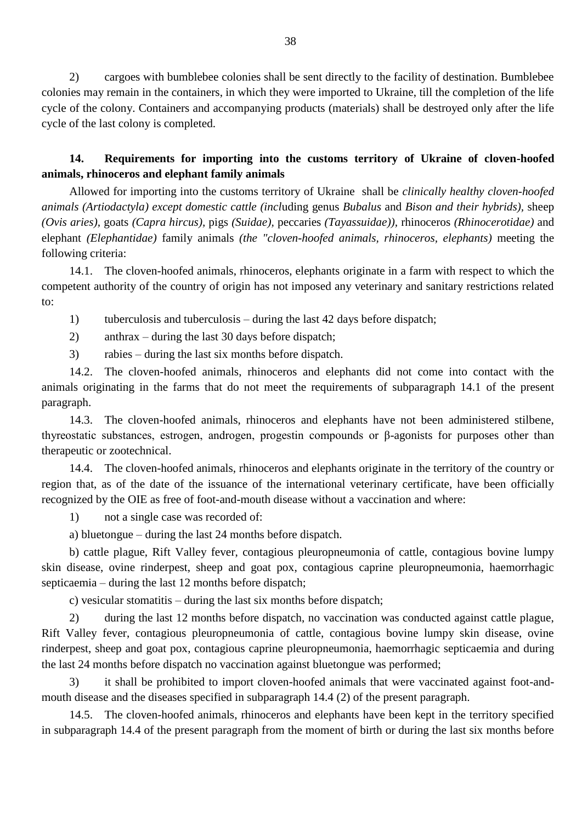2) cargoes with bumblebee colonies shall be sent directly to the facility of destination. Bumblebee colonies may remain in the containers, in which they were imported to Ukraine, till the completion of the life cycle of the colony. Containers and accompanying products (materials) shall be destroyed only after the life cycle of the last colony is completed.

## **14. Requirements for importing into the customs territory of Ukraine of cloven-hoofed animals, rhinoceros and elephant family animals**

Allowed for importing into the customs territory of Ukraine shall be *clinically healthy cloven-hoofed animals (Artiodactyla) except domestic cattle (incl*uding genus *Bubalus* and *Bison and their hybrids),* sheep *(Ovis aries),* goats *(Capra hircus),* pigs *(Suidae),* peccaries *(Tayassuidae)),* rhinoceros *(Rhinocerotidae)* and elephant *(Elephantidae)* family animals *(the "cloven-hoofed animals, rhinoceros, elephants)* meeting the following criteria:

14.1. The cloven-hoofed animals, rhinoceros, elephants originate in a farm with respect to which the competent authority of the country of origin has not imposed any veterinary and sanitary restrictions related to:

1) tuberculosis and tuberculosis – during the last 42 days before dispatch;

2) anthrax – during the last 30 days before dispatch;

3) rabies – during the last six months before dispatch.

14.2. The cloven-hoofed animals, rhinoceros and elephants did not come into contact with the animals originating in the farms that do not meet the requirements of subparagraph 14.1 of the present paragraph.

14.3. The cloven-hoofed animals, rhinoceros and elephants have not been administered stilbene, thyreostatic substances, estrogen, androgen, progestin compounds or β-agonists for purposes other than therapeutic or zootechnical.

14.4. The cloven-hoofed animals, rhinoceros and elephants originate in the territory of the country or region that, as of the date of the issuance of the international veterinary certificate, have been officially recognized by the OIE as free of foot-and-mouth disease without a vaccination and where:

1) not a single case was recorded of:

a) bluetongue – during the last 24 months before dispatch.

b) cattle plague, Rift Valley fever, contagious pleuropneumonia of cattle, contagious bovine lumpy skin disease, ovine rinderpest, sheep and goat pox, contagious caprine pleuropneumonia, haemorrhagic septicaemia – during the last 12 months before dispatch;

c) vesicular stomatitis – during the last six months before dispatch;

2) during the last 12 months before dispatch, no vaccination was conducted against cattle plague, Rift Valley fever, contagious pleuropneumonia of cattle, contagious bovine lumpy skin disease, ovine rinderpest, sheep and goat pox, contagious caprine pleuropneumonia, haemorrhagic septicaemia and during the last 24 months before dispatch no vaccination against bluetongue was performed;

3) it shall be prohibited to import cloven-hoofed animals that were vaccinated against foot-andmouth disease and the diseases specified in subparagraph 14.4 (2) of the present paragraph.

14.5. The cloven-hoofed animals, rhinoceros and elephants have been kept in the territory specified in subparagraph 14.4 of the present paragraph from the moment of birth or during the last six months before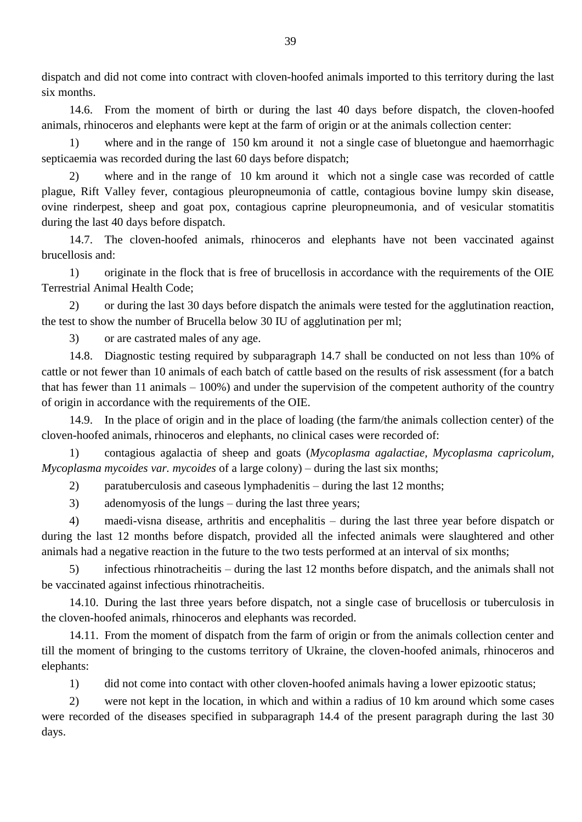dispatch and did not come into contract with cloven-hoofed animals imported to this territory during the last six months.

14.6. From the moment of birth or during the last 40 days before dispatch, the cloven-hoofed animals, rhinoceros and elephants were kept at the farm of origin or at the animals collection center:

1) where and in the range of 150 km around it not a single case of bluetongue and haemorrhagic septicaemia was recorded during the last 60 days before dispatch;

2) where and in the range of 10 km around it which not a single case was recorded of cattle plague, Rift Valley fever, contagious pleuropneumonia of cattle, contagious bovine lumpy skin disease, ovine rinderpest, sheep and goat pox, contagious caprine pleuropneumonia, and of vesicular stomatitis during the last 40 days before dispatch.

14.7. The cloven-hoofed animals, rhinoceros and elephants have not been vaccinated against brucellosis and:

1) originate in the flock that is free of brucellosis in accordance with the requirements of the OIE Terrestrial Animal Health Code;

2) or during the last 30 days before dispatch the animals were tested for the agglutination reaction, the test to show the number of Brucella below 30 IU of agglutination per ml;

3) or are castrated males of any age.

14.8. Diagnostic testing required by subparagraph 14.7 shall be conducted on not less than 10% of cattle or not fewer than 10 animals of each batch of cattle based on the results of risk assessment (for a batch that has fewer than 11 animals – 100%) and under the supervision of the competent authority of the country of origin in accordance with the requirements of the OIE.

14.9. In the place of origin and in the place of loading (the farm/the animals collection center) of the cloven-hoofed animals, rhinoceros and elephants, no clinical cases were recorded of:

1) contagious agalactia of sheep and goats (*Mycoplasma agalactiae, Mycoplasma capricolum, Mycoplasma mycoides var. mycoides* of a large colony) – during the last six months;

2) paratuberculosis and caseous lymphadenitis – during the last 12 months;

3) adenomyosis of the lungs – during the last three years;

4) maedi-visna disease, arthritis and encephalitis – during the last three year before dispatch or during the last 12 months before dispatch, provided all the infected animals were slaughtered and other animals had a negative reaction in the future to the two tests performed at an interval of six months;

5) infectious rhinotracheitis – during the last 12 months before dispatch, and the animals shall not be vaccinated against infectious rhinotracheitis.

14.10. During the last three years before dispatch, not a single case of brucellosis or tuberculosis in the cloven-hoofed animals, rhinoceros and elephants was recorded.

14.11. From the moment of dispatch from the farm of origin or from the animals collection center and till the moment of bringing to the customs territory of Ukraine, the cloven-hoofed animals, rhinoceros and elephants:

1) did not come into contact with other cloven-hoofed animals having a lower epizootic status;

2) were not kept in the location, in which and within a radius of 10 km around which some cases were recorded of the diseases specified in subparagraph 14.4 of the present paragraph during the last 30 days.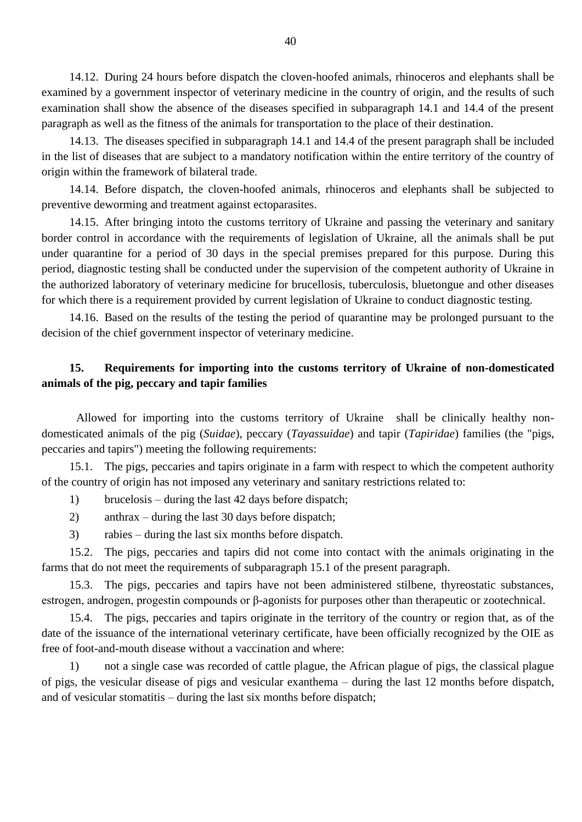14.12. During 24 hours before dispatch the cloven-hoofed animals, rhinoceros and elephants shall be examined by a government inspector of veterinary medicine in the country of origin, and the results of such examination shall show the absence of the diseases specified in subparagraph 14.1 and 14.4 of the present paragraph as well as the fitness of the animals for transportation to the place of their destination.

14.13. The diseases specified in subparagraph 14.1 and 14.4 of the present paragraph shall be included in the list of diseases that are subject to a mandatory notification within the entire territory of the country of origin within the framework of bilateral trade.

14.14. Before dispatch, the cloven-hoofed animals, rhinoceros and elephants shall be subjected to preventive deworming and treatment against ectoparasites.

14.15. After bringing intoto the customs territory of Ukraine and passing the veterinary and sanitary border control in accordance with the requirements of legislation of Ukraine, all the animals shall be put under quarantine for a period of 30 days in the special premises prepared for this purpose. During this period, diagnostic testing shall be conducted under the supervision of the competent authority of Ukraine in the authorized laboratory of veterinary medicine for brucellosis, tuberculosis, bluetongue and other diseases for which there is a requirement provided by current legislation of Ukraine to conduct diagnostic testing.

14.16. Based on the results of the testing the period of quarantine may be prolonged pursuant to the decision of the chief government inspector of veterinary medicine.

## **15. Requirements for importing into the customs territory of Ukraine of non-domesticated animals of the pig, peccary and tapir families**

Allowed for importing into the customs territory of Ukraine shall be clinically healthy nondomesticated animals of the pig (*Suidae*), peccary (*Tayassuidae*) and tapir (*Tapiridae*) families (the "pigs, peccaries and tapirs") meeting the following requirements:

15.1. The pigs, peccaries and tapirs originate in a farm with respect to which the competent authority of the country of origin has not imposed any veterinary and sanitary restrictions related to:

1) brucelosis – during the last 42 days before dispatch;

2) anthrax – during the last 30 days before dispatch;

3) rabies – during the last six months before dispatch.

15.2. The pigs, peccaries and tapirs did not come into contact with the animals originating in the farms that do not meet the requirements of subparagraph 15.1 of the present paragraph.

15.3. The pigs, peccaries and tapirs have not been administered stilbene, thyreostatic substances, estrogen, androgen, progestin compounds or β-agonists for purposes other than therapeutic or zootechnical.

15.4. The pigs, peccaries and tapirs originate in the territory of the country or region that, as of the date of the issuance of the international veterinary certificate, have been officially recognized by the OIE as free of foot-and-mouth disease without a vaccination and where:

1) not a single case was recorded of cattle plague, the African plague of pigs, the classical plague of pigs, the vesicular disease of pigs and vesicular exanthema – during the last 12 months before dispatch, and of vesicular stomatitis – during the last six months before dispatch;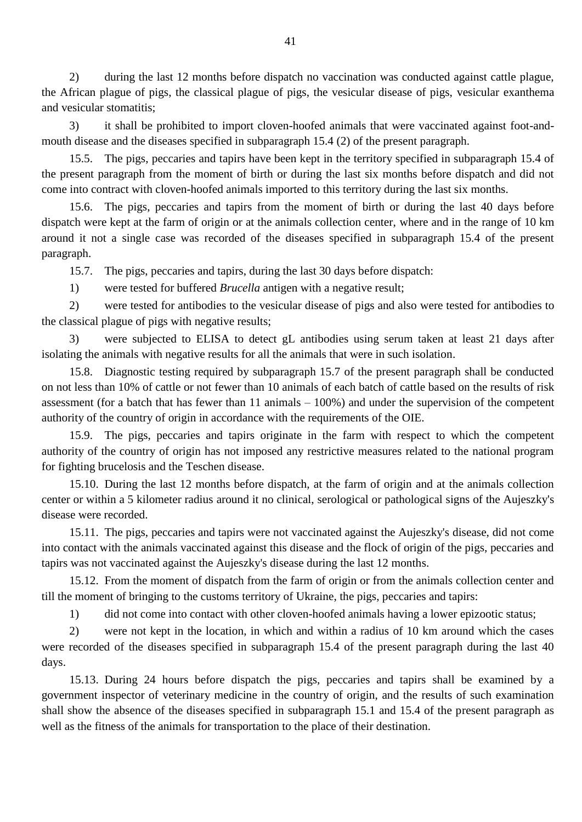2) during the last 12 months before dispatch no vaccination was conducted against cattle plague, the African plague of pigs, the classical plague of pigs, the vesicular disease of pigs, vesicular exanthema and vesicular stomatitis;

3) it shall be prohibited to import cloven-hoofed animals that were vaccinated against foot-andmouth disease and the diseases specified in subparagraph 15.4 (2) of the present paragraph.

15.5. The pigs, peccaries and tapirs have been kept in the territory specified in subparagraph 15.4 of the present paragraph from the moment of birth or during the last six months before dispatch and did not come into contract with cloven-hoofed animals imported to this territory during the last six months.

15.6. The pigs, peccaries and tapirs from the moment of birth or during the last 40 days before dispatch were kept at the farm of origin or at the animals collection center, where and in the range of 10 km around it not a single case was recorded of the diseases specified in subparagraph 15.4 of the present paragraph.

15.7. The pigs, peccaries and tapirs, during the last 30 days before dispatch:

1) were tested for buffered *Brucella* antigen with a negative result;

2) were tested for antibodies to the vesicular disease of pigs and also were tested for antibodies to the classical plague of pigs with negative results;

3) were subjected to ELISA to detect gL antibodies using serum taken at least 21 days after isolating the animals with negative results for all the animals that were in such isolation.

15.8. Diagnostic testing required by subparagraph 15.7 of the present paragraph shall be conducted on not less than 10% of cattle or not fewer than 10 animals of each batch of cattle based on the results of risk assessment (for a batch that has fewer than 11 animals – 100%) and under the supervision of the competent authority of the country of origin in accordance with the requirements of the OIE.

15.9. The pigs, peccaries and tapirs originate in the farm with respect to which the competent authority of the country of origin has not imposed any restrictive measures related to the national program for fighting brucelosis and the Teschen disease.

15.10. During the last 12 months before dispatch, at the farm of origin and at the animals collection center or within a 5 kilometer radius around it no clinical, serological or pathological signs of the Aujeszky's disease were recorded.

15.11. The pigs, peccaries and tapirs were not vaccinated against the Aujeszky's disease, did not come into contact with the animals vaccinated against this disease and the flock of origin of the pigs, peccaries and tapirs was not vaccinated against the Aujeszky's disease during the last 12 months.

15.12. From the moment of dispatch from the farm of origin or from the animals collection center and till the moment of bringing to the customs territory of Ukraine, the pigs, peccaries and tapirs:

1) did not come into contact with other cloven-hoofed animals having a lower epizootic status;

2) were not kept in the location, in which and within a radius of 10 km around which the cases were recorded of the diseases specified in subparagraph 15.4 of the present paragraph during the last 40 days.

15.13. During 24 hours before dispatch the pigs, peccaries and tapirs shall be examined by a government inspector of veterinary medicine in the country of origin, and the results of such examination shall show the absence of the diseases specified in subparagraph 15.1 and 15.4 of the present paragraph as well as the fitness of the animals for transportation to the place of their destination.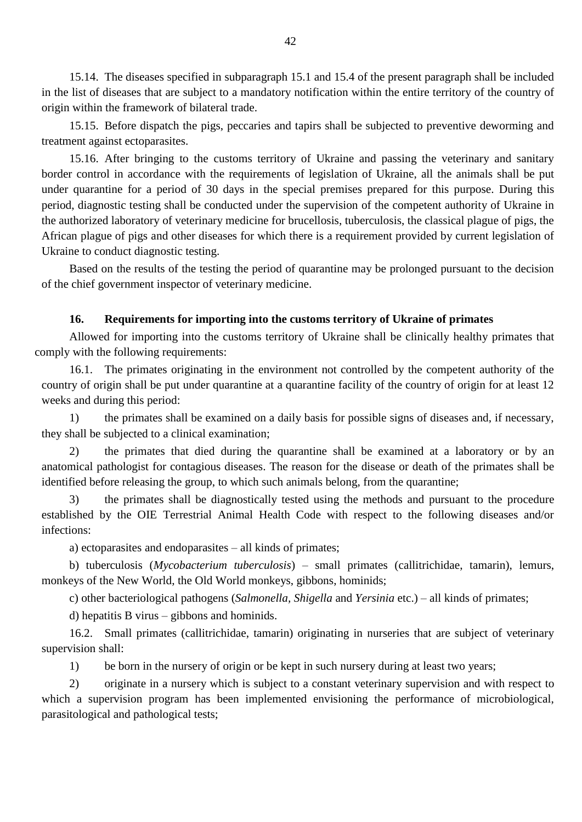15.14. The diseases specified in subparagraph 15.1 and 15.4 of the present paragraph shall be included in the list of diseases that are subject to a mandatory notification within the entire territory of the country of origin within the framework of bilateral trade.

15.15. Before dispatch the pigs, peccaries and tapirs shall be subjected to preventive deworming and treatment against ectoparasites.

15.16. After bringing to the customs territory of Ukraine and passing the veterinary and sanitary border control in accordance with the requirements of legislation of Ukraine, all the animals shall be put under quarantine for a period of 30 days in the special premises prepared for this purpose. During this period, diagnostic testing shall be conducted under the supervision of the competent authority of Ukraine in the authorized laboratory of veterinary medicine for brucellosis, tuberculosis, the classical plague of pigs, the African plague of pigs and other diseases for which there is a requirement provided by current legislation of Ukraine to conduct diagnostic testing.

Based on the results of the testing the period of quarantine may be prolonged pursuant to the decision of the chief government inspector of veterinary medicine.

#### **16. Requirements for importing into the customs territory of Ukraine of primates**

Allowed for importing into the customs territory of Ukraine shall be clinically healthy primates that comply with the following requirements:

16.1. The primates originating in the environment not controlled by the competent authority of the country of origin shall be put under quarantine at a quarantine facility of the country of origin for at least 12 weeks and during this period:

1) the primates shall be examined on a daily basis for possible signs of diseases and, if necessary, they shall be subjected to a clinical examination;

2) the primates that died during the quarantine shall be examined at a laboratory or by an anatomical pathologist for contagious diseases. The reason for the disease or death of the primates shall be identified before releasing the group, to which such animals belong, from the quarantine;

3) the primates shall be diagnostically tested using the methods and pursuant to the procedure established by the OIE Terrestrial Animal Health Code with respect to the following diseases and/or infections:

a) ectoparasites and endoparasites – all kinds of primates;

b) tuberculosis (*Mycobacterium tuberculosis*) – small primates (callitrichidae, tamarin), lemurs, monkeys of the New World, the Old World monkeys, gibbons, hominids;

c) other bacteriological pathogens (*Salmonella, Shigella* and *Yersinia* etc.) – all kinds of primates;

d) hepatitis B virus – gibbons and hominids.

16.2. Small primates (callitrichidae, tamarin) originating in nurseries that are subject of veterinary supervision shall:

1) be born in the nursery of origin or be kept in such nursery during at least two years;

2) originate in a nursery which is subject to a constant veterinary supervision and with respect to which a supervision program has been implemented envisioning the performance of microbiological, parasitological and pathological tests;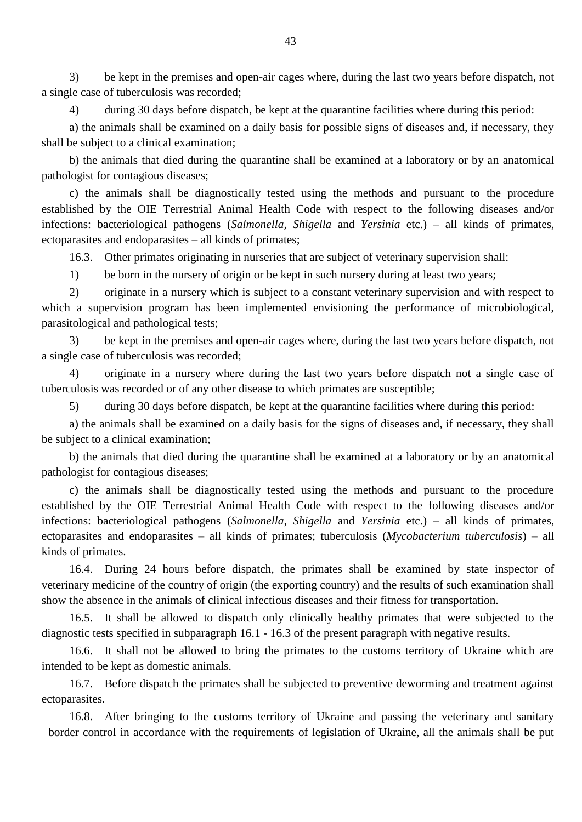3) be kept in the premises and open-air cages where, during the last two years before dispatch, not a single case of tuberculosis was recorded;

4) during 30 days before dispatch, be kept at the quarantine facilities where during this period:

a) the animals shall be examined on a daily basis for possible signs of diseases and, if necessary, they shall be subject to a clinical examination;

b) the animals that died during the quarantine shall be examined at a laboratory or by an anatomical pathologist for contagious diseases;

c) the animals shall be diagnostically tested using the methods and pursuant to the procedure established by the OIE Terrestrial Animal Health Code with respect to the following diseases and/or infections: bacteriological pathogens (*Salmonella, Shigella* and *Yersinia* etc.) – all kinds of primates, ectoparasites and endoparasites – all kinds of primates;

16.3. Other primates originating in nurseries that are subject of veterinary supervision shall:

1) be born in the nursery of origin or be kept in such nursery during at least two years;

2) originate in a nursery which is subject to a constant veterinary supervision and with respect to which a supervision program has been implemented envisioning the performance of microbiological, parasitological and pathological tests;

3) be kept in the premises and open-air cages where, during the last two years before dispatch, not a single case of tuberculosis was recorded;

4) originate in a nursery where during the last two years before dispatch not a single case of tuberculosis was recorded or of any other disease to which primates are susceptible;

5) during 30 days before dispatch, be kept at the quarantine facilities where during this period:

a) the animals shall be examined on a daily basis for the signs of diseases and, if necessary, they shall be subject to a clinical examination;

b) the animals that died during the quarantine shall be examined at a laboratory or by an anatomical pathologist for contagious diseases;

c) the animals shall be diagnostically tested using the methods and pursuant to the procedure established by the OIE Terrestrial Animal Health Code with respect to the following diseases and/or infections: bacteriological pathogens (*Salmonella, Shigella* and *Yersinia* etc.) – all kinds of primates, ectoparasites and endoparasites – all kinds of primates; tuberculosis (*Mycobacterium tuberculosis*) – all kinds of primates.

16.4. During 24 hours before dispatch, the primates shall be examined by state inspector of veterinary medicine of the country of origin (the exporting country) and the results of such examination shall show the absence in the animals of clinical infectious diseases and their fitness for transportation.

16.5. It shall be allowed to dispatch only clinically healthy primates that were subjected to the diagnostic tests specified in subparagraph 16.1 - 16.3 of the present paragraph with negative results.

16.6. It shall not be allowed to bring the primates to the customs territory of Ukraine which are intended to be kept as domestic animals.

16.7. Before dispatch the primates shall be subjected to preventive deworming and treatment against ectoparasites.

16.8. After bringing to the customs territory of Ukraine and passing the veterinary and sanitary border control in accordance with the requirements of legislation of Ukraine, all the animals shall be put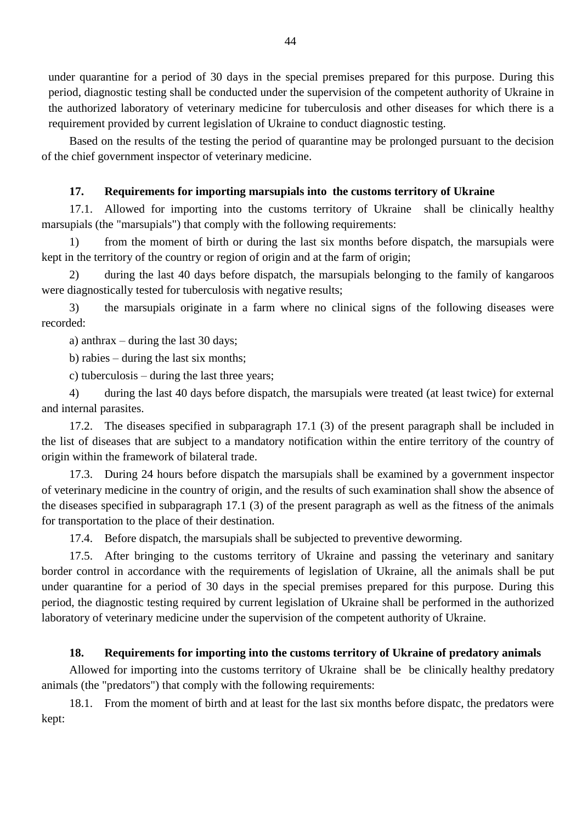under quarantine for a period of 30 days in the special premises prepared for this purpose. During this period, diagnostic testing shall be conducted under the supervision of the competent authority of Ukraine in the authorized laboratory of veterinary medicine for tuberculosis and other diseases for which there is a requirement provided by current legislation of Ukraine to conduct diagnostic testing.

Based on the results of the testing the period of quarantine may be prolonged pursuant to the decision of the chief government inspector of veterinary medicine.

#### **17. Requirements for importing marsupials into the customs territory of Ukraine**

17.1. Allowed for importing into the customs territory of Ukraine shall be clinically healthy marsupials (the "marsupials") that comply with the following requirements:

1) from the moment of birth or during the last six months before dispatch, the marsupials were kept in the territory of the country or region of origin and at the farm of origin;

2) during the last 40 days before dispatch, the marsupials belonging to the family of kangaroos were diagnostically tested for tuberculosis with negative results;

3) the marsupials originate in a farm where no clinical signs of the following diseases were recorded:

a) anthrax – during the last 30 days;

b) rabies – during the last six months;

c) tuberculosis – during the last three years;

4) during the last 40 days before dispatch, the marsupials were treated (at least twice) for external and internal parasites.

17.2. The diseases specified in subparagraph 17.1 (3) of the present paragraph shall be included in the list of diseases that are subject to a mandatory notification within the entire territory of the country of origin within the framework of bilateral trade.

17.3. During 24 hours before dispatch the marsupials shall be examined by a government inspector of veterinary medicine in the country of origin, and the results of such examination shall show the absence of the diseases specified in subparagraph 17.1 (3) of the present paragraph as well as the fitness of the animals for transportation to the place of their destination.

17.4. Before dispatch, the marsupials shall be subjected to preventive deworming.

17.5. After bringing to the customs territory of Ukraine and passing the veterinary and sanitary border control in accordance with the requirements of legislation of Ukraine, all the animals shall be put under quarantine for a period of 30 days in the special premises prepared for this purpose. During this period, the diagnostic testing required by current legislation of Ukraine shall be performed in the authorized laboratory of veterinary medicine under the supervision of the competent authority of Ukraine.

## **18. Requirements for importing into the customs territory of Ukraine of predatory animals**

Allowed for importing into the customs territory of Ukraine shall be be clinically healthy predatory animals (the "predators") that comply with the following requirements:

18.1. From the moment of birth and at least for the last six months before dispatc, the predators were kept: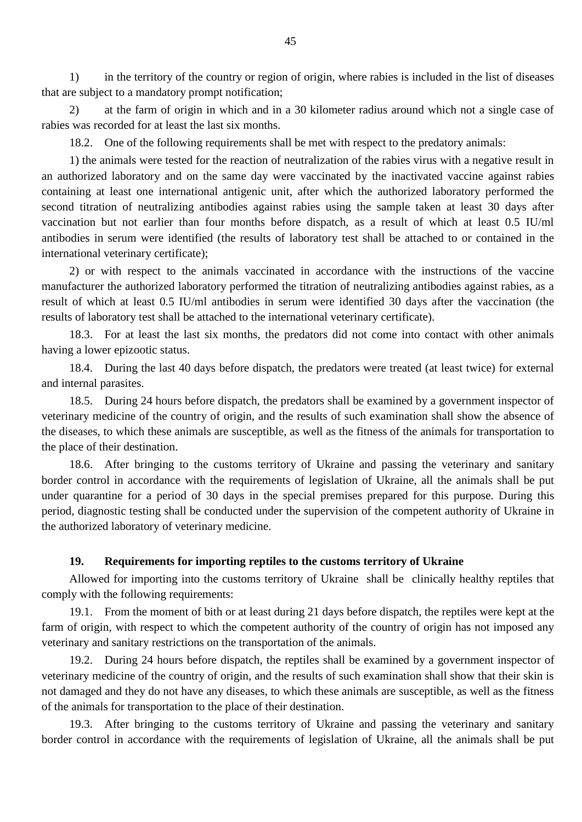1) in the territory of the country or region of origin, where rabies is included in the list of diseases that are subject to a mandatory prompt notification;

2) at the farm of origin in which and in a 30 kilometer radius around which not a single case of rabies was recorded for at least the last six months.

18.2. One of the following requirements shall be met with respect to the predatory animals:

1) the animals were tested for the reaction of neutralization of the rabies virus with a negative result in an authorized laboratory and on the same day were vaccinated by the inactivated vaccine against rabies containing at least one international antigenic unit, after which the authorized laboratory performed the second titration of neutralizing antibodies against rabies using the sample taken at least 30 days after vaccination but not earlier than four months before dispatch, as a result of which at least 0.5 IU/ml antibodies in serum were identified (the results of laboratory test shall be attached to or contained in the international veterinary certificate);

2) or with respect to the animals vaccinated in accordance with the instructions of the vaccine manufacturer the authorized laboratory performed the titration of neutralizing antibodies against rabies, as a result of which at least 0.5 IU/ml antibodies in serum were identified 30 days after the vaccination (the results of laboratory test shall be attached to the international veterinary certificate).

18.3. For at least the last six months, the predators did not come into contact with other animals having a lower epizootic status.

18.4. During the last 40 days before dispatch, the predators were treated (at least twice) for external and internal parasites.

18.5. During 24 hours before dispatch, the predators shall be examined by a government inspector of veterinary medicine of the country of origin, and the results of such examination shall show the absence of the diseases, to which these animals are susceptible, as well as the fitness of the animals for transportation to the place of their destination.

18.6. After bringing to the customs territory of Ukraine and passing the veterinary and sanitary border control in accordance with the requirements of legislation of Ukraine, all the animals shall be put under quarantine for a period of 30 days in the special premises prepared for this purpose. During this period, diagnostic testing shall be conducted under the supervision of the competent authority of Ukraine in the authorized laboratory of veterinary medicine.

#### **19. Requirements for importing reptiles to the customs territory of Ukraine**

Allowed for importing into the customs territory of Ukraine shall be clinically healthy reptiles that comply with the following requirements:

19.1. From the moment of bith or at least during 21 days before dispatch, the reptiles were kept at the farm of origin, with respect to which the competent authority of the country of origin has not imposed any veterinary and sanitary restrictions on the transportation of the animals.

19.2. During 24 hours before dispatch, the reptiles shall be examined by a government inspector of veterinary medicine of the country of origin, and the results of such examination shall show that their skin is not damaged and they do not have any diseases, to which these animals are susceptible, as well as the fitness of the animals for transportation to the place of their destination.

19.3. After bringing to the customs territory of Ukraine and passing the veterinary and sanitary border control in accordance with the requirements of legislation of Ukraine, all the animals shall be put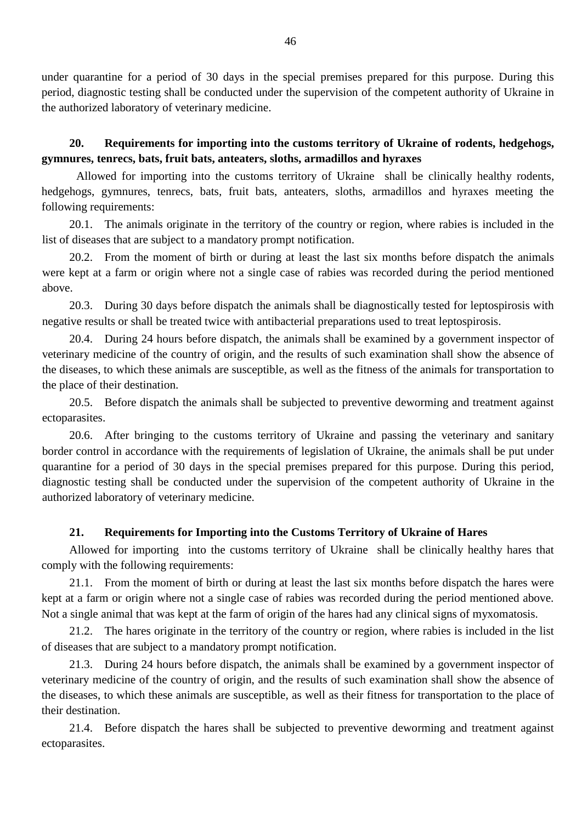under quarantine for a period of 30 days in the special premises prepared for this purpose. During this period, diagnostic testing shall be conducted under the supervision of the competent authority of Ukraine in the authorized laboratory of veterinary medicine.

## **20. Requirements for importing into the customs territory of Ukraine of rodents, hedgehogs, gymnures, tenrecs, bats, fruit bats, anteaters, sloths, armadillos and hyraxes**

Allowed for importing into the customs territory of Ukraine shall be clinically healthy rodents, hedgehogs, gymnures, tenrecs, bats, fruit bats, anteaters, sloths, armadillos and hyraxes meeting the following requirements:

20.1. The animals originate in the territory of the country or region, where rabies is included in the list of diseases that are subject to a mandatory prompt notification.

20.2. From the moment of birth or during at least the last six months before dispatch the animals were kept at a farm or origin where not a single case of rabies was recorded during the period mentioned above.

20.3. During 30 days before dispatch the animals shall be diagnostically tested for leptospirosis with negative results or shall be treated twice with antibacterial preparations used to treat leptospirosis.

20.4. During 24 hours before dispatch, the animals shall be examined by a government inspector of veterinary medicine of the country of origin, and the results of such examination shall show the absence of the diseases, to which these animals are susceptible, as well as the fitness of the animals for transportation to the place of their destination.

20.5. Before dispatch the animals shall be subjected to preventive deworming and treatment against ectoparasites.

20.6. After bringing to the customs territory of Ukraine and passing the veterinary and sanitary border control in accordance with the requirements of legislation of Ukraine, the animals shall be put under quarantine for a period of 30 days in the special premises prepared for this purpose. During this period, diagnostic testing shall be conducted under the supervision of the competent authority of Ukraine in the authorized laboratory of veterinary medicine.

## **21. Requirements for Importing into the Customs Territory of Ukraine of Hares**

Allowed for importing into the customs territory of Ukraine shall be clinically healthy hares that comply with the following requirements:

21.1. From the moment of birth or during at least the last six months before dispatch the hares were kept at a farm or origin where not a single case of rabies was recorded during the period mentioned above. Not a single animal that was kept at the farm of origin of the hares had any clinical signs of myxomatosis.

21.2. The hares originate in the territory of the country or region, where rabies is included in the list of diseases that are subject to a mandatory prompt notification.

21.3. During 24 hours before dispatch, the animals shall be examined by a government inspector of veterinary medicine of the country of origin, and the results of such examination shall show the absence of the diseases, to which these animals are susceptible, as well as their fitness for transportation to the place of their destination.

21.4. Before dispatch the hares shall be subjected to preventive deworming and treatment against ectoparasites.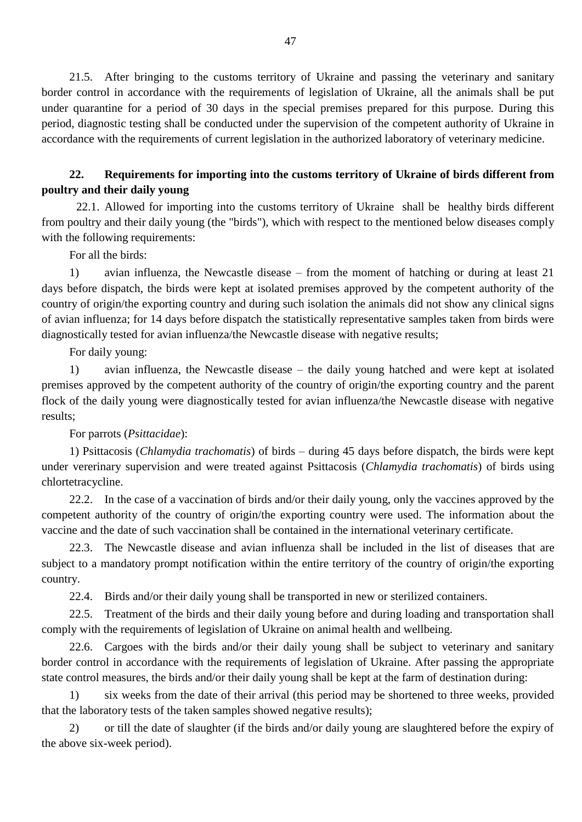21.5. After bringing to the customs territory of Ukraine and passing the veterinary and sanitary border control in accordance with the requirements of legislation of Ukraine, all the animals shall be put under quarantine for a period of 30 days in the special premises prepared for this purpose. During this period, diagnostic testing shall be conducted under the supervision of the competent authority of Ukraine in accordance with the requirements of current legislation in the authorized laboratory of veterinary medicine.

## **22. Requirements for importing into the customs territory of Ukraine of birds different from poultry and their daily young**

22.1. Allowed for importing into the customs territory of Ukraine shall be healthy birds different from poultry and their daily young (the "birds"), which with respect to the mentioned below diseases comply with the following requirements:

For all the birds:

1) avian influenza, the Newcastle disease – from the moment of hatching or during at least 21 days before dispatch, the birds were kept at isolated premises approved by the competent authority of the country of origin/the exporting country and during such isolation the animals did not show any clinical signs of avian influenza; for 14 days before dispatch the statistically representative samples taken from birds were diagnostically tested for avian influenza/the Newcastle disease with negative results;

For daily young:

1) avian influenza, the Newcastle disease – the daily young hatched and were kept at isolated premises approved by the competent authority of the country of origin/the exporting country and the parent flock of the daily young were diagnostically tested for avian influenza/the Newcastle disease with negative results;

#### For parrots (*Psittacidae*):

1) Psittacosis (*Chlamydia trachomatis*) of birds – during 45 days before dispatch, the birds were kept under vererinary supervision and were treated against Psittacosis (*Chlamydia trachomatis*) of birds using chlortetracycline.

22.2. In the case of a vaccination of birds and/or their daily young, only the vaccines approved by the competent authority of the country of origin/the exporting country were used. The information about the vaccine and the date of such vaccination shall be contained in the international veterinary certificate.

22.3. The Newcastle disease and avian influenza shall be included in the list of diseases that are subject to a mandatory prompt notification within the entire territory of the country of origin/the exporting country.

22.4. Birds and/or their daily young shall be transported in new or sterilized containers.

22.5. Treatment of the birds and their daily young before and during loading and transportation shall comply with the requirements of legislation of Ukraine on animal health and wellbeing.

22.6. Cargoes with the birds and/or their daily young shall be subject to veterinary and sanitary border control in accordance with the requirements of legislation of Ukraine. After passing the appropriate state control measures, the birds and/or their daily young shall be kept at the farm of destination during:

1) six weeks from the date of their arrival (this period may be shortened to three weeks, provided that the laboratory tests of the taken samples showed negative results);

2) or till the date of slaughter (if the birds and/or daily young are slaughtered before the expiry of the above six-week period).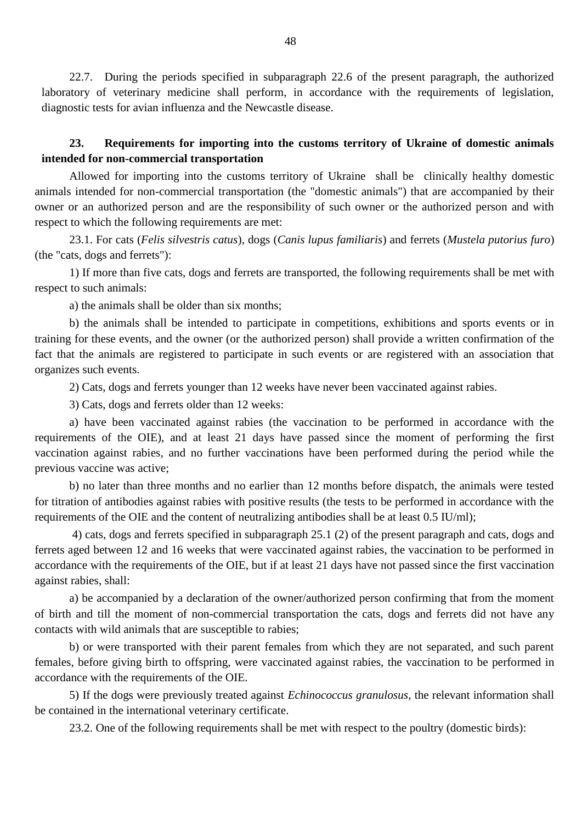22.7. During the periods specified in subparagraph 22.6 of the present paragraph, the authorized laboratory of veterinary medicine shall perform, in accordance with the requirements of legislation, diagnostic tests for avian influenza and the Newcastle disease.

## **23. Requirements for importing into the customs territory of Ukraine of domestic animals intended for non-commercial transportation**

Allowed for importing into the customs territory of Ukraine shall be clinically healthy domestic animals intended for non-commercial transportation (the "domestic animals") that are accompanied by their owner or an authorized person and are the responsibility of such owner or the authorized person and with respect to which the following requirements are met:

23.1. For cats (*Felis silvestris catus*), dogs (*Canis lupus familiaris*) and ferrets (*Mustela putorius furo*) (the "cats, dogs and ferrets"):

1) If more than five cats, dogs and ferrets are transported, the following requirements shall be met with respect to such animals:

a) the animals shall be older than six months;

b) the animals shall be intended to participate in competitions, exhibitions and sports events or in training for these events, and the owner (or the authorized person) shall provide a written confirmation of the fact that the animals are registered to participate in such events or are registered with an association that organizes such events.

2) Cats, dogs and ferrets younger than 12 weeks have never been vaccinated against rabies.

3) Cats, dogs and ferrets older than 12 weeks:

a) have been vaccinated against rabies (the vaccination to be performed in accordance with the requirements of the OIE), and at least 21 days have passed since the moment of performing the first vaccination against rabies, and no further vaccinations have been performed during the period while the previous vaccine was active;

b) no later than three months and no earlier than 12 months before dispatch, the animals were tested for titration of antibodies against rabies with positive results (the tests to be performed in accordance with the requirements of the OIE and the content of neutralizing antibodies shall be at least 0.5 IU/ml);

4) cats, dogs and ferrets specified in subparagraph 25.1 (2) of the present paragraph and cats, dogs and ferrets aged between 12 and 16 weeks that were vaccinated against rabies, the vaccination to be performed in accordance with the requirements of the OIE, but if at least 21 days have not passed since the first vaccination against rabies, shall:

a) be accompanied by a declaration of the owner/authorized person confirming that from the moment of birth and till the moment of non-commercial transportation the cats, dogs and ferrets did not have any contacts with wild animals that are susceptible to rabies;

b) or were transported with their parent females from which they are not separated, and such parent females, before giving birth to offspring, were vaccinated against rabies, the vaccination to be performed in accordance with the requirements of the OIE.

5) If the dogs were previously treated against *Echinococcus granulosus*, the relevant information shall be contained in the international veterinary certificate.

23.2. One of the following requirements shall be met with respect to the poultry (domestic birds):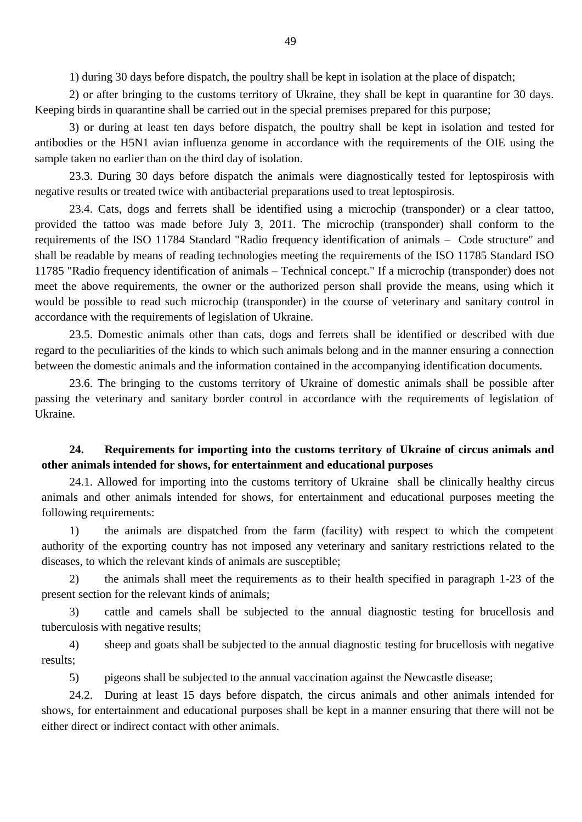1) during 30 days before dispatch, the poultry shall be kept in isolation at the place of dispatch;

2) or after bringing to the customs territory of Ukraine, they shall be kept in quarantine for 30 days. Keeping birds in quarantine shall be carried out in the special premises prepared for this purpose;

3) or during at least ten days before dispatch, the poultry shall be kept in isolation and tested for antibodies or the H5N1 avian influenza genome in accordance with the requirements of the OIE using the sample taken no earlier than on the third day of isolation.

23.3. During 30 days before dispatch the animals were diagnostically tested for leptospirosis with negative results or treated twice with antibacterial preparations used to treat leptospirosis.

23.4. Cats, dogs and ferrets shall be identified using a microchip (transponder) or a clear tattoo, provided the tattoo was made before July 3, 2011. The microchip (transponder) shall conform to the requirements of the ISO 11784 Standard "Radio frequency identification of animals – Code structure" and shall be readable by means of reading technologies meeting the requirements of the ISO 11785 Standard ISO 11785 "Radio frequency identification of animals – Technical concept." If a microchip (transponder) does not meet the above requirements, the owner or the authorized person shall provide the means, using which it would be possible to read such microchip (transponder) in the course of veterinary and sanitary control in accordance with the requirements of legislation of Ukraine.

23.5. Domestic animals other than cats, dogs and ferrets shall be identified or described with due regard to the peculiarities of the kinds to which such animals belong and in the manner ensuring a connection between the domestic animals and the information contained in the accompanying identification documents.

23.6. The bringing to the customs territory of Ukraine of domestic animals shall be possible after passing the veterinary and sanitary border control in accordance with the requirements of legislation of Ukraine.

## **24. Requirements for importing into the customs territory of Ukraine of circus animals and other animals intended for shows, for entertainment and educational purposes**

24.1. Allowed for importing into the customs territory of Ukraine shall be clinically healthy circus animals and other animals intended for shows, for entertainment and educational purposes meeting the following requirements:

1) the animals are dispatched from the farm (facility) with respect to which the competent authority of the exporting country has not imposed any veterinary and sanitary restrictions related to the diseases, to which the relevant kinds of animals are susceptible;

2) the animals shall meet the requirements as to their health specified in paragraph 1-23 of the present section for the relevant kinds of animals;

3) cattle and camels shall be subjected to the annual diagnostic testing for brucellosis and tuberculosis with negative results;

4) sheep and goats shall be subjected to the annual diagnostic testing for brucellosis with negative results;

5) pigeons shall be subjected to the annual vaccination against the Newcastle disease;

24.2. During at least 15 days before dispatch, the circus animals and other animals intended for shows, for entertainment and educational purposes shall be kept in a manner ensuring that there will not be either direct or indirect contact with other animals.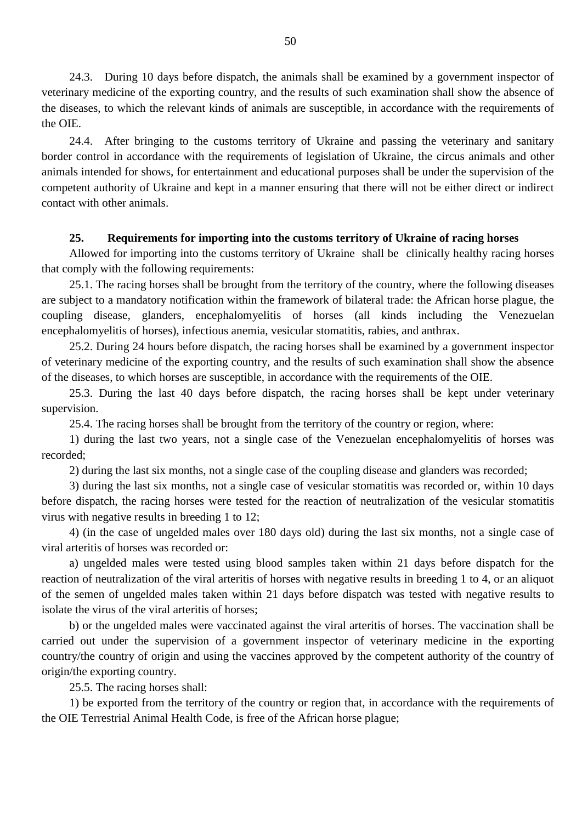24.3. During 10 days before dispatch, the animals shall be examined by a government inspector of veterinary medicine of the exporting country, and the results of such examination shall show the absence of the diseases, to which the relevant kinds of animals are susceptible, in accordance with the requirements of the OIE.

24.4. After bringing to the customs territory of Ukraine and passing the veterinary and sanitary border control in accordance with the requirements of legislation of Ukraine, the circus animals and other animals intended for shows, for entertainment and educational purposes shall be under the supervision of the competent authority of Ukraine and kept in a manner ensuring that there will not be either direct or indirect contact with other animals.

#### **25. Requirements for importing into the customs territory of Ukraine of racing horses**

Allowed for importing into the customs territory of Ukraine shall be clinically healthy racing horses that comply with the following requirements:

25.1. The racing horses shall be brought from the territory of the country, where the following diseases are subject to a mandatory notification within the framework of bilateral trade: the African horse plague, the coupling disease, glanders, encephalomyelitis of horses (all kinds including the Venezuelan encephalomyelitis of horses), infectious anemia, vesicular stomatitis, rabies, and anthrax.

25.2. During 24 hours before dispatch, the racing horses shall be examined by a government inspector of veterinary medicine of the exporting country, and the results of such examination shall show the absence of the diseases, to which horses are susceptible, in accordance with the requirements of the OIE.

25.3. During the last 40 days before dispatch, the racing horses shall be kept under veterinary supervision.

25.4. The racing horses shall be brought from the territory of the country or region, where:

1) during the last two years, not a single case of the Venezuelan encephalomyelitis of horses was recorded;

2) during the last six months, not a single case of the coupling disease and glanders was recorded;

3) during the last six months, not a single case of vesicular stomatitis was recorded or, within 10 days before dispatch, the racing horses were tested for the reaction of neutralization of the vesicular stomatitis virus with negative results in breeding 1 to 12;

4) (in the case of ungelded males over 180 days old) during the last six months, not a single case of viral arteritis of horses was recorded or:

a) ungelded males were tested using blood samples taken within 21 days before dispatch for the reaction of neutralization of the viral arteritis of horses with negative results in breeding 1 to 4, or an aliquot of the semen of ungelded males taken within 21 days before dispatch was tested with negative results to isolate the virus of the viral arteritis of horses;

b) or the ungelded males were vaccinated against the viral arteritis of horses. The vaccination shall be carried out under the supervision of a government inspector of veterinary medicine in the exporting country/the country of origin and using the vaccines approved by the competent authority of the country of origin/the exporting country.

25.5. The racing horses shall:

1) be exported from the territory of the country or region that, in accordance with the requirements of the OIE Terrestrial Animal Health Code, is free of the African horse plague;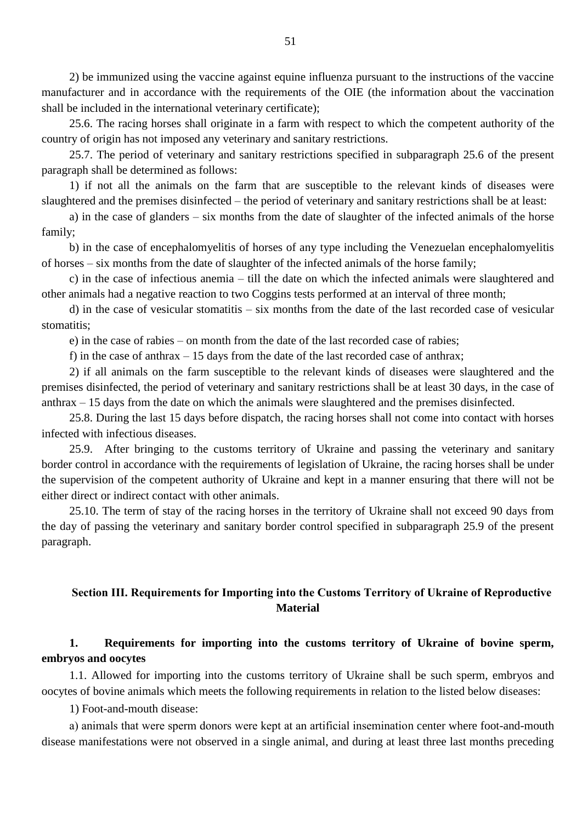2) be immunized using the vaccine against equine influenza pursuant to the instructions of the vaccine manufacturer and in accordance with the requirements of the OIE (the information about the vaccination shall be included in the international veterinary certificate);

25.6. The racing horses shall originate in a farm with respect to which the competent authority of the country of origin has not imposed any veterinary and sanitary restrictions.

25.7. The period of veterinary and sanitary restrictions specified in subparagraph 25.6 of the present paragraph shall be determined as follows:

1) if not all the animals on the farm that are susceptible to the relevant kinds of diseases were slaughtered and the premises disinfected – the period of veterinary and sanitary restrictions shall be at least:

a) in the case of glanders – six months from the date of slaughter of the infected animals of the horse family;

b) in the case of encephalomyelitis of horses of any type including the Venezuelan encephalomyelitis of horses – six months from the date of slaughter of the infected animals of the horse family;

c) in the case of infectious anemia – till the date on which the infected animals were slaughtered and other animals had a negative reaction to two Coggins tests performed at an interval of three month;

d) in the case of vesicular stomatitis – six months from the date of the last recorded case of vesicular stomatitis;

e) in the case of rabies – on month from the date of the last recorded case of rabies;

f) in the case of anthrax  $-15$  days from the date of the last recorded case of anthrax;

2) if all animals on the farm susceptible to the relevant kinds of diseases were slaughtered and the premises disinfected, the period of veterinary and sanitary restrictions shall be at least 30 days, in the case of anthrax – 15 days from the date on which the animals were slaughtered and the premises disinfected.

25.8. During the last 15 days before dispatch, the racing horses shall not come into contact with horses infected with infectious diseases.

25.9. After bringing to the customs territory of Ukraine and passing the veterinary and sanitary border control in accordance with the requirements of legislation of Ukraine, the racing horses shall be under the supervision of the competent authority of Ukraine and kept in a manner ensuring that there will not be either direct or indirect contact with other animals.

25.10. The term of stay of the racing horses in the territory of Ukraine shall not exceed 90 days from the day of passing the veterinary and sanitary border control specified in subparagraph 25.9 of the present paragraph.

## **Section ІІІ. Requirements for Importing into the Customs Territory of Ukraine of Reproductive Material**

## **1. Requirements for importing into the customs territory of Ukraine of bovine sperm, embryos and oocytes**

1.1. Allowed for importing into the customs territory of Ukraine shall be such sperm, embryos and oocytes of bovine animals which meets the following requirements in relation to the listed below diseases:

1) Foot-and-mouth disease:

а) animals that were sperm donors were kept at an artificial insemination center where foot-and-mouth disease manifestations were not observed in a single animal, and during at least three last months preceding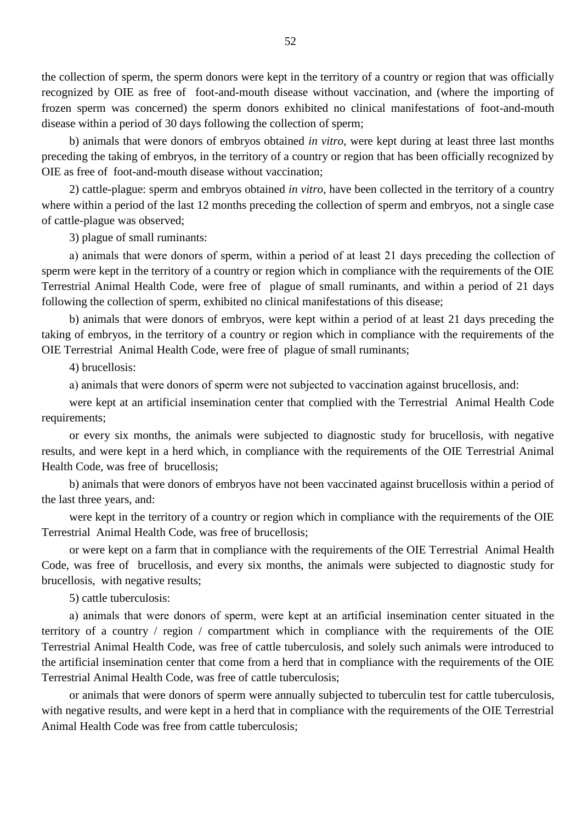the collection of sperm, the sperm donors were kept in the territory of a country or region that was officially recognized by OIE as free of foot-and-mouth disease without vaccination, and (where the importing of frozen sperm was concerned) the sperm donors exhibited no clinical manifestations of foot-and-mouth disease within a period of 30 days following the collection of sperm;

b) animals that were donors of embryos obtained *in vitro*, were kept during at least three last months preceding the taking of embryos, in the territory of a country or region that has been officially recognized by OIE as free of foot-and-mouth disease without vaccination;

2) cattle-plague: sperm and embryos obtained *in vitro*, have been collected in the territory of a country where within a period of the last 12 months preceding the collection of sperm and embryos, not a single case of cattle-plague was observed;

3) plague of small ruminants:

а) animals that were donors of sperm, within a period of at least 21 days preceding the collection of sperm were kept in the territory of a country or region which in compliance with the requirements of the OIE Terrestrial Animal Health Code, were free of plague of small ruminants, and within a period of 21 days following the collection of sperm, exhibited no clinical manifestations of this disease;

b) animals that were donors of embryos, were kept within a period of at least 21 days preceding the taking of embryos, in the territory of a country or region which in compliance with the requirements of the OIE Terrestrial Animal Health Code, were free of plague of small ruminants;

4) brucellosis:

а) animals that were donors of sperm were not subjected to vaccination against brucellosis, and:

were kept at an artificial insemination center that complied with the Terrestrial Animal Health Code requirements;

or every six months, the animals were subjected to diagnostic study for brucellosis, with negative results, and were kept in a herd which, in compliance with the requirements of the OIE Terrestrial Animal Health Code, was free of brucellosis;

b) animals that were donors of embryos have not been vaccinated against brucellosis within a period of the last three years, and:

were kept in the territory of a country or region which in compliance with the requirements of the OIE Terrestrial Animal Health Code, was free of brucellosis;

or were kept on a farm that in compliance with the requirements of the OIE Terrestrial Animal Health Code, was free of brucellosis, and every six months, the animals were subjected to diagnostic study for brucellosis, with negative results;

5) cattle tuberculosis:

а) animals that were donors of sperm, were kept at an artificial insemination center situated in the territory of a country / region / compartment which in compliance with the requirements of the OIE Terrestrial Animal Health Code, was free of cattle tuberculosis, and solely such animals were introduced to the artificial insemination center that come from a herd that in compliance with the requirements of the OIE Terrestrial Animal Health Code, was free of cattle tuberculosis;

or animals that were donors of sperm were annually subjected to tuberculin test for cattle tuberculosis, with negative results, and were kept in a herd that in compliance with the requirements of the OIE Terrestrial Animal Health Code was free from cattle tuberculosis;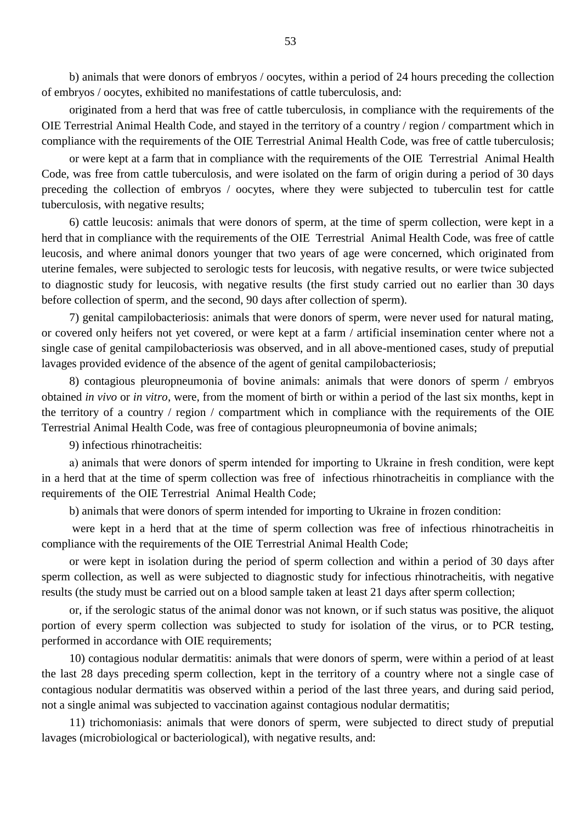b) animals that were donors of embryos / oocytes, within a period of 24 hours preceding the collection of embryos / oocytes, exhibited no manifestations of cattle tuberculosis, and:

originated from a herd that was free of cattle tuberculosis, in compliance with the requirements of the OIE Terrestrial Animal Health Code, and stayed in the territory of a country / region / compartment which in compliance with the requirements of the OIE Terrestrial Animal Health Code, was free of cattle tuberculosis;

or were kept at a farm that in compliance with the requirements of the OIE Terrestrial Animal Health Code, was free from cattle tuberculosis, and were isolated on the farm of origin during a period of 30 days preceding the collection of embryos / oocytes, where they were subjected to tuberculin test for cattle tuberculosis, with negative results;

6) cattle leucosis: animals that were donors of sperm, at the time of sperm collection, were kept in a herd that in compliance with the requirements of the OIE Terrestrial Animal Health Code, was free of cattle leucosis, and where animal donors younger that two years of age were concerned, which originated from uterine females, were subjected to serologic tests for leucosis, with negative results, or were twice subjected to diagnostic study for leucosis, with negative results (the first study carried out no earlier than 30 days before collection of sperm, and the second, 90 days after collection of sperm).

7) genital campilobacteriosis: animals that were donors of sperm, were never used for natural mating, or covered only heifers not yet covered, or were kept at a farm / artificial insemination center where not a single case of genital campilobacteriosis was observed, and in all above-mentioned cases, study of preputial lavages provided evidence of the absence of the agent of genital campilobacteriosis;

8) contagious pleuropneumonia of bovine animals: animals that were donors of sperm / embryos obtained *in vivo* or *in vitro*, were, from the moment of birth or within a period of the last six months, kept in the territory of a country / region / compartment which in compliance with the requirements of the OIE Terrestrial Animal Health Code, was free of contagious pleuropneumonia of bovine animals;

9) infectious rhinotracheitis:

а) animals that were donors of sperm intended for importing to Ukraine in fresh condition, were kept in a herd that at the time of sperm collection was free of infectious rhinotracheitis in compliance with the requirements of the OIE Terrestrial Animal Health Code;

b) animals that were donors of sperm intended for importing to Ukraine in frozen condition:

were kept in a herd that at the time of sperm collection was free of infectious rhinotracheitis in compliance with the requirements of the OIE Terrestrial Animal Health Code;

or were kept in isolation during the period of sperm collection and within a period of 30 days after sperm collection, as well as were subjected to diagnostic study for infectious rhinotracheitis, with negative results (the study must be carried out on a blood sample taken at least 21 days after sperm collection;

or, if the serologic status of the animal donor was not known, or if such status was positive, the aliquot portion of every sperm collection was subjected to study for isolation of the virus, or to PCR testing, performed in accordance with OIE requirements;

10) contagious nodular dermatitis: animals that were donors of sperm, were within a period of at least the last 28 days preceding sperm collection, kept in the territory of a country where not a single case of contagious nodular dermatitis was observed within a period of the last three years, and during said period, not a single animal was subjected to vaccination against contagious nodular dermatitis;

11) trichomoniasis: animals that were donors of sperm, were subjected to direct study of preputial lavages (microbiological or bacteriological), with negative results, and: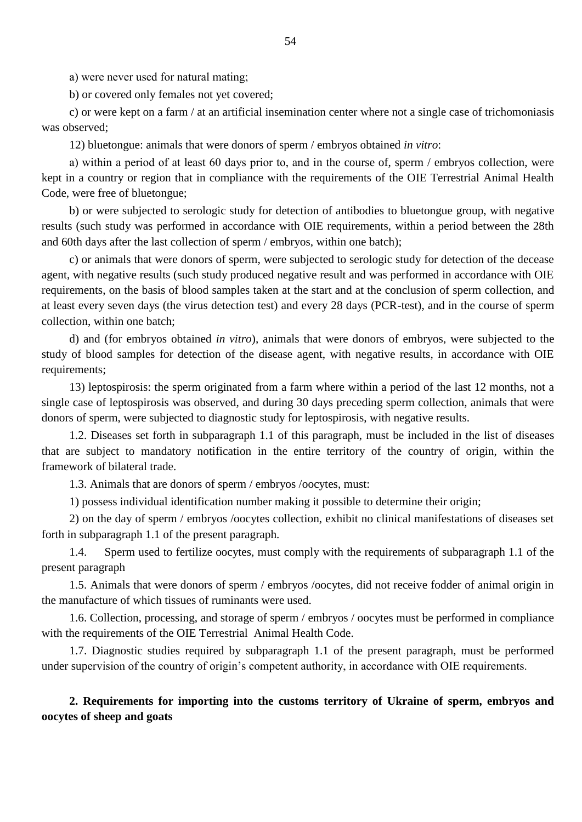а) were never used for natural mating;

b) or covered only females not yet covered;

c) or were kept on a farm / at an artificial insemination center where not a single case of trichomoniasis was observed;

12) bluetongue: animals that were donors of sperm / embryos obtained *in vitro*:

а) within a period of at least 60 days prior to, and in the course of, sperm / embryos collection, were kept in a country or region that in compliance with the requirements of the OIE Terrestrial Animal Health Code, were free of bluetongue;

b) or were subjected to serologic study for detection of antibodies to bluetongue group, with negative results (such study was performed in accordance with OIE requirements, within a period between the 28th and 60th days after the last collection of sperm / embryos, within one batch);

c) or animals that were donors of sperm, were subjected to serologic study for detection of the decease agent, with negative results (such study produced negative result and was performed in accordance with OIE requirements, on the basis of blood samples taken at the start and at the conclusion of sperm collection, and at least every seven days (the virus detection test) and every 28 days (PCR-test), and in the course of sperm collection, within one batch;

d) and (for embryos obtained *in vitro*), animals that were donors of embryos, were subjected to the study of blood samples for detection of the disease agent, with negative results, in accordance with OIE requirements;

13) leptospirosis: the sperm originated from a farm where within a period of the last 12 months, not a single case of leptospirosis was observed, and during 30 days preceding sperm collection, animals that were donors of sperm, were subjected to diagnostic study for leptospirosis, with negative results.

1.2. Diseases set forth in subparagraph 1.1 of this paragraph, must be included in the list of diseases that are subject to mandatory notification in the entire territory of the country of origin, within the framework of bilateral trade.

1.3. Animals that are donors of sperm / embryos /oocytes, must:

1) possess individual identification number making it possible to determine their origin;

2) on the day of sperm / embryos /oocytes collection, exhibit no clinical manifestations of diseases set forth in subparagraph 1.1 of the present paragraph.

1.4. Sperm used to fertilize oocytes, must comply with the requirements of subparagraph 1.1 of the present paragraph

1.5. Animals that were donors of sperm / embryos /oocytes, did not receive fodder of animal origin in the manufacture of which tissues of ruminants were used.

1.6. Collection, processing, and storage of sperm / embryos / oocytes must be performed in compliance with the requirements of the OIE Terrestrial Animal Health Code.

1.7. Diagnostic studies required by subparagraph 1.1 of the present paragraph, must be performed under supervision of the country of origin's competent authority, in accordance with OIE requirements.

## **2. Requirements for importing into the customs territory of Ukraine of sperm, embryos and oocytes of sheep and goats**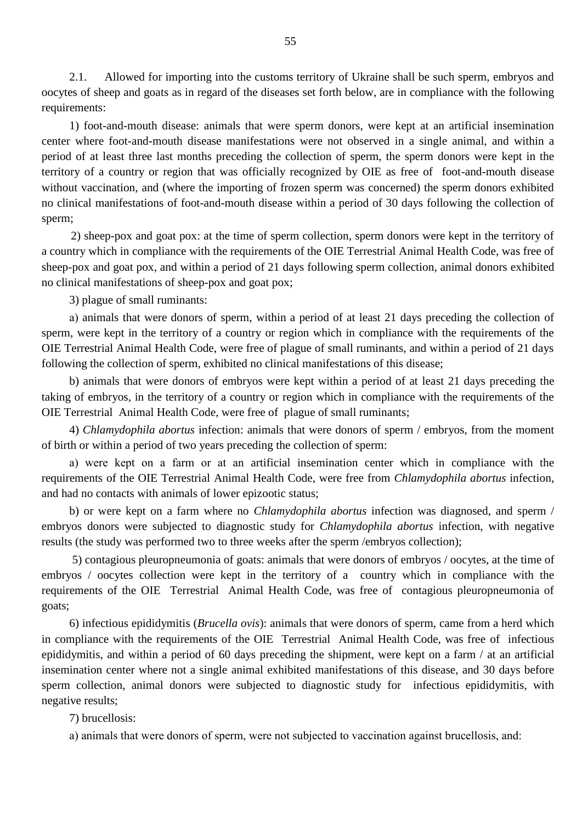2.1. Allowed for importing into the customs territory of Ukraine shall be such sperm, embryos and oocytes of sheep and goats as in regard of the diseases set forth below, are in compliance with the following requirements:

1) foot-and-mouth disease: animals that were sperm donors, were kept at an artificial insemination center where foot-and-mouth disease manifestations were not observed in a single animal, and within a period of at least three last months preceding the collection of sperm, the sperm donors were kept in the territory of a country or region that was officially recognized by OIE as free of foot-and-mouth disease without vaccination, and (where the importing of frozen sperm was concerned) the sperm donors exhibited no clinical manifestations of foot-and-mouth disease within a period of 30 days following the collection of sperm;

 2) sheep-pox and goat pox: at the time of sperm collection, sperm donors were kept in the territory of a country which in compliance with the requirements of the OIE Terrestrial Animal Health Code, was free of sheep-pox and goat pox, and within a period of 21 days following sperm collection, animal donors exhibited no clinical manifestations of sheep-pox and goat pox;

3) plague of small ruminants:

а) animals that were donors of sperm, within a period of at least 21 days preceding the collection of sperm, were kept in the territory of a country or region which in compliance with the requirements of the OIE Terrestrial Animal Health Code, were free of plague of small ruminants, and within a period of 21 days following the collection of sperm, exhibited no clinical manifestations of this disease;

b) animals that were donors of embryos were kept within a period of at least 21 days preceding the taking of embryos, in the territory of a country or region which in compliance with the requirements of the OIE Terrestrial Animal Health Code, were free of plague of small ruminants;

4) *Chlamydophila abortus* infection: animals that were donors of sperm / embryos, from the moment of birth or within a period of two years preceding the collection of sperm:

а) were kept on a farm or at an artificial insemination center which in compliance with the requirements of the OIE Terrestrial Animal Health Code, were free from *Chlamydophila abortus* infection, and had no contacts with animals of lower epizootic status;

b) or were kept on a farm where no *Chlamydophila abortus* infection was diagnosed, and sperm / embryos donors were subjected to diagnostic study for *Chlamydophila abortus* infection, with negative results (the study was performed two to three weeks after the sperm /embryos collection);

5) contagious pleuropneumonia of goats: animals that were donors of embryos / oocytes, at the time of embryos / oocytes collection were kept in the territory of a country which in compliance with the requirements of the OIE Terrestrial Animal Health Code, was free of contagious pleuropneumonia of goats;

6) infectious epididymitis (*Brucella ovis*): animals that were donors of sperm, came from a herd which in compliance with the requirements of the OIE Terrestrial Animal Health Code, was free of infectious epididymitis, and within a period of 60 days preceding the shipment, were kept on a farm / at an artificial insemination center where not a single animal exhibited manifestations of this disease, and 30 days before sperm collection, animal donors were subjected to diagnostic study for infectious epididymitis, with negative results;

7) brucellosis:

а) animals that were donors of sperm, were not subjected to vaccination against brucellosis, and: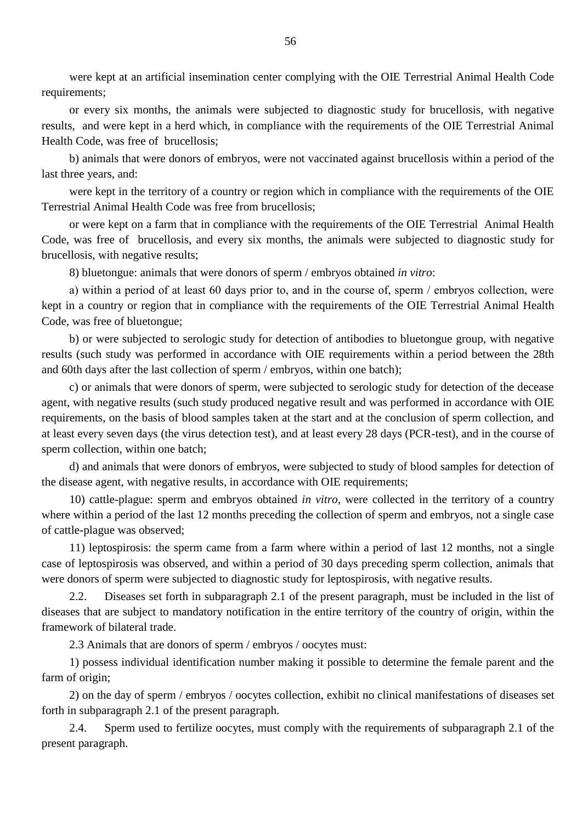were kept at an artificial insemination center complying with the OIE Terrestrial Animal Health Code requirements;

or every six months, the animals were subjected to diagnostic study for brucellosis, with negative results, and were kept in a herd which, in compliance with the requirements of the OIE Terrestrial Animal Health Code, was free of brucellosis;

b) animals that were donors of embryos, were not vaccinated against brucellosis within a period of the last three years, and:

were kept in the territory of a country or region which in compliance with the requirements of the OIE Terrestrial Animal Health Code was free from brucellosis;

or were kept on a farm that in compliance with the requirements of the OIE Terrestrial Animal Health Code, was free of brucellosis, and every six months, the animals were subjected to diagnostic study for brucellosis, with negative results;

8) bluetongue: animals that were donors of sperm / embryos obtained *in vitro*:

а) within a period of at least 60 days prior to, and in the course of, sperm / embryos collection, were kept in a country or region that in compliance with the requirements of the OIE Terrestrial Animal Health Code, was free of bluetongue;

b) or were subjected to serologic study for detection of antibodies to bluetongue group, with negative results (such study was performed in accordance with OIE requirements within a period between the 28th and 60th days after the last collection of sperm / embryos, within one batch);

c) or animals that were donors of sperm, were subjected to serologic study for detection of the decease agent, with negative results (such study produced negative result and was performed in accordance with OIE requirements, on the basis of blood samples taken at the start and at the conclusion of sperm collection, and at least every seven days (the virus detection test), and at least every 28 days (PCR-test), and in the course of sperm collection, within one batch;

d) and animals that were donors of embryos, were subjected to study of blood samples for detection of the disease agent, with negative results, in accordance with OIE requirements;

10) cattle-plague: sperm and embryos obtained *in vitro*, were collected in the territory of a country where within a period of the last 12 months preceding the collection of sperm and embryos, not a single case of cattle-plague was observed;

11) leptospirosis: the sperm came from a farm where within a period of last 12 months, not a single case of leptospirosis was observed, and within a period of 30 days preceding sperm collection, animals that were donors of sperm were subjected to diagnostic study for leptospirosis, with negative results.

2.2. Diseases set forth in subparagraph 2.1 of the present paragraph, must be included in the list of diseases that are subject to mandatory notification in the entire territory of the country of origin, within the framework of bilateral trade.

2.3 Animals that are donors of sperm / embryos / oocytes must:

1) possess individual identification number making it possible to determine the female parent and the farm of origin;

2) on the day of sperm / embryos / oocytes collection, exhibit no clinical manifestations of diseases set forth in subparagraph 2.1 of the present paragraph.

2.4. Sperm used to fertilize oocytes, must comply with the requirements of subparagraph 2.1 of the present paragraph.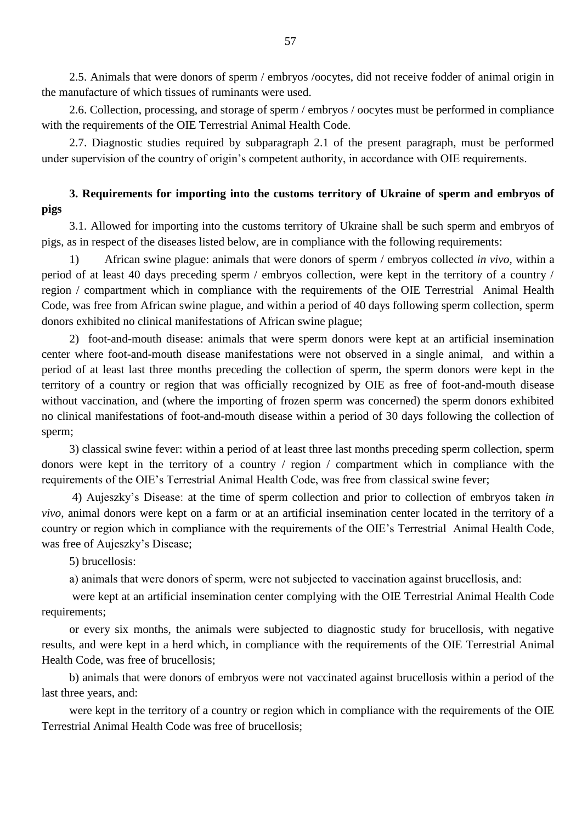2.5. Animals that were donors of sperm / embryos /oocytes, did not receive fodder of animal origin in the manufacture of which tissues of ruminants were used.

2.6. Collection, processing, and storage of sperm / embryos / oocytes must be performed in compliance with the requirements of the OIE Terrestrial Animal Health Code.

2.7. Diagnostic studies required by subparagraph 2.1 of the present paragraph, must be performed under supervision of the country of origin's competent authority, in accordance with OIE requirements.

# **3. Requirements for importing into the customs territory of Ukraine of sperm and embryos of pigs**

3.1. Allowed for importing into the customs territory of Ukraine shall be such sperm and embryos of pigs, as in respect of the diseases listed below, are in compliance with the following requirements:

1) African swine plague: animals that were donors of sperm / embryos collected *in vivo*, within a period of at least 40 days preceding sperm / embryos collection, were kept in the territory of a country / region / compartment which in compliance with the requirements of the OIE Terrestrial Animal Health Code, was free from African swine plague, and within a period of 40 days following sperm collection, sperm donors exhibited no clinical manifestations of African swine plague;

2) foot-and-mouth disease: animals that were sperm donors were kept at an artificial insemination center where foot-and-mouth disease manifestations were not observed in a single animal, and within a period of at least last three months preceding the collection of sperm, the sperm donors were kept in the territory of a country or region that was officially recognized by OIE as free of foot-and-mouth disease without vaccination, and (where the importing of frozen sperm was concerned) the sperm donors exhibited no clinical manifestations of foot-and-mouth disease within a period of 30 days following the collection of sperm;

3) classical swine fever: within a period of at least three last months preceding sperm collection, sperm donors were kept in the territory of a country / region / compartment which in compliance with the requirements of the OIE"s Terrestrial Animal Health Code, was free from classical swine fever;

4) Aujeszky"s Disease: at the time of sperm collection and prior to collection of embryos taken *in vivo*, animal donors were kept on a farm or at an artificial insemination center located in the territory of a country or region which in compliance with the requirements of the OIE"s Terrestrial Animal Health Code, was free of Aujeszky's Disease;

5) brucellosis:

а) animals that were donors of sperm, were not subjected to vaccination against brucellosis, and:

were kept at an artificial insemination center complying with the OIE Terrestrial Animal Health Code requirements;

or every six months, the animals were subjected to diagnostic study for brucellosis, with negative results, and were kept in a herd which, in compliance with the requirements of the OIE Terrestrial Animal Health Code, was free of brucellosis;

b) animals that were donors of embryos were not vaccinated against brucellosis within a period of the last three years, and:

were kept in the territory of a country or region which in compliance with the requirements of the OIE Terrestrial Animal Health Code was free of brucellosis;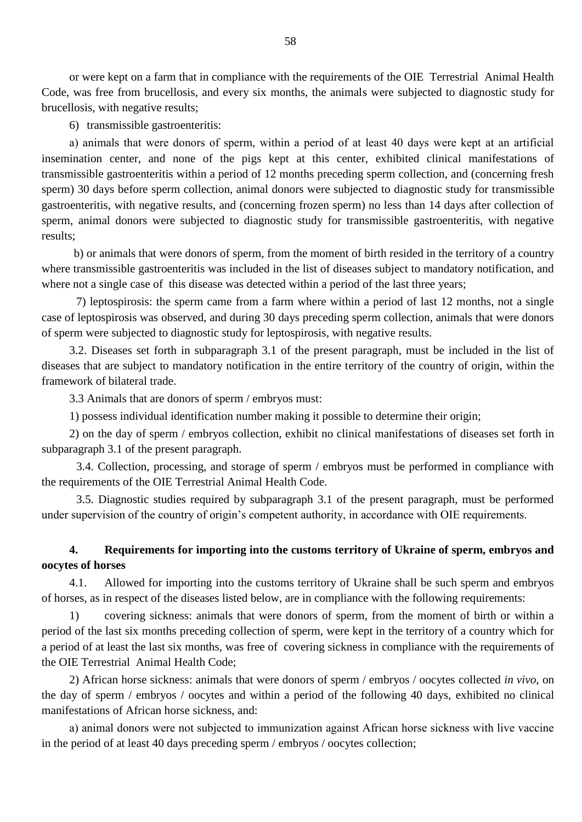or were kept on a farm that in compliance with the requirements of the OIE Terrestrial Animal Health Code, was free from brucellosis, and every six months, the animals were subjected to diagnostic study for brucellosis, with negative results;

6) transmissible gastroenteritis:

а) animals that were donors of sperm, within a period of at least 40 days were kept at an artificial insemination center, and none of the pigs kept at this center, exhibited clinical manifestations of transmissible gastroenteritis within a period of 12 months preceding sperm collection, and (concerning fresh sperm) 30 days before sperm collection, animal donors were subjected to diagnostic study for transmissible gastroenteritis, with negative results, and (concerning frozen sperm) no less than 14 days after collection of sperm, animal donors were subjected to diagnostic study for transmissible gastroenteritis, with negative results;

 b) or animals that were donors of sperm, from the moment of birth resided in the territory of a country where transmissible gastroenteritis was included in the list of diseases subject to mandatory notification, and where not a single case of this disease was detected within a period of the last three years;

7) leptospirosis: the sperm came from a farm where within a period of last 12 months, not a single case of leptospirosis was observed, and during 30 days preceding sperm collection, animals that were donors of sperm were subjected to diagnostic study for leptospirosis, with negative results.

3.2. Diseases set forth in subparagraph 3.1 of the present paragraph, must be included in the list of diseases that are subject to mandatory notification in the entire territory of the country of origin, within the framework of bilateral trade.

3.3 Animals that are donors of sperm / embryos must:

1) possess individual identification number making it possible to determine their origin;

2) on the day of sperm / embryos collection, exhibit no clinical manifestations of diseases set forth in subparagraph 3.1 of the present paragraph.

3.4. Collection, processing, and storage of sperm / embryos must be performed in compliance with the requirements of the OIE Terrestrial Animal Health Code.

3.5. Diagnostic studies required by subparagraph 3.1 of the present paragraph, must be performed under supervision of the country of origin's competent authority, in accordance with OIE requirements.

#### **4. Requirements for importing into the customs territory of Ukraine of sperm, embryos and oocytes of horses**

4.1. Allowed for importing into the customs territory of Ukraine shall be such sperm and embryos of horses, as in respect of the diseases listed below, are in compliance with the following requirements:

1) covering sickness: animals that were donors of sperm, from the moment of birth or within a period of the last six months preceding collection of sperm, were kept in the territory of a country which for a period of at least the last six months, was free of covering sickness in compliance with the requirements of the OIE Terrestrial Animal Health Code;

2) African horse sickness: animals that were donors of sperm / embryos / oocytes collected *in vivo*, on the day of sperm / embryos / oocytes and within a period of the following 40 days, exhibited no clinical manifestations of African horse sickness, and:

а) animal donors were not subjected to immunization against African horse sickness with live vaccine in the period of at least 40 days preceding sperm / embryos / oocytes collection;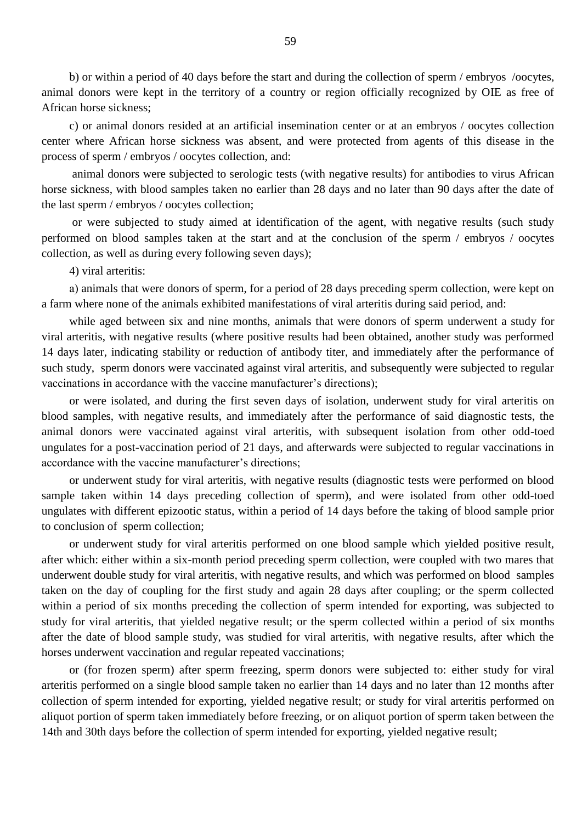b) or within a period of 40 days before the start and during the collection of sperm / embryos /oocytes, animal donors were kept in the territory of a country or region officially recognized by OIE as free of African horse sickness;

c) or animal donors resided at an artificial insemination center or at an embryos / oocytes collection center where African horse sickness was absent, and were protected from agents of this disease in the process of sperm / embryos / oocytes collection, and:

animal donors were subjected to serologic tests (with negative results) for antibodies to virus African horse sickness, with blood samples taken no earlier than 28 days and no later than 90 days after the date of the last sperm / embryos / oocytes collection;

or were subjected to study aimed at identification of the agent, with negative results (such study performed on blood samples taken at the start and at the conclusion of the sperm / embryos / oocytes collection, as well as during every following seven days);

4) viral arteritis:

а) animals that were donors of sperm, for a period of 28 days preceding sperm collection, were kept on a farm where none of the animals exhibited manifestations of viral arteritis during said period, and:

while aged between six and nine months, animals that were donors of sperm underwent a study for viral arteritis, with negative results (where positive results had been obtained, another study was performed 14 days later, indicating stability or reduction of antibody titer, and immediately after the performance of such study, sperm donors were vaccinated against viral arteritis, and subsequently were subjected to regular vaccinations in accordance with the vaccine manufacturer's directions);

or were isolated, and during the first seven days of isolation, underwent study for viral arteritis on blood samples, with negative results, and immediately after the performance of said diagnostic tests, the animal donors were vaccinated against viral arteritis, with subsequent isolation from other odd-toed ungulates for a post-vaccination period of 21 days, and afterwards were subjected to regular vaccinations in accordance with the vaccine manufacturer's directions;

or underwent study for viral arteritis, with negative results (diagnostic tests were performed on blood sample taken within 14 days preceding collection of sperm), and were isolated from other odd-toed ungulates with different epizootic status, within a period of 14 days before the taking of blood sample prior to conclusion of sperm collection;

or underwent study for viral arteritis performed on one blood sample which yielded positive result, after which: either within a six-month period preceding sperm collection, were coupled with two mares that underwent double study for viral arteritis, with negative results, and which was performed on blood samples taken on the day of coupling for the first study and again 28 days after coupling; or the sperm collected within a period of six months preceding the collection of sperm intended for exporting, was subjected to study for viral arteritis, that yielded negative result; or the sperm collected within a period of six months after the date of blood sample study, was studied for viral arteritis, with negative results, after which the horses underwent vaccination and regular repeated vaccinations;

or (for frozen sperm) after sperm freezing, sperm donors were subjected to: either study for viral arteritis performed on a single blood sample taken no earlier than 14 days and no later than 12 months after collection of sperm intended for exporting, yielded negative result; or study for viral arteritis performed on aliquot portion of sperm taken immediately before freezing, or on aliquot portion of sperm taken between the 14th and 30th days before the collection of sperm intended for exporting, yielded negative result;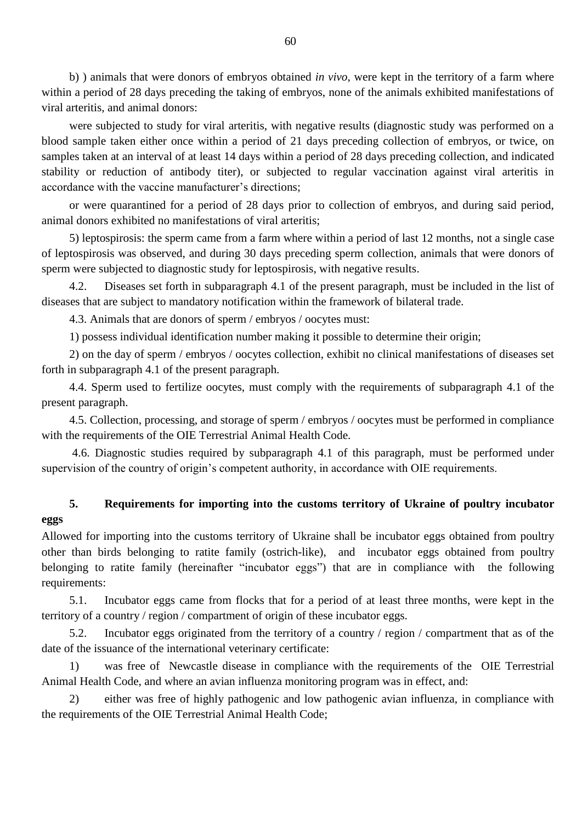b) ) animals that were donors of embryos obtained *in vivo*, were kept in the territory of a farm where within a period of 28 days preceding the taking of embryos, none of the animals exhibited manifestations of viral arteritis, and animal donors:

were subjected to study for viral arteritis, with negative results (diagnostic study was performed on a blood sample taken either once within a period of 21 days preceding collection of embryos, or twice, on samples taken at an interval of at least 14 days within a period of 28 days preceding collection, and indicated stability or reduction of antibody titer), or subjected to regular vaccination against viral arteritis in accordance with the vaccine manufacturer's directions;

or were quarantined for a period of 28 days prior to collection of embryos, and during said period, animal donors exhibited no manifestations of viral arteritis;

5) leptospirosis: the sperm came from a farm where within a period of last 12 months, not a single case of leptospirosis was observed, and during 30 days preceding sperm collection, animals that were donors of sperm were subjected to diagnostic study for leptospirosis, with negative results.

4.2. Diseases set forth in subparagraph 4.1 of the present paragraph, must be included in the list of diseases that are subject to mandatory notification within the framework of bilateral trade.

4.3. Animals that are donors of sperm / embryos / oocytes must:

1) possess individual identification number making it possible to determine their origin;

2) on the day of sperm / embryos / oocytes collection, exhibit no clinical manifestations of diseases set forth in subparagraph 4.1 of the present paragraph.

4.4. Sperm used to fertilize oocytes, must comply with the requirements of subparagraph 4.1 of the present paragraph.

4.5. Collection, processing, and storage of sperm / embryos / oocytes must be performed in compliance with the requirements of the OIE Terrestrial Animal Health Code.

4.6. Diagnostic studies required by subparagraph 4.1 of this paragraph, must be performed under supervision of the country of origin's competent authority, in accordance with OIE requirements.

# **5. Requirements for importing into the customs territory of Ukraine of poultry incubator eggs**

Allowed for importing into the customs territory of Ukraine shall be incubator eggs obtained from poultry other than birds belonging to ratite family (ostrich-like), and incubator eggs obtained from poultry belonging to ratite family (hereinafter "incubator eggs") that are in compliance with the following requirements:

5.1. Incubator eggs came from flocks that for a period of at least three months, were kept in the territory of a country / region / compartment of origin of these incubator eggs.

5.2. Incubator eggs originated from the territory of a country / region / compartment that as of the date of the issuance of the international veterinary certificate:

1) was free of Newcastle disease in compliance with the requirements of the OIE Terrestrial Animal Health Code, and where an avian influenza monitoring program was in effect, and:

2) either was free of highly pathogenic and low pathogenic avian influenza, in compliance with the requirements of the OIE Terrestrial Animal Health Code;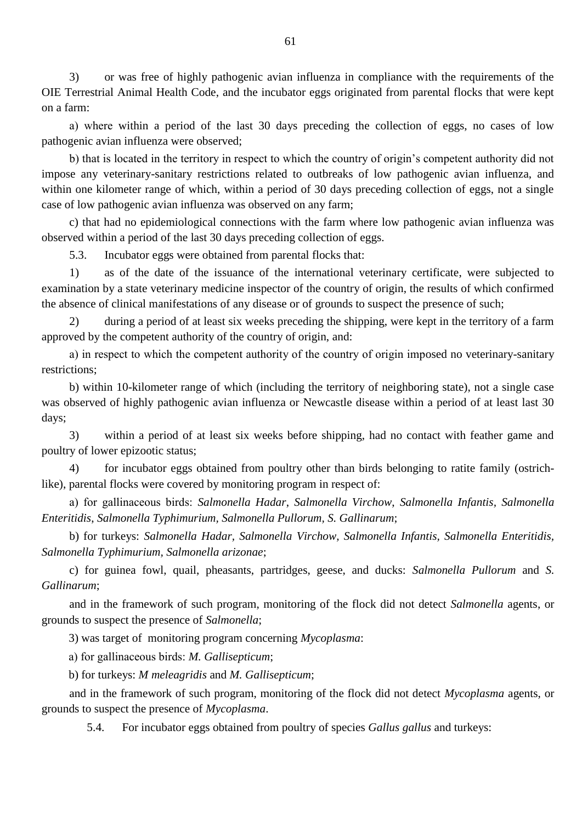3) or was free of highly pathogenic avian influenza in compliance with the requirements of the OIE Terrestrial Animal Health Code, and the incubator eggs originated from parental flocks that were kept on a farm:

а) where within a period of the last 30 days preceding the collection of eggs, no cases of low pathogenic avian influenza were observed;

b) that is located in the territory in respect to which the country of origin"s competent authority did not impose any veterinary-sanitary restrictions related to outbreaks of low pathogenic avian influenza, and within one kilometer range of which, within a period of 30 days preceding collection of eggs, not a single case of low pathogenic avian influenza was observed on any farm;

c) that had no epidemiological connections with the farm where low pathogenic avian influenza was observed within a period of the last 30 days preceding collection of eggs.

5.3. Incubator eggs were obtained from parental flocks that:

1) as of the date of the issuance of the international veterinary certificate, were subjected to examination by a state veterinary medicine inspector of the country of origin, the results of which confirmed the absence of clinical manifestations of any disease or of grounds to suspect the presence of such;

2) during a period of at least six weeks preceding the shipping, were kept in the territory of a farm approved by the competent authority of the country of origin, and:

а) in respect to which the competent authority of the country of origin imposed no veterinary-sanitary restrictions;

b) within 10-kilometer range of which (including the territory of neighboring state), not a single case was observed of highly pathogenic avian influenza or Newcastle disease within a period of at least last 30 days;

3) within a period of at least six weeks before shipping, had no contact with feather game and poultry of lower epizootic status;

4) for incubator eggs obtained from poultry other than birds belonging to ratite family (ostrichlike), parental flocks were covered by monitoring program in respect of:

а) for gallinaceous birds: *Salmonella Hadar*, *Salmonella Virchow*, *Salmonella Infantis, Salmonella Enteritidis*, *Salmonella Typhimurium, Salmonella Pullorum, S. Gallinarum*;

b) for turkeys: *Salmonella Hadar, Salmonella Virchow, Salmonella Infantis, Salmonella Enteritidis, Salmonella Typhimurium, Salmonella arizonae*;

c) for guinea fowl, quail, pheasants, partridges, geese, and ducks: *Salmonella Pullorum* and *S. Gallinarum*;

and in the framework of such program, monitoring of the flock did not detect *Salmonella* agents, or grounds to suspect the presence of *Salmonella*;

3) was target of monitoring program concerning *Mycoplasma*:

а) for gallinaceous birds: *M. Gallisepticum*;

b) for turkeys: *M meleagridis* and *M. Gallisepticum*;

and in the framework of such program, monitoring of the flock did not detect *Mycoplasma* agents, or grounds to suspect the presence of *Mycoplasma*.

5.4. For incubator eggs obtained from poultry of species *Gallus gallus* and turkeys: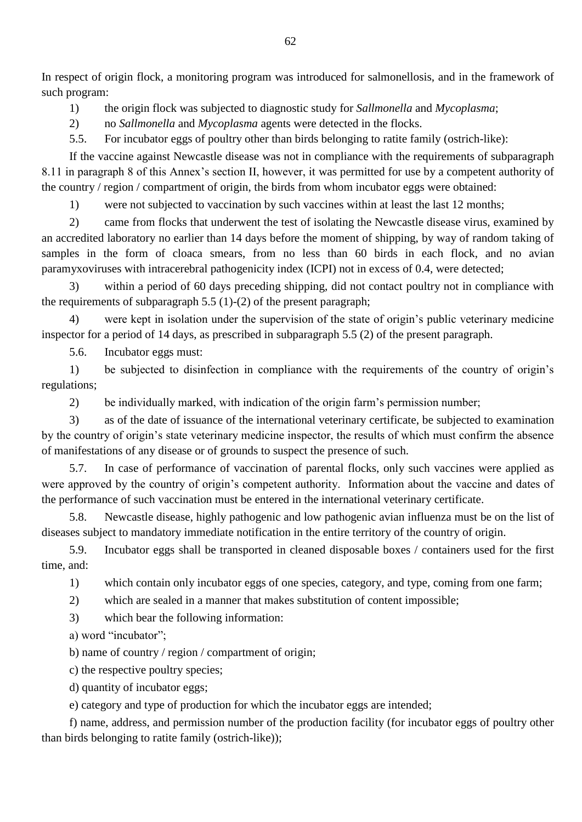In respect of origin flock, a monitoring program was introduced for salmonellosis, and in the framework of such program:

1) the origin flock was subjected to diagnostic study for *Sallmonella* and *Mycoplasma*;

2) no *Sallmonella* and *Mycoplasma* agents were detected in the flocks.

5.5. For incubator eggs of poultry other than birds belonging to ratite family (ostrich-like):

If the vaccine against Newcastle disease was not in compliance with the requirements of subparagraph 8.11 in paragraph 8 of this Annex's section II, however, it was permitted for use by a competent authority of the country / region / compartment of origin, the birds from whom incubator eggs were obtained:

1) were not subjected to vaccination by such vaccines within at least the last 12 months;

2) came from flocks that underwent the test of isolating the Newcastle disease virus, examined by an accredited laboratory no earlier than 14 days before the moment of shipping, by way of random taking of samples in the form of cloaca smears, from no less than 60 birds in each flock, and no avian paramyxoviruses with intracerebral pathogenicity index (ICPI) not in excess of 0.4, were detected;

3) within a period of 60 days preceding shipping, did not contact poultry not in compliance with the requirements of subparagraph 5.5 (1)-(2) of the present paragraph;

4) were kept in isolation under the supervision of the state of origin"s public veterinary medicine inspector for a period of 14 days, as prescribed in subparagraph 5.5 (2) of the present paragraph.

5.6. Incubator eggs must:

1) be subjected to disinfection in compliance with the requirements of the country of origin"s regulations;

2) be individually marked, with indication of the origin farm"s permission number;

3) as of the date of issuance of the international veterinary certificate, be subjected to examination by the country of origin"s state veterinary medicine inspector, the results of which must confirm the absence of manifestations of any disease or of grounds to suspect the presence of such.

5.7. In case of performance of vaccination of parental flocks, only such vaccines were applied as were approved by the country of origin's competent authority. Information about the vaccine and dates of the performance of such vaccination must be entered in the international veterinary certificate.

5.8. Newcastle disease, highly pathogenic and low pathogenic avian influenza must be on the list of diseases subject to mandatory immediate notification in the entire territory of the country of origin.

5.9. Incubator eggs shall be transported in cleaned disposable boxes / containers used for the first time, and:

1) which contain only incubator eggs of one species, category, and type, coming from one farm;

2) which are sealed in a manner that makes substitution of content impossible;

3) which bear the following information:

а) word "incubator";

b) name of country / region / compartment of origin;

c) the respective poultry species;

d) quantity of incubator eggs;

e) category and type of production for which the incubator eggs are intended;

f) name, address, and permission number of the production facility (for incubator eggs of poultry other than birds belonging to ratite family (ostrich-like));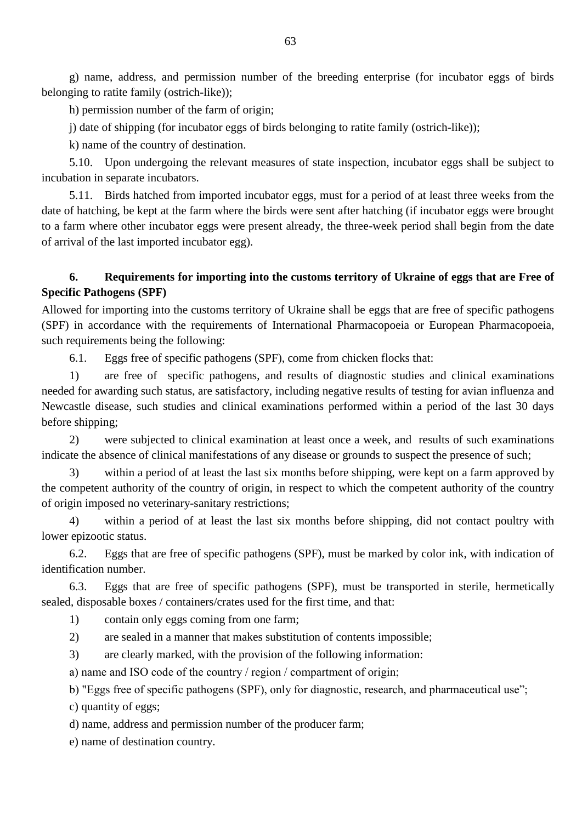g) name, address, and permission number of the breeding enterprise (for incubator eggs of birds belonging to ratite family (ostrich-like));

h) permission number of the farm of origin;

j) date of shipping (for incubator eggs of birds belonging to ratite family (ostrich-like));

k) name of the country of destination.

5.10. Upon undergoing the relevant measures of state inspection, incubator eggs shall be subject to incubation in separate incubators.

5.11. Birds hatched from imported incubator eggs, must for a period of at least three weeks from the date of hatching, be kept at the farm where the birds were sent after hatching (if incubator eggs were brought to a farm where other incubator eggs were present already, the three-week period shall begin from the date of arrival of the last imported incubator egg).

## **6. Requirements for importing into the customs territory of Ukraine of eggs that are Free of Specific Pathogens (SPF)**

Allowed for importing into the customs territory of Ukraine shall be eggs that are free of specific pathogens (SPF) in accordance with the requirements of International Pharmacopoeia or European Pharmacopoeia, such requirements being the following:

6.1. Eggs free of specific pathogens (SPF), come from chicken flocks that:

1) are free of specific pathogens, and results of diagnostic studies and clinical examinations needed for awarding such status, are satisfactory, including negative results of testing for avian influenza and Newcastle disease, such studies and clinical examinations performed within a period of the last 30 days before shipping;

2) were subjected to clinical examination at least once a week, and results of such examinations indicate the absence of clinical manifestations of any disease or grounds to suspect the presence of such;

3) within a period of at least the last six months before shipping, were kept on a farm approved by the competent authority of the country of origin, in respect to which the competent authority of the country of origin imposed no veterinary-sanitary restrictions;

4) within a period of at least the last six months before shipping, did not contact poultry with lower epizootic status.

6.2. Eggs that are free of specific pathogens (SPF), must be marked by color ink, with indication of identification number.

6.3. Eggs that are free of specific pathogens (SPF), must be transported in sterile, hermetically sealed, disposable boxes / containers/crates used for the first time, and that:

1) contain only eggs coming from one farm;

2) are sealed in a manner that makes substitution of contents impossible;

3) are clearly marked, with the provision of the following information:

а) name and ISO code of the country / region / compartment of origin;

b) "Eggs free of specific pathogens (SPF), only for diagnostic, research, and pharmaceutical use";

c) quantity of eggs;

d) name, address and permission number of the producer farm;

e) name of destination country.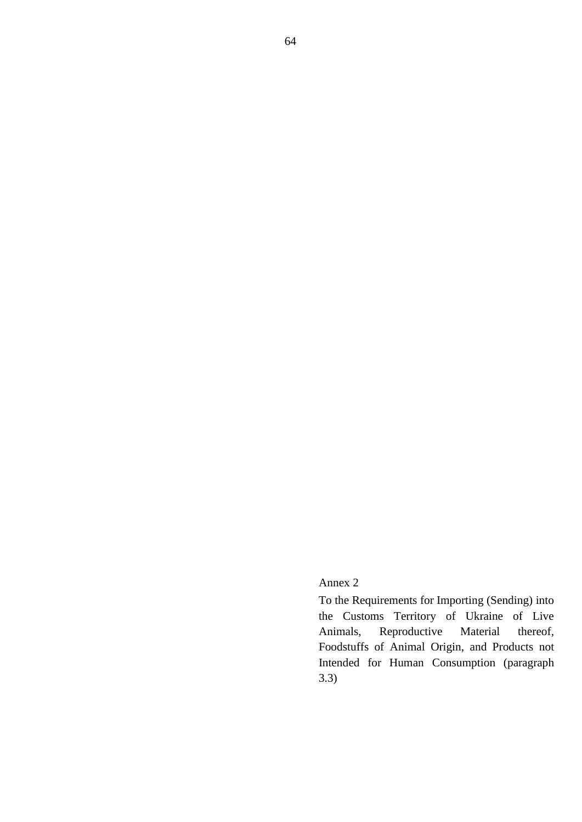## Annex 2

To the Requirements for Importing (Sending) into the Customs Territory of Ukraine of Live Animals, Reproductive Material thereof, Foodstuffs of Animal Origin, and Products not Intended for Human Consumption (paragraph 3.3)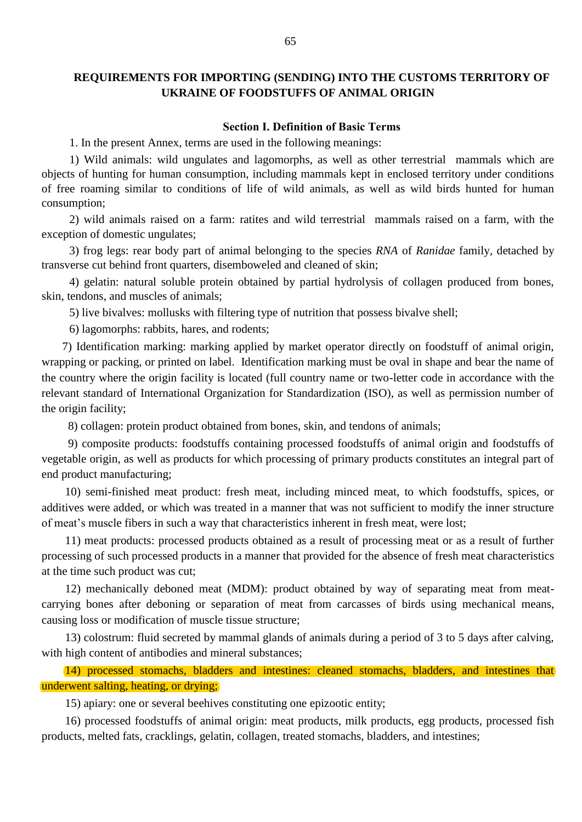#### **REQUIREMENTS FOR IMPORTING (SENDING) INTO THE CUSTOMS TERRITORY OF UKRAINE OF FOODSTUFFS OF ANIMAL ORIGIN**

#### **Section І. Definition of Basic Terms**

1. In the present Annex, terms are used in the following meanings:

1) Wild animals: wild ungulates and lagomorphs, as well as other terrestrial mammals which are objects of hunting for human consumption, including mammals kept in enclosed territory under conditions of free roaming similar to conditions of life of wild animals, as well as wild birds hunted for human consumption;

2) wild animals raised on a farm: ratites and wild terrestrial mammals raised on a farm, with the exception of domestic ungulates;

3) frog legs: rear body part of animal belonging to the species *RNA* of *Ranidae* family*,* detached by transverse cut behind front quarters, disemboweled and cleaned of skin;

4) gelatin: natural soluble protein obtained by partial hydrolysis of collagen produced from bones, skin, tendons, and muscles of animals;

5) live bivalves: mollusks with filtering type of nutrition that possess bivalve shell;

6) lagomorphs: rabbits, hares, and rodents;

 7) Identification marking: marking applied by market operator directly on foodstuff of animal origin, wrapping or packing, or printed on label. Identification marking must be oval in shape and bear the name of the country where the origin facility is located (full country name or two-letter code in accordance with the relevant standard of International Organization for Standardization (ISO), as well as permission number of the origin facility;

8) collagen: protein product obtained from bones, skin, and tendons of animals;

 9) composite products: foodstuffs containing processed foodstuffs of animal origin and foodstuffs of vegetable origin, as well as products for which processing of primary products constitutes an integral part of end product manufacturing;

 10) semi-finished meat product: fresh meat, including minced meat, to which foodstuffs, spices, or additives were added, or which was treated in a manner that was not sufficient to modify the inner structure of meat"s muscle fibers in such a way that characteristics inherent in fresh meat, were lost;

 11) meat products: processed products obtained as a result of processing meat or as a result of further processing of such processed products in a manner that provided for the absence of fresh meat characteristics at the time such product was cut;

 12) mechanically deboned meat (MDM): product obtained by way of separating meat from meatcarrying bones after deboning or separation of meat from carcasses of birds using mechanical means, causing loss or modification of muscle tissue structure;

 13) colostrum: fluid secreted by mammal glands of animals during a period of 3 to 5 days after calving, with high content of antibodies and mineral substances;

 14) processed stomachs, bladders and intestines: cleaned stomachs, bladders, and intestines that underwent salting, heating, or drying;

15) apiary: one or several beehives constituting one epizootic entity;

 16) processed foodstuffs of animal origin: meat products, milk products, egg products, processed fish products, melted fats, cracklings, gelatin, collagen, treated stomachs, bladders, and intestines;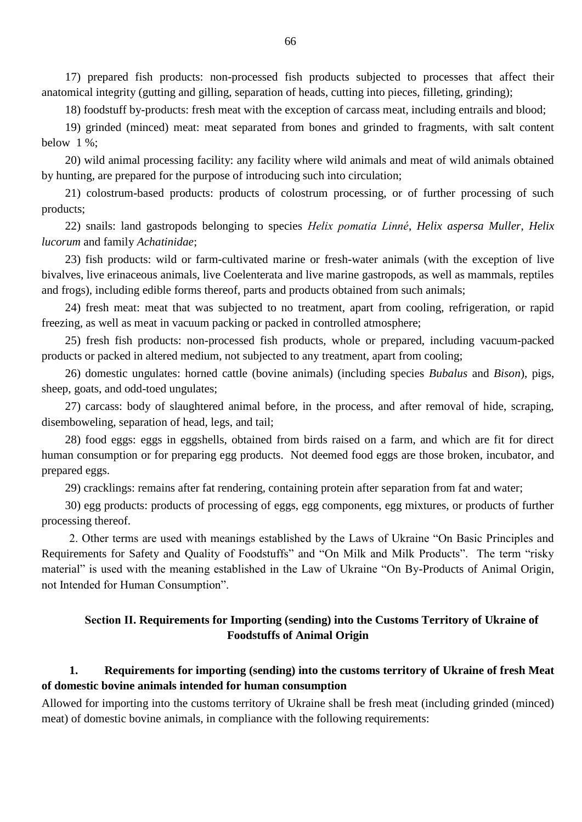17) prepared fish products: non-processed fish products subjected to processes that affect their anatomical integrity (gutting and gilling, separation of heads, cutting into pieces, filleting, grinding);

18) foodstuff by-products: fresh meat with the exception of carcass meat, including entrails and blood;

 19) grinded (minced) meat: meat separated from bones and grinded to fragments, with salt content below 1 %;

 20) wild animal processing facility: any facility where wild animals and meat of wild animals obtained by hunting, are prepared for the purpose of introducing such into circulation;

 21) colostrum-based products: products of colostrum processing, or of further processing of such products;

 22) snails: land gastropods belonging to species *Helix pomatia Linné*, *Helix aspersa Muller*, *Helix lucorum* and family *Achatinidae*;

 23) fish products: wild or farm-cultivated marine or fresh-water animals (with the exception of live bivalves, live erinaceous animals, live Coelenterata and live marine gastropods, as well as mammals, reptiles and frogs), including edible forms thereof, parts and products obtained from such animals;

 24) fresh meat: meat that was subjected to no treatment, apart from cooling, refrigeration, or rapid freezing, as well as meat in vacuum packing or packed in controlled atmosphere;

 25) fresh fish products: non-processed fish products, whole or prepared, including vacuum-packed products or packed in altered medium, not subjected to any treatment, apart from cooling;

 26) domestic ungulates: horned cattle (bovine animals) (including species *Bubalus* and *Bison*), pigs, sheep, goats, and odd-toed ungulates;

 27) carcass: body of slaughtered animal before, in the process, and after removal of hide, scraping, disemboweling, separation of head, legs, and tail;

 28) food eggs: eggs in eggshells, obtained from birds raised on a farm, and which are fit for direct human consumption or for preparing egg products. Not deemed food eggs are those broken, incubator, and prepared eggs.

29) cracklings: remains after fat rendering, containing protein after separation from fat and water;

 30) egg products: products of processing of eggs, egg components, egg mixtures, or products of further processing thereof.

2. Other terms are used with meanings established by the Laws of Ukraine "On Basic Principles and Requirements for Safety and Quality of Foodstuffs" and "On Milk and Milk Products". The term "risky material" is used with the meaning established in the Law of Ukraine "On By-Products of Animal Origin, not Intended for Human Consumption".

## **Section ІІ. Requirements for Importing (sending) into the Customs Territory of Ukraine of Foodstuffs of Animal Origin**

## **1. Requirements for importing (sending) into the customs territory of Ukraine of fresh Meat of domestic bovine animals intended for human consumption**

Allowed for importing into the customs territory of Ukraine shall be fresh meat (including grinded (minced) meat) of domestic bovine animals, in compliance with the following requirements: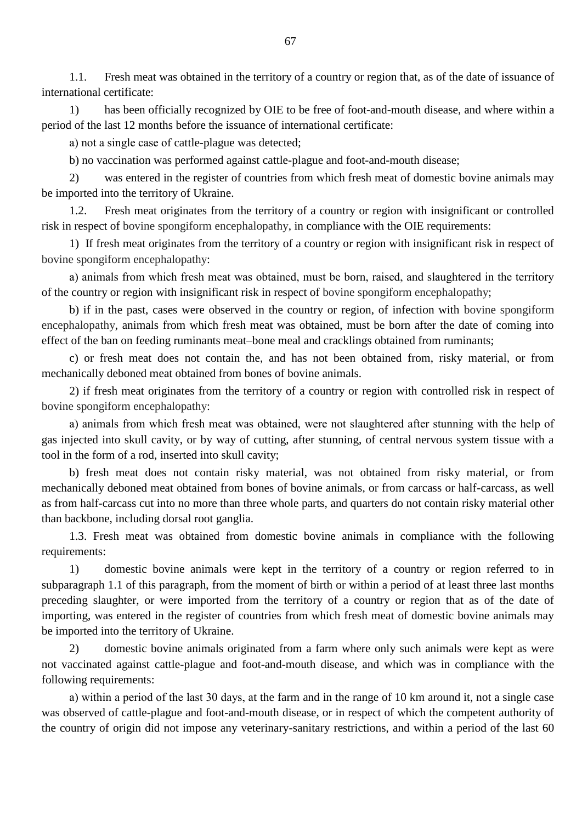1.1. Fresh meat was obtained in the territory of a country or region that, as of the date of issuance of international certificate:

1) has been officially recognized by OIE to be free of foot-and-mouth disease, and where within a period of the last 12 months before the issuance of international certificate:

а) not a single case of cattle-plague was detected;

b) no vaccination was performed against cattle-plague and foot-and-mouth disease;

2) was entered in the register of countries from which fresh meat of domestic bovine animals may be imported into the territory of Ukraine.

1.2. Fresh meat originates from the territory of a country or region with insignificant or controlled risk in respect of bovine spongiform encephalopathy, in compliance with the OIE requirements:

1) If fresh meat originates from the territory of a country or region with insignificant risk in respect of bovine spongiform encephalopathy:

а) animals from which fresh meat was obtained, must be born, raised, and slaughtered in the territory of the country or region with insignificant risk in respect of bovine spongiform encephalopathy;

b) if in the past, cases were observed in the country or region, of infection with bovine spongiform encephalopathy, animals from which fresh meat was obtained, must be born after the date of coming into effect of the ban on feeding ruminants meat–bone meal and cracklings obtained from ruminants;

c) or fresh meat does not contain the, and has not been obtained from, risky material, or from mechanically deboned meat obtained from bones of bovine animals.

2) if fresh meat originates from the territory of a country or region with controlled risk in respect of bovine spongiform encephalopathy:

а) animals from which fresh meat was obtained, were not slaughtered after stunning with the help of gas injected into skull cavity, or by way of cutting, after stunning, of central nervous system tissue with a tool in the form of a rod, inserted into skull cavity;

b) fresh meat does not contain risky material, was not obtained from risky material, or from mechanically deboned meat obtained from bones of bovine animals, or from carcass or half-carcass, as well as from half-carcass cut into no more than three whole parts, and quarters do not contain risky material other than backbone, including dorsal root ganglia.

1.3. Fresh meat was obtained from domestic bovine animals in compliance with the following requirements:

1) domestic bovine animals were kept in the territory of a country or region referred to in subparagraph 1.1 of this paragraph, from the moment of birth or within a period of at least three last months preceding slaughter, or were imported from the territory of a country or region that as of the date of importing, was entered in the register of countries from which fresh meat of domestic bovine animals may be imported into the territory of Ukraine.

2) domestic bovine animals originated from a farm where only such animals were kept as were not vaccinated against cattle-plague and foot-and-mouth disease, and which was in compliance with the following requirements:

а) within a period of the last 30 days, at the farm and in the range of 10 km around it, not a single case was observed of cattle-plague and foot-and-mouth disease, or in respect of which the competent authority of the country of origin did not impose any veterinary-sanitary restrictions, and within a period of the last 60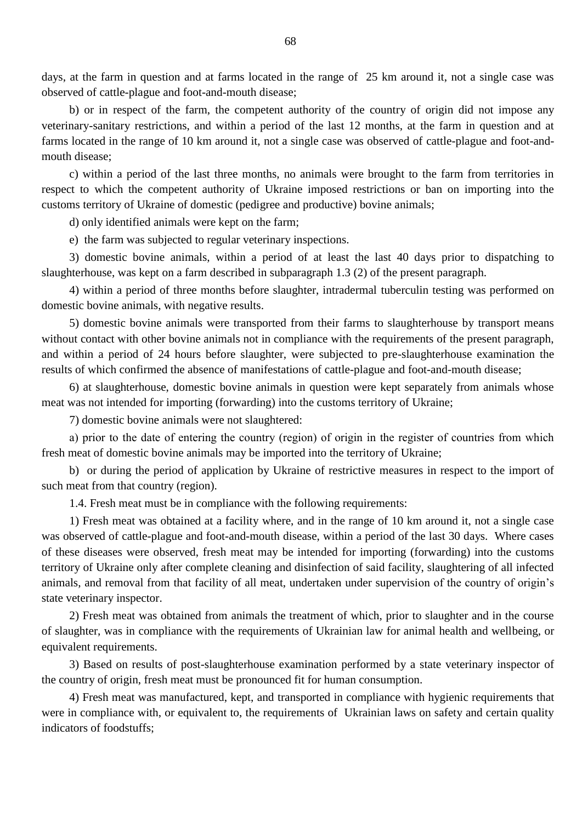days, at the farm in question and at farms located in the range of 25 km around it, not a single case was observed of cattle-plague and foot-and-mouth disease;

b) or in respect of the farm, the competent authority of the country of origin did not impose any veterinary-sanitary restrictions, and within a period of the last 12 months, at the farm in question and at farms located in the range of 10 km around it, not a single case was observed of cattle-plague and foot-andmouth disease;

c) within a period of the last three months, no animals were brought to the farm from territories in respect to which the competent authority of Ukraine imposed restrictions or ban on importing into the customs territory of Ukraine of domestic (pedigree and productive) bovine animals;

d) only identified animals were kept on the farm;

e) the farm was subjected to regular veterinary inspections.

3) domestic bovine animals, within a period of at least the last 40 days prior to dispatching to slaughterhouse, was kept on a farm described in subparagraph 1.3 (2) of the present paragraph.

4) within a period of three months before slaughter, intradermal tuberculin testing was performed on domestic bovine animals, with negative results.

5) domestic bovine animals were transported from their farms to slaughterhouse by transport means without contact with other bovine animals not in compliance with the requirements of the present paragraph, and within a period of 24 hours before slaughter, were subjected to pre-slaughterhouse examination the results of which confirmed the absence of manifestations of cattle-plague and foot-and-mouth disease;

6) at slaughterhouse, domestic bovine animals in question were kept separately from animals whose meat was not intended for importing (forwarding) into the customs territory of Ukraine;

7) domestic bovine animals were not slaughtered:

а) prior to the date of entering the country (region) of origin in the register of countries from which fresh meat of domestic bovine animals may be imported into the territory of Ukraine;

b) or during the period of application by Ukraine of restrictive measures in respect to the import of such meat from that country (region).

1.4. Fresh meat must be in compliance with the following requirements:

1) Fresh meat was obtained at a facility where, and in the range of 10 km around it, not a single case was observed of cattle-plague and foot-and-mouth disease, within a period of the last 30 days. Where cases of these diseases were observed, fresh meat may be intended for importing (forwarding) into the customs territory of Ukraine only after complete cleaning and disinfection of said facility, slaughtering of all infected animals, and removal from that facility of all meat, undertaken under supervision of the country of origin"s state veterinary inspector.

2) Fresh meat was obtained from animals the treatment of which, prior to slaughter and in the course of slaughter, was in compliance with the requirements of Ukrainian law for animal health and wellbeing, or equivalent requirements.

3) Based on results of post-slaughterhouse examination performed by a state veterinary inspector of the country of origin, fresh meat must be pronounced fit for human consumption.

4) Fresh meat was manufactured, kept, and transported in compliance with hygienic requirements that were in compliance with, or equivalent to, the requirements of Ukrainian laws on safety and certain quality indicators of foodstuffs;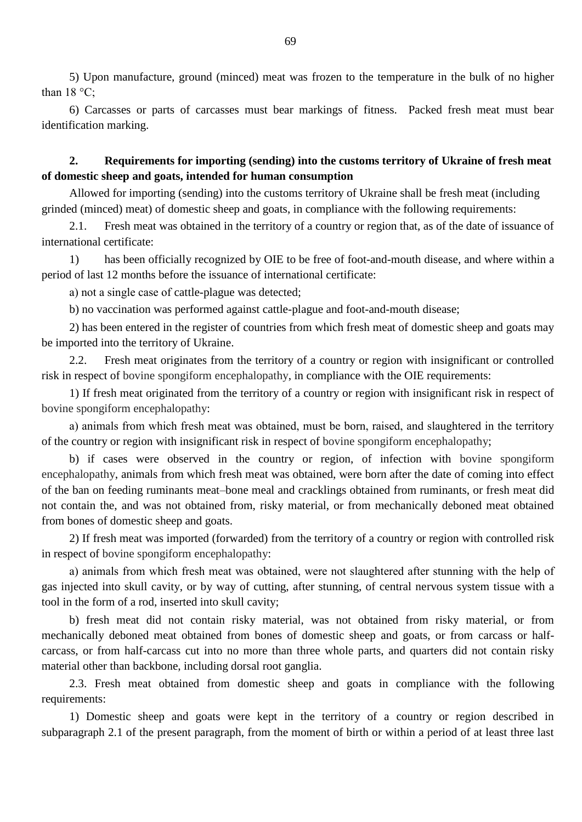5) Upon manufacture, ground (minced) meat was frozen to the temperature in the bulk of no higher than  $18 \degree C$ ;

6) Carcasses or parts of carcasses must bear markings of fitness. Packed fresh meat must bear identification marking.

## **2. Requirements for importing (sending) into the customs territory of Ukraine of fresh meat of domestic sheep and goats, intended for human consumption**

 Allowed for importing (sending) into the customs territory of Ukraine shall be fresh meat (including grinded (minced) meat) of domestic sheep and goats, in compliance with the following requirements:

2.1. Fresh meat was obtained in the territory of a country or region that, as of the date of issuance of international certificate:

1) has been officially recognized by OIE to be free of foot-and-mouth disease, and where within a period of last 12 months before the issuance of international certificate:

а) not a single case of cattle-plague was detected;

b) no vaccination was performed against cattle-plague and foot-and-mouth disease;

2) has been entered in the register of countries from which fresh meat of domestic sheep and goats may be imported into the territory of Ukraine.

2.2. Fresh meat originates from the territory of a country or region with insignificant or controlled risk in respect of bovine spongiform encephalopathy, in compliance with the OIE requirements:

1) If fresh meat originated from the territory of a country or region with insignificant risk in respect of bovine spongiform encephalopathy:

а) animals from which fresh meat was obtained, must be born, raised, and slaughtered in the territory of the country or region with insignificant risk in respect of bovine spongiform encephalopathy;

b) if cases were observed in the country or region, of infection with bovine spongiform encephalopathy, animals from which fresh meat was obtained, were born after the date of coming into effect of the ban on feeding ruminants meat–bone meal and cracklings obtained from ruminants, or fresh meat did not contain the, and was not obtained from, risky material, or from mechanically deboned meat obtained from bones of domestic sheep and goats.

2) If fresh meat was imported (forwarded) from the territory of a country or region with controlled risk in respect of bovine spongiform encephalopathy:

а) animals from which fresh meat was obtained, were not slaughtered after stunning with the help of gas injected into skull cavity, or by way of cutting, after stunning, of central nervous system tissue with a tool in the form of a rod, inserted into skull cavity;

b) fresh meat did not contain risky material, was not obtained from risky material, or from mechanically deboned meat obtained from bones of domestic sheep and goats, or from carcass or halfcarcass, or from half-carcass cut into no more than three whole parts, and quarters did not contain risky material other than backbone, including dorsal root ganglia.

2.3. Fresh meat obtained from domestic sheep and goats in compliance with the following requirements:

1) Domestic sheep and goats were kept in the territory of a country or region described in subparagraph 2.1 of the present paragraph, from the moment of birth or within a period of at least three last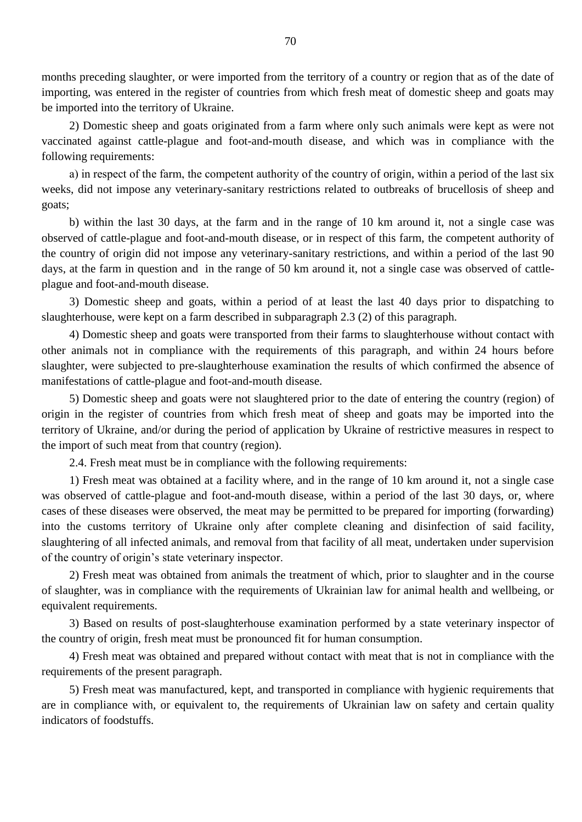months preceding slaughter, or were imported from the territory of a country or region that as of the date of importing, was entered in the register of countries from which fresh meat of domestic sheep and goats may be imported into the territory of Ukraine.

2) Domestic sheep and goats originated from a farm where only such animals were kept as were not vaccinated against cattle-plague and foot-and-mouth disease, and which was in compliance with the following requirements:

а) in respect of the farm, the competent authority of the country of origin, within a period of the last six weeks, did not impose any veterinary-sanitary restrictions related to outbreaks of brucellosis of sheep and goats;

b) within the last 30 days, at the farm and in the range of 10 km around it, not a single case was observed of cattle-plague and foot-and-mouth disease, or in respect of this farm, the competent authority of the country of origin did not impose any veterinary-sanitary restrictions, and within a period of the last 90 days, at the farm in question and in the range of 50 km around it, not a single case was observed of cattleplague and foot-and-mouth disease.

3) Domestic sheep and goats, within a period of at least the last 40 days prior to dispatching to slaughterhouse, were kept on a farm described in subparagraph 2.3 (2) of this paragraph.

4) Domestic sheep and goats were transported from their farms to slaughterhouse without contact with other animals not in compliance with the requirements of this paragraph, and within 24 hours before slaughter, were subjected to pre-slaughterhouse examination the results of which confirmed the absence of manifestations of cattle-plague and foot-and-mouth disease.

5) Domestic sheep and goats were not slaughtered prior to the date of entering the country (region) of origin in the register of countries from which fresh meat of sheep and goats may be imported into the territory of Ukraine, and/or during the period of application by Ukraine of restrictive measures in respect to the import of such meat from that country (region).

2.4. Fresh meat must be in compliance with the following requirements:

1) Fresh meat was obtained at a facility where, and in the range of 10 km around it, not a single case was observed of cattle-plague and foot-and-mouth disease, within a period of the last 30 days, or, where cases of these diseases were observed, the meat may be permitted to be prepared for importing (forwarding) into the customs territory of Ukraine only after complete cleaning and disinfection of said facility, slaughtering of all infected animals, and removal from that facility of all meat, undertaken under supervision of the country of origin"s state veterinary inspector.

2) Fresh meat was obtained from animals the treatment of which, prior to slaughter and in the course of slaughter, was in compliance with the requirements of Ukrainian law for animal health and wellbeing, or equivalent requirements.

3) Based on results of post-slaughterhouse examination performed by a state veterinary inspector of the country of origin, fresh meat must be pronounced fit for human consumption.

4) Fresh meat was obtained and prepared without contact with meat that is not in compliance with the requirements of the present paragraph.

5) Fresh meat was manufactured, kept, and transported in compliance with hygienic requirements that are in compliance with, or equivalent to, the requirements of Ukrainian law on safety and certain quality indicators of foodstuffs.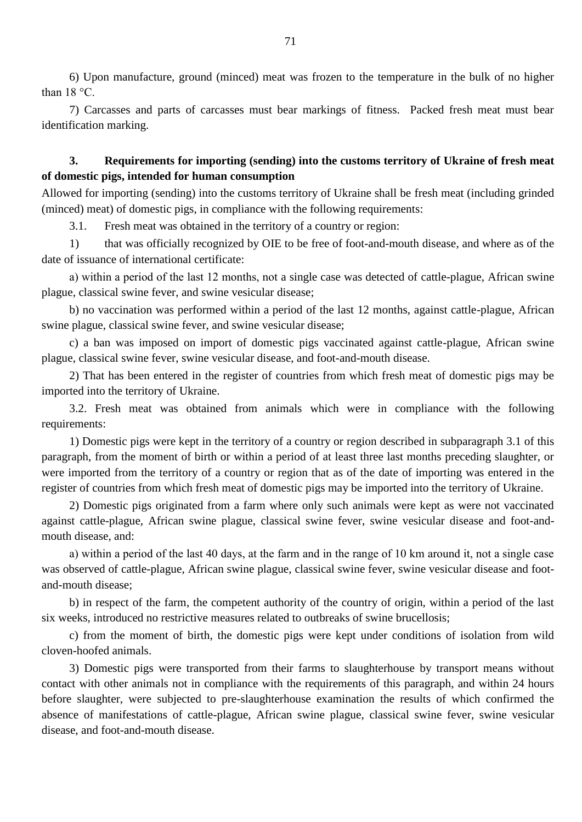6) Upon manufacture, ground (minced) meat was frozen to the temperature in the bulk of no higher than 18 °С.

7) Carcasses and parts of carcasses must bear markings of fitness. Packed fresh meat must bear identification marking.

## **3. Requirements for importing (sending) into the customs territory of Ukraine of fresh meat of domestic pigs, intended for human consumption**

Allowed for importing (sending) into the customs territory of Ukraine shall be fresh meat (including grinded (minced) meat) of domestic pigs, in compliance with the following requirements:

3.1. Fresh meat was obtained in the territory of a country or region:

1) that was officially recognized by OIE to be free of foot-and-mouth disease, and where as of the date of issuance of international certificate:

а) within a period of the last 12 months, not a single case was detected of cattle-plague, African swine plague, classical swine fever, and swine vesicular disease;

b) no vaccination was performed within a period of the last 12 months, against cattle-plague, African swine plague, classical swine fever, and swine vesicular disease;

c) a ban was imposed on import of domestic pigs vaccinated against cattle-plague, African swine plague, classical swine fever, swine vesicular disease, and foot-and-mouth disease.

2) That has been entered in the register of countries from which fresh meat of domestic pigs may be imported into the territory of Ukraine.

3.2. Fresh meat was obtained from animals which were in compliance with the following requirements:

1) Domestic pigs were kept in the territory of a country or region described in subparagraph 3.1 of this paragraph, from the moment of birth or within a period of at least three last months preceding slaughter, or were imported from the territory of a country or region that as of the date of importing was entered in the register of countries from which fresh meat of domestic pigs may be imported into the territory of Ukraine.

2) Domestic pigs originated from a farm where only such animals were kept as were not vaccinated against cattle-plague, African swine plague, classical swine fever, swine vesicular disease and foot-andmouth disease, and:

а) within a period of the last 40 days, at the farm and in the range of 10 km around it, not a single case was observed of cattle-plague, African swine plague, classical swine fever, swine vesicular disease and footand-mouth disease;

b) in respect of the farm, the competent authority of the country of origin, within a period of the last six weeks, introduced no restrictive measures related to outbreaks of swine brucellosis;

c) from the moment of birth, the domestic pigs were kept under conditions of isolation from wild cloven-hoofed animals.

3) Domestic pigs were transported from their farms to slaughterhouse by transport means without contact with other animals not in compliance with the requirements of this paragraph, and within 24 hours before slaughter, were subjected to pre-slaughterhouse examination the results of which confirmed the absence of manifestations of cattle-plague, African swine plague, classical swine fever, swine vesicular disease, and foot-and-mouth disease.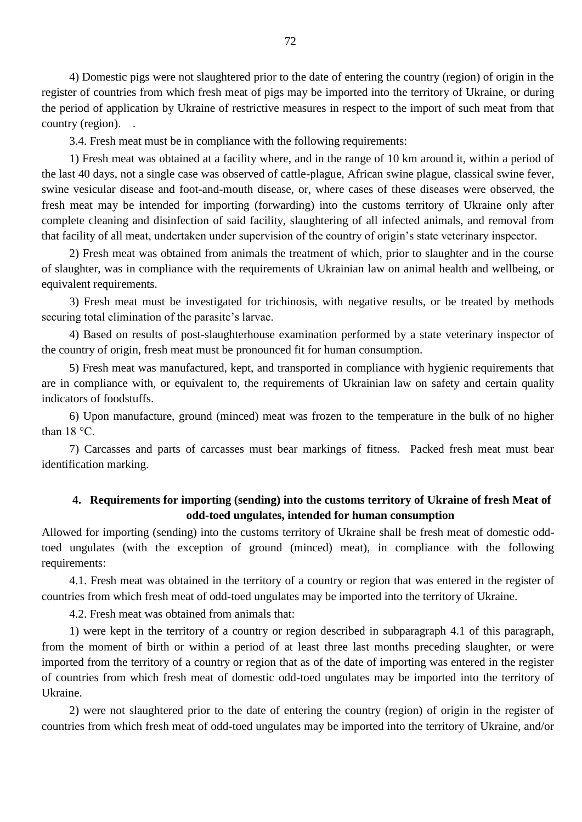4) Domestic pigs were not slaughtered prior to the date of entering the country (region) of origin in the register of countries from which fresh meat of pigs may be imported into the territory of Ukraine, or during the period of application by Ukraine of restrictive measures in respect to the import of such meat from that country (region).

3.4. Fresh meat must be in compliance with the following requirements:

1) Fresh meat was obtained at a facility where, and in the range of 10 km around it, within a period of the last 40 days, not a single case was observed of cattle-plague, African swine plague, classical swine fever, swine vesicular disease and foot-and-mouth disease, or, where cases of these diseases were observed, the fresh meat may be intended for importing (forwarding) into the customs territory of Ukraine only after complete cleaning and disinfection of said facility, slaughtering of all infected animals, and removal from that facility of all meat, undertaken under supervision of the country of origin"s state veterinary inspector.

2) Fresh meat was obtained from animals the treatment of which, prior to slaughter and in the course of slaughter, was in compliance with the requirements of Ukrainian law on animal health and wellbeing, or equivalent requirements.

3) Fresh meat must be investigated for trichinosis, with negative results, or be treated by methods securing total elimination of the parasite's larvae.

4) Based on results of post-slaughterhouse examination performed by a state veterinary inspector of the country of origin, fresh meat must be pronounced fit for human consumption.

5) Fresh meat was manufactured, kept, and transported in compliance with hygienic requirements that are in compliance with, or equivalent to, the requirements of Ukrainian law on safety and certain quality indicators of foodstuffs.

6) Upon manufacture, ground (minced) meat was frozen to the temperature in the bulk of no higher than  $18 \degree C$ .

7) Carcasses and parts of carcasses must bear markings of fitness. Packed fresh meat must bear identification marking.

#### **4. Requirements for importing (sending) into the customs territory of Ukraine of fresh Meat of odd-toed ungulates, intended for human consumption**

Allowed for importing (sending) into the customs territory of Ukraine shall be fresh meat of domestic oddtoed ungulates (with the exception of ground (minced) meat), in compliance with the following requirements:

4.1. Fresh meat was obtained in the territory of a country or region that was entered in the register of countries from which fresh meat of odd-toed ungulates may be imported into the territory of Ukraine.

4.2. Fresh meat was obtained from animals that:

1) were kept in the territory of a country or region described in subparagraph 4.1 of this paragraph, from the moment of birth or within a period of at least three last months preceding slaughter, or were imported from the territory of a country or region that as of the date of importing was entered in the register of countries from which fresh meat of domestic odd-toed ungulates may be imported into the territory of Ukraine.

2) were not slaughtered prior to the date of entering the country (region) of origin in the register of countries from which fresh meat of odd-toed ungulates may be imported into the territory of Ukraine, and/or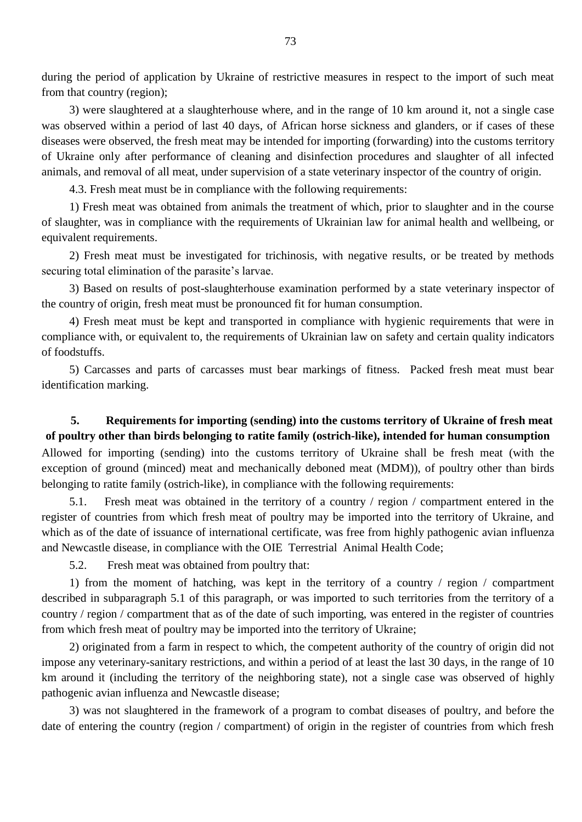during the period of application by Ukraine of restrictive measures in respect to the import of such meat from that country (region);

3) were slaughtered at a slaughterhouse where, and in the range of 10 km around it, not a single case was observed within a period of last 40 days, of African horse sickness and glanders, or if cases of these diseases were observed, the fresh meat may be intended for importing (forwarding) into the customs territory of Ukraine only after performance of cleaning and disinfection procedures and slaughter of all infected animals, and removal of all meat, under supervision of a state veterinary inspector of the country of origin.

4.3. Fresh meat must be in compliance with the following requirements:

1) Fresh meat was obtained from animals the treatment of which, prior to slaughter and in the course of slaughter, was in compliance with the requirements of Ukrainian law for animal health and wellbeing, or equivalent requirements.

2) Fresh meat must be investigated for trichinosis, with negative results, or be treated by methods securing total elimination of the parasite's larvae.

3) Based on results of post-slaughterhouse examination performed by a state veterinary inspector of the country of origin, fresh meat must be pronounced fit for human consumption.

4) Fresh meat must be kept and transported in compliance with hygienic requirements that were in compliance with, or equivalent to, the requirements of Ukrainian law on safety and certain quality indicators of foodstuffs.

5) Carcasses and parts of carcasses must bear markings of fitness. Packed fresh meat must bear identification marking.

#### **5. Requirements for importing (sending) into the customs territory of Ukraine of fresh meat of poultry other than birds belonging to ratite family (ostrich-like), intended for human consumption**

Allowed for importing (sending) into the customs territory of Ukraine shall be fresh meat (with the exception of ground (minced) meat and mechanically deboned meat (MDM)), of poultry other than birds belonging to ratite family (ostrich-like), in compliance with the following requirements:

5.1. Fresh meat was obtained in the territory of a country / region / compartment entered in the register of countries from which fresh meat of poultry may be imported into the territory of Ukraine, and which as of the date of issuance of international certificate, was free from highly pathogenic avian influenza and Newcastle disease, in compliance with the OIE Terrestrial Animal Health Code;

5.2. Fresh meat was obtained from poultry that:

1) from the moment of hatching, was kept in the territory of a country / region / compartment described in subparagraph 5.1 of this paragraph, or was imported to such territories from the territory of a country / region / compartment that as of the date of such importing, was entered in the register of countries from which fresh meat of poultry may be imported into the territory of Ukraine;

2) originated from a farm in respect to which, the competent authority of the country of origin did not impose any veterinary-sanitary restrictions, and within a period of at least the last 30 days, in the range of 10 km around it (including the territory of the neighboring state), not a single case was observed of highly pathogenic avian influenza and Newcastle disease;

3) was not slaughtered in the framework of a program to combat diseases of poultry, and before the date of entering the country (region / compartment) of origin in the register of countries from which fresh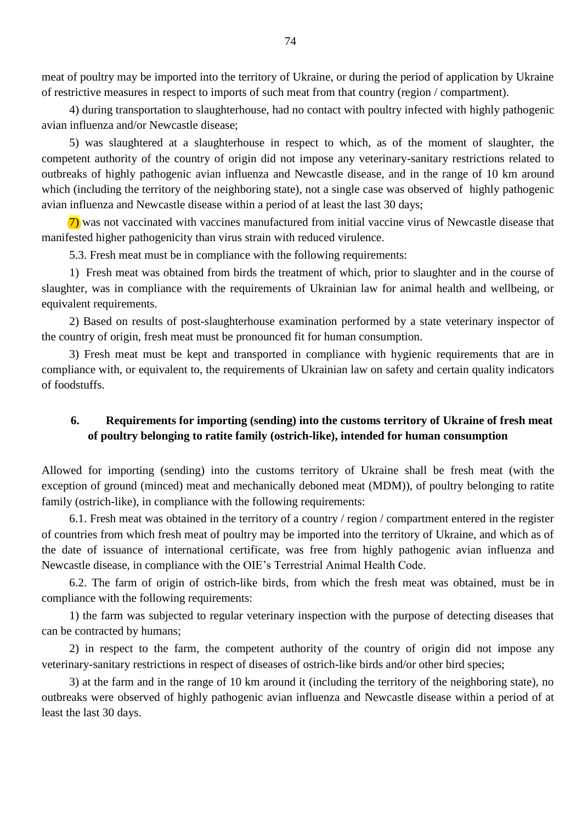meat of poultry may be imported into the territory of Ukraine, or during the period of application by Ukraine of restrictive measures in respect to imports of such meat from that country (region / compartment).

4) during transportation to slaughterhouse, had no contact with poultry infected with highly pathogenic avian influenza and/or Newcastle disease;

5) was slaughtered at a slaughterhouse in respect to which, as of the moment of slaughter, the competent authority of the country of origin did not impose any veterinary-sanitary restrictions related to outbreaks of highly pathogenic avian influenza and Newcastle disease, and in the range of 10 km around which (including the territory of the neighboring state), not a single case was observed of highly pathogenic avian influenza and Newcastle disease within a period of at least the last 30 days;

7) was not vaccinated with vaccines manufactured from initial vaccine virus of Newcastle disease that manifested higher pathogenicity than virus strain with reduced virulence.

5.3. Fresh meat must be in compliance with the following requirements:

1) Fresh meat was obtained from birds the treatment of which, prior to slaughter and in the course of slaughter, was in compliance with the requirements of Ukrainian law for animal health and wellbeing, or equivalent requirements.

2) Based on results of post-slaughterhouse examination performed by a state veterinary inspector of the country of origin, fresh meat must be pronounced fit for human consumption.

3) Fresh meat must be kept and transported in compliance with hygienic requirements that are in compliance with, or equivalent to, the requirements of Ukrainian law on safety and certain quality indicators of foodstuffs.

#### **6. Requirements for importing (sending) into the customs territory of Ukraine of fresh meat of poultry belonging to ratite family (ostrich-like), intended for human consumption**

Allowed for importing (sending) into the customs territory of Ukraine shall be fresh meat (with the exception of ground (minced) meat and mechanically deboned meat (MDM)), of poultry belonging to ratite family (ostrich-like), in compliance with the following requirements:

6.1. Fresh meat was obtained in the territory of a country / region / compartment entered in the register of countries from which fresh meat of poultry may be imported into the territory of Ukraine, and which as of the date of issuance of international certificate, was free from highly pathogenic avian influenza and Newcastle disease, in compliance with the OIE"s Terrestrial Animal Health Code.

6.2. The farm of origin of ostrich-like birds, from which the fresh meat was obtained, must be in compliance with the following requirements:

1) the farm was subjected to regular veterinary inspection with the purpose of detecting diseases that can be contracted by humans;

2) in respect to the farm, the competent authority of the country of origin did not impose any veterinary-sanitary restrictions in respect of diseases of ostrich-like birds and/or other bird species;

3) at the farm and in the range of 10 km around it (including the territory of the neighboring state), no outbreaks were observed of highly pathogenic avian influenza and Newcastle disease within a period of at least the last 30 days.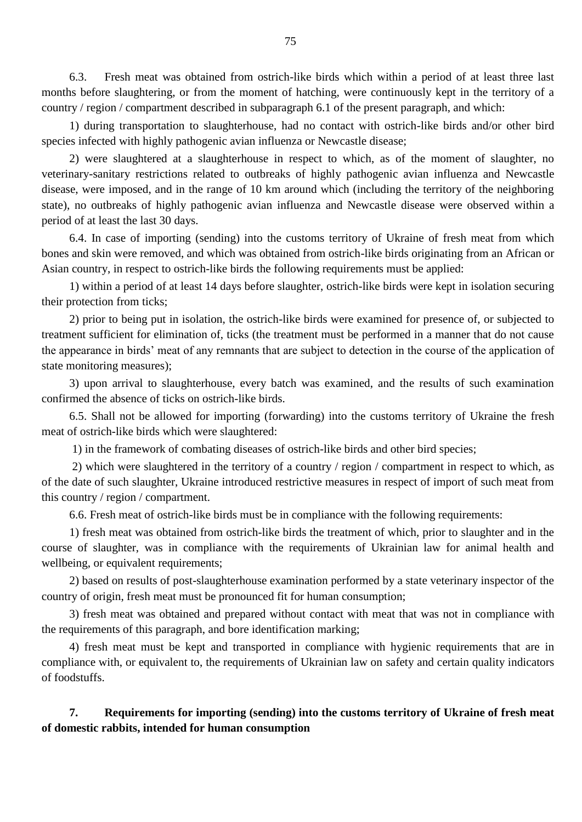6.3. Fresh meat was obtained from ostrich-like birds which within a period of at least three last months before slaughtering, or from the moment of hatching, were continuously kept in the territory of a country / region / compartment described in subparagraph 6.1 of the present paragraph, and which:

1) during transportation to slaughterhouse, had no contact with ostrich-like birds and/or other bird species infected with highly pathogenic avian influenza or Newcastle disease;

2) were slaughtered at a slaughterhouse in respect to which, as of the moment of slaughter, no veterinary-sanitary restrictions related to outbreaks of highly pathogenic avian influenza and Newcastle disease, were imposed, and in the range of 10 km around which (including the territory of the neighboring state), no outbreaks of highly pathogenic avian influenza and Newcastle disease were observed within a period of at least the last 30 days.

6.4. In case of importing (sending) into the customs territory of Ukraine of fresh meat from which bones and skin were removed, and which was obtained from ostrich-like birds originating from an African or Asian country, in respect to ostrich-like birds the following requirements must be applied:

1) within a period of at least 14 days before slaughter, ostrich-like birds were kept in isolation securing their protection from ticks;

2) prior to being put in isolation, the ostrich-like birds were examined for presence of, or subjected to treatment sufficient for elimination of, ticks (the treatment must be performed in a manner that do not cause the appearance in birds" meat of any remnants that are subject to detection in the course of the application of state monitoring measures);

3) upon arrival to slaughterhouse, every batch was examined, and the results of such examination confirmed the absence of ticks on ostrich-like birds.

6.5. Shall not be allowed for importing (forwarding) into the customs territory of Ukraine the fresh meat of ostrich-like birds which were slaughtered:

1) in the framework of combating diseases of ostrich-like birds and other bird species;

2) which were slaughtered in the territory of a country / region / compartment in respect to which, as of the date of such slaughter, Ukraine introduced restrictive measures in respect of import of such meat from this country / region / compartment.

6.6. Fresh meat of ostrich-like birds must be in compliance with the following requirements:

1) fresh meat was obtained from ostrich-like birds the treatment of which, prior to slaughter and in the course of slaughter, was in compliance with the requirements of Ukrainian law for animal health and wellbeing, or equivalent requirements;

2) based on results of post-slaughterhouse examination performed by a state veterinary inspector of the country of origin, fresh meat must be pronounced fit for human consumption;

3) fresh meat was obtained and prepared without contact with meat that was not in compliance with the requirements of this paragraph, and bore identification marking;

4) fresh meat must be kept and transported in compliance with hygienic requirements that are in compliance with, or equivalent to, the requirements of Ukrainian law on safety and certain quality indicators of foodstuffs.

# **7. Requirements for importing (sending) into the customs territory of Ukraine of fresh meat of domestic rabbits, intended for human consumption**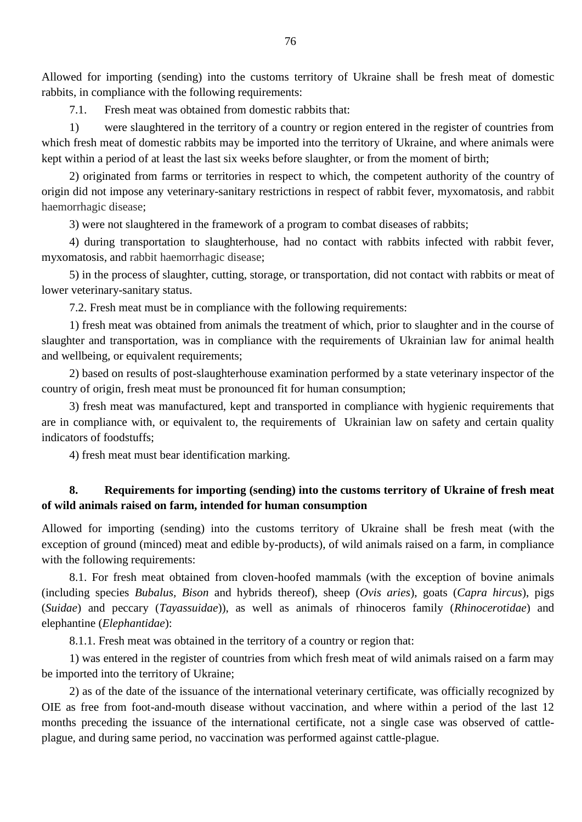Allowed for importing (sending) into the customs territory of Ukraine shall be fresh meat of domestic rabbits, in compliance with the following requirements:

7.1. Fresh meat was obtained from domestic rabbits that:

1) were slaughtered in the territory of a country or region entered in the register of countries from which fresh meat of domestic rabbits may be imported into the territory of Ukraine, and where animals were kept within a period of at least the last six weeks before slaughter, or from the moment of birth;

2) originated from farms or territories in respect to which, the competent authority of the country of origin did not impose any veterinary-sanitary restrictions in respect of rabbit fever, myxomatosis, and rabbit haemorrhagic disease;

3) were not slaughtered in the framework of a program to combat diseases of rabbits;

4) during transportation to slaughterhouse, had no contact with rabbits infected with rabbit fever, myxomatosis, and rabbit haemorrhagic disease;

5) in the process of slaughter, cutting, storage, or transportation, did not contact with rabbits or meat of lower veterinary-sanitary status.

7.2. Fresh meat must be in compliance with the following requirements:

1) fresh meat was obtained from animals the treatment of which, prior to slaughter and in the course of slaughter and transportation, was in compliance with the requirements of Ukrainian law for animal health and wellbeing, or equivalent requirements;

2) based on results of post-slaughterhouse examination performed by a state veterinary inspector of the country of origin, fresh meat must be pronounced fit for human consumption;

3) fresh meat was manufactured, kept and transported in compliance with hygienic requirements that are in compliance with, or equivalent to, the requirements of Ukrainian law on safety and certain quality indicators of foodstuffs;

4) fresh meat must bear identification marking.

# **8. Requirements for importing (sending) into the customs territory of Ukraine of fresh meat of wild animals raised on farm, intended for human consumption**

Allowed for importing (sending) into the customs territory of Ukraine shall be fresh meat (with the exception of ground (minced) meat and edible by-products), of wild animals raised on a farm, in compliance with the following requirements:

8.1. For fresh meat obtained from cloven-hoofed mammals (with the exception of bovine animals (including species *Bubalus, Bison* and hybrids thereof), sheep (*Ovis aries*), goats (*Capra hircus*), pigs (*Suidae*) and peccary (*Tayassuidae*)), as well as animals of rhinoceros family (*Rhinocerotidae*) and elephantine (*Elephantidae*):

8.1.1. Fresh meat was obtained in the territory of a country or region that:

1) was entered in the register of countries from which fresh meat of wild animals raised on a farm may be imported into the territory of Ukraine;

2) as of the date of the issuance of the international veterinary certificate, was officially recognized by OIE as free from foot-and-mouth disease without vaccination, and where within a period of the last 12 months preceding the issuance of the international certificate, not a single case was observed of cattleplague, and during same period, no vaccination was performed against cattle-plague.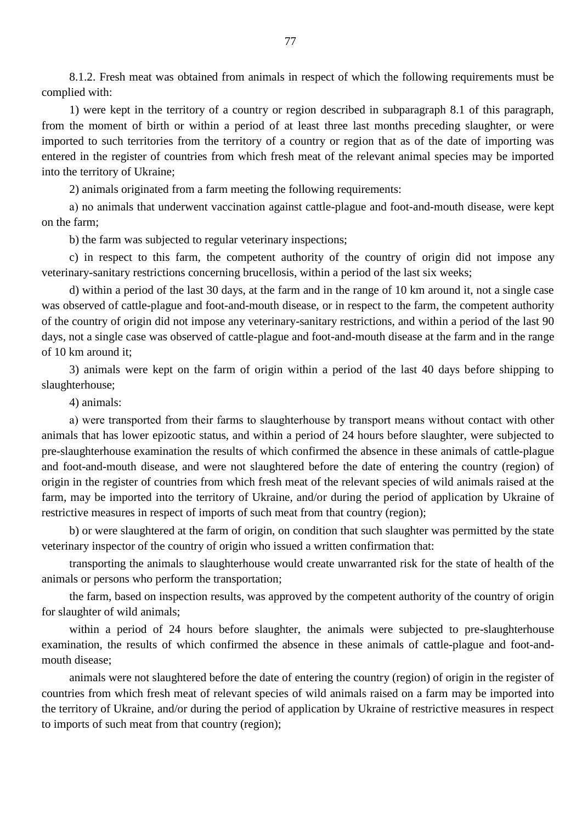8.1.2. Fresh meat was obtained from animals in respect of which the following requirements must be complied with:

1) were kept in the territory of a country or region described in subparagraph 8.1 of this paragraph, from the moment of birth or within a period of at least three last months preceding slaughter, or were imported to such territories from the territory of a country or region that as of the date of importing was entered in the register of countries from which fresh meat of the relevant animal species may be imported into the territory of Ukraine;

2) animals originated from a farm meeting the following requirements:

а) no animals that underwent vaccination against cattle-plague and foot-and-mouth disease, were kept on the farm;

b) the farm was subjected to regular veterinary inspections;

c) in respect to this farm, the competent authority of the country of origin did not impose any veterinary-sanitary restrictions concerning brucellosis, within a period of the last six weeks;

d) within a period of the last 30 days, at the farm and in the range of 10 km around it, not a single case was observed of cattle-plague and foot-and-mouth disease, or in respect to the farm, the competent authority of the country of origin did not impose any veterinary-sanitary restrictions, and within a period of the last 90 days, not a single case was observed of cattle-plague and foot-and-mouth disease at the farm and in the range of 10 km around it;

3) animals were kept on the farm of origin within a period of the last 40 days before shipping to slaughterhouse;

4) animals:

а) were transported from their farms to slaughterhouse by transport means without contact with other animals that has lower epizootic status, and within a period of 24 hours before slaughter, were subjected to pre-slaughterhouse examination the results of which confirmed the absence in these animals of cattle-plague and foot-and-mouth disease, and were not slaughtered before the date of entering the country (region) of origin in the register of countries from which fresh meat of the relevant species of wild animals raised at the farm, may be imported into the territory of Ukraine, and/or during the period of application by Ukraine of restrictive measures in respect of imports of such meat from that country (region);

b) or were slaughtered at the farm of origin, on condition that such slaughter was permitted by the state veterinary inspector of the country of origin who issued a written confirmation that:

transporting the animals to slaughterhouse would create unwarranted risk for the state of health of the animals or persons who perform the transportation;

the farm, based on inspection results, was approved by the competent authority of the country of origin for slaughter of wild animals;

within a period of 24 hours before slaughter, the animals were subjected to pre-slaughterhouse examination, the results of which confirmed the absence in these animals of cattle-plague and foot-andmouth disease;

animals were not slaughtered before the date of entering the country (region) of origin in the register of countries from which fresh meat of relevant species of wild animals raised on a farm may be imported into the territory of Ukraine, and/or during the period of application by Ukraine of restrictive measures in respect to imports of such meat from that country (region);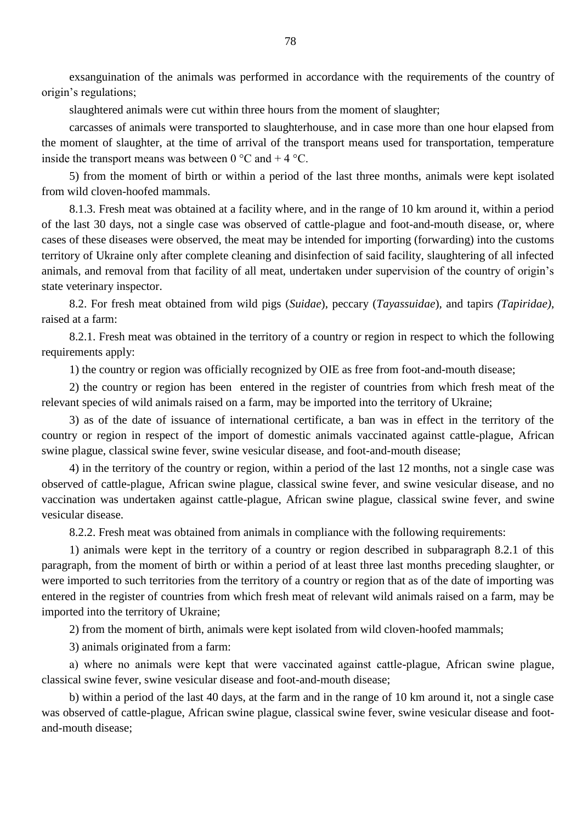exsanguination of the animals was performed in accordance with the requirements of the country of origin"s regulations;

slaughtered animals were cut within three hours from the moment of slaughter;

carcasses of animals were transported to slaughterhouse, and in case more than one hour elapsed from the moment of slaughter, at the time of arrival of the transport means used for transportation, temperature inside the transport means was between 0  $\degree$ C and + 4  $\degree$ C.

5) from the moment of birth or within a period of the last three months, animals were kept isolated from wild cloven-hoofed mammals.

8.1.3. Fresh meat was obtained at a facility where, and in the range of 10 km around it, within a period of the last 30 days, not a single case was observed of cattle-plague and foot-and-mouth disease, or, where cases of these diseases were observed, the meat may be intended for importing (forwarding) into the customs territory of Ukraine only after complete cleaning and disinfection of said facility, slaughtering of all infected animals, and removal from that facility of all meat, undertaken under supervision of the country of origin"s state veterinary inspector.

8.2. For fresh meat obtained from wild pigs (*Suidae*), peccary (*Tayassuidae*)*,* and tapirs *(Tapiridae)*, raised at a farm:

8.2.1. Fresh meat was obtained in the territory of a country or region in respect to which the following requirements apply:

1) the country or region was officially recognized by OIE as free from foot-and-mouth disease;

2) the country or region has been entered in the register of countries from which fresh meat of the relevant species of wild animals raised on a farm, may be imported into the territory of Ukraine;

3) as of the date of issuance of international certificate, a ban was in effect in the territory of the country or region in respect of the import of domestic animals vaccinated against cattle-plague, African swine plague, classical swine fever, swine vesicular disease, and foot-and-mouth disease;

4) in the territory of the country or region, within a period of the last 12 months, not a single case was observed of cattle-plague, African swine plague, classical swine fever, and swine vesicular disease, and no vaccination was undertaken against cattle-plague, African swine plague, classical swine fever, and swine vesicular disease.

8.2.2. Fresh meat was obtained from animals in compliance with the following requirements:

1) animals were kept in the territory of a country or region described in subparagraph 8.2.1 of this paragraph, from the moment of birth or within a period of at least three last months preceding slaughter, or were imported to such territories from the territory of a country or region that as of the date of importing was entered in the register of countries from which fresh meat of relevant wild animals raised on a farm, may be imported into the territory of Ukraine;

2) from the moment of birth, animals were kept isolated from wild cloven-hoofed mammals;

3) animals originated from a farm:

а) where no animals were kept that were vaccinated against cattle-plague, African swine plague, classical swine fever, swine vesicular disease and foot-and-mouth disease;

b) within a period of the last 40 days, at the farm and in the range of 10 km around it, not a single case was observed of cattle-plague, African swine plague, classical swine fever, swine vesicular disease and footand-mouth disease;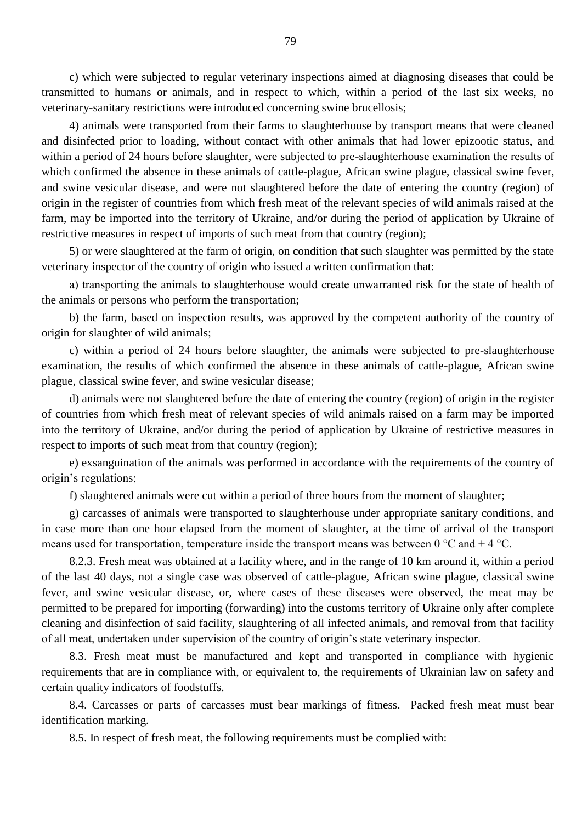c) which were subjected to regular veterinary inspections aimed at diagnosing diseases that could be transmitted to humans or animals, and in respect to which, within a period of the last six weeks, no veterinary-sanitary restrictions were introduced concerning swine brucellosis;

4) animals were transported from their farms to slaughterhouse by transport means that were cleaned and disinfected prior to loading, without contact with other animals that had lower epizootic status, and within a period of 24 hours before slaughter, were subjected to pre-slaughterhouse examination the results of which confirmed the absence in these animals of cattle-plague, African swine plague, classical swine fever, and swine vesicular disease, and were not slaughtered before the date of entering the country (region) of origin in the register of countries from which fresh meat of the relevant species of wild animals raised at the farm, may be imported into the territory of Ukraine, and/or during the period of application by Ukraine of restrictive measures in respect of imports of such meat from that country (region);

5) or were slaughtered at the farm of origin, on condition that such slaughter was permitted by the state veterinary inspector of the country of origin who issued a written confirmation that:

а) transporting the animals to slaughterhouse would create unwarranted risk for the state of health of the animals or persons who perform the transportation;

b) the farm, based on inspection results, was approved by the competent authority of the country of origin for slaughter of wild animals;

c) within a period of 24 hours before slaughter, the animals were subjected to pre-slaughterhouse examination, the results of which confirmed the absence in these animals of cattle-plague, African swine plague, classical swine fever, and swine vesicular disease;

d) animals were not slaughtered before the date of entering the country (region) of origin in the register of countries from which fresh meat of relevant species of wild animals raised on a farm may be imported into the territory of Ukraine, and/or during the period of application by Ukraine of restrictive measures in respect to imports of such meat from that country (region);

e) exsanguination of the animals was performed in accordance with the requirements of the country of origin"s regulations;

f) slaughtered animals were cut within a period of three hours from the moment of slaughter;

g) carcasses of animals were transported to slaughterhouse under appropriate sanitary conditions, and in case more than one hour elapsed from the moment of slaughter, at the time of arrival of the transport means used for transportation, temperature inside the transport means was between  $0^{\circ}C$  and  $+4^{\circ}C$ .

8.2.3. Fresh meat was obtained at a facility where, and in the range of 10 km around it, within a period of the last 40 days, not a single case was observed of cattle-plague, African swine plague, classical swine fever, and swine vesicular disease, or, where cases of these diseases were observed, the meat may be permitted to be prepared for importing (forwarding) into the customs territory of Ukraine only after complete cleaning and disinfection of said facility, slaughtering of all infected animals, and removal from that facility of all meat, undertaken under supervision of the country of origin"s state veterinary inspector.

8.3. Fresh meat must be manufactured and kept and transported in compliance with hygienic requirements that are in compliance with, or equivalent to, the requirements of Ukrainian law on safety and certain quality indicators of foodstuffs.

8.4. Carcasses or parts of carcasses must bear markings of fitness. Packed fresh meat must bear identification marking.

8.5. In respect of fresh meat, the following requirements must be complied with: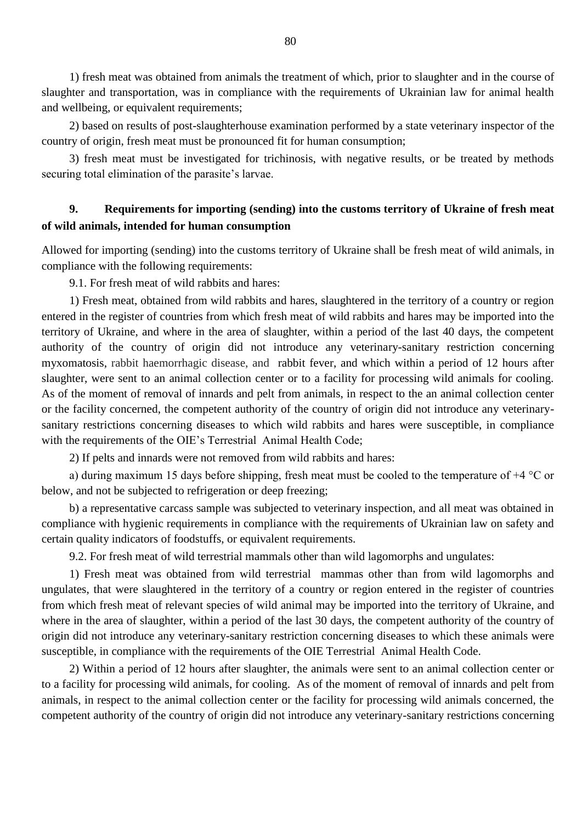1) fresh meat was obtained from animals the treatment of which, prior to slaughter and in the course of slaughter and transportation, was in compliance with the requirements of Ukrainian law for animal health and wellbeing, or equivalent requirements;

2) based on results of post-slaughterhouse examination performed by a state veterinary inspector of the country of origin, fresh meat must be pronounced fit for human consumption;

3) fresh meat must be investigated for trichinosis, with negative results, or be treated by methods securing total elimination of the parasite's larvae.

# **9. Requirements for importing (sending) into the customs territory of Ukraine of fresh meat of wild animals, intended for human consumption**

Allowed for importing (sending) into the customs territory of Ukraine shall be fresh meat of wild animals, in compliance with the following requirements:

9.1. For fresh meat of wild rabbits and hares:

1) Fresh meat, obtained from wild rabbits and hares, slaughtered in the territory of a country or region entered in the register of countries from which fresh meat of wild rabbits and hares may be imported into the territory of Ukraine, and where in the area of slaughter, within a period of the last 40 days, the competent authority of the country of origin did not introduce any veterinary-sanitary restriction concerning myxomatosis, rabbit haemorrhagic disease, and rabbit fever, and which within a period of 12 hours after slaughter, were sent to an animal collection center or to a facility for processing wild animals for cooling. As of the moment of removal of innards and pelt from animals, in respect to the an animal collection center or the facility concerned, the competent authority of the country of origin did not introduce any veterinarysanitary restrictions concerning diseases to which wild rabbits and hares were susceptible, in compliance with the requirements of the OIE's Terrestrial Animal Health Code;

2) If pelts and innards were not removed from wild rabbits and hares:

а) during maximum 15 days before shipping, fresh meat must be cooled to the temperature of +4 °С or below, and not be subjected to refrigeration or deep freezing;

b) a representative carcass sample was subjected to veterinary inspection, and all meat was obtained in compliance with hygienic requirements in compliance with the requirements of Ukrainian law on safety and certain quality indicators of foodstuffs, or equivalent requirements.

9.2. For fresh meat of wild terrestrial mammals other than wild lagomorphs and ungulates:

1) Fresh meat was obtained from wild terrestrial mammas other than from wild lagomorphs and ungulates, that were slaughtered in the territory of a country or region entered in the register of countries from which fresh meat of relevant species of wild animal may be imported into the territory of Ukraine, and where in the area of slaughter, within a period of the last 30 days, the competent authority of the country of origin did not introduce any veterinary-sanitary restriction concerning diseases to which these animals were susceptible, in compliance with the requirements of the OIE Terrestrial Animal Health Code.

2) Within a period of 12 hours after slaughter, the animals were sent to an animal collection center or to a facility for processing wild animals, for cooling. As of the moment of removal of innards and pelt from animals, in respect to the animal collection center or the facility for processing wild animals concerned, the competent authority of the country of origin did not introduce any veterinary-sanitary restrictions concerning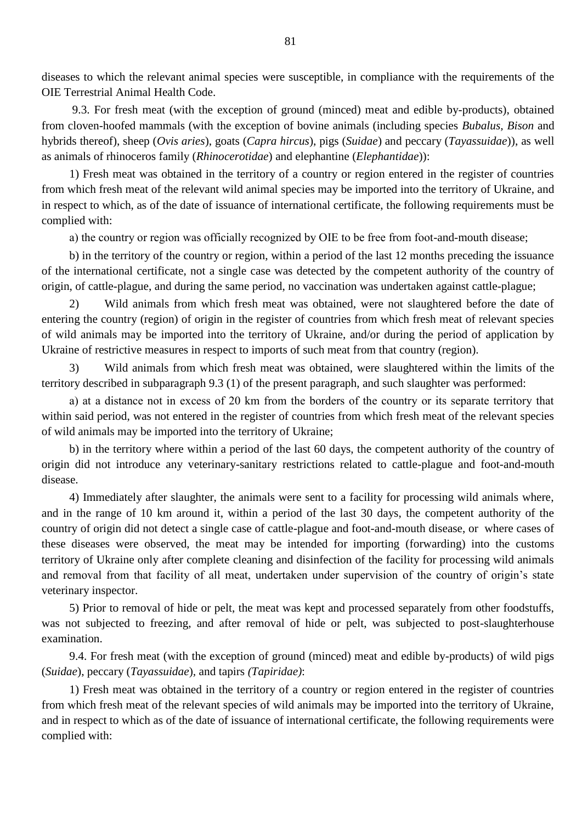diseases to which the relevant animal species were susceptible, in compliance with the requirements of the OIE Terrestrial Animal Health Code.

9.3. For fresh meat (with the exception of ground (minced) meat and edible by-products), obtained from cloven-hoofed mammals (with the exception of bovine animals (including species *Bubalus, Bison* and hybrids thereof), sheep (*Ovis aries*), goats (*Capra hircus*), pigs (*Suidae*) and peccary (*Tayassuidae*)), as well as animals of rhinoceros family (*Rhinocerotidae*) and elephantine (*Elephantidae*)):

1) Fresh meat was obtained in the territory of a country or region entered in the register of countries from which fresh meat of the relevant wild animal species may be imported into the territory of Ukraine, and in respect to which, as of the date of issuance of international certificate, the following requirements must be complied with:

а) the country or region was officially recognized by OIE to be free from foot-and-mouth disease;

b) in the territory of the country or region, within a period of the last 12 months preceding the issuance of the international certificate, not a single case was detected by the competent authority of the country of origin, of cattle-plague, and during the same period, no vaccination was undertaken against cattle-plague;

2) Wild animals from which fresh meat was obtained, were not slaughtered before the date of entering the country (region) of origin in the register of countries from which fresh meat of relevant species of wild animals may be imported into the territory of Ukraine, and/or during the period of application by Ukraine of restrictive measures in respect to imports of such meat from that country (region).

3) Wild animals from which fresh meat was obtained, were slaughtered within the limits of the territory described in subparagraph 9.3 (1) of the present paragraph, and such slaughter was performed:

а) at a distance not in excess of 20 km from the borders of the country or its separate territory that within said period, was not entered in the register of countries from which fresh meat of the relevant species of wild animals may be imported into the territory of Ukraine;

b) in the territory where within a period of the last 60 days, the competent authority of the country of origin did not introduce any veterinary-sanitary restrictions related to cattle-plague and foot-and-mouth disease.

4) Immediately after slaughter, the animals were sent to a facility for processing wild animals where, and in the range of 10 km around it, within a period of the last 30 days, the competent authority of the country of origin did not detect a single case of cattle-plague and foot-and-mouth disease, or where cases of these diseases were observed, the meat may be intended for importing (forwarding) into the customs territory of Ukraine only after complete cleaning and disinfection of the facility for processing wild animals and removal from that facility of all meat, undertaken under supervision of the country of origin's state veterinary inspector.

5) Prior to removal of hide or pelt, the meat was kept and processed separately from other foodstuffs, was not subjected to freezing, and after removal of hide or pelt, was subjected to post-slaughterhouse examination.

9.4. For fresh meat (with the exception of ground (minced) meat and edible by-products) of wild pigs (*Suidae*), peccary (*Tayassuidae*)*,* and tapirs *(Tapiridae)*:

1) Fresh meat was obtained in the territory of a country or region entered in the register of countries from which fresh meat of the relevant species of wild animals may be imported into the territory of Ukraine, and in respect to which as of the date of issuance of international certificate, the following requirements were complied with: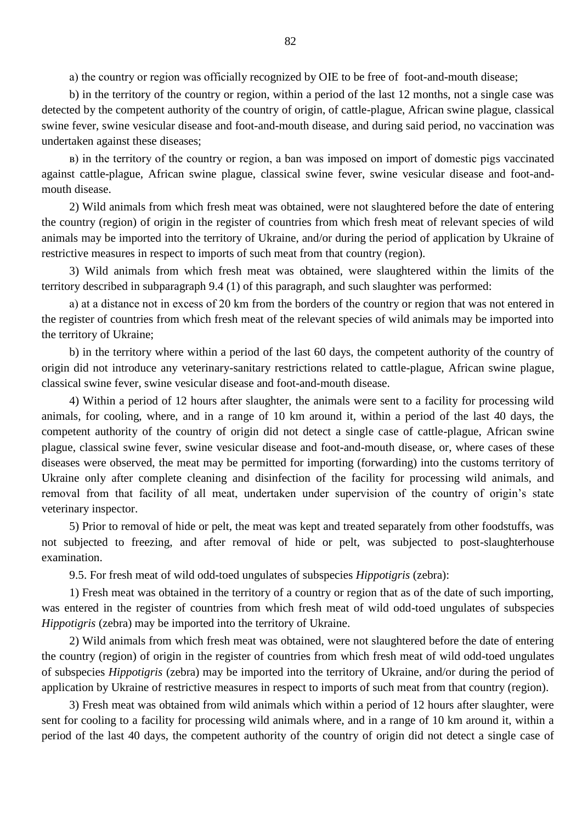а) the country or region was officially recognized by OIE to be free of foot-and-mouth disease;

b) in the territory of the country or region, within a period of the last 12 months, not a single case was detected by the competent authority of the country of origin, of cattle-plague, African swine plague, classical swine fever, swine vesicular disease and foot-and-mouth disease, and during said period, no vaccination was undertaken against these diseases;

в) in the territory of the country or region, a ban was imposed on import of domestic pigs vaccinated against cattle-plague, African swine plague, classical swine fever, swine vesicular disease and foot-andmouth disease.

2) Wild animals from which fresh meat was obtained, were not slaughtered before the date of entering the country (region) of origin in the register of countries from which fresh meat of relevant species of wild animals may be imported into the territory of Ukraine, and/or during the period of application by Ukraine of restrictive measures in respect to imports of such meat from that country (region).

3) Wild animals from which fresh meat was obtained, were slaughtered within the limits of the territory described in subparagraph 9.4 (1) of this paragraph, and such slaughter was performed:

а) at a distance not in excess of 20 km from the borders of the country or region that was not entered in the register of countries from which fresh meat of the relevant species of wild animals may be imported into the territory of Ukraine;

b) in the territory where within a period of the last 60 days, the competent authority of the country of origin did not introduce any veterinary-sanitary restrictions related to cattle-plague, African swine plague, classical swine fever, swine vesicular disease and foot-and-mouth disease.

4) Within a period of 12 hours after slaughter, the animals were sent to a facility for processing wild animals, for cooling, where, and in a range of 10 km around it, within a period of the last 40 days, the competent authority of the country of origin did not detect a single case of cattle-plague, African swine plague, classical swine fever, swine vesicular disease and foot-and-mouth disease, or, where cases of these diseases were observed, the meat may be permitted for importing (forwarding) into the customs territory of Ukraine only after complete cleaning and disinfection of the facility for processing wild animals, and removal from that facility of all meat, undertaken under supervision of the country of origin's state veterinary inspector.

5) Prior to removal of hide or pelt, the meat was kept and treated separately from other foodstuffs, was not subjected to freezing, and after removal of hide or pelt, was subjected to post-slaughterhouse examination.

9.5. For fresh meat of wild odd-toed ungulates of subspecies *Hippotigris* (zebra):

1) Fresh meat was obtained in the territory of a country or region that as of the date of such importing, was entered in the register of countries from which fresh meat of wild odd-toed ungulates of subspecies *Hippotigris* (zebra) may be imported into the territory of Ukraine.

2) Wild animals from which fresh meat was obtained, were not slaughtered before the date of entering the country (region) of origin in the register of countries from which fresh meat of wild odd-toed ungulates of subspecies *Hippotigris* (zebra) may be imported into the territory of Ukraine, and/or during the period of application by Ukraine of restrictive measures in respect to imports of such meat from that country (region).

3) Fresh meat was obtained from wild animals which within a period of 12 hours after slaughter, were sent for cooling to a facility for processing wild animals where, and in a range of 10 km around it, within a period of the last 40 days, the competent authority of the country of origin did not detect a single case of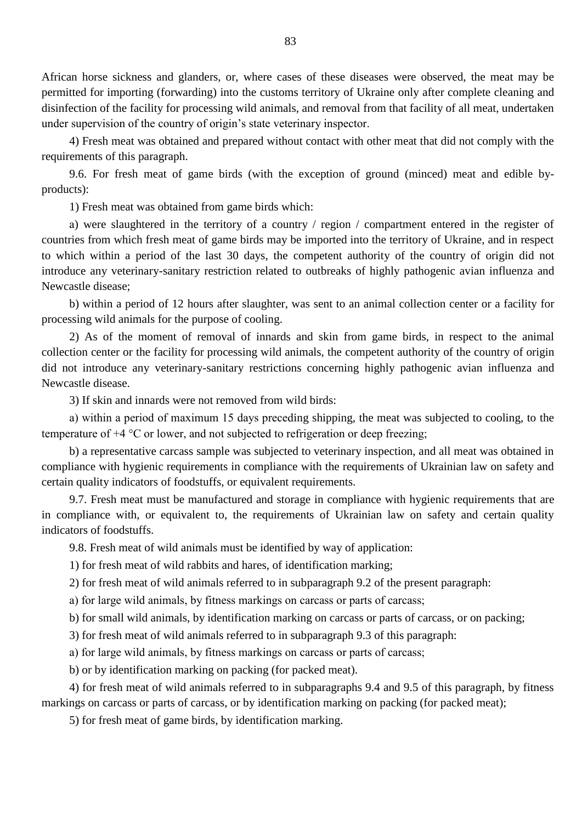African horse sickness and glanders, or, where cases of these diseases were observed, the meat may be permitted for importing (forwarding) into the customs territory of Ukraine only after complete cleaning and disinfection of the facility for processing wild animals, and removal from that facility of all meat, undertaken under supervision of the country of origin"s state veterinary inspector.

4) Fresh meat was obtained and prepared without contact with other meat that did not comply with the requirements of this paragraph.

9.6. For fresh meat of game birds (with the exception of ground (minced) meat and edible byproducts):

1) Fresh meat was obtained from game birds which:

а) were slaughtered in the territory of a country / region / compartment entered in the register of countries from which fresh meat of game birds may be imported into the territory of Ukraine, and in respect to which within a period of the last 30 days, the competent authority of the country of origin did not introduce any veterinary-sanitary restriction related to outbreaks of highly pathogenic avian influenza and Newcastle disease;

b) within a period of 12 hours after slaughter, was sent to an animal collection center or a facility for processing wild animals for the purpose of cooling.

2) As of the moment of removal of innards and skin from game birds, in respect to the animal collection center or the facility for processing wild animals, the competent authority of the country of origin did not introduce any veterinary-sanitary restrictions concerning highly pathogenic avian influenza and Newcastle disease.

3) If skin and innards were not removed from wild birds:

а) within a period of maximum 15 days preceding shipping, the meat was subjected to cooling, to the temperature of +4 °С or lower, and not subjected to refrigeration or deep freezing;

b) a representative carcass sample was subjected to veterinary inspection, and all meat was obtained in compliance with hygienic requirements in compliance with the requirements of Ukrainian law on safety and certain quality indicators of foodstuffs, or equivalent requirements.

9.7. Fresh meat must be manufactured and storage in compliance with hygienic requirements that are in compliance with, or equivalent to, the requirements of Ukrainian law on safety and certain quality indicators of foodstuffs.

9.8. Fresh meat of wild animals must be identified by way of application:

1) for fresh meat of wild rabbits and hares, of identification marking;

2) for fresh meat of wild animals referred to in subparagraph 9.2 of the present paragraph:

а) for large wild animals, by fitness markings on carcass or parts of carcass;

b) for small wild animals, by identification marking on carcass or parts of carcass, or on packing;

3) for fresh meat of wild animals referred to in subparagraph 9.3 of this paragraph:

а) for large wild animals, by fitness markings on carcass or parts of carcass;

b) or by identification marking on packing (for packed meat).

4) for fresh meat of wild animals referred to in subparagraphs 9.4 and 9.5 of this paragraph, by fitness markings on carcass or parts of carcass, or by identification marking on packing (for packed meat);

5) for fresh meat of game birds, by identification marking.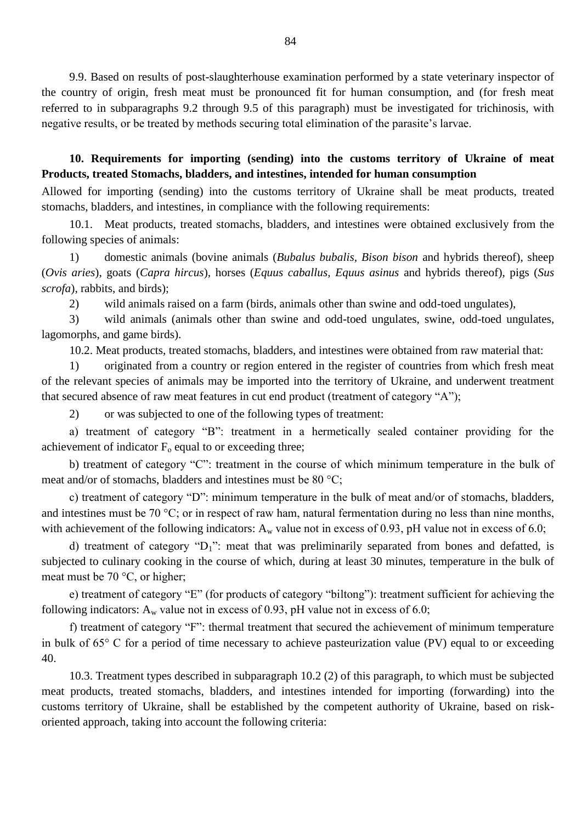9.9. Based on results of post-slaughterhouse examination performed by a state veterinary inspector of the country of origin, fresh meat must be pronounced fit for human consumption, and (for fresh meat referred to in subparagraphs 9.2 through 9.5 of this paragraph) must be investigated for trichinosis, with negative results, or be treated by methods securing total elimination of the parasite's larvae.

**10. Requirements for importing (sending) into the customs territory of Ukraine of meat Products, treated Stomachs, bladders, and intestines, intended for human consumption** 

Allowed for importing (sending) into the customs territory of Ukraine shall be meat products, treated stomachs, bladders, and intestines, in compliance with the following requirements:

10.1. Meat products, treated stomachs, bladders, and intestines were obtained exclusively from the following species of animals:

1) domestic animals (bovine animals (*Bubalus bubalis, Bison bison* and hybrids thereof), sheep (*Ovis aries*), goats (*Capra hircus*)*,* horses (*Equus caballus, Equus asinus* and hybrids thereof), pigs (*Sus scrofa*), rabbits, and birds);

2) wild animals raised on a farm (birds, animals other than swine and odd-toed ungulates),

3) wild animals (animals other than swine and odd-toed ungulates, swine, odd-toed ungulates, lagomorphs, and game birds).

10.2. Meat products, treated stomachs, bladders, and intestines were obtained from raw material that:

1) originated from a country or region entered in the register of countries from which fresh meat of the relevant species of animals may be imported into the territory of Ukraine, and underwent treatment that secured absence of raw meat features in cut end product (treatment of category "А");

2) or was subjected to one of the following types of treatment:

а) treatment of category "B": treatment in a hermetically sealed container providing for the achievement of indicator  $F_0$  equal to or exceeding three;

b) treatment of category "C": treatment in the course of which minimum temperature in the bulk of meat and/or of stomachs, bladders and intestines must be 80 °C;

c) treatment of category "D": minimum temperature in the bulk of meat and/or of stomachs, bladders, and intestines must be 70 °С; or in respect of raw ham, natural fermentation during no less than nine months, with achievement of the following indicators:  $A_w$  value not in excess of 0.93, pH value not in excess of 6.0;

d) treatment of category " $D_1$ ": meat that was preliminarily separated from bones and defatted, is subjected to culinary cooking in the course of which, during at least 30 minutes, temperature in the bulk of meat must be 70 °С, or higher;

e) treatment of category "E" (for products of category "biltong"): treatment sufficient for achieving the following indicators:  $A_w$  value not in excess of 0.93, pH value not in excess of 6.0;

f) treatment of category "F": thermal treatment that secured the achievement of minimum temperature in bulk of 65° С for a period of time necessary to achieve pasteurization value (PV) equal to or exceeding 40.

10.3. Treatment types described in subparagraph 10.2 (2) of this paragraph, to which must be subjected meat products, treated stomachs, bladders, and intestines intended for importing (forwarding) into the customs territory of Ukraine, shall be established by the competent authority of Ukraine, based on riskoriented approach, taking into account the following criteria: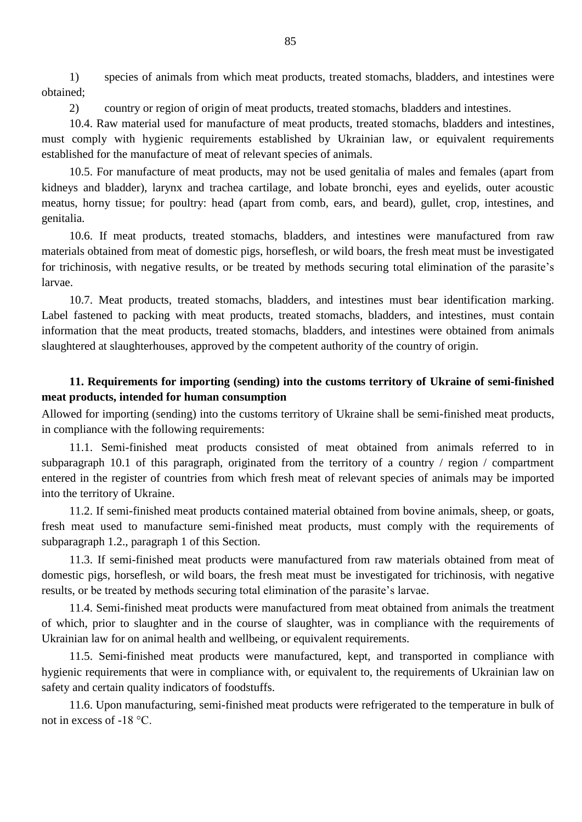1) species of animals from which meat products, treated stomachs, bladders, and intestines were obtained;

2) country or region of origin of meat products, treated stomachs, bladders and intestines.

10.4. Raw material used for manufacture of meat products, treated stomachs, bladders and intestines, must comply with hygienic requirements established by Ukrainian law, or equivalent requirements established for the manufacture of meat of relevant species of animals.

10.5. For manufacture of meat products, may not be used genitalia of males and females (apart from kidneys and bladder), larynx and trachea cartilage, and lobate bronchi, eyes and eyelids, outer acoustic meatus, horny tissue; for poultry: head (apart from comb, ears, and beard), gullet, crop, intestines, and genitalia.

10.6. If meat products, treated stomachs, bladders, and intestines were manufactured from raw materials obtained from meat of domestic pigs, horseflesh, or wild boars, the fresh meat must be investigated for trichinosis, with negative results, or be treated by methods securing total elimination of the parasite's larvae.

10.7. Meat products, treated stomachs, bladders, and intestines must bear identification marking. Label fastened to packing with meat products, treated stomachs, bladders, and intestines, must contain information that the meat products, treated stomachs, bladders, and intestines were obtained from animals slaughtered at slaughterhouses, approved by the competent authority of the country of origin.

#### **11. Requirements for importing (sending) into the customs territory of Ukraine of semi-finished meat products, intended for human consumption**

Allowed for importing (sending) into the customs territory of Ukraine shall be semi-finished meat products, in compliance with the following requirements:

11.1. Semi-finished meat products consisted of meat obtained from animals referred to in subparagraph 10.1 of this paragraph, originated from the territory of a country / region / compartment entered in the register of countries from which fresh meat of relevant species of animals may be imported into the territory of Ukraine.

11.2. If semi-finished meat products contained material obtained from bovine animals, sheep, or goats, fresh meat used to manufacture semi-finished meat products, must comply with the requirements of subparagraph 1.2., paragraph 1 of this Section.

11.3. If semi-finished meat products were manufactured from raw materials obtained from meat of domestic pigs, horseflesh, or wild boars, the fresh meat must be investigated for trichinosis, with negative results, or be treated by methods securing total elimination of the parasite's larvae.

11.4. Semi-finished meat products were manufactured from meat obtained from animals the treatment of which, prior to slaughter and in the course of slaughter, was in compliance with the requirements of Ukrainian law for on animal health and wellbeing, or equivalent requirements.

11.5. Semi-finished meat products were manufactured, kept, and transported in compliance with hygienic requirements that were in compliance with, or equivalent to, the requirements of Ukrainian law on safety and certain quality indicators of foodstuffs.

11.6. Upon manufacturing, semi-finished meat products were refrigerated to the temperature in bulk of not in excess of -18 °С.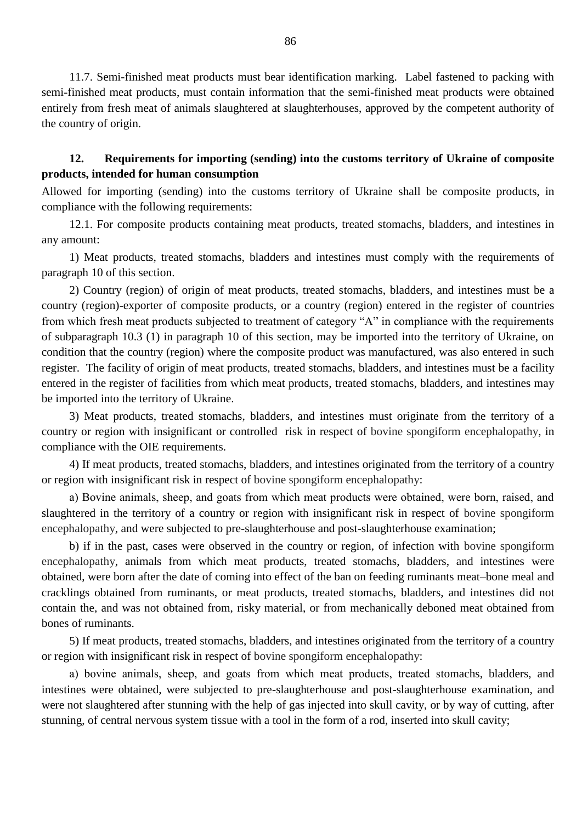11.7. Semi-finished meat products must bear identification marking. Label fastened to packing with semi-finished meat products, must contain information that the semi-finished meat products were obtained entirely from fresh meat of animals slaughtered at slaughterhouses, approved by the competent authority of the country of origin.

## **12. Requirements for importing (sending) into the customs territory of Ukraine of composite products, intended for human consumption**

Allowed for importing (sending) into the customs territory of Ukraine shall be composite products, in compliance with the following requirements:

12.1. For composite products containing meat products, treated stomachs, bladders, and intestines in any amount:

1) Meat products, treated stomachs, bladders and intestines must comply with the requirements of paragraph 10 of this section.

2) Country (region) of origin of meat products, treated stomachs, bladders, and intestines must be a country (region)-exporter of composite products, or a country (region) entered in the register of countries from which fresh meat products subjected to treatment of category "А" in compliance with the requirements of subparagraph 10.3 (1) in paragraph 10 of this section, may be imported into the territory of Ukraine, on condition that the country (region) where the composite product was manufactured, was also entered in such register. The facility of origin of meat products, treated stomachs, bladders, and intestines must be a facility entered in the register of facilities from which meat products, treated stomachs, bladders, and intestines may be imported into the territory of Ukraine.

3) Meat products, treated stomachs, bladders, and intestines must originate from the territory of a country or region with insignificant or controlled risk in respect of bovine spongiform encephalopathy, in compliance with the OIE requirements.

4) If meat products, treated stomachs, bladders, and intestines originated from the territory of a country or region with insignificant risk in respect of bovine spongiform encephalopathy:

а) Bovine animals, sheep, and goats from which meat products were obtained, were born, raised, and slaughtered in the territory of a country or region with insignificant risk in respect of bovine spongiform encephalopathy, and were subjected to pre-slaughterhouse and post-slaughterhouse examination;

b) if in the past, cases were observed in the country or region, of infection with bovine spongiform encephalopathy, animals from which meat products, treated stomachs, bladders, and intestines were obtained, were born after the date of coming into effect of the ban on feeding ruminants meat–bone meal and cracklings obtained from ruminants, or meat products, treated stomachs, bladders, and intestines did not contain the, and was not obtained from, risky material, or from mechanically deboned meat obtained from bones of ruminants.

5) If meat products, treated stomachs, bladders, and intestines originated from the territory of a country or region with insignificant risk in respect of bovine spongiform encephalopathy:

а) bovine animals, sheep, and goats from which meat products, treated stomachs, bladders, and intestines were obtained, were subjected to pre-slaughterhouse and post-slaughterhouse examination, and were not slaughtered after stunning with the help of gas injected into skull cavity, or by way of cutting, after stunning, of central nervous system tissue with a tool in the form of a rod, inserted into skull cavity;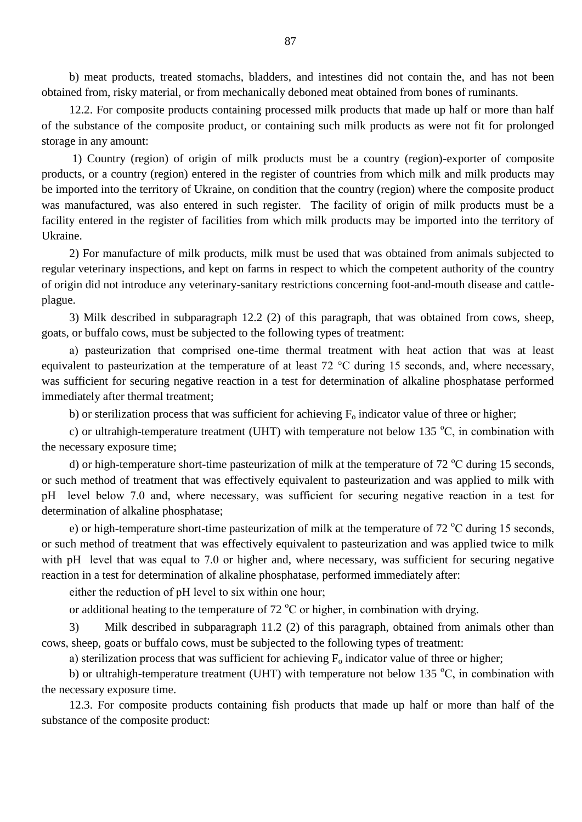b) meat products, treated stomachs, bladders, and intestines did not contain the, and has not been obtained from, risky material, or from mechanically deboned meat obtained from bones of ruminants.

12.2. For composite products containing processed milk products that made up half or more than half of the substance of the composite product, or containing such milk products as were not fit for prolonged storage in any amount:

1) Country (region) of origin of milk products must be a country (region)-exporter of composite products, or a country (region) entered in the register of countries from which milk and milk products may be imported into the territory of Ukraine, on condition that the country (region) where the composite product was manufactured, was also entered in such register. The facility of origin of milk products must be a facility entered in the register of facilities from which milk products may be imported into the territory of Ukraine.

2) For manufacture of milk products, milk must be used that was obtained from animals subjected to regular veterinary inspections, and kept on farms in respect to which the competent authority of the country of origin did not introduce any veterinary-sanitary restrictions concerning foot-and-mouth disease and cattleplague.

3) Milk described in subparagraph 12.2 (2) of this paragraph, that was obtained from cows, sheep, goats, or buffalo cows, must be subjected to the following types of treatment:

а) pasteurization that comprised one-time thermal treatment with heat action that was at least equivalent to pasteurization at the temperature of at least 72 °С during 15 seconds, and, where necessary, was sufficient for securing negative reaction in a test for determination of alkaline phosphatase performed immediately after thermal treatment;

b) or sterilization process that was sufficient for achieving  $F_0$  indicator value of three or higher;

c) or ultrahigh-temperature treatment (UHT) with temperature not below 135  $^{\circ}C$ , in combination with the necessary exposure time;

d) or high-temperature short-time pasteurization of milk at the temperature of 72  $^{\circ}$ C during 15 seconds, or such method of treatment that was effectively equivalent to pasteurization and was applied to milk with рН level below 7.0 and, where necessary, was sufficient for securing negative reaction in a test for determination of alkaline phosphatase;

e) or high-temperature short-time pasteurization of milk at the temperature of 72  $^{\circ}$ C during 15 seconds, or such method of treatment that was effectively equivalent to pasteurization and was applied twice to milk with pH level that was equal to 7.0 or higher and, where necessary, was sufficient for securing negative reaction in a test for determination of alkaline phosphatase, performed immediately after:

either the reduction of pH level to six within one hour;

or additional heating to the temperature of 72  $\degree$ C or higher, in combination with drying.

3) Milk described in subparagraph 11.2 (2) of this paragraph, obtained from animals other than cows, sheep, goats or buffalo cows, must be subjected to the following types of treatment:

a) sterilization process that was sufficient for achieving  $F_0$  indicator value of three or higher;

b) or ultrahigh-temperature treatment (UHT) with temperature not below 135  $^{\circ}C$ , in combination with the necessary exposure time.

12.3. For composite products containing fish products that made up half or more than half of the substance of the composite product: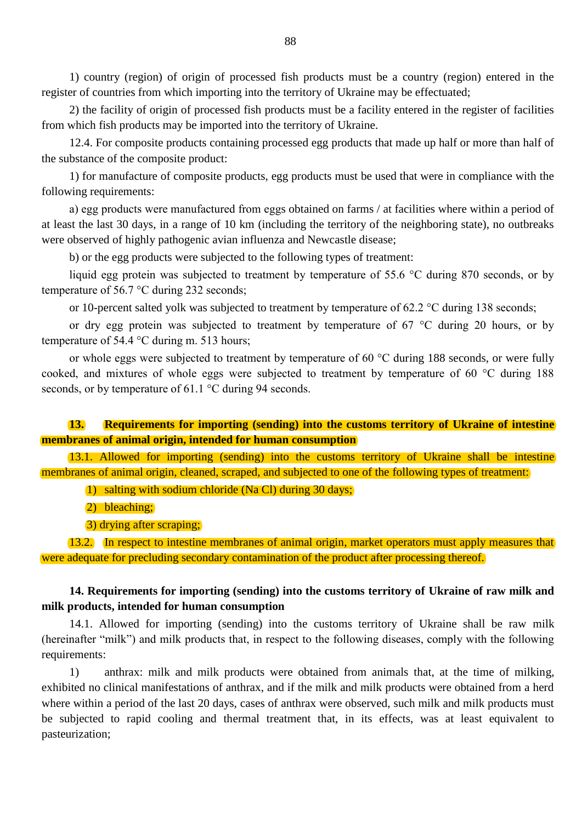1) country (region) of origin of processed fish products must be a country (region) entered in the register of countries from which importing into the territory of Ukraine may be effectuated;

2) the facility of origin of processed fish products must be a facility entered in the register of facilities from which fish products may be imported into the territory of Ukraine.

12.4. For composite products containing processed egg products that made up half or more than half of the substance of the composite product:

1) for manufacture of composite products, egg products must be used that were in compliance with the following requirements:

а) egg products were manufactured from eggs obtained on farms / at facilities where within a period of at least the last 30 days, in a range of 10 km (including the territory of the neighboring state), no outbreaks were observed of highly pathogenic avian influenza and Newcastle disease;

b) or the egg products were subjected to the following types of treatment:

liquid egg protein was subjected to treatment by temperature of 55.6 °С during 870 seconds, or by temperature of 56.7 °С during 232 seconds;

or 10-percent salted yolk was subjected to treatment by temperature of 62.2 °С during 138 seconds;

or dry egg protein was subjected to treatment by temperature of 67 °С during 20 hours, or by temperature of 54.4 °С during m. 513 hours;

or whole eggs were subjected to treatment by temperature of 60 °С during 188 seconds, or were fully cooked, and mixtures of whole eggs were subjected to treatment by temperature of 60 °С during 188 seconds, or by temperature of 61.1 °C during 94 seconds.

# **13. Requirements for importing (sending) into the customs territory of Ukraine of intestine membranes of animal origin, intended for human consumption**

13.1. Allowed for importing (sending) into the customs territory of Ukraine shall be intestine membranes of animal origin, cleaned, scraped, and subjected to one of the following types of treatment:

1) salting with sodium chloride (Na Cl) during 30 days;

2) bleaching;

3) drying after scraping;

13.2. In respect to intestine membranes of animal origin, market operators must apply measures that were adequate for precluding secondary contamination of the product after processing thereof.

#### **14. Requirements for importing (sending) into the customs territory of Ukraine of raw milk and milk products, intended for human consumption**

14.1. Allowed for importing (sending) into the customs territory of Ukraine shall be raw milk (hereinafter "milk") and milk products that, in respect to the following diseases, comply with the following requirements:

1) anthrax: milk and milk products were obtained from animals that, at the time of milking, exhibited no clinical manifestations of anthrax, and if the milk and milk products were obtained from a herd where within a period of the last 20 days, cases of anthrax were observed, such milk and milk products must be subjected to rapid cooling and thermal treatment that, in its effects, was at least equivalent to pasteurization;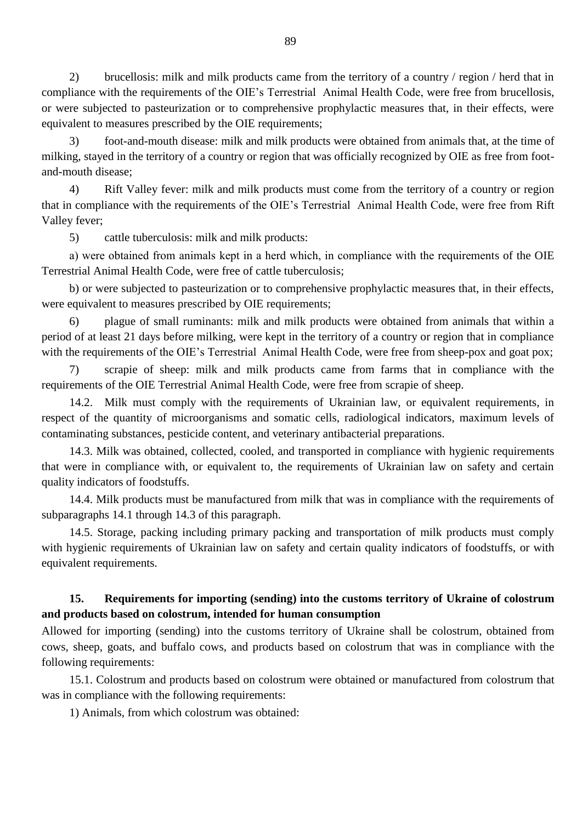2) brucellosis: milk and milk products came from the territory of a country / region / herd that in compliance with the requirements of the OIE"s Terrestrial Animal Health Code, were free from brucellosis, or were subjected to pasteurization or to comprehensive prophylactic measures that, in their effects, were equivalent to measures prescribed by the OIE requirements;

3) foot-and-mouth disease: milk and milk products were obtained from animals that, at the time of milking, stayed in the territory of a country or region that was officially recognized by OIE as free from footand-mouth disease;

4) Rift Valley fever: milk and milk products must come from the territory of a country or region that in compliance with the requirements of the OIE"s Terrestrial Animal Health Code, were free from Rift Valley fever;

5) cattle tuberculosis: milk and milk products:

а) were obtained from animals kept in a herd which, in compliance with the requirements of the OIE Terrestrial Animal Health Code, were free of cattle tuberculosis;

b) or were subjected to pasteurization or to comprehensive prophylactic measures that, in their effects, were equivalent to measures prescribed by OIE requirements;

6) plague of small ruminants: milk and milk products were obtained from animals that within a period of at least 21 days before milking, were kept in the territory of a country or region that in compliance with the requirements of the OIE's Terrestrial Animal Health Code, were free from sheep-pox and goat pox;

7) scrapie of sheep: milk and milk products came from farms that in compliance with the requirements of the OIE Terrestrial Animal Health Code, were free from scrapie of sheep.

14.2. Milk must comply with the requirements of Ukrainian law, or equivalent requirements, in respect of the quantity of microorganisms and somatic cells, radiological indicators, maximum levels of contaminating substances, pesticide content, and veterinary antibacterial preparations.

14.3. Milk was obtained, collected, cooled, and transported in compliance with hygienic requirements that were in compliance with, or equivalent to, the requirements of Ukrainian law on safety and certain quality indicators of foodstuffs.

14.4. Milk products must be manufactured from milk that was in compliance with the requirements of subparagraphs 14.1 through 14.3 of this paragraph.

14.5. Storage, packing including primary packing and transportation of milk products must comply with hygienic requirements of Ukrainian law on safety and certain quality indicators of foodstuffs, or with equivalent requirements.

#### **15. Requirements for importing (sending) into the customs territory of Ukraine of colostrum and products based on colostrum, intended for human consumption**

Allowed for importing (sending) into the customs territory of Ukraine shall be colostrum, obtained from cows, sheep, goats, and buffalo cows, and products based on colostrum that was in compliance with the following requirements:

15.1. Colostrum and products based on colostrum were obtained or manufactured from colostrum that was in compliance with the following requirements:

1) Animals, from which colostrum was obtained: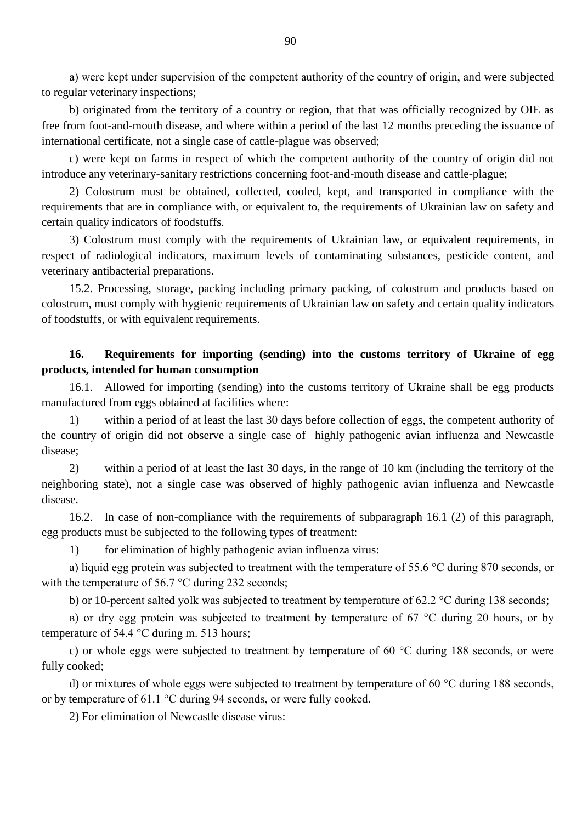а) were kept under supervision of the competent authority of the country of origin, and were subjected to regular veterinary inspections;

b) originated from the territory of a country or region, that that was officially recognized by OIE as free from foot-and-mouth disease, and where within a period of the last 12 months preceding the issuance of international certificate, not a single case of cattle-plague was observed;

c) were kept on farms in respect of which the competent authority of the country of origin did not introduce any veterinary-sanitary restrictions concerning foot-and-mouth disease and cattle-plague;

2) Colostrum must be obtained, collected, cooled, kept, and transported in compliance with the requirements that are in compliance with, or equivalent to, the requirements of Ukrainian law on safety and certain quality indicators of foodstuffs.

3) Colostrum must comply with the requirements of Ukrainian law, or equivalent requirements, in respect of radiological indicators, maximum levels of contaminating substances, pesticide content, and veterinary antibacterial preparations.

15.2. Processing, storage, packing including primary packing, of colostrum and products based on colostrum, must comply with hygienic requirements of Ukrainian law on safety and certain quality indicators of foodstuffs, or with equivalent requirements.

## **16. Requirements for importing (sending) into the customs territory of Ukraine of egg products, intended for human consumption**

16.1. Allowed for importing (sending) into the customs territory of Ukraine shall be egg products manufactured from eggs obtained at facilities where:

1) within a period of at least the last 30 days before collection of eggs, the competent authority of the country of origin did not observe a single case of highly pathogenic avian influenza and Newcastle disease;

2) within a period of at least the last 30 days, in the range of 10 km (including the territory of the neighboring state), not a single case was observed of highly pathogenic avian influenza and Newcastle disease.

16.2. In case of non-compliance with the requirements of subparagraph 16.1 (2) of this paragraph, egg products must be subjected to the following types of treatment:

1) for elimination of highly pathogenic avian influenza virus:

а) liquid egg protein was subjected to treatment with the temperature of 55.6 °С during 870 seconds, or with the temperature of 56.7 °C during 232 seconds:

b) or 10-percent salted yolk was subjected to treatment by temperature of 62.2 °С during 138 seconds;

в) or dry egg protein was subjected to treatment by temperature of 67 °С during 20 hours, or by temperature of 54.4 °С during m. 513 hours;

c) or whole eggs were subjected to treatment by temperature of 60 °С during 188 seconds, or were fully cooked;

d) or mixtures of whole eggs were subjected to treatment by temperature of 60 °C during 188 seconds, or by temperature of 61.1 °С during 94 seconds, or were fully cooked.

2) For elimination of Newcastle disease virus: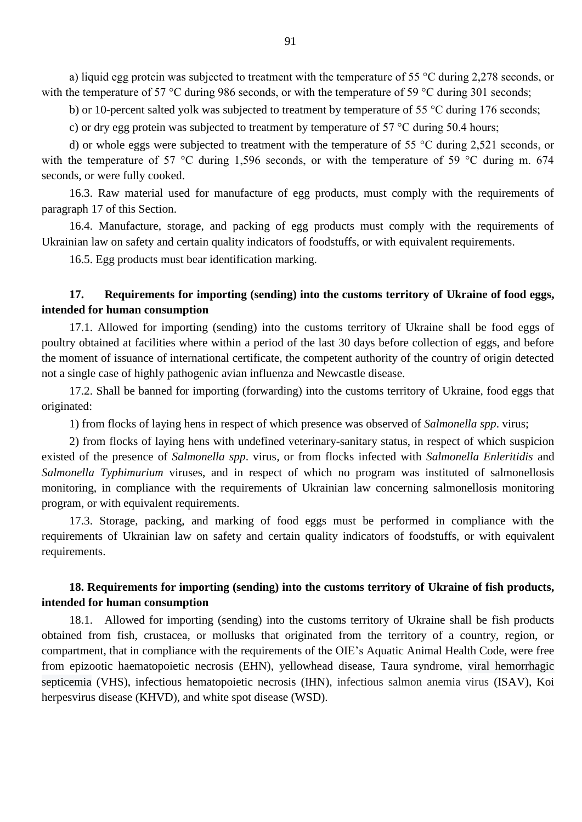а) liquid egg protein was subjected to treatment with the temperature of 55 °С during 2,278 seconds, or with the temperature of 57 °C during 986 seconds, or with the temperature of 59 °C during 301 seconds;

b) or 10-percent salted yolk was subjected to treatment by temperature of 55 °C during 176 seconds;

c) or dry egg protein was subjected to treatment by temperature of 57 °С during 50.4 hours;

d) or whole eggs were subjected to treatment with the temperature of 55 °С during 2,521 seconds, or with the temperature of 57 °C during 1,596 seconds, or with the temperature of 59 °C during m. 674 seconds, or were fully cooked.

16.3. Raw material used for manufacture of egg products, must comply with the requirements of paragraph 17 of this Section.

16.4. Manufacture, storage, and packing of egg products must comply with the requirements of Ukrainian law on safety and certain quality indicators of foodstuffs, or with equivalent requirements.

16.5. Egg products must bear identification marking.

# **17. Requirements for importing (sending) into the customs territory of Ukraine of food eggs, intended for human consumption**

17.1. Allowed for importing (sending) into the customs territory of Ukraine shall be food eggs of poultry obtained at facilities where within a period of the last 30 days before collection of eggs, and before the moment of issuance of international certificate, the competent authority of the country of origin detected not a single case of highly pathogenic avian influenza and Newcastle disease.

17.2. Shall be banned for importing (forwarding) into the customs territory of Ukraine, food eggs that originated:

1) from flocks of laying hens in respect of which presence was observed of *Salmonella spp*. virus;

2) from flocks of laying hens with undefined veterinary-sanitary status, in respect of which suspicion existed of the presence of *Salmonella spp*. virus*,* or from flocks infected with *Salmonella Enleritidis* and *Salmonella Typhimurium* viruses, and in respect of which no program was instituted of salmonellosis monitoring, in compliance with the requirements of Ukrainian law concerning salmonellosis monitoring program, or with equivalent requirements.

17.3. Storage, packing, and marking of food eggs must be performed in compliance with the requirements of Ukrainian law on safety and certain quality indicators of foodstuffs, or with equivalent requirements.

# **18. Requirements for importing (sending) into the customs territory of Ukraine of fish products, intended for human consumption**

18.1. Allowed for importing (sending) into the customs territory of Ukraine shall be fish products obtained from fish, crustacea, or mollusks that originated from the territory of a country, region, or compartment, that in compliance with the requirements of the OIE"s Aquatic Animal Health Code, were free from epizootic haematopoietic necrosis (EHN), yellowhead disease, Taura syndrome, viral hemorrhagic septicemia (VHS), infectious hematopoietic necrosis (IHN), infectious salmon anemia virus (ISAV), Koi herpesvirus disease (KHVD), and white spot disease (WSD).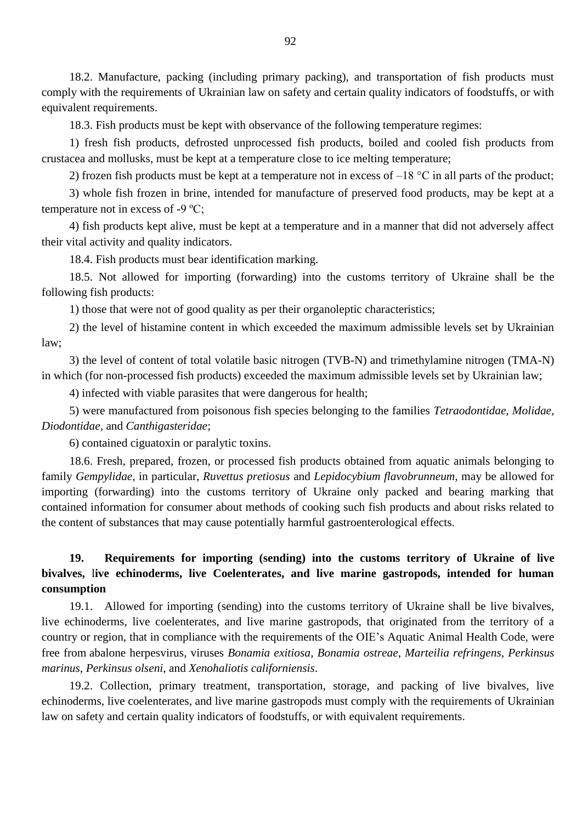18.2. Manufacture, packing (including primary packing), and transportation of fish products must comply with the requirements of Ukrainian law on safety and certain quality indicators of foodstuffs, or with equivalent requirements.

18.3. Fish products must be kept with observance of the following temperature regimes:

1) fresh fish products, defrosted unprocessed fish products, boiled and cooled fish products from crustacea and mollusks, must be kept at a temperature close to ice melting temperature;

2) frozen fish products must be kept at a temperature not in excess of  $-18$  °C in all parts of the product;

3) whole fish frozen in brine, intended for manufacture of preserved food products, may be kept at a temperature not in excess of -9 ºC;

4) fish products kept alive, must be kept at a temperature and in a manner that did not adversely affect their vital activity and quality indicators.

18.4. Fish products must bear identification marking.

18.5. Not allowed for importing (forwarding) into the customs territory of Ukraine shall be the following fish products:

1) those that were not of good quality as per their organoleptic characteristics;

2) the level of histamine content in which exceeded the maximum admissible levels set by Ukrainian law;

3) the level of content of total volatile basic nitrogen (TVB-N) and trimethylamine nitrogen (TMA-N) in which (for non-processed fish products) exceeded the maximum admissible levels set by Ukrainian law;

4) infected with viable parasites that were dangerous for health;

5) were manufactured from poisonous fish species belonging to the families *Tetraodontidae, Molidae, Diodontidae,* and *Canthigasteridae*;

6) contained ciguatoxin or paralytic toxins.

18.6. Fresh, prepared, frozen, or processed fish products obtained from aquatic animals belonging to family *Gempylidae*, in particular, *Ruvettus pretiosus* and *Lepidocybium flavobrunneum*, may be allowed for importing (forwarding) into the customs territory of Ukraine only packed and bearing marking that contained information for consumer about methods of cooking such fish products and about risks related to the content of substances that may cause potentially harmful gastroenterological effects.

# **19. Requirements for importing (sending) into the customs territory of Ukraine of live bivalves,** l**ive echinoderms, live Coelenterates, and live marine gastropods, intended for human consumption**

19.1. Allowed for importing (sending) into the customs territory of Ukraine shall be live bivalves, live echinoderms, live coelenterates, and live marine gastropods, that originated from the territory of a country or region, that in compliance with the requirements of the OIE"s Aquatic Animal Health Code, were free from abalone herpesvirus, viruses *Bonamia exitiosa*, *Bonamia ostreae*, *Marteilia refringens*, *Perkinsus marinus, Perkinsus olseni*, and *Xenohaliotis californiensis*.

19.2. Collection, primary treatment, transportation, storage, and packing of live bivalves, live echinoderms, live coelenterates, and live marine gastropods must comply with the requirements of Ukrainian law on safety and certain quality indicators of foodstuffs, or with equivalent requirements.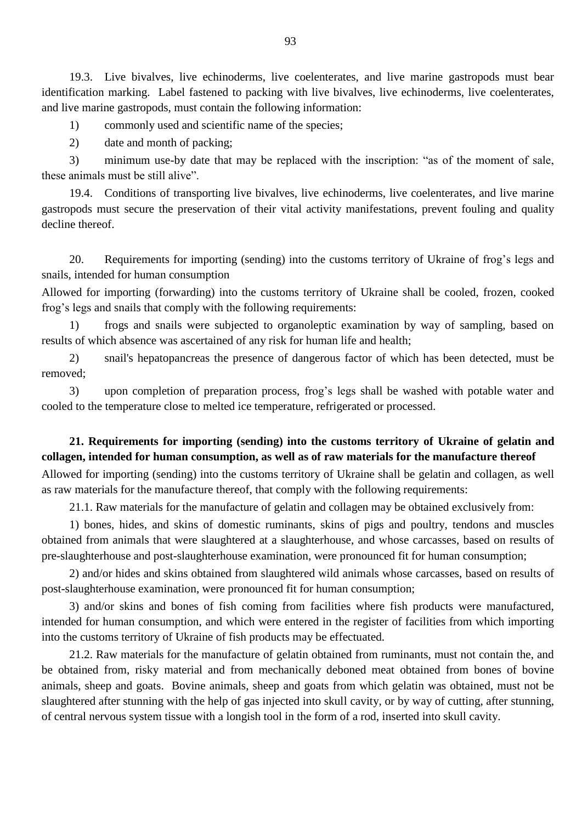19.3. Live bivalves, live echinoderms, live coelenterates, and live marine gastropods must bear identification marking. Label fastened to packing with live bivalves, live echinoderms, live coelenterates, and live marine gastropods, must contain the following information:

1) commonly used and scientific name of the species;

2) date and month of packing;

3) minimum use-by date that may be replaced with the inscription: "as of the moment of sale, these animals must be still alive".

19.4. Conditions of transporting live bivalves, live echinoderms, live coelenterates, and live marine gastropods must secure the preservation of their vital activity manifestations, prevent fouling and quality decline thereof.

20. Requirements for importing (sending) into the customs territory of Ukraine of frog"s legs and snails, intended for human consumption

Allowed for importing (forwarding) into the customs territory of Ukraine shall be cooled, frozen, cooked frog"s legs and snails that comply with the following requirements:

1) frogs and snails were subjected to organoleptic examination by way of sampling, based on results of which absence was ascertained of any risk for human life and health;

2) snail's hepatopancreas the presence of dangerous factor of which has been detected, must be removed;

3) upon completion of preparation process, frog"s legs shall be washed with potable water and cooled to the temperature close to melted ice temperature, refrigerated or processed.

# **21. Requirements for importing (sending) into the customs territory of Ukraine of gelatin and collagen, intended for human consumption, as well as of raw materials for the manufacture thereof**

Allowed for importing (sending) into the customs territory of Ukraine shall be gelatin and collagen, as well as raw materials for the manufacture thereof, that comply with the following requirements:

21.1. Raw materials for the manufacture of gelatin and collagen may be obtained exclusively from:

1) bones, hides, and skins of domestic ruminants, skins of pigs and poultry, tendons and muscles obtained from animals that were slaughtered at a slaughterhouse, and whose carcasses, based on results of pre-slaughterhouse and post-slaughterhouse examination, were pronounced fit for human consumption;

2) and/or hides and skins obtained from slaughtered wild animals whose carcasses, based on results of post-slaughterhouse examination, were pronounced fit for human consumption;

3) and/or skins and bones of fish coming from facilities where fish products were manufactured, intended for human consumption, and which were entered in the register of facilities from which importing into the customs territory of Ukraine of fish products may be effectuated.

21.2. Raw materials for the manufacture of gelatin obtained from ruminants, must not contain the, and be obtained from, risky material and from mechanically deboned meat obtained from bones of bovine animals, sheep and goats. Bovine animals, sheep and goats from which gelatin was obtained, must not be slaughtered after stunning with the help of gas injected into skull cavity, or by way of cutting, after stunning, of central nervous system tissue with a longish tool in the form of a rod, inserted into skull cavity.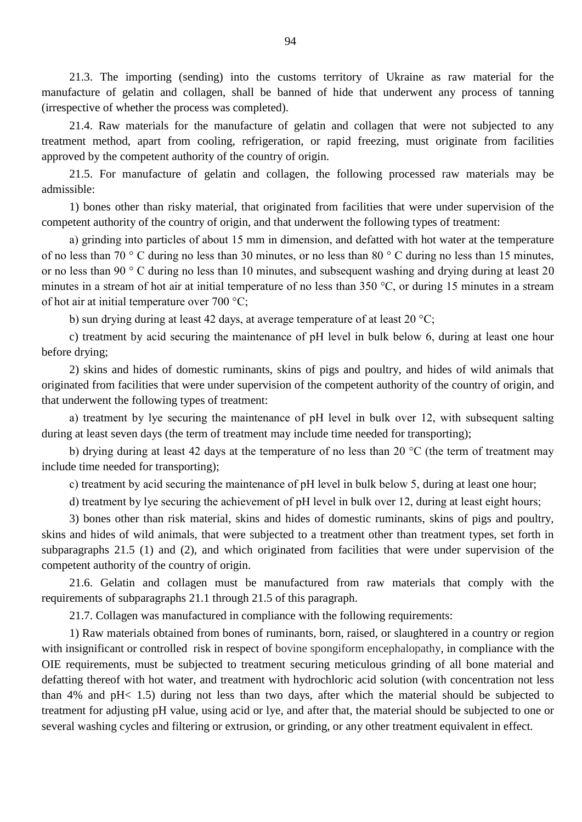21.3. The importing (sending) into the customs territory of Ukraine as raw material for the manufacture of gelatin and collagen, shall be banned of hide that underwent any process of tanning (irrespective of whether the process was completed).

21.4. Raw materials for the manufacture of gelatin and collagen that were not subjected to any treatment method, apart from cooling, refrigeration, or rapid freezing, must originate from facilities approved by the competent authority of the country of origin.

21.5. For manufacture of gelatin and collagen, the following processed raw materials may be admissible:

1) bones other than risky material, that originated from facilities that were under supervision of the competent authority of the country of origin, and that underwent the following types of treatment:

а) grinding into particles of about 15 mm in dimension, and defatted with hot water at the temperature of no less than 70 ° С during no less than 30 minutes, or no less than 80 ° С during no less than 15 minutes, or no less than 90 ° С during no less than 10 minutes, and subsequent washing and drying during at least 20 minutes in a stream of hot air at initial temperature of no less than 350 °С, or during 15 minutes in a stream of hot air at initial temperature over 700 °С;

b) sun drying during at least 42 days, at average temperature of at least 20 °C;

c) treatment by acid securing the maintenance of рН level in bulk below 6, during at least one hour before drying;

2) skins and hides of domestic ruminants, skins of pigs and poultry, and hides of wild animals that originated from facilities that were under supervision of the competent authority of the country of origin, and that underwent the following types of treatment:

а) treatment by lye securing the maintenance of рН level in bulk over 12, with subsequent salting during at least seven days (the term of treatment may include time needed for transporting);

b) drying during at least 42 days at the temperature of no less than 20 °C (the term of treatment may include time needed for transporting);

c) treatment by acid securing the maintenance of рН level in bulk below 5, during at least one hour;

d) treatment by lye securing the achievement of pH level in bulk over 12, during at least eight hours;

3) bones other than risk material, skins and hides of domestic ruminants, skins of pigs and poultry, skins and hides of wild animals, that were subjected to a treatment other than treatment types, set forth in subparagraphs 21.5 (1) and (2), and which originated from facilities that were under supervision of the competent authority of the country of origin.

21.6. Gelatin and collagen must be manufactured from raw materials that comply with the requirements of subparagraphs 21.1 through 21.5 of this paragraph.

21.7. Collagen was manufactured in compliance with the following requirements:

1) Raw materials obtained from bones of ruminants, born, raised, or slaughtered in a country or region with insignificant or controlled risk in respect of bovine spongiform encephalopathy, in compliance with the OIE requirements, must be subjected to treatment securing meticulous grinding of all bone material and defatting thereof with hot water, and treatment with hydrochloric acid solution (with concentration not less than 4% and pH< 1.5) during not less than two days, after which the material should be subjected to treatment for adjusting pH value, using acid or lye, and after that, the material should be subjected to one or several washing cycles and filtering or extrusion, or grinding, or any other treatment equivalent in effect.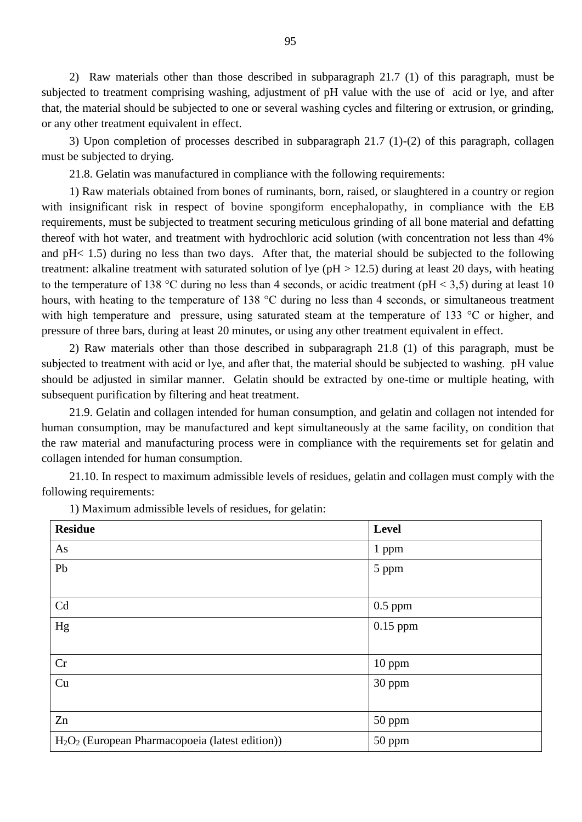2) Raw materials other than those described in subparagraph 21.7 (1) of this paragraph, must be subjected to treatment comprising washing, adjustment of pH value with the use of acid or lye, and after that, the material should be subjected to one or several washing cycles and filtering or extrusion, or grinding, or any other treatment equivalent in effect.

3) Upon completion of processes described in subparagraph 21.7 (1)-(2) of this paragraph, collagen must be subjected to drying.

21.8. Gelatin was manufactured in compliance with the following requirements:

1) Raw materials obtained from bones of ruminants, born, raised, or slaughtered in a country or region with insignificant risk in respect of bovine spongiform encephalopathy, in compliance with the EB requirements, must be subjected to treatment securing meticulous grinding of all bone material and defatting thereof with hot water, and treatment with hydrochloric acid solution (with concentration not less than 4% and pH< 1.5) during no less than two days. After that, the material should be subjected to the following treatment: alkaline treatment with saturated solution of lye (pH > 12.5) during at least 20 days, with heating to the temperature of 138 °C during no less than 4 seconds, or acidic treatment (pH  $\leq$  3.5) during at least 10 hours, with heating to the temperature of 138 °C during no less than 4 seconds, or simultaneous treatment with high temperature and pressure, using saturated steam at the temperature of 133 °C or higher, and pressure of three bars, during at least 20 minutes, or using any other treatment equivalent in effect.

2) Raw materials other than those described in subparagraph 21.8 (1) of this paragraph, must be subjected to treatment with acid or lye, and after that, the material should be subjected to washing. pH value should be adjusted in similar manner. Gelatin should be extracted by one-time or multiple heating, with subsequent purification by filtering and heat treatment.

21.9. Gelatin and collagen intended for human consumption, and gelatin and collagen not intended for human consumption, may be manufactured and kept simultaneously at the same facility, on condition that the raw material and manufacturing process were in compliance with the requirements set for gelatin and collagen intended for human consumption.

21.10. In respect to maximum admissible levels of residues, gelatin and collagen must comply with the following requirements:

| <b>Residue</b>                                                          | Level      |
|-------------------------------------------------------------------------|------------|
| As                                                                      | 1 ppm      |
| Pb                                                                      | 5 ppm      |
|                                                                         |            |
| Cd                                                                      | $0.5$ ppm  |
| Hg                                                                      | $0.15$ ppm |
|                                                                         |            |
| Cr                                                                      | 10 ppm     |
| Cu                                                                      | 30 ppm     |
|                                                                         |            |
| Zn                                                                      | 50 ppm     |
| H <sub>2</sub> O <sub>2</sub> (European Pharmacopoeia (latest edition)) | 50 ppm     |

1) Maximum admissible levels of residues, for gelatin: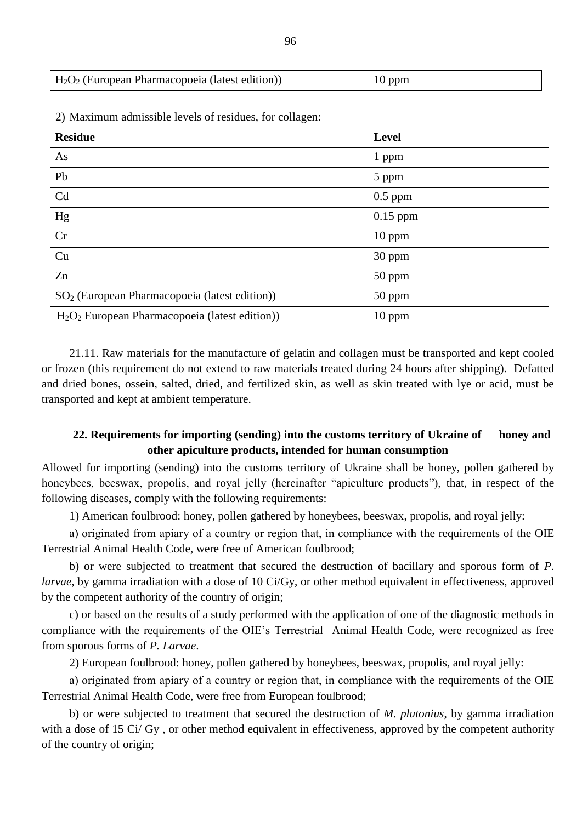| $H_2O_2$ (European Pharmacopoeia (latest edition)) | $10$ ppm |
|----------------------------------------------------|----------|
|----------------------------------------------------|----------|

| <b>Residue</b>                                                         | <b>Level</b> |
|------------------------------------------------------------------------|--------------|
| As                                                                     | 1 ppm        |
| Pb                                                                     | 5 ppm        |
| Cd                                                                     | $0.5$ ppm    |
| Hg                                                                     | $0.15$ ppm   |
| Cr                                                                     | 10 ppm       |
| Cu                                                                     | 30 ppm       |
| Zn                                                                     | 50 ppm       |
| SO <sub>2</sub> (European Pharmacopoeia (latest edition))              | 50 ppm       |
| H <sub>2</sub> O <sub>2</sub> European Pharmacopoeia (latest edition)) | 10 ppm       |

2) Maximum admissible levels of residues, for collagen:

21.11. Raw materials for the manufacture of gelatin and collagen must be transported and kept cooled or frozen (this requirement do not extend to raw materials treated during 24 hours after shipping). Defatted and dried bones, ossein, salted, dried, and fertilized skin, as well as skin treated with lye or acid, must be transported and kept at ambient temperature.

#### **22. Requirements for importing (sending) into the customs territory of Ukraine of honey and other apiculture products, intended for human consumption**

Allowed for importing (sending) into the customs territory of Ukraine shall be honey, pollen gathered by honeybees, beeswax, propolis, and royal jelly (hereinafter "apiculture products"), that, in respect of the following diseases, comply with the following requirements:

1) American foulbrood: honey, pollen gathered by honeybees, beeswax, propolis, and royal jelly:

а) originated from apiary of a country or region that, in compliance with the requirements of the OIE Terrestrial Animal Health Code, were free of American foulbrood;

b) or were subjected to treatment that secured the destruction of bacillary and sporous form of *P. larvae*, by gamma irradiation with a dose of 10 Ci/Gy, or other method equivalent in effectiveness, approved by the competent authority of the country of origin;

c) or based on the results of a study performed with the application of one of the diagnostic methods in compliance with the requirements of the OIE"s Terrestrial Animal Health Code, were recognized as free from sporous forms of *P. Larvae*.

2) European foulbrood: honey, pollen gathered by honeybees, beeswax, propolis, and royal jelly:

а) originated from apiary of a country or region that, in compliance with the requirements of the OIE Terrestrial Animal Health Code, were free from European foulbrood;

b) or were subjected to treatment that secured the destruction of *M. plutonius*, by gamma irradiation with a dose of 15 Ci/ Gy, or other method equivalent in effectiveness, approved by the competent authority of the country of origin;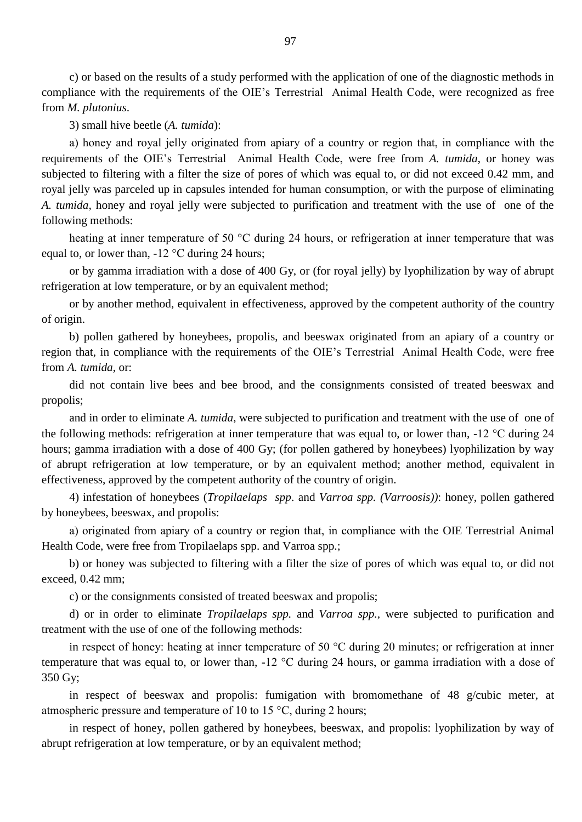c) or based on the results of a study performed with the application of one of the diagnostic methods in compliance with the requirements of the OIE"s Terrestrial Animal Health Code, were recognized as free from *M. plutonius*.

3) small hive beetle (*A. tumida*):

а) honey and royal jelly originated from apiary of a country or region that, in compliance with the requirements of the OIE"s Terrestrial Animal Health Code, were free from *A. tumida*, or honey was subjected to filtering with a filter the size of pores of which was equal to, or did not exceed 0.42 mm, and royal jelly was parceled up in capsules intended for human consumption, or with the purpose of eliminating *A. tumida,* honey and royal jelly were subjected to purification and treatment with the use of one of the following methods:

heating at inner temperature of 50 °C during 24 hours, or refrigeration at inner temperature that was equal to, or lower than,  $-12 \degree C$  during 24 hours;

or by gamma irradiation with a dose of 400 Gy, or (for royal jelly) by lyophilization by way of abrupt refrigeration at low temperature, or by an equivalent method;

or by another method, equivalent in effectiveness, approved by the competent authority of the country of origin.

b) pollen gathered by honeybees, propolis, and beeswax originated from an apiary of a country or region that, in compliance with the requirements of the OIE"s Terrestrial Animal Health Code, were free from *A. tumida*, or:

did not contain live bees and bee brood, and the consignments consisted of treated beeswax and propolis;

and in order to eliminate *A. tumida*, were subjected to purification and treatment with the use of one of the following methods: refrigeration at inner temperature that was equal to, or lower than, -12 °С during 24 hours; gamma irradiation with a dose of 400 Gy; (for pollen gathered by honeybees) lyophilization by way of abrupt refrigeration at low temperature, or by an equivalent method; another method, equivalent in effectiveness, approved by the competent authority of the country of origin.

4) infestation of honeybees (*Tropilaelaps spp*. and *Varroa spp. (Varroosis))*: honey, pollen gathered by honeybees, beeswax, and propolis:

а) originated from apiary of a country or region that, in compliance with the OIE Terrestrial Animal Health Code, were free from Tropilaelaps spp. and Varroa spp.;

b) or honey was subjected to filtering with a filter the size of pores of which was equal to, or did not exceed, 0.42 mm;

c) or the consignments consisted of treated beeswax and propolis;

d) or in order to eliminate *Tropilaelaps spp.* and *Varroa spp.,* were subjected to purification and treatment with the use of one of the following methods:

in respect of honey: heating at inner temperature of 50 °С during 20 minutes; or refrigeration at inner temperature that was equal to, or lower than, -12 °С during 24 hours, or gamma irradiation with a dose of 350 Gy;

in respect of beeswax and propolis: fumigation with bromomethane of 48 g/cubic meter, at atmospheric pressure and temperature of 10 to 15 °С, during 2 hours;

in respect of honey, pollen gathered by honeybees, beeswax, and propolis: lyophilization by way of abrupt refrigeration at low temperature, or by an equivalent method;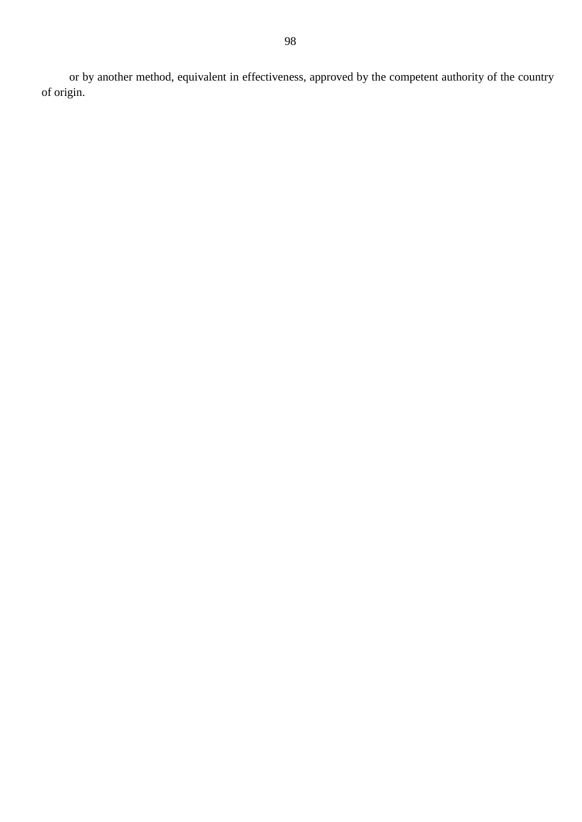or by another method, equivalent in effectiveness, approved by the competent authority of the country of origin.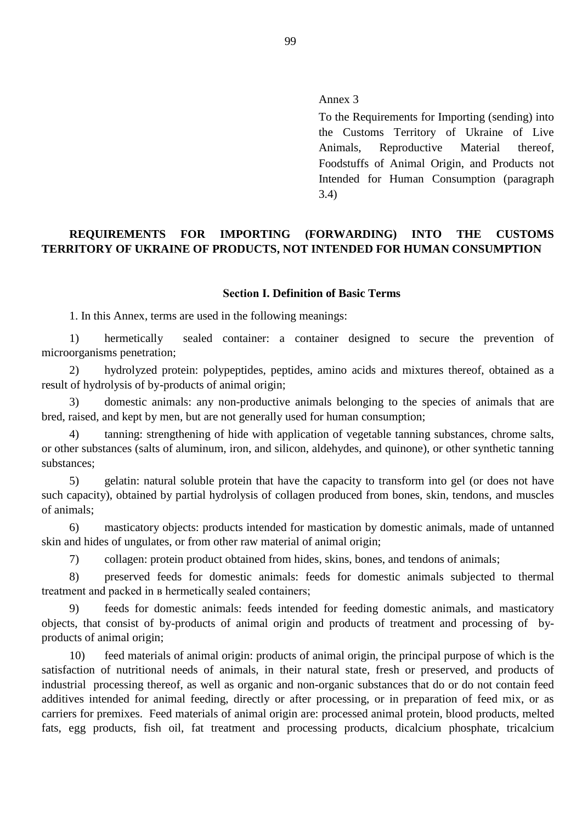Annex 3

To the Requirements for Importing (sending) into the Customs Territory of Ukraine of Live Animals, Reproductive Material thereof, Foodstuffs of Animal Origin, and Products not Intended for Human Consumption (paragraph 3.4)

# **REQUIREMENTS FOR IMPORTING (FORWARDING) INTO THE CUSTOMS TERRITORY OF UKRAINE OF PRODUCTS, NOT INTENDED FOR HUMAN CONSUMPTION**

#### **Section І. Definition of Basic Terms**

1. In this Annex, terms are used in the following meanings:

1) hermetically sealed container: a container designed to secure the prevention of microorganisms penetration;

2) hydrolyzed protein: polypeptides, peptides, amino acids and mixtures thereof, obtained as a result of hydrolysis of by-products of animal origin;

3) domestic animals: any non-productive animals belonging to the species of animals that are bred, raised, and kept by men, but are not generally used for human consumption;

4) tanning: strengthening of hide with application of vegetable tanning substances, chrome salts, or other substances (salts of aluminum, iron, and silicon, aldehydes, and quinone), or other synthetic tanning substances;

5) gelatin: natural soluble protein that have the capacity to transform into gel (or does not have such capacity), obtained by partial hydrolysis of collagen produced from bones, skin, tendons, and muscles of animals;

6) masticatory objects: products intended for mastication by domestic animals, made of untanned skin and hides of ungulates, or from other raw material of animal origin;

7) collagen: protein product obtained from hides, skins, bones, and tendons of animals;

8) preserved feeds for domestic animals: feeds for domestic animals subjected to thermal treatment and packed in в hermetically sealed containers;

9) feeds for domestic animals: feeds intended for feeding domestic animals, and masticatory objects, that consist of by-products of animal origin and products of treatment and processing of byproducts of animal origin;

10) feed materials of animal origin: products of animal origin, the principal purpose of which is the satisfaction of nutritional needs of animals, in their natural state, fresh or preserved, and products of industrial processing thereof, as well as organic and non-organic substances that do or do not contain feed additives intended for animal feeding, directly or after processing, or in preparation of feed mix, or as carriers for premixes. Feed materials of animal origin are: processed animal protein, blood products, melted fats, egg products, fish oil, fat treatment and processing products, dicalcium phosphate, tricalcium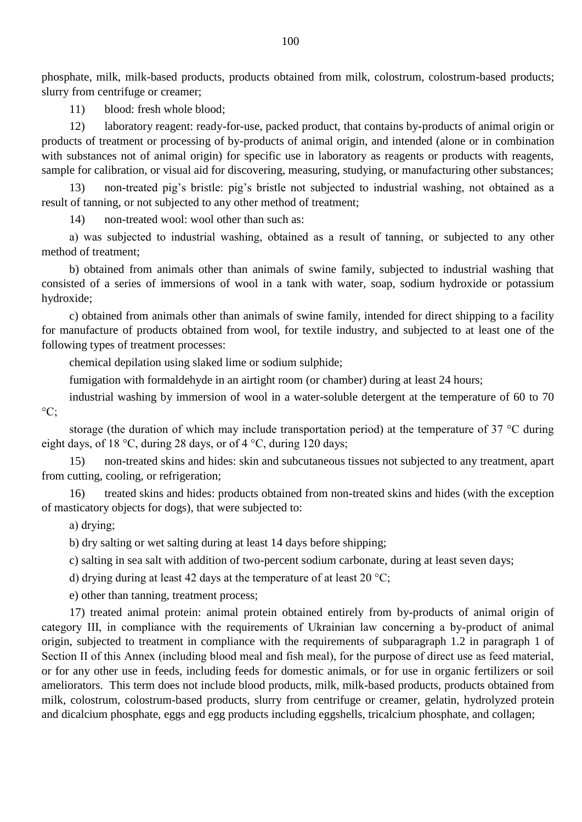phosphate, milk, milk-based products, products obtained from milk, colostrum, colostrum-based products; slurry from centrifuge or creamer;

11) blood: fresh whole blood;

12) laboratory reagent: ready-for-use, packed product, that contains by-products of animal origin or products of treatment or processing of by-products of animal origin, and intended (alone or in combination with substances not of animal origin) for specific use in laboratory as reagents or products with reagents, sample for calibration, or visual aid for discovering, measuring, studying, or manufacturing other substances;

13) non-treated pig"s bristle: pig"s bristle not subjected to industrial washing, not obtained as a result of tanning, or not subjected to any other method of treatment;

14) non-treated wool: wool other than such as:

а) was subjected to industrial washing, obtained as a result of tanning, or subjected to any other method of treatment;

b) obtained from animals other than animals of swine family, subjected to industrial washing that consisted of a series of immersions of wool in a tank with water, soap, sodium hydroxide or potassium hydroxide;

c) obtained from animals other than animals of swine family, intended for direct shipping to a facility for manufacture of products obtained from wool, for textile industry, and subjected to at least one of the following types of treatment processes:

chemical depilation using slaked lime or sodium sulphide;

fumigation with formaldehyde in an airtight room (or chamber) during at least 24 hours;

industrial washing by immersion of wool in a water-soluble detergent at the temperature of 60 to 70  $\circ$ C:

storage (the duration of which may include transportation period) at the temperature of 37 °C during eight days, of 18 °C, during 28 days, or of 4 °C, during 120 days;

15) non-treated skins and hides: skin and subcutaneous tissues not subjected to any treatment, apart from cutting, cooling, or refrigeration;

16) treated skins and hides: products obtained from non-treated skins and hides (with the exception of masticatory objects for dogs), that were subjected to:

а) drying;

b) dry salting or wet salting during at least 14 days before shipping;

c) salting in sea salt with addition of two-percent sodium carbonate, during at least seven days;

d) drying during at least 42 days at the temperature of at least 20  $^{\circ}$ C;

e) other than tanning, treatment process;

17) treated animal protein: animal protein obtained entirely from by-products of animal origin of category ІІІ, in compliance with the requirements of Ukrainian law concerning a by-product of animal origin, subjected to treatment in compliance with the requirements of subparagraph 1.2 in paragraph 1 of Section II of this Annex (including blood meal and fish meal), for the purpose of direct use as feed material, or for any other use in feeds, including feeds for domestic animals, or for use in organic fertilizers or soil ameliorators. This term does not include blood products, milk, milk-based products, products obtained from milk, colostrum, colostrum-based products, slurry from centrifuge or creamer, gelatin, hydrolyzed protein and dicalcium phosphate, eggs and egg products including eggshells, tricalcium phosphate, and collagen;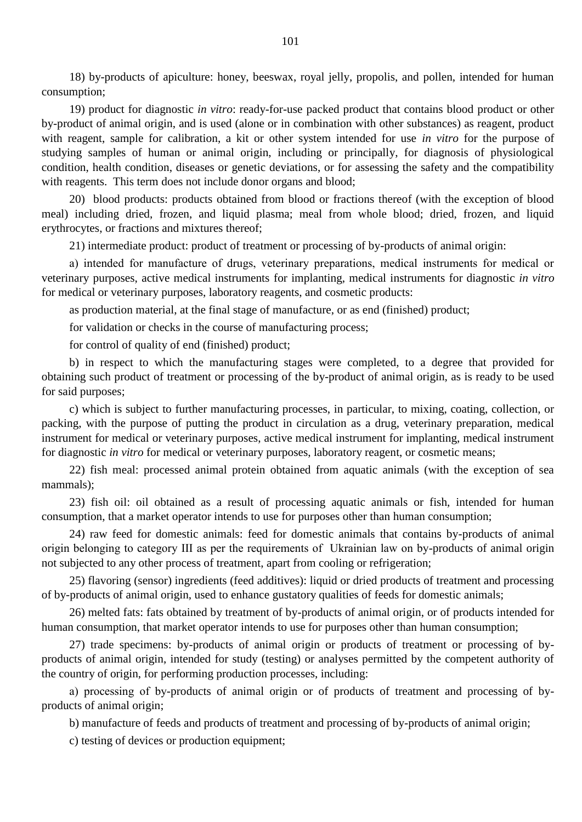18) by-products of apiculture: honey, beeswax, royal jelly, propolis, and pollen, intended for human consumption;

19) product for diagnostic *in vitro*: ready-for-use packed product that contains blood product or other by-product of animal origin, and is used (alone or in combination with other substances) as reagent, product with reagent, sample for calibration, a kit or other system intended for use *in vitro* for the purpose of studying samples of human or animal origin, including or principally, for diagnosis of physiological condition, health condition, diseases or genetic deviations, or for assessing the safety and the compatibility with reagents. This term does not include donor organs and blood;

20) blood products: products obtained from blood or fractions thereof (with the exception of blood meal) including dried, frozen, and liquid plasma; meal from whole blood; dried, frozen, and liquid erythrocytes, or fractions and mixtures thereof;

21) intermediate product: product of treatment or processing of by-products of animal origin:

а) intended for manufacture of drugs, veterinary preparations, medical instruments for medical or veterinary purposes, active medical instruments for implanting, medical instruments for diagnostic *in vitro* for medical or veterinary purposes, laboratory reagents, and cosmetic products:

as production material, at the final stage of manufacture, or as end (finished) product;

for validation or checks in the course of manufacturing process;

for control of quality of end (finished) product;

b) in respect to which the manufacturing stages were completed, to a degree that provided for obtaining such product of treatment or processing of the by-product of animal origin, as is ready to be used for said purposes;

c) which is subject to further manufacturing processes, in particular, to mixing, coating, collection, or packing, with the purpose of putting the product in circulation as a drug, veterinary preparation, medical instrument for medical or veterinary purposes, active medical instrument for implanting, medical instrument for diagnostic *in vitro* for medical or veterinary purposes, laboratory reagent, or cosmetic means;

22) fish meal: processed animal protein obtained from aquatic animals (with the exception of sea mammals);

23) fish oil: oil obtained as a result of processing aquatic animals or fish, intended for human consumption, that a market operator intends to use for purposes other than human consumption;

24) raw feed for domestic animals: feed for domestic animals that contains by-products of animal origin belonging to category ІІІ as per the requirements of Ukrainian law on by-products of animal origin not subjected to any other process of treatment, apart from cooling or refrigeration;

25) flavoring (sensor) ingredients (feed additives): liquid or dried products of treatment and processing of by-products of animal origin, used to enhance gustatory qualities of feeds for domestic animals;

26) melted fats: fats obtained by treatment of by-products of animal origin, or of products intended for human consumption, that market operator intends to use for purposes other than human consumption;

27) trade specimens: by-products of animal origin or products of treatment or processing of byproducts of animal origin, intended for study (testing) or analyses permitted by the competent authority of the country of origin, for performing production processes, including:

а) processing of by-products of animal origin or of products of treatment and processing of byproducts of animal origin;

b) manufacture of feeds and products of treatment and processing of by-products of animal origin;

c) testing of devices or production equipment;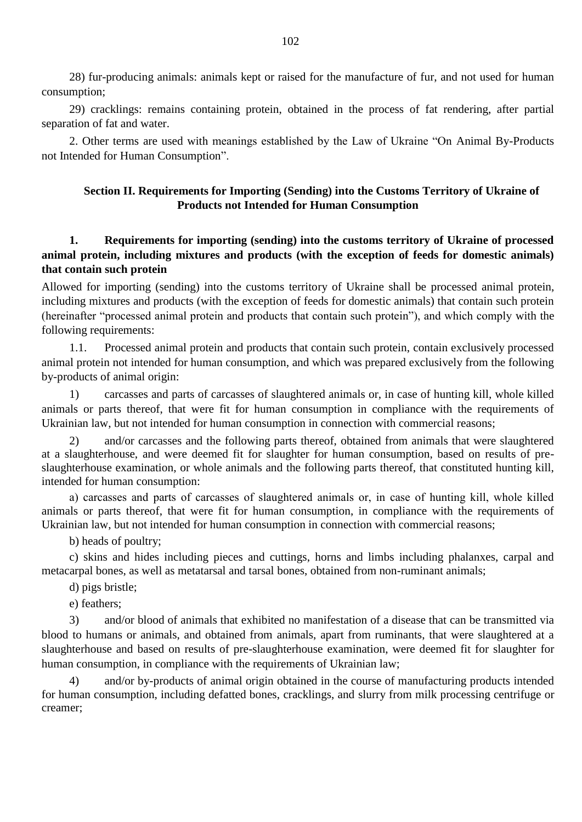28) fur-producing animals: animals kept or raised for the manufacture of fur, and not used for human consumption;

29) cracklings: remains containing protein, obtained in the process of fat rendering, after partial separation of fat and water.

2. Other terms are used with meanings established by the Law of Ukraine "On Animal By-Products not Intended for Human Consumption".

#### **Section II. Requirements for Importing (Sending) into the Customs Territory of Ukraine of Products not Intended for Human Consumption**

### **1. Requirements for importing (sending) into the customs territory of Ukraine of processed animal protein, including mixtures and products (with the exception of feeds for domestic animals) that contain such protein**

Allowed for importing (sending) into the customs territory of Ukraine shall be processed animal protein, including mixtures and products (with the exception of feeds for domestic animals) that contain such protein (hereinafter "processed animal protein and products that contain such protein"), and which comply with the following requirements:

1.1. Processed animal protein and products that contain such protein, contain exclusively processed animal protein not intended for human consumption, and which was prepared exclusively from the following by-products of animal origin:

1) carcasses and parts of carcasses of slaughtered animals or, in case of hunting kill, whole killed animals or parts thereof, that were fit for human consumption in compliance with the requirements of Ukrainian law, but not intended for human consumption in connection with commercial reasons;

2) and/or carcasses and the following parts thereof, obtained from animals that were slaughtered at a slaughterhouse, and were deemed fit for slaughter for human consumption, based on results of preslaughterhouse examination, or whole animals and the following parts thereof, that constituted hunting kill, intended for human consumption:

а) carcasses and parts of carcasses of slaughtered animals or, in case of hunting kill, whole killed animals or parts thereof, that were fit for human consumption, in compliance with the requirements of Ukrainian law, but not intended for human consumption in connection with commercial reasons;

b) heads of poultry;

c) skins and hides including pieces and cuttings, horns and limbs including phalanxes, carpal and metacarpal bones, as well as metatarsal and tarsal bones, obtained from non-ruminant animals;

d) pigs bristle;

e) feathers;

3) and/or blood of animals that exhibited no manifestation of a disease that can be transmitted via blood to humans or animals, and obtained from animals, apart from ruminants, that were slaughtered at a slaughterhouse and based on results of pre-slaughterhouse examination, were deemed fit for slaughter for human consumption, in compliance with the requirements of Ukrainian law;

4) and/or by-products of animal origin obtained in the course of manufacturing products intended for human consumption, including defatted bones, cracklings, and slurry from milk processing centrifuge or creamer;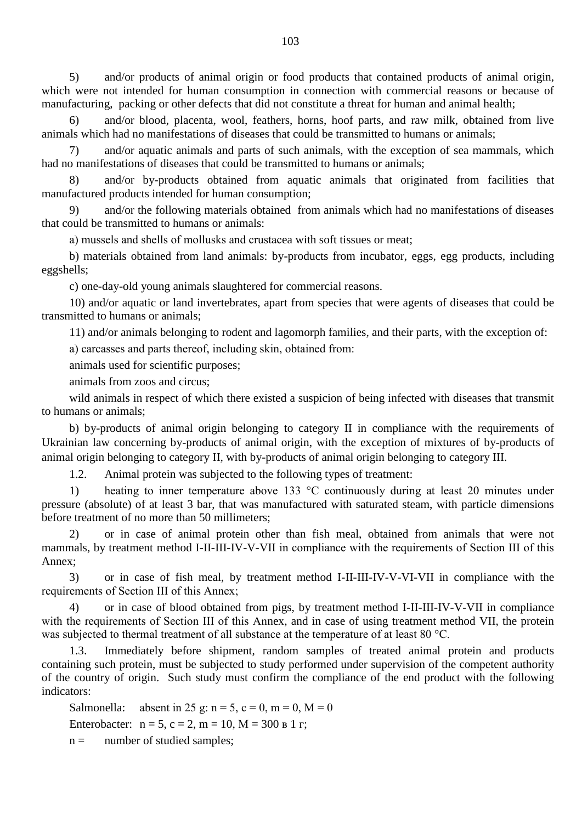5) and/or products of animal origin or food products that contained products of animal origin, which were not intended for human consumption in connection with commercial reasons or because of manufacturing, packing or other defects that did not constitute a threat for human and animal health;

6) and/or blood, placenta, wool, feathers, horns, hoof parts, and raw milk, obtained from live animals which had no manifestations of diseases that could be transmitted to humans or animals;

7) and/or aquatic animals and parts of such animals, with the exception of sea mammals, which had no manifestations of diseases that could be transmitted to humans or animals;

8) and/or by-products obtained from aquatic animals that originated from facilities that manufactured products intended for human consumption;

9) and/or the following materials obtained from animals which had no manifestations of diseases that could be transmitted to humans or animals:

а) mussels and shells of mollusks and crustacea with soft tissues or meat;

b) materials obtained from land animals: by-products from incubator, eggs, egg products, including eggshells;

c) one-day-old young animals slaughtered for commercial reasons.

10) and/or aquatic or land invertebrates, apart from species that were agents of diseases that could be transmitted to humans or animals;

11) and/or animals belonging to rodent and lagomorph families, and their parts, with the exception of:

а) carcasses and parts thereof, including skin, obtained from:

animals used for scientific purposes;

animals from zoos and circus;

wild animals in respect of which there existed a suspicion of being infected with diseases that transmit to humans or animals;

b) by-products of animal origin belonging to category II in compliance with the requirements of Ukrainian law concerning by-products of animal origin, with the exception of mixtures of by-products of animal origin belonging to category II, with by-products of animal origin belonging to category III.

1.2. Animal protein was subjected to the following types of treatment:

1) heating to inner temperature above 133 °C continuously during at least 20 minutes under pressure (absolute) of at least 3 bar, that was manufactured with saturated steam, with particle dimensions before treatment of no more than 50 millimeters;

2) or in case of animal protein other than fish meal, obtained from animals that were not mammals, by treatment method I-II-III-IV-V-VII in compliance with the requirements of Section ІІІ of this Annex;

3) or in case of fish meal, by treatment method I-II-III-IV-V-VI-VII in compliance with the requirements of Section ІІІ of this Annex;

4) or in case of blood obtained from pigs, by treatment method I-II-III-IV-V-VII in compliance with the requirements of Section III of this Annex, and in case of using treatment method VII, the protein was subjected to thermal treatment of all substance at the temperature of at least 80 °C.

1.3. Immediately before shipment, random samples of treated animal protein and products containing such protein, must be subjected to study performed under supervision of the competent authority of the country of origin. Such study must confirm the compliance of the end product with the following indicators:

Salmonella: absent in 25 g:  $n = 5$ ,  $c = 0$ ,  $m = 0$ ,  $M = 0$ Enterobacter:  $n = 5$ ,  $c = 2$ ,  $m = 10$ ,  $M = 300$  в 1 г;

 $n =$  number of studied samples;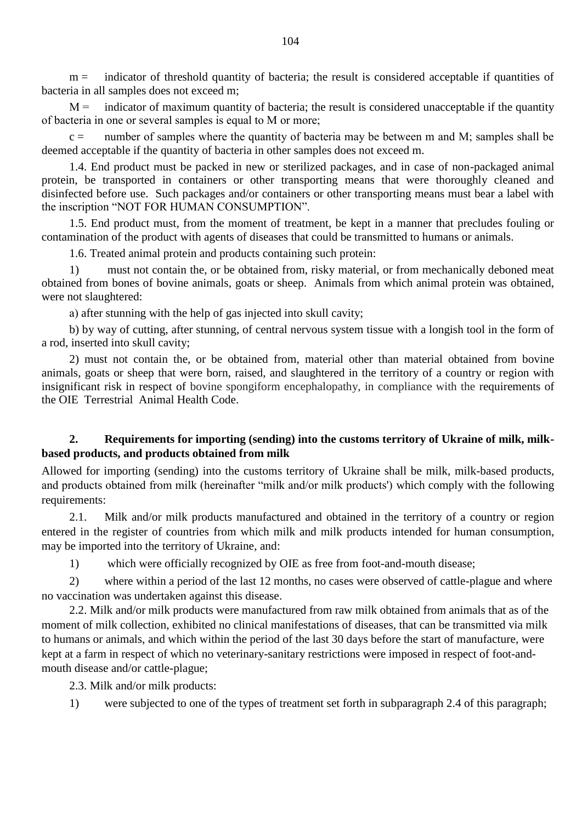$m =$  indicator of threshold quantity of bacteria; the result is considered acceptable if quantities of bacteria in all samples does not exceed m;

 $M =$  indicator of maximum quantity of bacteria; the result is considered unacceptable if the quantity of bacteria in one or several samples is equal to М or more;

 $c =$  number of samples where the quantity of bacteria may be between m and M; samples shall be deemed acceptable if the quantity of bacteria in other samples does not exceed m.

1.4. End product must be packed in new or sterilized packages, and in case of non-packaged animal protein, be transported in containers or other transporting means that were thoroughly cleaned and disinfected before use. Such packages and/or containers or other transporting means must bear a label with the inscription "NOT FOR HUMAN CONSUMPTION".

1.5. End product must, from the moment of treatment, be kept in a manner that precludes fouling or contamination of the product with agents of diseases that could be transmitted to humans or animals.

1.6. Treated animal protein and products containing such protein:

1) must not contain the, or be obtained from, risky material, or from mechanically deboned meat obtained from bones of bovine animals, goats or sheep. Animals from which animal protein was obtained, were not slaughtered:

а) after stunning with the help of gas injected into skull cavity;

b) by way of cutting, after stunning, of central nervous system tissue with a longish tool in the form of a rod, inserted into skull cavity;

2) must not contain the, or be obtained from, material other than material obtained from bovine animals, goats or sheep that were born, raised, and slaughtered in the territory of a country or region with insignificant risk in respect of bovine spongiform encephalopathy, in compliance with the requirements of the OIE Terrestrial Animal Health Code.

# **2. Requirements for importing (sending) into the customs territory of Ukraine of milk, milkbased products, and products obtained from milk**

Allowed for importing (sending) into the customs territory of Ukraine shall be milk, milk-based products, and products obtained from milk (hereinafter "milk and/or milk products') which comply with the following requirements:

2.1. Milk and/or milk products manufactured and obtained in the territory of a country or region entered in the register of countries from which milk and milk products intended for human consumption, may be imported into the territory of Ukraine, and:

1) which were officially recognized by OIE as free from foot-and-mouth disease;

2) where within a period of the last 12 months, no cases were observed of cattle-plague and where no vaccination was undertaken against this disease.

2.2. Milk and/or milk products were manufactured from raw milk obtained from animals that as of the moment of milk collection, exhibited no clinical manifestations of diseases, that can be transmitted via milk to humans or animals, and which within the period of the last 30 days before the start of manufacture, were kept at a farm in respect of which no veterinary-sanitary restrictions were imposed in respect of foot-andmouth disease and/or cattle-plague;

2.3. Milk and/or milk products:

1) were subjected to one of the types of treatment set forth in subparagraph 2.4 of this paragraph;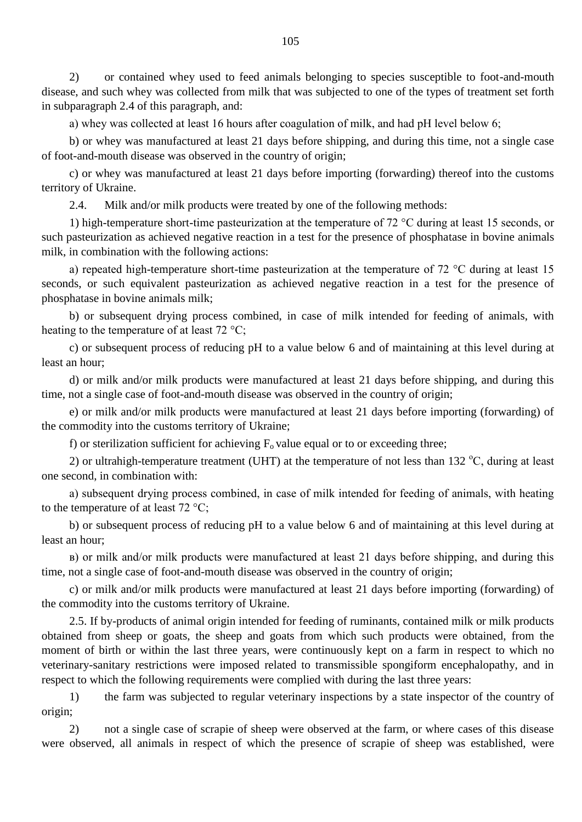2) or contained whey used to feed animals belonging to species susceptible to foot-and-mouth disease, and such whey was collected from milk that was subjected to one of the types of treatment set forth in subparagraph 2.4 of this paragraph, and:

а) whey was collected at least 16 hours after coagulation of milk, and had pH level below 6;

b) or whey was manufactured at least 21 days before shipping, and during this time, not a single case of foot-and-mouth disease was observed in the country of origin;

c) or whey was manufactured at least 21 days before importing (forwarding) thereof into the customs territory of Ukraine.

2.4. Milk and/or milk products were treated by one of the following methods:

1) high-temperature short-time pasteurization at the temperature of 72 °С during at least 15 seconds, or such pasteurization as achieved negative reaction in a test for the presence of phosphatase in bovine animals milk, in combination with the following actions:

а) repeated high-temperature short-time pasteurization at the temperature of 72 °C during at least 15 seconds, or such equivalent pasteurization as achieved negative reaction in a test for the presence of phosphatase in bovine animals milk;

b) or subsequent drying process combined, in case of milk intended for feeding of animals, with heating to the temperature of at least 72 °C;

c) or subsequent process of reducing pH to a value below 6 and of maintaining at this level during at least an hour;

d) or milk and/or milk products were manufactured at least 21 days before shipping, and during this time, not a single case of foot-and-mouth disease was observed in the country of origin;

e) or milk and/or milk products were manufactured at least 21 days before importing (forwarding) of the commodity into the customs territory of Ukraine;

f) or sterilization sufficient for achieving  $F_0$  value equal or to or exceeding three;

2) or ultrahigh-temperature treatment (UHT) at the temperature of not less than 132  $^{\circ}$ C, during at least one second, in combination with:

а) subsequent drying process combined, in case of milk intended for feeding of animals, with heating to the temperature of at least  $72 \degree C$ ;

b) or subsequent process of reducing pH to a value below 6 and of maintaining at this level during at least an hour;

в) or milk and/or milk products were manufactured at least 21 days before shipping, and during this time, not a single case of foot-and-mouth disease was observed in the country of origin;

c) or milk and/or milk products were manufactured at least 21 days before importing (forwarding) of the commodity into the customs territory of Ukraine.

2.5. If by-products of animal origin intended for feeding of ruminants, contained milk or milk products obtained from sheep or goats, the sheep and goats from which such products were obtained, from the moment of birth or within the last three years, were continuously kept on a farm in respect to which no veterinary-sanitary restrictions were imposed related to transmissible spongiform encephalopathy, and in respect to which the following requirements were complied with during the last three years:

1) the farm was subjected to regular veterinary inspections by a state inspector of the country of origin;

2) not a single case of scrapie of sheep were observed at the farm, or where cases of this disease were observed, all animals in respect of which the presence of scrapie of sheep was established, were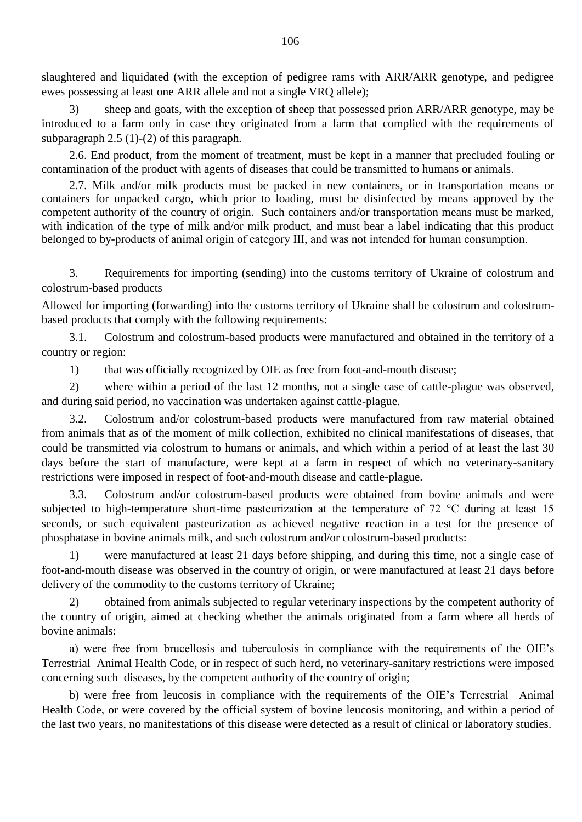slaughtered and liquidated (with the exception of pedigree rams with ARR/ARR genotype, and pedigree ewes possessing at least one ARR allele and not a single VRQ allele);

3) sheep and goats, with the exception of sheep that possessed prion ARR/ARR genotype, may be introduced to a farm only in case they originated from a farm that complied with the requirements of subparagraph 2.5 (1)-(2) of this paragraph.

2.6. End product, from the moment of treatment, must be kept in a manner that precluded fouling or contamination of the product with agents of diseases that could be transmitted to humans or animals.

2.7. Milk and/or milk products must be packed in new containers, or in transportation means or containers for unpacked cargo, which prior to loading, must be disinfected by means approved by the competent authority of the country of origin. Such containers and/or transportation means must be marked, with indication of the type of milk and/or milk product, and must bear a label indicating that this product belonged to by-products of animal origin of category ІІІ, and was not intended for human consumption.

3. Requirements for importing (sending) into the customs territory of Ukraine of colostrum and colostrum-based products

Allowed for importing (forwarding) into the customs territory of Ukraine shall be colostrum and colostrumbased products that comply with the following requirements:

3.1. Colostrum and colostrum-based products were manufactured and obtained in the territory of a country or region:

1) that was officially recognized by OIE as free from foot-and-mouth disease;

2) where within a period of the last 12 months, not a single case of cattle-plague was observed, and during said period, no vaccination was undertaken against cattle-plague.

3.2. Colostrum and/or colostrum-based products were manufactured from raw material obtained from animals that as of the moment of milk collection, exhibited no clinical manifestations of diseases, that could be transmitted via colostrum to humans or animals, and which within a period of at least the last 30 days before the start of manufacture, were kept at a farm in respect of which no veterinary-sanitary restrictions were imposed in respect of foot-and-mouth disease and cattle-plague.

3.3. Colostrum and/or colostrum-based products were obtained from bovine animals and were subjected to high-temperature short-time pasteurization at the temperature of 72 °C during at least 15 seconds, or such equivalent pasteurization as achieved negative reaction in a test for the presence of phosphatase in bovine animals milk, and such colostrum and/or colostrum-based products:

1) were manufactured at least 21 days before shipping, and during this time, not a single case of foot-and-mouth disease was observed in the country of origin, or were manufactured at least 21 days before delivery of the commodity to the customs territory of Ukraine;

2) obtained from animals subjected to regular veterinary inspections by the competent authority of the country of origin, aimed at checking whether the animals originated from a farm where all herds of bovine animals:

а) were free from brucellosis and tuberculosis in compliance with the requirements of the OIE"s Terrestrial Animal Health Code, or in respect of such herd, no veterinary-sanitary restrictions were imposed concerning such diseases, by the competent authority of the country of origin;

b) were free from leucosis in compliance with the requirements of the OIE"s Terrestrial Animal Health Code, or were covered by the official system of bovine leucosis monitoring, and within a period of the last two years, no manifestations of this disease were detected as a result of clinical or laboratory studies.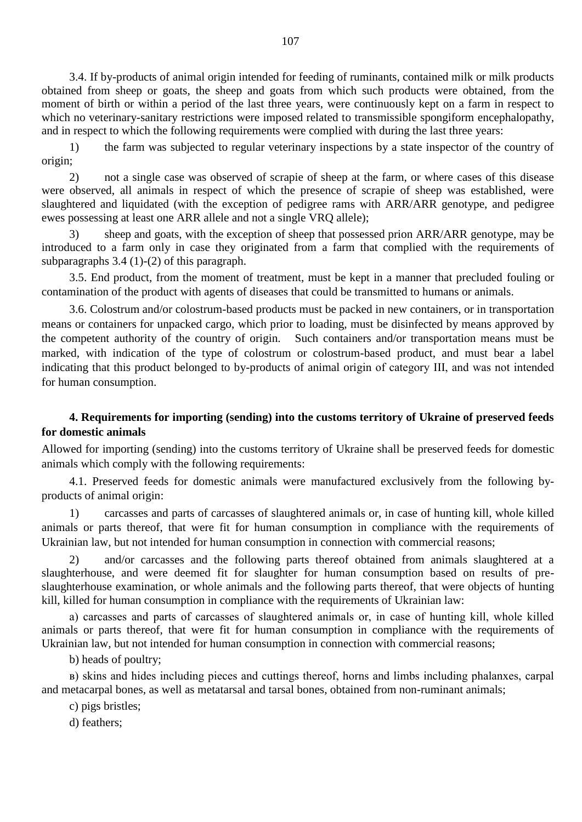3.4. If by-products of animal origin intended for feeding of ruminants, contained milk or milk products obtained from sheep or goats, the sheep and goats from which such products were obtained, from the moment of birth or within a period of the last three years, were continuously kept on a farm in respect to which no veterinary-sanitary restrictions were imposed related to transmissible spongiform encephalopathy, and in respect to which the following requirements were complied with during the last three years:

1) the farm was subjected to regular veterinary inspections by a state inspector of the country of origin;

2) not a single case was observed of scrapie of sheep at the farm, or where cases of this disease were observed, all animals in respect of which the presence of scrapie of sheep was established, were slaughtered and liquidated (with the exception of pedigree rams with ARR/ARR genotype, and pedigree ewes possessing at least one ARR allele and not a single VRQ allele);

3) sheep and goats, with the exception of sheep that possessed prion ARR/ARR genotype, may be introduced to a farm only in case they originated from a farm that complied with the requirements of subparagraphs 3.4 (1)-(2) of this paragraph.

3.5. End product, from the moment of treatment, must be kept in a manner that precluded fouling or contamination of the product with agents of diseases that could be transmitted to humans or animals.

3.6. Colostrum and/or colostrum-based products must be packed in new containers, or in transportation means or containers for unpacked cargo, which prior to loading, must be disinfected by means approved by the competent authority of the country of origin. Such containers and/or transportation means must be marked, with indication of the type of colostrum or colostrum-based product, and must bear a label indicating that this product belonged to by-products of animal origin of category ІІІ, and was not intended for human consumption.

# **4. Requirements for importing (sending) into the customs territory of Ukraine of preserved feeds for domestic animals**

Allowed for importing (sending) into the customs territory of Ukraine shall be preserved feeds for domestic animals which comply with the following requirements:

4.1. Preserved feeds for domestic animals were manufactured exclusively from the following byproducts of animal origin:

1) carcasses and parts of carcasses of slaughtered animals or, in case of hunting kill, whole killed animals or parts thereof, that were fit for human consumption in compliance with the requirements of Ukrainian law, but not intended for human consumption in connection with commercial reasons;

2) and/or carcasses and the following parts thereof obtained from animals slaughtered at a slaughterhouse, and were deemed fit for slaughter for human consumption based on results of preslaughterhouse examination, or whole animals and the following parts thereof, that were objects of hunting kill, killed for human consumption in compliance with the requirements of Ukrainian law:

а) carcasses and parts of carcasses of slaughtered animals or, in case of hunting kill, whole killed animals or parts thereof, that were fit for human consumption in compliance with the requirements of Ukrainian law, but not intended for human consumption in connection with commercial reasons;

b) heads of poultry;

в) skins and hides including pieces and cuttings thereof, horns and limbs including phalanxes, carpal and metacarpal bones, as well as metatarsal and tarsal bones, obtained from non-ruminant animals;

c) pigs bristles;

d) feathers;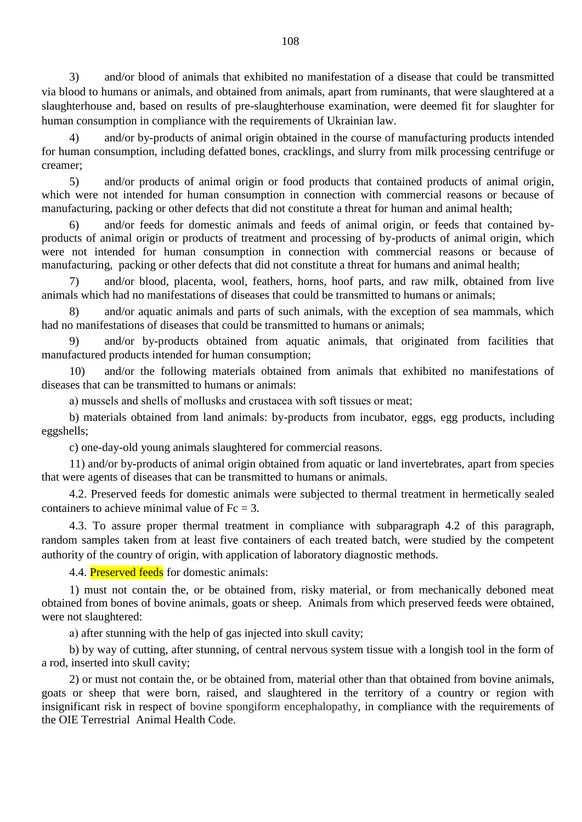3) and/or blood of animals that exhibited no manifestation of a disease that could be transmitted via blood to humans or animals, and obtained from animals, apart from ruminants, that were slaughtered at a slaughterhouse and, based on results of pre-slaughterhouse examination, were deemed fit for slaughter for human consumption in compliance with the requirements of Ukrainian law.

4) and/or by-products of animal origin obtained in the course of manufacturing products intended for human consumption, including defatted bones, cracklings, and slurry from milk processing centrifuge or creamer;

5) and/or products of animal origin or food products that contained products of animal origin, which were not intended for human consumption in connection with commercial reasons or because of manufacturing, packing or other defects that did not constitute a threat for human and animal health;

6) and/or feeds for domestic animals and feeds of animal origin, or feeds that contained byproducts of animal origin or products of treatment and processing of by-products of animal origin, which were not intended for human consumption in connection with commercial reasons or because of manufacturing, packing or other defects that did not constitute a threat for humans and animal health;

and/or blood, placenta, wool, feathers, horns, hoof parts, and raw milk, obtained from live animals which had no manifestations of diseases that could be transmitted to humans or animals;

8) and/or aquatic animals and parts of such animals, with the exception of sea mammals, which had no manifestations of diseases that could be transmitted to humans or animals;

9) and/or by-products obtained from aquatic animals, that originated from facilities that manufactured products intended for human consumption;

10) and/or the following materials obtained from animals that exhibited no manifestations of diseases that can be transmitted to humans or animals:

а) mussels and shells of mollusks and crustacea with soft tissues or meat;

b) materials obtained from land animals: by-products from incubator, eggs, egg products, including eggshells;

c) one-day-old young animals slaughtered for commercial reasons.

11) and/or by-products of animal origin obtained from aquatic or land invertebrates, apart from species that were agents of diseases that can be transmitted to humans or animals.

4.2. Preserved feeds for domestic animals were subjected to thermal treatment in hermetically sealed containers to achieve minimal value of  $Fc = 3$ .

4.3. To assure proper thermal treatment in compliance with subparagraph 4.2 of this paragraph, random samples taken from at least five containers of each treated batch, were studied by the competent authority of the country of origin, with application of laboratory diagnostic methods.

4.4. **Preserved feeds** for domestic animals:

1) must not contain the, or be obtained from, risky material, or from mechanically deboned meat obtained from bones of bovine animals, goats or sheep. Animals from which preserved feeds were obtained, were not slaughtered:

а) after stunning with the help of gas injected into skull cavity;

b) by way of cutting, after stunning, of central nervous system tissue with a longish tool in the form of a rod, inserted into skull cavity;

2) or must not contain the, or be obtained from, material other than that obtained from bovine animals, goats or sheep that were born, raised, and slaughtered in the territory of a country or region with insignificant risk in respect of bovine spongiform encephalopathy, in compliance with the requirements of the OIE Terrestrial Animal Health Code.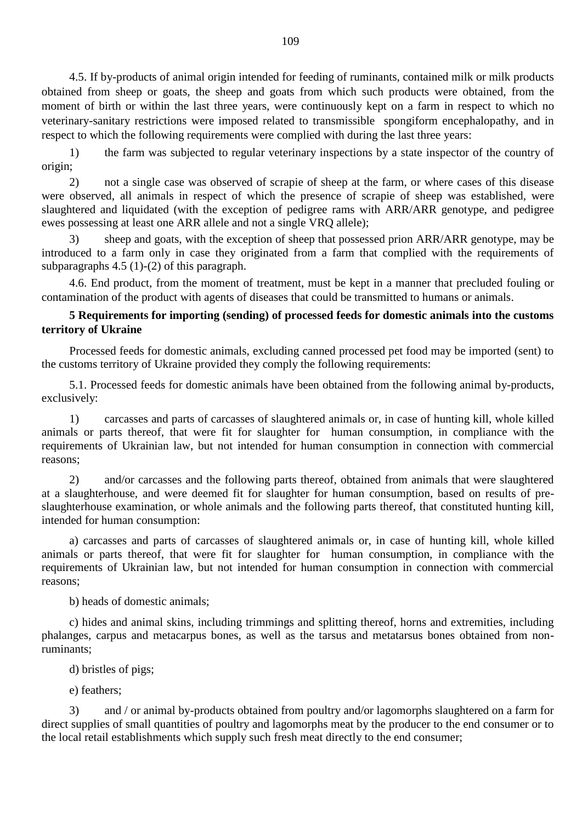4.5. If by-products of animal origin intended for feeding of ruminants, contained milk or milk products obtained from sheep or goats, the sheep and goats from which such products were obtained, from the moment of birth or within the last three years, were continuously kept on a farm in respect to which no veterinary-sanitary restrictions were imposed related to transmissible spongiform encephalopathy, and in respect to which the following requirements were complied with during the last three years:

1) the farm was subjected to regular veterinary inspections by a state inspector of the country of origin;

2) not a single case was observed of scrapie of sheep at the farm, or where cases of this disease were observed, all animals in respect of which the presence of scrapie of sheep was established, were slaughtered and liquidated (with the exception of pedigree rams with ARR/ARR genotype, and pedigree ewes possessing at least one ARR allele and not a single VRQ allele);

3) sheep and goats, with the exception of sheep that possessed prion ARR/ARR genotype, may be introduced to a farm only in case they originated from a farm that complied with the requirements of subparagraphs 4.5 (1)-(2) of this paragraph.

4.6. End product, from the moment of treatment, must be kept in a manner that precluded fouling or contamination of the product with agents of diseases that could be transmitted to humans or animals.

# **5 Requirements for importing (sending) of processed feeds for domestic animals into the customs territory of Ukraine**

Processed feeds for domestic animals, excluding canned processed pet food may be imported (sent) to the customs territory of Ukraine provided they comply the following requirements:

5.1. Processed feeds for domestic animals have been obtained from the following animal by-products, exclusively:

1) carcasses and parts of carcasses of slaughtered animals or, in case of hunting kill, whole killed animals or parts thereof, that were fit for slaughter for human consumption, in compliance with the requirements of Ukrainian law, but not intended for human consumption in connection with commercial reasons;

2) and/or carcasses and the following parts thereof, obtained from animals that were slaughtered at a slaughterhouse, and were deemed fit for slaughter for human consumption, based on results of preslaughterhouse examination, or whole animals and the following parts thereof, that constituted hunting kill, intended for human consumption:

a) carcasses and parts of carcasses of slaughtered animals or, in case of hunting kill, whole killed animals or parts thereof, that were fit for slaughter for human consumption, in compliance with the requirements of Ukrainian law, but not intended for human consumption in connection with commercial reasons;

b) heads of domestic animals;

c) hides and animal skins, including trimmings and splitting thereof, horns and extremities, including phalanges, carpus and metacarpus bones, as well as the tarsus and metatarsus bones obtained from nonruminants;

d) bristles of pigs;

e) feathers;

3) and / or animal by-products obtained from poultry and/or lagomorphs slaughtered on a farm for direct supplies of small quantities of poultry and lagomorphs meat by the producer to the end consumer or to the local retail establishments which supply such fresh meat directly to the end consumer;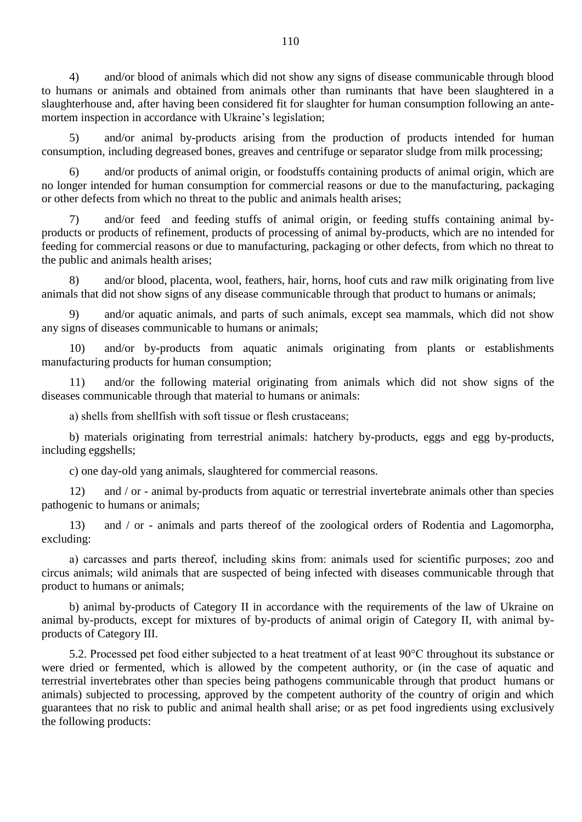4) and/or blood of animals which did not show any signs of disease communicable through blood to humans or animals and obtained from animals other than ruminants that have been slaughtered in a slaughterhouse and, after having been considered fit for slaughter for human consumption following an antemortem inspection in accordance with Ukraine"s legislation;

5) and/or animal by-products arising from the production of products intended for human consumption, including degreased bones, greaves and centrifuge or separator sludge from milk processing;

6) and/or products of animal origin, or foodstuffs containing products of animal origin, which are no longer intended for human consumption for commercial reasons or due to the manufacturing, packaging or other defects from which no threat to the public and animals health arises;

7) and/or feed and feeding stuffs of animal origin, or feeding stuffs containing animal byproducts or products of refinement, products of processing of animal by-products, which are no intended for feeding for commercial reasons or due to manufacturing, packaging or other defects, from which no threat to the public and animals health arises;

8) and/or blood, placenta, wool, feathers, hair, horns, hoof cuts and raw milk originating from live animals that did not show signs of any disease communicable through that product to humans or animals;

9) and/or aquatic animals, and parts of such animals, except sea mammals, which did not show any signs of diseases communicable to humans or animals;

and/or by-products from aquatic animals originating from plants or establishments manufacturing products for human consumption;

11) and/or the following material originating from animals which did not show signs of the diseases communicable through that material to humans or animals:

а) shells from shellfish with soft tissue or flesh crustaceans;

b) materials originating from terrestrial animals: hatchery by-products, eggs and egg by-products, including eggshells;

c) one day-old yang animals, slaughtered for commercial reasons.

12) and / or - animal by-products from aquatic or terrestrial invertebrate animals other than species pathogenic to humans or animals;

13) and / or - animals and parts thereof of the zoological orders of Rodentia and Lagomorpha, excluding:

а) carcasses and parts thereof, including skins from: animals used for scientific purposes; zoo and circus animals; wild animals that are suspected of being infected with diseases communicable through that product to humans or animals;

b) animal by-products of Category II in accordance with the requirements of the law of Ukraine on animal by-products, except for mixtures of by-products of animal origin of Category II, with animal byproducts of Category III.

5.2. Processed pet food either subjected to a heat treatment of at least 90°C throughout its substance or were dried or fermented, which is allowed by the competent authority, or (in the case of aquatic and terrestrial invertebrates other than species being pathogens communicable through that product humans or animals) subjected to processing, approved by the competent authority of the country of origin and which guarantees that no risk to public and animal health shall arise; or as pet food ingredients using exclusively the following products: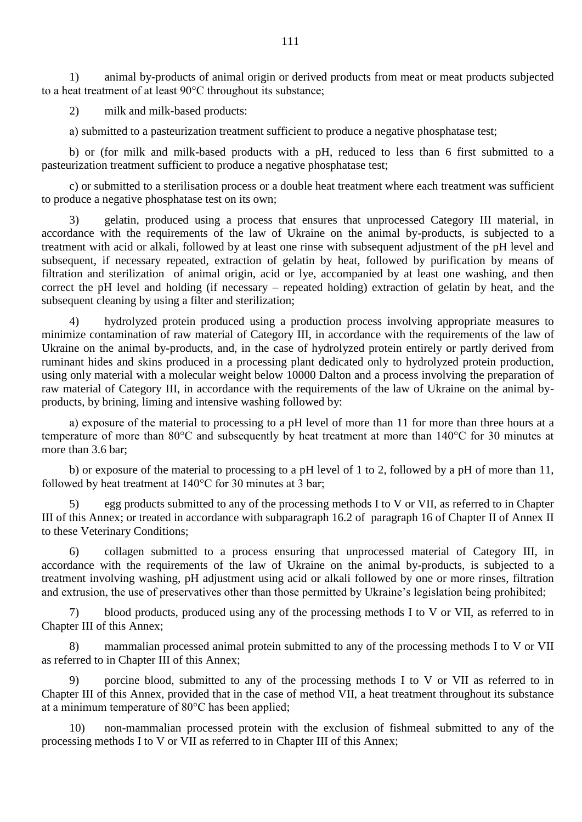1) animal by-products of animal origin or derived products from meat or meat products subjected to a heat treatment of at least 90°C throughout its substance;

2) milk and milk-based products:

а) submitted to a pasteurization treatment sufficient to produce a negative phosphatase test;

b) or (for milk and milk-based products with a pH, reduced to less than 6 first submitted to a pasteurization treatment sufficient to produce a negative phosphatase test;

c) or submitted to a sterilisation process or a double heat treatment where each treatment was sufficient to produce a negative phosphatase test on its own;

3) gelatin, produced using a process that ensures that unprocessed Category III material, in accordance with the requirements of the law of Ukraine on the animal by-products, is subjected to a treatment with acid or alkali, followed by at least one rinse with subsequent adjustment of the pH level and subsequent, if necessary repeated, extraction of gelatin by heat, followed by purification by means of filtration and sterilization of animal origin, acid or lye, accompanied by at least one washing, and then correct the pH level and holding (if necessary – repeated holding) extraction of gelatin by heat, and the subsequent cleaning by using a filter and sterilization;

4) hydrolyzed protein produced using a production process involving appropriate measures to minimize contamination of raw material of Category III, in accordance with the requirements of the law of Ukraine on the animal by-products, and, in the case of hydrolyzed protein entirely or partly derived from ruminant hides and skins produced in a processing plant dedicated only to hydrolyzed protein production, using only material with a molecular weight below 10000 Dalton and a process involving the preparation of raw material of Category III, in accordance with the requirements of the law of Ukraine on the animal byproducts, by brining, liming and intensive washing followed by:

а) exposure of the material to processing to a pH level of more than 11 for more than three hours at a temperature of more than 80°C and subsequently by heat treatment at more than 140°C for 30 minutes at more than 3.6 bar;

b) or exposure of the material to processing to a pH level of 1 to 2, followed by a pH of more than 11, followed by heat treatment at 140°C for 30 minutes at 3 bar;

5) egg products submitted to any of the processing methods I to V or VII, as referred to in Chapter III of this Annex; or treated in accordance with subparagraph 16.2 of paragraph 16 of Chapter II of Annex II to these Veterinary Conditions;

6) collagen submitted to a process ensuring that unprocessed material of Category III, in accordance with the requirements of the law of Ukraine on the animal by-products, is subjected to a treatment involving washing, pH adjustment using acid or alkali followed by one or more rinses, filtration and extrusion, the use of preservatives other than those permitted by Ukraine"s legislation being prohibited;

7) blood products, produced using any of the processing methods I to V or VII, as referred to in Chapter III of this Annex;

8) mammalian processed animal protein submitted to any of the processing methods I to V or VII as referred to in Chapter III of this Annex;

9) porcine blood, submitted to any of the processing methods I to V or VII as referred to in Chapter III of this Annex, provided that in the case of method VII, a heat treatment throughout its substance at a minimum temperature of 80°C has been applied;

10) non-mammalian processed protein with the exclusion of fishmeal submitted to any of the processing methods I to V or VII as referred to in Chapter III of this Annex;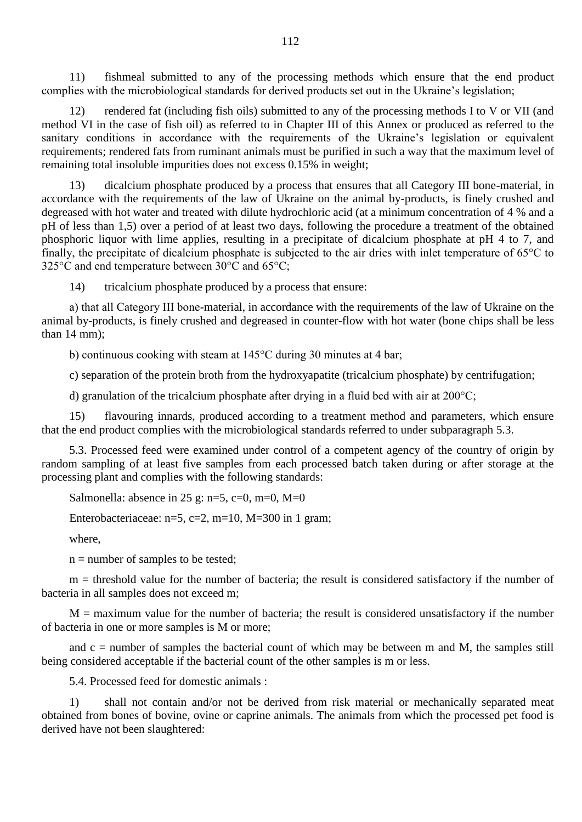11) fishmeal submitted to any of the processing methods which ensure that the end product complies with the microbiological standards for derived products set out in the Ukraine"s legislation;

12) rendered fat (including fish oils) submitted to any of the processing methods I to V or VII (and method VI in the case of fish oil) as referred to in Chapter III of this Annex or produced as referred to the sanitary conditions in accordance with the requirements of the Ukraine's legislation or equivalent requirements; rendered fats from ruminant animals must be purified in such a way that the maximum level of remaining total insoluble impurities does not excess 0.15% in weight;

13) dicalcium phosphate produced by a process that ensures that all Category III bone-material, in accordance with the requirements of the law of Ukraine on the animal by-products, is finely crushed and degreased with hot water and treated with dilute hydrochloric acid (at a minimum concentration of 4 % and a pH of less than 1,5) over a period of at least two days, following the procedure a treatment of the obtained phosphoric liquor with lime applies, resulting in a precipitate of dicalcium phosphate at pH 4 to 7, and finally, the precipitate of dicalcium phosphate is subjected to the air dries with inlet temperature of 65°C to 325°C and end temperature between 30°C and 65°C;

14) tricalcium phosphate produced by a process that ensure:

а) that all Category III bone-material, in accordance with the requirements of the law of Ukraine on the animal by-products, is finely crushed and degreased in counter-flow with hot water (bone chips shall be less than 14 mm);

b) continuous cooking with steam at 145°C during 30 minutes at 4 bar;

c) separation of the protein broth from the hydroxyapatite (tricalcium phosphate) by centrifugation;

d) granulation of the tricalcium phosphate after drying in a fluid bed with air at 200°C;

15) flavouring innards, produced according to a treatment method and parameters, which ensure that the end product complies with the microbiological standards referred to under subparagraph 5.3.

5.3. Processed feed were examined under control of a competent agency of the country of origin by random sampling of at least five samples from each processed batch taken during or after storage at the processing plant and complies with the following standards:

Salmonella: absence in 25 g: n=5, c=0, m=0, M=0

Enterobacteriaceae:  $n=5$ ,  $c=2$ ,  $m=10$ ,  $M=300$  in 1 gram;

where,

 $n =$  number of samples to be tested;

m = threshold value for the number of bacteria; the result is considered satisfactory if the number of bacteria in all samples does not exceed m;

 $M =$  maximum value for the number of bacteria; the result is considered unsatisfactory if the number of bacteria in one or more samples is M or more;

and  $c =$  number of samples the bacterial count of which may be between m and M, the samples still being considered acceptable if the bacterial count of the other samples is m or less.

5.4. Processed feed for domestic animals :

1) shall not contain and/or not be derived from risk material or mechanically separated meat obtained from bones of bovine, ovine or caprine animals. The animals from which the processed pet food is derived have not been slaughtered: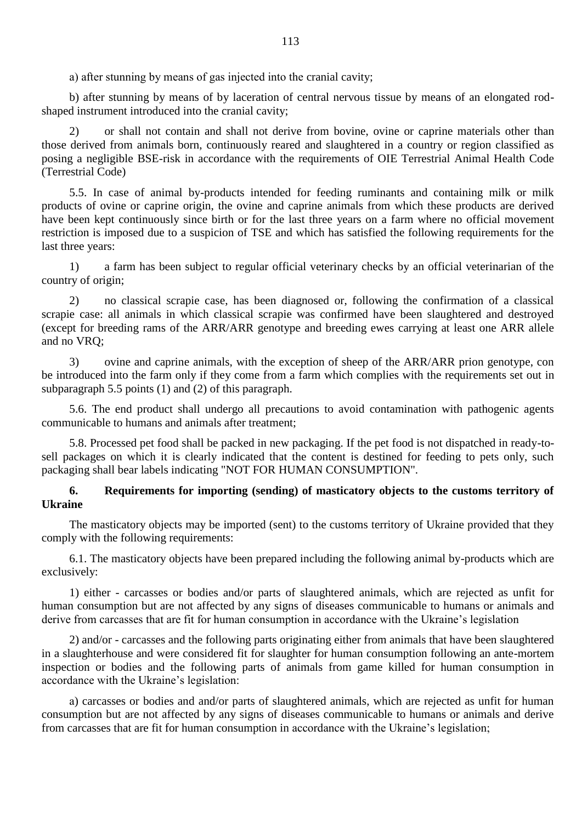а) after stunning by means of gas injected into the cranial cavity;

b) after stunning by means of by laceration of central nervous tissue by means of an elongated rodshaped instrument introduced into the cranial cavity;

2) or shall not contain and shall not derive from bovine, ovine or caprine materials other than those derived from animals born, continuously reared and slaughtered in a country or region classified as posing a negligible BSE-risk in accordance with the requirements of OIE Terrestrial Animal Health Code (Terrestrial Code)

5.5. In case of animal by-products intended for feeding ruminants and containing milk or milk products of ovine or caprine origin, the ovine and caprine animals from which these products are derived have been kept continuously since birth or for the last three years on a farm where no official movement restriction is imposed due to a suspicion of TSE and which has satisfied the following requirements for the last three years:

1) a farm has been subject to regular official veterinary checks by an official veterinarian of the country of origin;

2) no classical scrapie case, has been diagnosed or, following the confirmation of a classical scrapie case: all animals in which classical scrapie was confirmed have been slaughtered and destroyed (except for breeding rams of the ARR/ARR genotype and breeding ewes carrying at least one ARR allele and no VRQ;

3) ovine and caprine animals, with the exception of sheep of the ARR/ARR prion genotype, con be introduced into the farm only if they come from a farm which complies with the requirements set out in subparagraph 5.5 points (1) and (2) of this paragraph.

5.6. The end product shall undergo all precautions to avoid contamination with pathogenic agents communicable to humans and animals after treatment;

5.8. Processed pet food shall be packed in new packaging. If the pet food is not dispatched in ready-tosell packages on which it is clearly indicated that the content is destined for feeding to pets only, such packaging shall bear labels indicating "NOT FOR HUMAN CONSUMPTION".

# **6. Requirements for importing (sending) of masticatory objects to the customs territory of Ukraine**

The masticatory objects may be imported (sent) to the customs territory of Ukraine provided that they comply with the following requirements:

6.1. The masticatory objects have been prepared including the following animal by-products which are exclusively:

1) either - carcasses or bodies and/or parts of slaughtered animals, which are rejected as unfit for human consumption but are not affected by any signs of diseases communicable to humans or animals and derive from carcasses that are fit for human consumption in accordance with the Ukraine"s legislation

2) and/or - carcasses and the following parts originating either from animals that have been slaughtered in a slaughterhouse and were considered fit for slaughter for human consumption following an ante-mortem inspection or bodies and the following parts of animals from game killed for human consumption in accordance with the Ukraine"s legislation:

а) carcasses or bodies and and/or parts of slaughtered animals, which are rejected as unfit for human consumption but are not affected by any signs of diseases communicable to humans or animals and derive from carcasses that are fit for human consumption in accordance with the Ukraine"s legislation;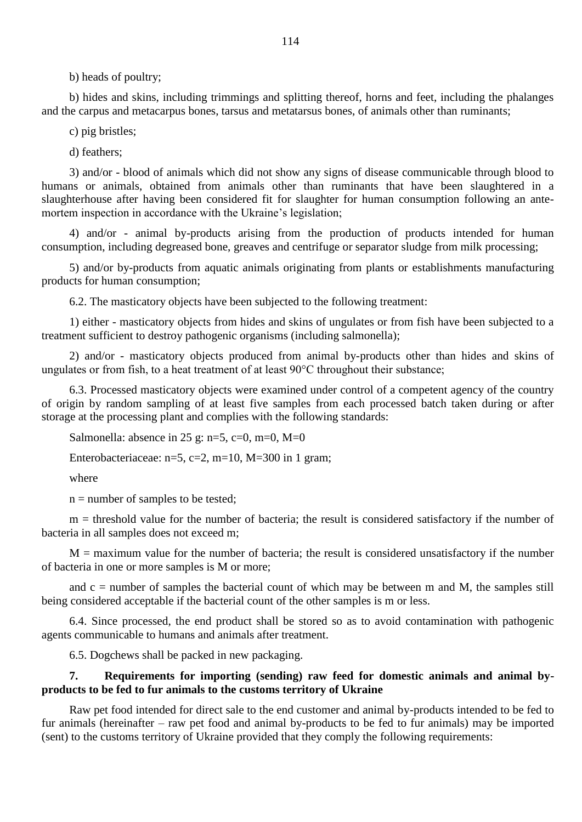b) heads of poultry;

b) hides and skins, including trimmings and splitting thereof, horns and feet, including the phalanges and the carpus and metacarpus bones, tarsus and metatarsus bones, of animals other than ruminants;

c) pig bristles;

d) feathers;

3) and/or - blood of animals which did not show any signs of disease communicable through blood to humans or animals, obtained from animals other than ruminants that have been slaughtered in a slaughterhouse after having been considered fit for slaughter for human consumption following an antemortem inspection in accordance with the Ukraine's legislation;

4) and/or - animal by-products arising from the production of products intended for human consumption, including degreased bone, greaves and centrifuge or separator sludge from milk processing;

5) and/or by-products from aquatic animals originating from plants or establishments manufacturing products for human consumption;

6.2. The masticatory objects have been subjected to the following treatment:

1) either - masticatory objects from hides and skins of ungulates or from fish have been subjected to a treatment sufficient to destroy pathogenic organisms (including salmonella);

2) and/or - masticatory objects produced from animal by-products other than hides and skins of ungulates or from fish, to a heat treatment of at least 90°C throughout their substance;

6.3. Processed masticatory objects were examined under control of a competent agency of the country of origin by random sampling of at least five samples from each processed batch taken during or after storage at the processing plant and complies with the following standards:

Salmonella: absence in 25 g: n=5, c=0, m=0, M=0

Enterobacteriaceae: n=5, c=2, m=10, M=300 in 1 gram;

where

 $n =$  number of samples to be tested;

 $m =$  threshold value for the number of bacteria; the result is considered satisfactory if the number of bacteria in all samples does not exceed m;

 $M =$  maximum value for the number of bacteria; the result is considered unsatisfactory if the number of bacteria in one or more samples is M or more;

and  $c =$  number of samples the bacterial count of which may be between m and M, the samples still being considered acceptable if the bacterial count of the other samples is m or less.

6.4. Since processed, the end product shall be stored so as to avoid contamination with pathogenic agents communicable to humans and animals after treatment.

6.5. Dogchews shall be packed in new packaging.

#### **7. Requirements for importing (sending) raw feed for domestic animals and animal byproducts to be fed to fur animals to the customs territory of Ukraine**

Raw pet food intended for direct sale to the end customer and animal by-products intended to be fed to fur animals (hereinafter – raw pet food and animal by-products to be fed to fur animals) may be imported (sent) to the customs territory of Ukraine provided that they comply the following requirements: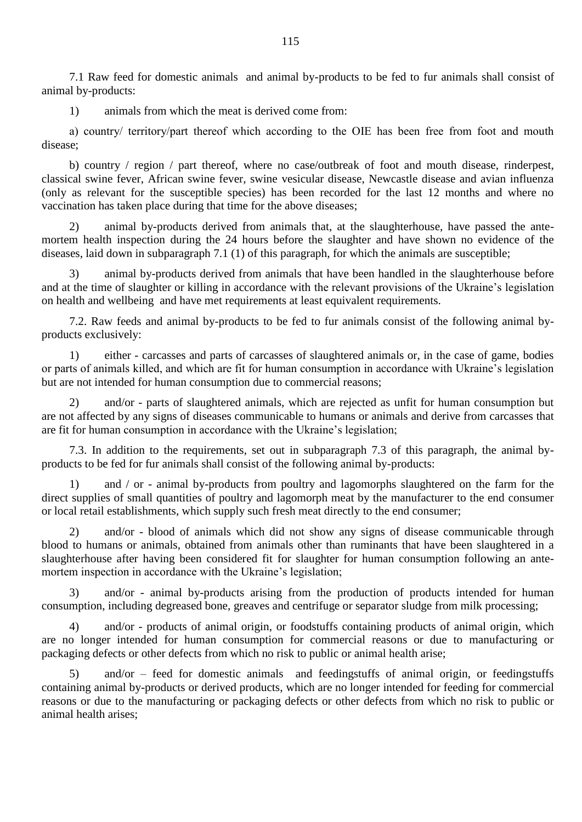7.1 Raw feed for domestic animals and animal by-products to be fed to fur animals shall consist of animal by-products:

1) animals from which the meat is derived come from:

а) country/ territory/part thereof which according to the OIE has been free from foot and mouth disease;

b) country / region / part thereof, where no case/outbreak of foot and mouth disease, rinderpest, classical swine fever, African swine fever, swine vesicular disease, Newcastle disease and avian influenza (only as relevant for the susceptible species) has been recorded for the last 12 months and where no vaccination has taken place during that time for the above diseases;

2) animal by-products derived from animals that, at the slaughterhouse, have passed the antemortem health inspection during the 24 hours before the slaughter and have shown no evidence of the diseases, laid down in subparagraph 7.1 (1) of this paragraph, for which the animals are susceptible;

3) animal by-products derived from animals that have been handled in the slaughterhouse before and at the time of slaughter or killing in accordance with the relevant provisions of the Ukraine's legislation on health and wellbeing and have met requirements at least equivalent requirements.

7.2. Raw feeds and animal by-products to be fed to fur animals consist of the following animal byproducts exclusively:

1) either - carcasses and parts of carcasses of slaughtered animals or, in the case of game, bodies or parts of animals killed, and which are fit for human consumption in accordance with Ukraine"s legislation but are not intended for human consumption due to commercial reasons;

2) and/or - parts of slaughtered animals, which are rejected as unfit for human consumption but are not affected by any signs of diseases communicable to humans or animals and derive from carcasses that are fit for human consumption in accordance with the Ukraine"s legislation;

7.3. In addition to the requirements, set out in subparagraph 7.3 of this paragraph, the animal byproducts to be fed for fur animals shall consist of the following animal by-products:

1) and / or - animal by-products from poultry and lagomorphs slaughtered on the farm for the direct supplies of small quantities of poultry and lagomorph meat by the manufacturer to the end consumer or local retail establishments, which supply such fresh meat directly to the end consumer;

2) and/or - blood of animals which did not show any signs of disease communicable through blood to humans or animals, obtained from animals other than ruminants that have been slaughtered in a slaughterhouse after having been considered fit for slaughter for human consumption following an antemortem inspection in accordance with the Ukraine's legislation;

3) and/or - animal by-products arising from the production of products intended for human consumption, including degreased bone, greaves and centrifuge or separator sludge from milk processing;

4) and/or - products of animal origin, or foodstuffs containing products of animal origin, which are no longer intended for human consumption for commercial reasons or due to manufacturing or packaging defects or other defects from which no risk to public or animal health arise;

5) and/or – feed for domestic animals and feedingstuffs of animal origin, or feedingstuffs containing animal by-products or derived products, which are no longer intended for feeding for commercial reasons or due to the manufacturing or packaging defects or other defects from which no risk to public or animal health arises;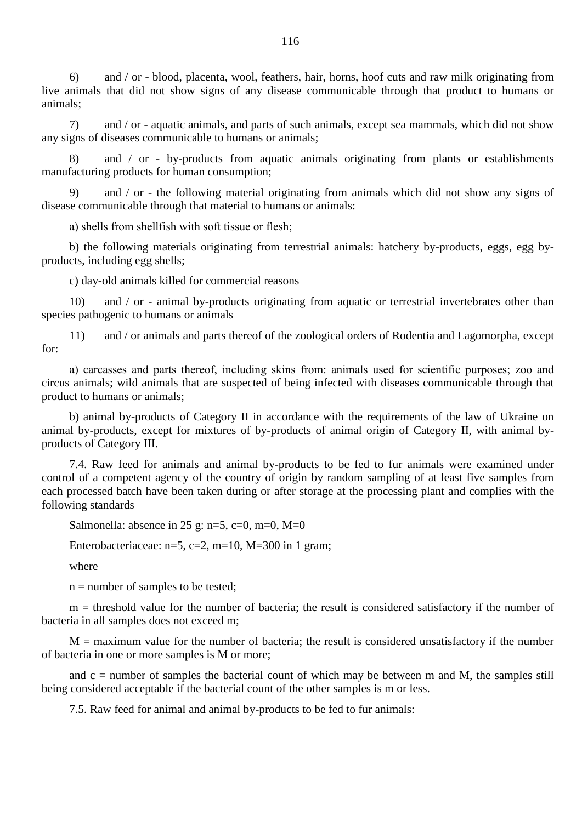6) and / or - blood, placenta, wool, feathers, hair, horns, hoof cuts and raw milk originating from live animals that did not show signs of any disease communicable through that product to humans or animals;

7) and / or - aquatic animals, and parts of such animals, except sea mammals, which did not show any signs of diseases communicable to humans or animals;

8) and / or - by-products from aquatic animals originating from plants or establishments manufacturing products for human consumption;

9) and / or - the following material originating from animals which did not show any signs of disease communicable through that material to humans or animals:

а) shells from shellfish with soft tissue or flesh;

b) the following materials originating from terrestrial animals: hatchery by-products, eggs, egg byproducts, including egg shells;

c) day-old animals killed for commercial reasons

10) and / or - animal by-products originating from aquatic or terrestrial invertebrates other than species pathogenic to humans or animals

11) and / or animals and parts thereof of the zoological orders of Rodentia and Lagomorpha, except for:

а) carcasses and parts thereof, including skins from: animals used for scientific purposes; zoo and circus animals; wild animals that are suspected of being infected with diseases communicable through that product to humans or animals;

b) animal by-products of Category II in accordance with the requirements of the law of Ukraine on animal by-products, except for mixtures of by-products of animal origin of Category II, with animal byproducts of Category III.

7.4. Raw feed for animals and animal by-products to be fed to fur animals were examined under control of a competent agency of the country of origin by random sampling of at least five samples from each processed batch have been taken during or after storage at the processing plant and complies with the following standards

Salmonella: absence in 25 g: n=5, c=0, m=0, M=0

Enterobacteriaceae: n=5, c=2, m=10, M=300 in 1 gram;

where

 $n =$  number of samples to be tested;

 $m =$  threshold value for the number of bacteria; the result is considered satisfactory if the number of bacteria in all samples does not exceed m;

 $M =$  maximum value for the number of bacteria; the result is considered unsatisfactory if the number of bacteria in one or more samples is M or more;

and  $c =$  number of samples the bacterial count of which may be between m and M, the samples still being considered acceptable if the bacterial count of the other samples is m or less.

7.5. Raw feed for animal and animal by-products to be fed to fur animals: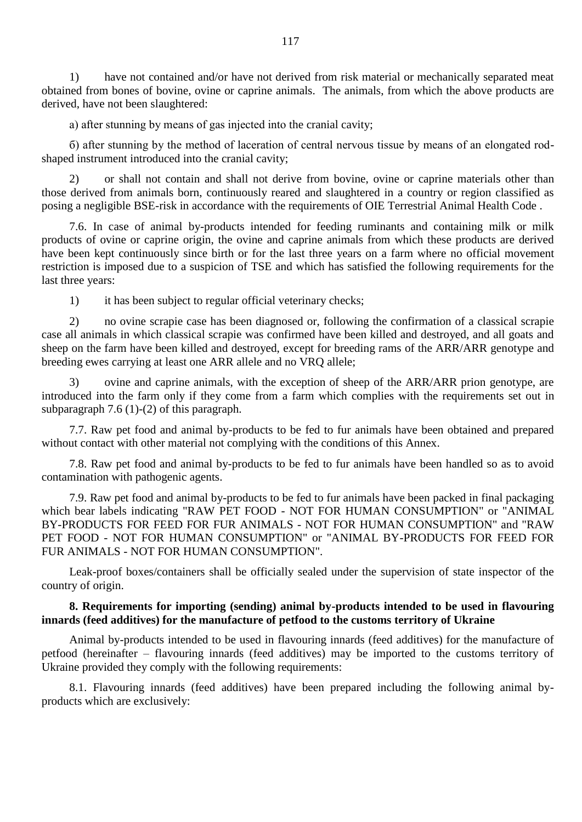1) have not contained and/or have not derived from risk material or mechanically separated meat obtained from bones of bovine, ovine or caprine animals. The animals, from which the above products are derived, have not been slaughtered:

а) after stunning by means of gas injected into the cranial cavity;

б) after stunning by the method of laceration of central nervous tissue by means of an elongated rodshaped instrument introduced into the cranial cavity;

2) or shall not contain and shall not derive from bovine, ovine or caprine materials other than those derived from animals born, continuously reared and slaughtered in a country or region classified as posing a negligible BSE-risk in accordance with the requirements of OIE Terrestrial Animal Health Code .

7.6. In case of animal by-products intended for feeding ruminants and containing milk or milk products of ovine or caprine origin, the ovine and caprine animals from which these products are derived have been kept continuously since birth or for the last three years on a farm where no official movement restriction is imposed due to a suspicion of TSE and which has satisfied the following requirements for the last three years:

1) it has been subject to regular official veterinary checks;

2) no ovine scrapie case has been diagnosed or, following the confirmation of a classical scrapie case all animals in which classical scrapie was confirmed have been killed and destroyed, and all goats and sheep on the farm have been killed and destroyed, except for breeding rams of the ARR/ARR genotype and breeding ewes carrying at least one ARR allele and no VRQ allele;

3) ovine and caprine animals, with the exception of sheep of the ARR/ARR prion genotype, are introduced into the farm only if they come from a farm which complies with the requirements set out in subparagraph 7.6 (1)-(2) of this paragraph.

7.7. Raw pet food and animal by-products to be fed to fur animals have been obtained and prepared without contact with other material not complying with the conditions of this Annex.

7.8. Raw pet food and animal by-products to be fed to fur animals have been handled so as to avoid contamination with pathogenic agents.

7.9. Raw pet food and animal by-products to be fed to fur animals have been packed in final packaging which bear labels indicating "RAW PET FOOD - NOT FOR HUMAN CONSUMPTION" or "ANIMAL BY-PRODUCTS FOR FEED FOR FUR ANIMALS - NOT FOR HUMAN CONSUMPTION" and "RAW PET FOOD - NOT FOR HUMAN CONSUMPTION" or "ANIMAL BY-PRODUCTS FOR FEED FOR FUR ANIMALS - NOT FOR HUMAN CONSUMPTION".

Leak-proof boxes/containers shall be officially sealed under the supervision of state inspector of the country of origin.

### **8. Requirements for importing (sending) animal by-products intended to be used in flavouring innards (feed additives) for the manufacture of petfood to the customs territory of Ukraine**

Animal by-products intended to be used in flavouring innards (feed additives) for the manufacture of petfood (hereinafter – flavouring innards (feed additives) may be imported to the customs territory of Ukraine provided they comply with the following requirements:

8.1. Flavouring innards (feed additives) have been prepared including the following animal byproducts which are exclusively: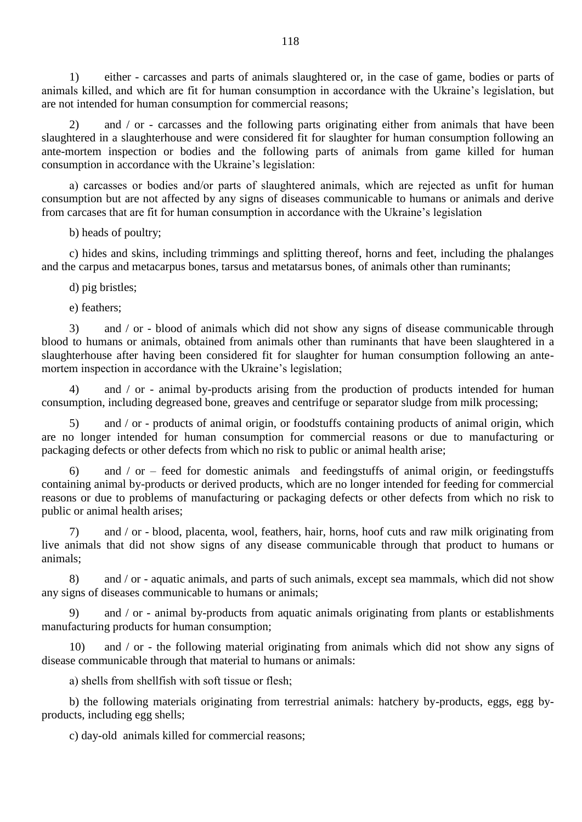1) either - carcasses and parts of animals slaughtered or, in the case of game, bodies or parts of animals killed, and which are fit for human consumption in accordance with the Ukraine"s legislation, but are not intended for human consumption for commercial reasons;

2) and / or - carcasses and the following parts originating either from animals that have been slaughtered in a slaughterhouse and were considered fit for slaughter for human consumption following an ante-mortem inspection or bodies and the following parts of animals from game killed for human consumption in accordance with the Ukraine"s legislation:

а) carcasses or bodies and/or parts of slaughtered animals, which are rejected as unfit for human consumption but are not affected by any signs of diseases communicable to humans or animals and derive from carcases that are fit for human consumption in accordance with the Ukraine"s legislation

b) heads of poultry;

c) hides and skins, including trimmings and splitting thereof, horns and feet, including the phalanges and the carpus and metacarpus bones, tarsus and metatarsus bones, of animals other than ruminants;

d) pig bristles;

e) feathers;

3) and / or - blood of animals which did not show any signs of disease communicable through blood to humans or animals, obtained from animals other than ruminants that have been slaughtered in a slaughterhouse after having been considered fit for slaughter for human consumption following an antemortem inspection in accordance with the Ukraine's legislation;

and / or - animal by-products arising from the production of products intended for human consumption, including degreased bone, greaves and centrifuge or separator sludge from milk processing;

5) and / or - products of animal origin, or foodstuffs containing products of animal origin, which are no longer intended for human consumption for commercial reasons or due to manufacturing or packaging defects or other defects from which no risk to public or animal health arise;

6) and / or – feed for domestic animals and feedingstuffs of animal origin, or feedingstuffs containing animal by-products or derived products, which are no longer intended for feeding for commercial reasons or due to problems of manufacturing or packaging defects or other defects from which no risk to public or animal health arises;

7) and / or - blood, placenta, wool, feathers, hair, horns, hoof cuts and raw milk originating from live animals that did not show signs of any disease communicable through that product to humans or animals;

8) and / or - aquatic animals, and parts of such animals, except sea mammals, which did not show any signs of diseases communicable to humans or animals;

9) and / or - animal by-products from aquatic animals originating from plants or establishments manufacturing products for human consumption;

10) and / or - the following material originating from animals which did not show any signs of disease communicable through that material to humans or animals:

а) shells from shellfish with soft tissue or flesh;

b) the following materials originating from terrestrial animals: hatchery by-products, eggs, egg byproducts, including egg shells;

c) day-old animals killed for commercial reasons;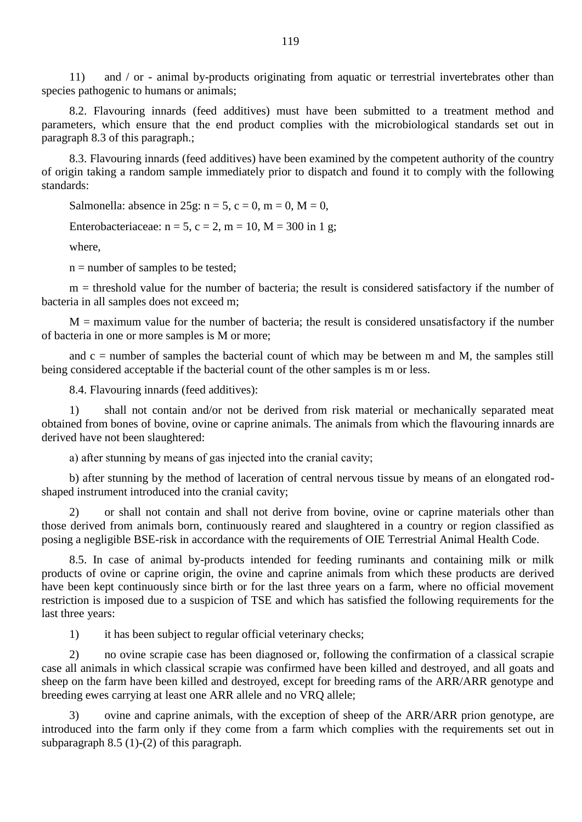11) and / or - animal by-products originating from aquatic or terrestrial invertebrates other than species pathogenic to humans or animals;

8.2. Flavouring innards (feed additives) must have been submitted to a treatment method and parameters, which ensure that the end product complies with the microbiological standards set out in paragraph 8.3 of this paragraph.;

8.3. Flavouring innards (feed additives) have been examined by the competent authority of the country of origin taking a random sample immediately prior to dispatch and found it to comply with the following standards:

Salmonella: absence in 25g:  $n = 5$ ,  $c = 0$ ,  $m = 0$ ,  $M = 0$ ,

Enterobacteriaceae:  $n = 5$ ,  $c = 2$ ,  $m = 10$ ,  $M = 300$  in 1 g;

where,

n = number of samples to be tested;

 $m =$  threshold value for the number of bacteria; the result is considered satisfactory if the number of bacteria in all samples does not exceed m;

 $M =$  maximum value for the number of bacteria; the result is considered unsatisfactory if the number of bacteria in one or more samples is M or more;

and  $c =$  number of samples the bacterial count of which may be between m and M, the samples still being considered acceptable if the bacterial count of the other samples is m or less.

8.4. Flavouring innards (feed additives):

1) shall not contain and/or not be derived from risk material or mechanically separated meat obtained from bones of bovine, ovine or caprine animals. The animals from which the flavouring innards are derived have not been slaughtered:

а) after stunning by means of gas injected into the cranial cavity;

b) after stunning by the method of laceration of central nervous tissue by means of an elongated rodshaped instrument introduced into the cranial cavity;

2) or shall not contain and shall not derive from bovine, ovine or caprine materials other than those derived from animals born, continuously reared and slaughtered in a country or region classified as posing a negligible BSE-risk in accordance with the requirements of OIE Terrestrial Animal Health Code.

8.5. In case of animal by-products intended for feeding ruminants and containing milk or milk products of ovine or caprine origin, the ovine and caprine animals from which these products are derived have been kept continuously since birth or for the last three years on a farm, where no official movement restriction is imposed due to a suspicion of TSE and which has satisfied the following requirements for the last three years:

1) it has been subject to regular official veterinary checks;

2) no ovine scrapie case has been diagnosed or, following the confirmation of a classical scrapie case all animals in which classical scrapie was confirmed have been killed and destroyed, and all goats and sheep on the farm have been killed and destroyed, except for breeding rams of the ARR/ARR genotype and breeding ewes carrying at least one ARR allele and no VRQ allele;

3) ovine and caprine animals, with the exception of sheep of the ARR/ARR prion genotype, are introduced into the farm only if they come from a farm which complies with the requirements set out in subparagraph 8.5 (1)-(2) of this paragraph.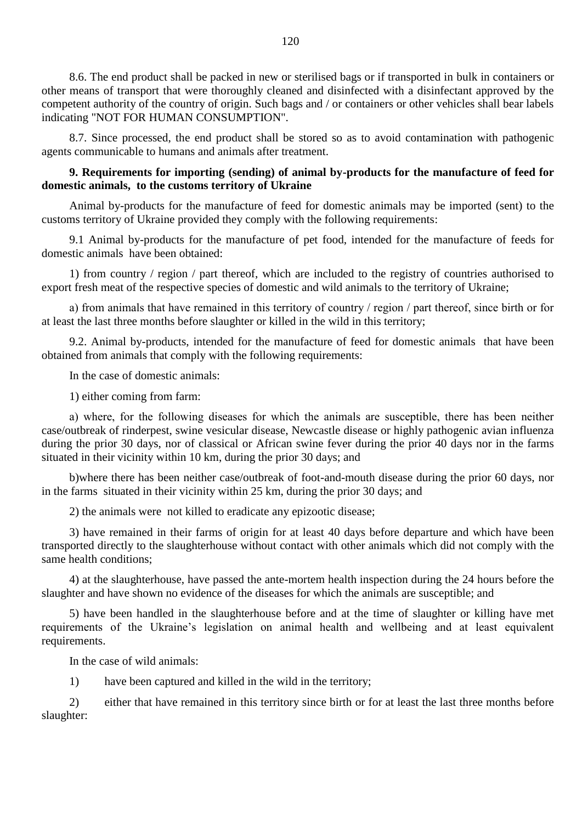8.6. The end product shall be packed in new or sterilised bags or if transported in bulk in containers or other means of transport that were thoroughly cleaned and disinfected with a disinfectant approved by the competent authority of the country of origin. Such bags and / or containers or other vehicles shall bear labels indicating "NOT FOR HUMAN CONSUMPTION".

8.7. Since processed, the end product shall be stored so as to avoid contamination with pathogenic agents communicable to humans and animals after treatment.

### **9. Requirements for importing (sending) of animal by-products for the manufacture of feed for domestic animals, to the customs territory of Ukraine**

Animal by-products for the manufacture of feed for domestic animals may be imported (sent) to the customs territory of Ukraine provided they comply with the following requirements:

9.1 Animal by-products for the manufacture of pet food, intended for the manufacture of feeds for domestic animals have been obtained:

1) from country / region / part thereof, which are included to the registry of countries authorised to export fresh meat of the respective species of domestic and wild animals to the territory of Ukraine;

а) from animals that have remained in this territory of country / region / part thereof, since birth or for at least the last three months before slaughter or killed in the wild in this territory;

9.2. Animal by-products, intended for the manufacture of feed for domestic animals that have been obtained from animals that comply with the following requirements:

In the case of domestic animals:

1) either coming from farm:

а) where, for the following diseases for which the animals are susceptible, there has been neither case/outbreak of rinderpest, swine vesicular disease, Newcastle disease or highly pathogenic avian influenza during the prior 30 days, nor of classical or African swine fever during the prior 40 days nor in the farms situated in their vicinity within 10 km, during the prior 30 days; and

b)where there has been neither case/outbreak of foot-and-mouth disease during the prior 60 days, nor in the farms situated in their vicinity within 25 km, during the prior 30 days; and

2) the animals were not killed to eradicate any epizootic disease;

3) have remained in their farms of origin for at least 40 days before departure and which have been transported directly to the slaughterhouse without contact with other animals which did not comply with the same health conditions;

4) at the slaughterhouse, have passed the ante-mortem health inspection during the 24 hours before the slaughter and have shown no evidence of the diseases for which the animals are susceptible; and

5) have been handled in the slaughterhouse before and at the time of slaughter or killing have met requirements of the Ukraine"s legislation on animal health and wellbeing and at least equivalent requirements.

In the case of wild animals:

1) have been captured and killed in the wild in the territory;

2) either that have remained in this territory since birth or for at least the last three months before slaughter: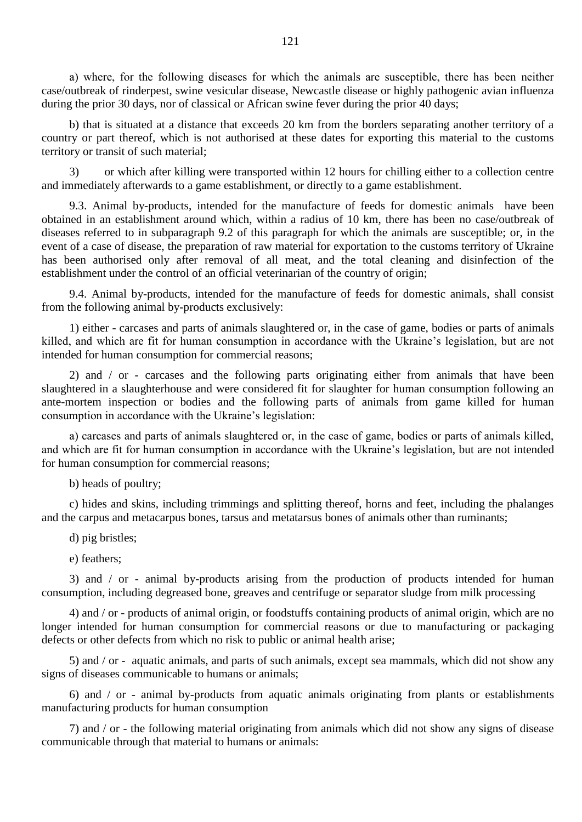а) where, for the following diseases for which the animals are susceptible, there has been neither case/outbreak of rinderpest, swine vesicular disease, Newcastle disease or highly pathogenic avian influenza during the prior 30 days, nor of classical or African swine fever during the prior 40 days;

b) that is situated at a distance that exceeds 20 km from the borders separating another territory of a country or part thereof, which is not authorised at these dates for exporting this material to the customs territory or transit of such material;

3) or which after killing were transported within 12 hours for chilling either to a collection centre and immediately afterwards to a game establishment, or directly to a game establishment.

9.3. Animal by-products, intended for the manufacture of feeds for domestic animals have been obtained in an establishment around which, within a radius of 10 km, there has been no case/outbreak of diseases referred to in subparagraph 9.2 of this paragraph for which the animals are susceptible; or, in the event of a case of disease, the preparation of raw material for exportation to the customs territory of Ukraine has been authorised only after removal of all meat, and the total cleaning and disinfection of the establishment under the control of an official veterinarian of the country of origin;

9.4. Animal by-products, intended for the manufacture of feeds for domestic animals, shall consist from the following animal by-products exclusively:

1) either - carcases and parts of animals slaughtered or, in the case of game, bodies or parts of animals killed, and which are fit for human consumption in accordance with the Ukraine's legislation, but are not intended for human consumption for commercial reasons;

2) and / or - carcases and the following parts originating either from animals that have been slaughtered in a slaughterhouse and were considered fit for slaughter for human consumption following an ante-mortem inspection or bodies and the following parts of animals from game killed for human consumption in accordance with the Ukraine"s legislation:

а) carcases and parts of animals slaughtered or, in the case of game, bodies or parts of animals killed, and which are fit for human consumption in accordance with the Ukraine"s legislation, but are not intended for human consumption for commercial reasons;

b) heads of poultry;

c) hides and skins, including trimmings and splitting thereof, horns and feet, including the phalanges and the carpus and metacarpus bones, tarsus and metatarsus bones of animals other than ruminants;

d) pig bristles;

e) feathers;

3) and / or - animal by-products arising from the production of products intended for human consumption, including degreased bone, greaves and centrifuge or separator sludge from milk processing

4) and / or - products of animal origin, or foodstuffs containing products of animal origin, which are no longer intended for human consumption for commercial reasons or due to manufacturing or packaging defects or other defects from which no risk to public or animal health arise;

5) and / or - aquatic animals, and parts of such animals, except sea mammals, which did not show any signs of diseases communicable to humans or animals;

6) and / or - animal by-products from aquatic animals originating from plants or establishments manufacturing products for human consumption

7) and / or - the following material originating from animals which did not show any signs of disease communicable through that material to humans or animals: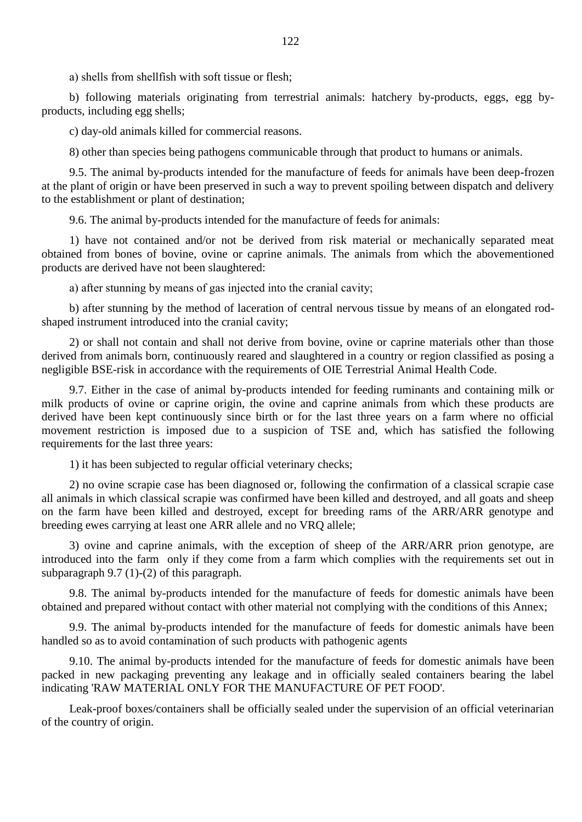а) shells from shellfish with soft tissue or flesh;

b) following materials originating from terrestrial animals: hatchery by-products, eggs, egg byproducts, including egg shells;

c) day-old animals killed for commercial reasons.

8) other than species being pathogens communicable through that product to humans or animals.

9.5. The animal by-products intended for the manufacture of feeds for animals have been deep-frozen at the plant of origin or have been preserved in such a way to prevent spoiling between dispatch and delivery to the establishment or plant of destination;

9.6. The animal by-products intended for the manufacture of feeds for animals:

1) have not contained and/or not be derived from risk material or mechanically separated meat obtained from bones of bovine, ovine or caprine animals. The animals from which the abovementioned products are derived have not been slaughtered:

а) after stunning by means of gas injected into the cranial cavity;

b) after stunning by the method of laceration of central nervous tissue by means of an elongated rodshaped instrument introduced into the cranial cavity;

2) or shall not contain and shall not derive from bovine, ovine or caprine materials other than those derived from animals born, continuously reared and slaughtered in a country or region classified as posing a negligible BSE-risk in accordance with the requirements of OIE Terrestrial Animal Health Code.

9.7. Either in the case of animal by-products intended for feeding ruminants and containing milk or milk products of ovine or caprine origin, the ovine and caprine animals from which these products are derived have been kept continuously since birth or for the last three years on a farm where no official movement restriction is imposed due to a suspicion of TSE and, which has satisfied the following requirements for the last three years:

1) it has been subjected to regular official veterinary checks;

2) no ovine scrapie case has been diagnosed or, following the confirmation of a classical scrapie case all animals in which classical scrapie was confirmed have been killed and destroyed, and all goats and sheep on the farm have been killed and destroyed, except for breeding rams of the ARR/ARR genotype and breeding ewes carrying at least one ARR allele and no VRQ allele;

3) ovine and caprine animals, with the exception of sheep of the ARR/ARR prion genotype, are introduced into the farm only if they come from a farm which complies with the requirements set out in subparagraph 9.7 (1)-(2) of this paragraph.

9.8. The animal by-products intended for the manufacture of feeds for domestic animals have been obtained and prepared without contact with other material not complying with the conditions of this Annex;

9.9. The animal by-products intended for the manufacture of feeds for domestic animals have been handled so as to avoid contamination of such products with pathogenic agents

9.10. The animal by-products intended for the manufacture of feeds for domestic animals have been packed in new packaging preventing any leakage and in officially sealed containers bearing the label indicating 'RAW MATERIAL ONLY FOR THE MANUFACTURE OF PET FOOD'.

Leak-proof boxes/containers shall be officially sealed under the supervision of an official veterinarian of the country of origin.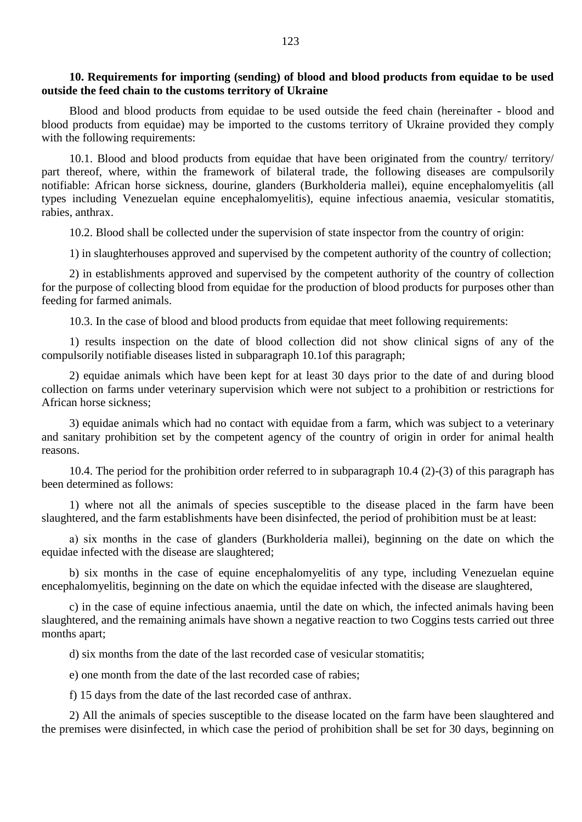#### **10. Requirements for importing (sending) of blood and blood products from equidae to be used outside the feed chain to the customs territory of Ukraine**

Blood and blood products from equidae to be used outside the feed chain (hereinafter - blood and blood products from equidae) may be imported to the customs territory of Ukraine provided they comply with the following requirements:

10.1. Blood and blood products from equidae that have been originated from the country/ territory/ part thereof, where, within the framework of bilateral trade, the following diseases are compulsorily notifiable: African horse sickness, dourine, glanders (Burkholderia mallei), equine encephalomyelitis (all types including Venezuelan equine encephalomyelitis), equine infectious anaemia, vesicular stomatitis, rabies, anthrax.

10.2. Blood shall be collected under the supervision of state inspector from the country of origin:

1) in slaughterhouses approved and supervised by the competent authority of the country of collection;

2) in establishments approved and supervised by the competent authority of the country of collection for the purpose of collecting blood from equidae for the production of blood products for purposes other than feeding for farmed animals.

10.3. In the case of blood and blood products from equidae that meet following requirements:

1) results inspection on the date of blood collection did not show clinical signs of any of the compulsorily notifiable diseases listed in subparagraph 10.1of this paragraph;

2) equidae animals which have been kept for at least 30 days prior to the date of and during blood collection on farms under veterinary supervision which were not subject to a prohibition or restrictions for African horse sickness;

3) equidae animals which had no contact with equidae from a farm, which was subject to a veterinary and sanitary prohibition set by the competent agency of the country of origin in order for animal health reasons.

10.4. The period for the prohibition order referred to in subparagraph 10.4 (2)-(3) of this paragraph has been determined as follows:

1) where not all the animals of species susceptible to the disease placed in the farm have been slaughtered, and the farm establishments have been disinfected, the period of prohibition must be at least:

а) six months in the case of glanders (Burkholderia mallei), beginning on the date on which the equidae infected with the disease are slaughtered;

b) six months in the case of equine encephalomyelitis of any type, including Venezuelan equine encephalomyelitis, beginning on the date on which the equidae infected with the disease are slaughtered,

c) in the case of equine infectious anaemia, until the date on which, the infected animals having been slaughtered, and the remaining animals have shown a negative reaction to two Coggins tests carried out three months apart;

d) six months from the date of the last recorded case of vesicular stomatitis;

e) one month from the date of the last recorded case of rabies;

f) 15 days from the date of the last recorded case of anthrax.

2) All the animals of species susceptible to the disease located on the farm have been slaughtered and the premises were disinfected, in which case the period of prohibition shall be set for 30 days, beginning on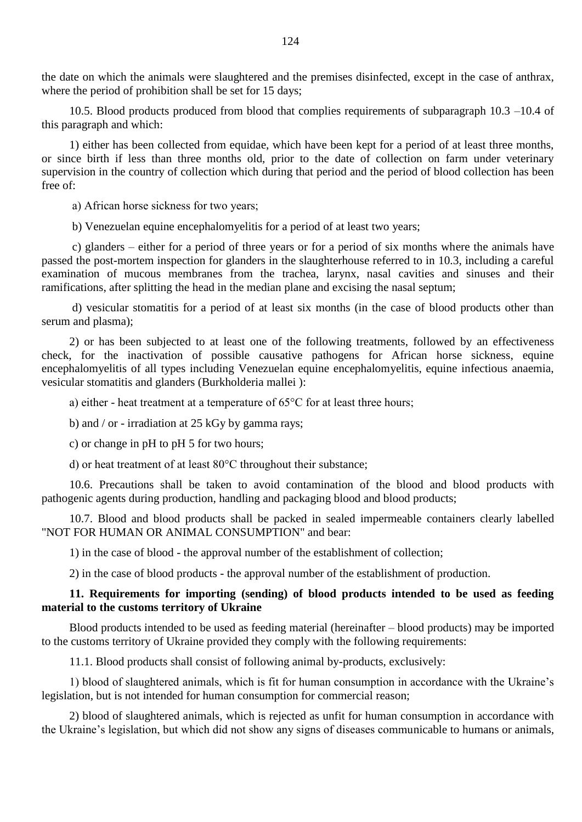the date on which the animals were slaughtered and the premises disinfected, except in the case of anthrax, where the period of prohibition shall be set for 15 days;

10.5. Blood products produced from blood that complies requirements of subparagraph 10.3 –10.4 of this paragraph and which:

1) either has been collected from equidae, which have been kept for a period of at least three months, or since birth if less than three months old, prior to the date of collection on farm under veterinary supervision in the country of collection which during that period and the period of blood collection has been free of:

а) African horse sickness for two years;

b) Venezuelan equine encephalomyelitis for a period of at least two years;

c) glanders – either for a period of three years or for a period of six months where the animals have passed the post-mortem inspection for glanders in the slaughterhouse referred to in 10.3, including a careful examination of mucous membranes from the trachea, larynx, nasal cavities and sinuses and their ramifications, after splitting the head in the median plane and excising the nasal septum;

d) vesicular stomatitis for a period of at least six months (in the case of blood products other than serum and plasma);

2) or has been subjected to at least one of the following treatments, followed by an effectiveness check, for the inactivation of possible causative pathogens for African horse sickness, equine encephalomyelitis of all types including Venezuelan equine encephalomyelitis, equine infectious anaemia, vesicular stomatitis and glanders (Burkholderia mallei ):

а) either - heat treatment at a temperature of 65°C for at least three hours;

b) and / or - irradiation at 25 kGy by gamma rays;

c) or change in pH to pH 5 for two hours;

d) or heat treatment of at least 80°C throughout their substance;

10.6. Precautions shall be taken to avoid contamination of the blood and blood products with pathogenic agents during production, handling and packaging blood and blood products;

10.7. Blood and blood products shall be packed in sealed impermeable containers clearly labelled "NOT FOR HUMAN OR ANIMAL CONSUMPTION" and bear:

1) in the case of blood - the approval number of the establishment of collection;

2) in the case of blood products - the approval number of the establishment of production.

### **11. Requirements for importing (sending) of blood products intended to be used as feeding material to the customs territory of Ukraine**

Blood products intended to be used as feeding material (hereinafter – blood products) may be imported to the customs territory of Ukraine provided they comply with the following requirements:

11.1. Blood products shall consist of following animal by-products, exclusively:

1) blood of slaughtered animals, which is fit for human consumption in accordance with the Ukraine"s legislation, but is not intended for human consumption for commercial reason;

2) blood of slaughtered animals, which is rejected as unfit for human consumption in accordance with the Ukraine"s legislation, but which did not show any signs of diseases communicable to humans or animals,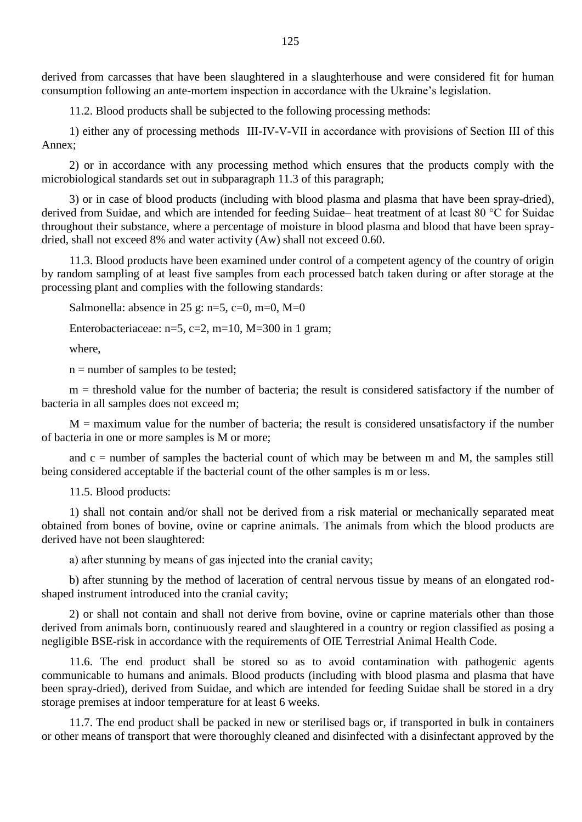derived from carcasses that have been slaughtered in a slaughterhouse and were considered fit for human consumption following an ante-mortem inspection in accordance with the Ukraine"s legislation.

11.2. Blood products shall be subjected to the following processing methods:

1) either any of processing methods III-IV-V-VII in accordance with provisions of Section ІІІ of this Annex;

2) or in accordance with any processing method which ensures that the products comply with the microbiological standards set out in subparagraph 11.3 of this paragraph;

3) or in case of blood products (including with blood plasma and plasma that have been spray-dried), derived from Suidae, and which are intended for feeding Suidae– heat treatment of at least 80 °C for Suidae throughout their substance, where a percentage of moisture in blood plasma and blood that have been spraydried, shall not exceed 8% and water activity (Aw) shall not exceed 0.60.

11.3. Blood products have been examined under control of a competent agency of the country of origin by random sampling of at least five samples from each processed batch taken during or after storage at the processing plant and complies with the following standards:

Salmonella: absence in 25 g: n=5, c=0, m=0, M=0

Enterobacteriaceae:  $n=5$ ,  $c=2$ ,  $m=10$ ,  $M=300$  in 1 gram;

where,

 $n =$  number of samples to be tested;

 $m =$  threshold value for the number of bacteria; the result is considered satisfactory if the number of bacteria in all samples does not exceed m;

 $M =$  maximum value for the number of bacteria; the result is considered unsatisfactory if the number of bacteria in one or more samples is M or more;

and  $c =$  number of samples the bacterial count of which may be between m and M, the samples still being considered acceptable if the bacterial count of the other samples is m or less.

11.5. Blood products:

1) shall not contain and/or shall not be derived from a risk material or mechanically separated meat obtained from bones of bovine, ovine or caprine animals. The animals from which the blood products are derived have not been slaughtered:

а) after stunning by means of gas injected into the cranial cavity;

b) after stunning by the method of laceration of central nervous tissue by means of an elongated rodshaped instrument introduced into the cranial cavity;

2) or shall not contain and shall not derive from bovine, ovine or caprine materials other than those derived from animals born, continuously reared and slaughtered in a country or region classified as posing a negligible BSE-risk in accordance with the requirements of OIE Terrestrial Animal Health Code.

11.6. The end product shall be stored so as to avoid contamination with pathogenic agents communicable to humans and animals. Blood products (including with blood plasma and plasma that have been spray-dried), derived from Suidae, and which are intended for feeding Suidae shall be stored in a dry storage premises at indoor temperature for at least 6 weeks.

11.7. The end product shall be packed in new or sterilised bags or, if transported in bulk in containers or other means of transport that were thoroughly cleaned and disinfected with a disinfectant approved by the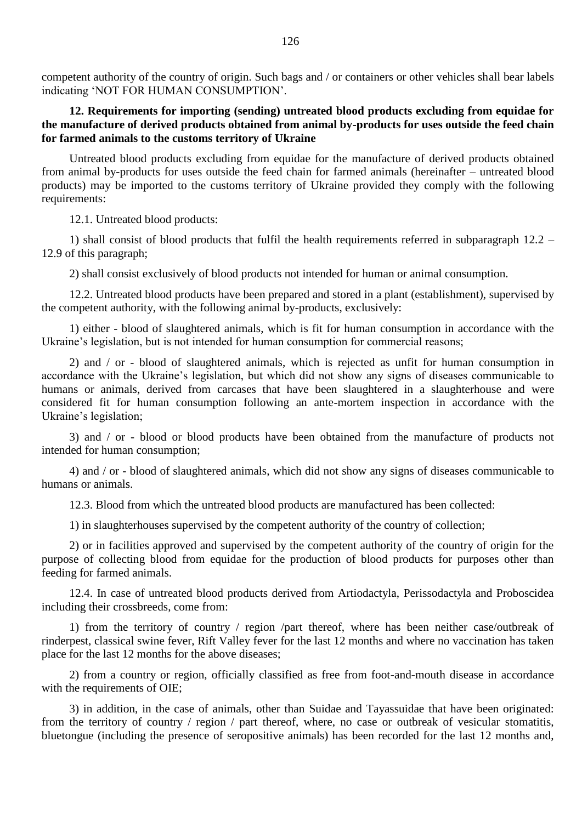competent authority of the country of origin. Such bags and / or containers or other vehicles shall bear labels indicating "NOT FOR HUMAN CONSUMPTION".

## **12. Requirements for importing (sending) untreated blood products excluding from equidae for the manufacture of derived products obtained from animal by-products for uses outside the feed chain for farmed animals to the customs territory of Ukraine**

Untreated blood products excluding from equidae for the manufacture of derived products obtained from animal by-products for uses outside the feed chain for farmed animals (hereinafter – untreated blood products) may be imported to the customs territory of Ukraine provided they comply with the following requirements:

12.1. Untreated blood products:

1) shall consist of blood products that fulfil the health requirements referred in subparagraph 12.2 – 12.9 of this paragraph;

2) shall consist exclusively of blood products not intended for human or animal consumption.

12.2. Untreated blood products have been prepared and stored in a plant (establishment), supervised by the competent authority, with the following animal by-products, exclusively:

1) either - blood of slaughtered animals, which is fit for human consumption in accordance with the Ukraine's legislation, but is not intended for human consumption for commercial reasons;

2) and / or - blood of slaughtered animals, which is rejected as unfit for human consumption in accordance with the Ukraine's legislation, but which did not show any signs of diseases communicable to humans or animals, derived from carcases that have been slaughtered in a slaughterhouse and were considered fit for human consumption following an ante-mortem inspection in accordance with the Ukraine's legislation;

3) and / or - blood or blood products have been obtained from the manufacture of products not intended for human consumption;

4) and / or - blood of slaughtered animals, which did not show any signs of diseases communicable to humans or animals.

12.3. Blood from which the untreated blood products are manufactured has been collected:

1) in slaughterhouses supervised by the competent authority of the country of collection;

2) or in facilities approved and supervised by the competent authority of the country of origin for the purpose of collecting blood from equidae for the production of blood products for purposes other than feeding for farmed animals.

12.4. In case of untreated blood products derived from Artiodactyla, Perissodactyla and Proboscidea including their crossbreeds, come from:

1) from the territory of country / region /part thereof, where has been neither case/outbreak of rinderpest, classical swine fever, Rift Valley fever for the last 12 months and where no vaccination has taken place for the last 12 months for the above diseases;

2) from a country or region, officially classified as free from foot-and-mouth disease in accordance with the requirements of OIE;

3) in addition, in the case of animals, other than Suidae and Tayassuidae that have been originated: from the territory of country / region / part thereof, where, no case or outbreak of vesicular stomatitis, bluetongue (including the presence of seropositive animals) has been recorded for the last 12 months and,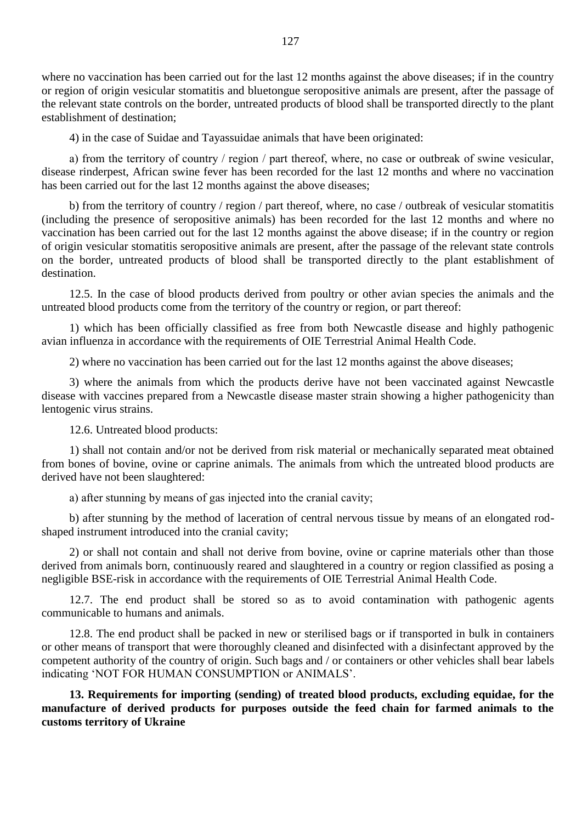where no vaccination has been carried out for the last 12 months against the above diseases; if in the country or region of origin vesicular stomatitis and bluetongue seropositive animals are present, after the passage of the relevant state controls on the border, untreated products of blood shall be transported directly to the plant establishment of destination;

4) in the case of Suidae and Tayassuidae animals that have been originated:

а) from the territory of country / region / part thereof, where, no case or outbreak of swine vesicular, disease rinderpest, African swine fever has been recorded for the last 12 months and where no vaccination has been carried out for the last 12 months against the above diseases;

b) from the territory of country / region / part thereof, where, no case / outbreak of vesicular stomatitis (including the presence of seropositive animals) has been recorded for the last 12 months and where no vaccination has been carried out for the last 12 months against the above disease; if in the country or region of origin vesicular stomatitis seropositive animals are present, after the passage of the relevant state controls on the border, untreated products of blood shall be transported directly to the plant establishment of destination.

12.5. In the case of blood products derived from poultry or other avian species the animals and the untreated blood products come from the territory of the country or region, or part thereof:

1) which has been officially classified as free from both Newcastle disease and highly pathogenic avian influenza in accordance with the requirements of OIE Terrestrial Animal Health Code.

2) where no vaccination has been carried out for the last 12 months against the above diseases;

3) where the animals from which the products derive have not been vaccinated against Newcastle disease with vaccines prepared from a Newcastle disease master strain showing a higher pathogenicity than lentogenic virus strains.

12.6. Untreated blood products:

1) shall not contain and/or not be derived from risk material or mechanically separated meat obtained from bones of bovine, ovine or caprine animals. The animals from which the untreated blood products are derived have not been slaughtered:

а) after stunning by means of gas injected into the cranial cavity;

b) after stunning by the method of laceration of central nervous tissue by means of an elongated rodshaped instrument introduced into the cranial cavity;

2) or shall not contain and shall not derive from bovine, ovine or caprine materials other than those derived from animals born, continuously reared and slaughtered in a country or region classified as posing a negligible BSE-risk in accordance with the requirements of OIE Terrestrial Animal Health Code.

12.7. The end product shall be stored so as to avoid contamination with pathogenic agents communicable to humans and animals.

12.8. The end product shall be packed in new or sterilised bags or if transported in bulk in containers or other means of transport that were thoroughly cleaned and disinfected with a disinfectant approved by the competent authority of the country of origin. Such bags and / or containers or other vehicles shall bear labels indicating "NOT FOR HUMAN CONSUMPTION or ANIMALS".

**13. Requirements for importing (sending) of treated blood products, excluding equidae, for the manufacture of derived products for purposes outside the feed chain for farmed animals to the customs territory of Ukraine**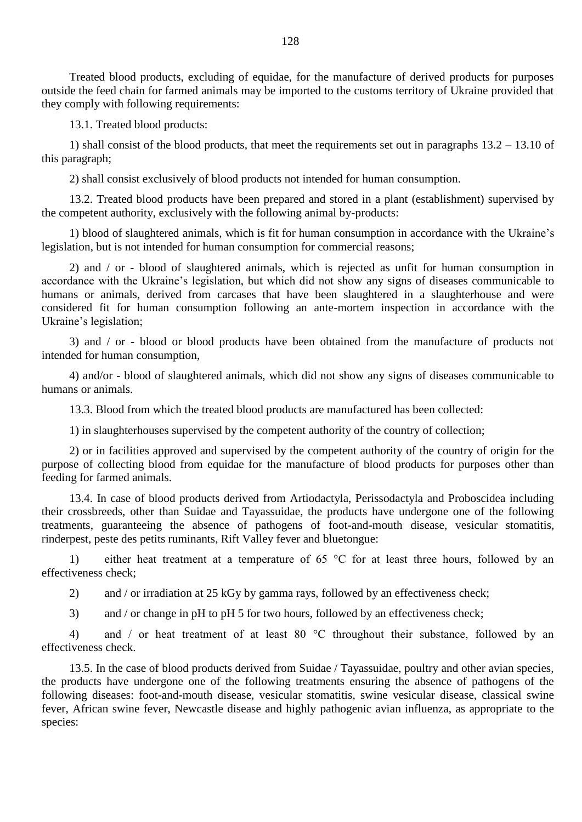Treated blood products, excluding of equidae, for the manufacture of derived products for purposes outside the feed chain for farmed animals may be imported to the customs territory of Ukraine provided that they comply with following requirements:

13.1. Treated blood products:

1) shall consist of the blood products, that meet the requirements set out in paragraphs 13.2 – 13.10 of this paragraph;

2) shall consist exclusively of blood products not intended for human consumption.

13.2. Treated blood products have been prepared and stored in a plant (establishment) supervised by the competent authority, exclusively with the following animal by-products:

1) blood of slaughtered animals, which is fit for human consumption in accordance with the Ukraine"s legislation, but is not intended for human consumption for commercial reasons;

2) and / or - blood of slaughtered animals, which is rejected as unfit for human consumption in accordance with the Ukraine's legislation, but which did not show any signs of diseases communicable to humans or animals, derived from carcases that have been slaughtered in a slaughterhouse and were considered fit for human consumption following an ante-mortem inspection in accordance with the Ukraine's legislation;

3) and / or - blood or blood products have been obtained from the manufacture of products not intended for human consumption,

4) and/or - blood of slaughtered animals, which did not show any signs of diseases communicable to humans or animals.

13.3. Blood from which the treated blood products are manufactured has been collected:

1) in slaughterhouses supervised by the competent authority of the country of collection;

2) or in facilities approved and supervised by the competent authority of the country of origin for the purpose of collecting blood from equidae for the manufacture of blood products for purposes other than feeding for farmed animals.

13.4. In case of blood products derived from Artiodactyla, Perissodactyla and Proboscidea including their crossbreeds, other than Suidae and Tayassuidae, the products have undergone one of the following treatments, guaranteeing the absence of pathogens of foot-and-mouth disease, vesicular stomatitis, rinderpest, peste des petits ruminants, Rift Valley fever and bluetongue:

1) either heat treatment at a temperature of 65 °C for at least three hours, followed by an effectiveness check;

2) and / or irradiation at 25 kGy by gamma rays, followed by an effectiveness check;

3) and / or change in pH to pH 5 for two hours, followed by an effectiveness check;

4) and / or heat treatment of at least 80 °C throughout their substance, followed by an effectiveness check.

13.5. In the case of blood products derived from Suidae / Tayassuidae, poultry and other avian species, the products have undergone one of the following treatments ensuring the absence of pathogens of the following diseases: foot-and-mouth disease, vesicular stomatitis, swine vesicular disease, classical swine fever, African swine fever, Newcastle disease and highly pathogenic avian influenza, as appropriate to the species: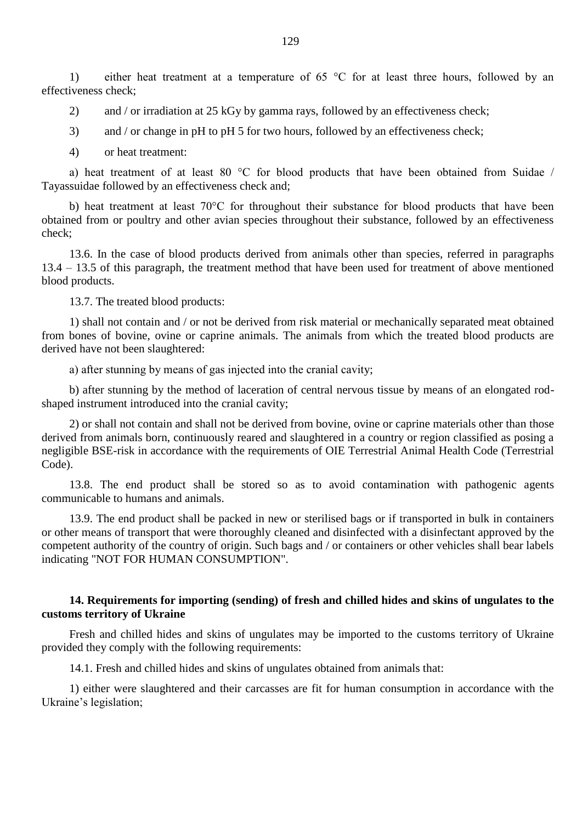1) either heat treatment at a temperature of 65 °C for at least three hours, followed by an effectiveness check;

2) and / or irradiation at 25 kGy by gamma rays, followed by an effectiveness check;

3) and / or change in pH to pH 5 for two hours, followed by an effectiveness check;

4) or heat treatment:

a) heat treatment of at least 80 °C for blood products that have been obtained from Suidae / Tayassuidae followed by an effectiveness check and;

b) heat treatment at least 70°C for throughout their substance for blood products that have been obtained from or poultry and other avian species throughout their substance, followed by an effectiveness check;

13.6. In the case of blood products derived from animals other than species, referred in paragraphs 13.4 – 13.5 of this paragraph, the treatment method that have been used for treatment of above mentioned blood products.

13.7. The treated blood products:

1) shall not contain and / or not be derived from risk material or mechanically separated meat obtained from bones of bovine, ovine or caprine animals. The animals from which the treated blood products are derived have not been slaughtered:

а) after stunning by means of gas injected into the cranial cavity;

b) after stunning by the method of laceration of central nervous tissue by means of an elongated rodshaped instrument introduced into the cranial cavity;

2) or shall not contain and shall not be derived from bovine, ovine or caprine materials other than those derived from animals born, continuously reared and slaughtered in a country or region classified as posing a negligible BSE-risk in accordance with the requirements of OIE Terrestrial Animal Health Code (Terrestrial Code).

13.8. The end product shall be stored so as to avoid contamination with pathogenic agents communicable to humans and animals.

13.9. The end product shall be packed in new or sterilised bags or if transported in bulk in containers or other means of transport that were thoroughly cleaned and disinfected with a disinfectant approved by the competent authority of the country of origin. Such bags and / or containers or other vehicles shall bear labels indicating "NOT FOR HUMAN CONSUMPTION".

#### **14. Requirements for importing (sending) of fresh and chilled hides and skins of ungulates to the customs territory of Ukraine**

Fresh and chilled hides and skins of ungulates may be imported to the customs territory of Ukraine provided they comply with the following requirements:

14.1. Fresh and chilled hides and skins of ungulates obtained from animals that:

1) either were slaughtered and their carcasses are fit for human consumption in accordance with the Ukraine's legislation;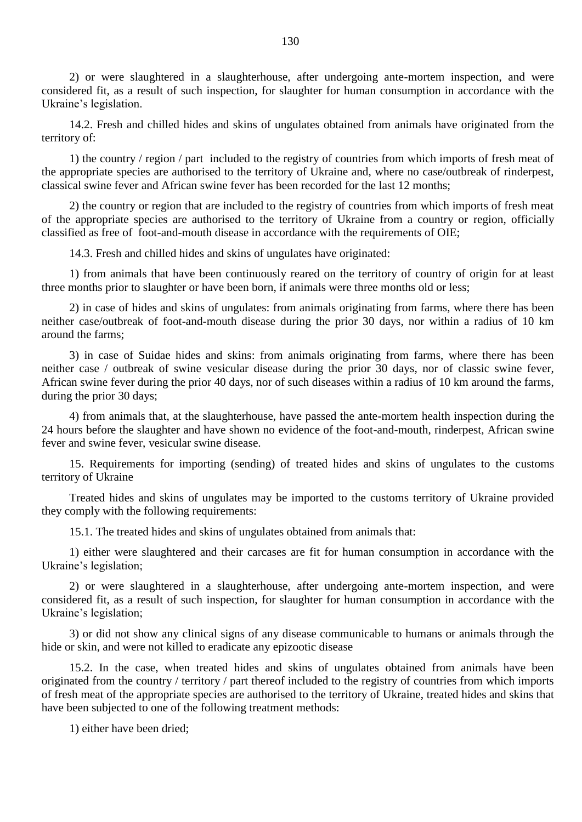2) or were slaughtered in a slaughterhouse, after undergoing ante-mortem inspection, and were considered fit, as a result of such inspection, for slaughter for human consumption in accordance with the Ukraine"s legislation.

14.2. Fresh and chilled hides and skins of ungulates obtained from animals have originated from the territory of:

1) the country / region / part included to the registry of countries from which imports of fresh meat of the appropriate species are authorised to the territory of Ukraine and, where no case/outbreak of rinderpest, classical swine fever and African swine fever has been recorded for the last 12 months;

2) the country or region that are included to the registry of countries from which imports of fresh meat of the appropriate species are authorised to the territory of Ukraine from a country or region, officially classified as free of foot-and-mouth disease in accordance with the requirements of OIE;

14.3. Fresh and chilled hides and skins of ungulates have originated:

1) from animals that have been continuously reared on the territory of country of origin for at least three months prior to slaughter or have been born, if animals were three months old or less;

2) in case of hides and skins of ungulates: from animals originating from farms, where there has been neither case/outbreak of foot-and-mouth disease during the prior 30 days, nor within a radius of 10 km around the farms;

3) in case of Suidae hides and skins: from animals originating from farms, where there has been neither case / outbreak of swine vesicular disease during the prior 30 days, nor of classic swine fever, African swine fever during the prior 40 days, nor of such diseases within a radius of 10 km around the farms, during the prior 30 days;

4) from animals that, at the slaughterhouse, have passed the ante-mortem health inspection during the 24 hours before the slaughter and have shown no evidence of the foot-and-mouth, rinderpest, African swine fever and swine fever, vesicular swine disease.

15. Requirements for importing (sending) of treated hides and skins of ungulates to the customs territory of Ukraine

Treated hides and skins of ungulates may be imported to the customs territory of Ukraine provided they comply with the following requirements:

15.1. The treated hides and skins of ungulates obtained from animals that:

1) either were slaughtered and their carcases are fit for human consumption in accordance with the Ukraine's legislation;

2) or were slaughtered in a slaughterhouse, after undergoing ante-mortem inspection, and were considered fit, as a result of such inspection, for slaughter for human consumption in accordance with the Ukraine's legislation;

3) or did not show any clinical signs of any disease communicable to humans or animals through the hide or skin, and were not killed to eradicate any epizootic disease

15.2. In the case, when treated hides and skins of ungulates obtained from animals have been originated from the country / territory / part thereof included to the registry of countries from which imports of fresh meat of the appropriate species are authorised to the territory of Ukraine, treated hides and skins that have been subjected to one of the following treatment methods:

1) either have been dried;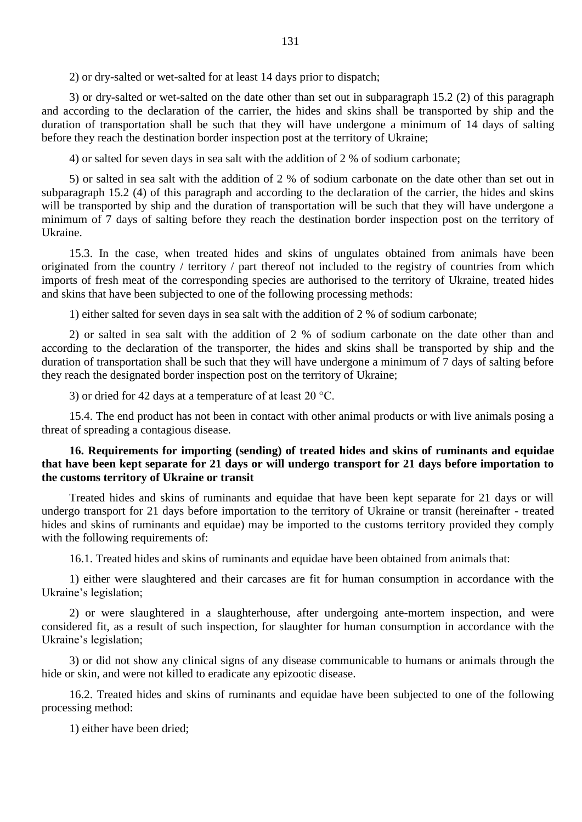2) or dry-salted or wet-salted for at least 14 days prior to dispatch;

3) or dry-salted or wet-salted on the date other than set out in subparagraph 15.2 (2) of this paragraph and according to the declaration of the carrier, the hides and skins shall be transported by ship and the duration of transportation shall be such that they will have undergone a minimum of 14 days of salting before they reach the destination border inspection post at the territory of Ukraine;

4) or salted for seven days in sea salt with the addition of 2 % of sodium carbonate;

5) or salted in sea salt with the addition of 2 % of sodium carbonate on the date other than set out in subparagraph 15.2 (4) of this paragraph and according to the declaration of the carrier, the hides and skins will be transported by ship and the duration of transportation will be such that they will have undergone a minimum of 7 days of salting before they reach the destination border inspection post on the territory of Ukraine.

15.3. In the case, when treated hides and skins of ungulates obtained from animals have been originated from the country / territory / part thereof not included to the registry of countries from which imports of fresh meat of the corresponding species are authorised to the territory of Ukraine, treated hides and skins that have been subjected to one of the following processing methods:

1) either salted for seven days in sea salt with the addition of 2 % of sodium carbonate;

2) or salted in sea salt with the addition of 2 % of sodium carbonate on the date other than and according to the declaration of the transporter, the hides and skins shall be transported by ship and the duration of transportation shall be such that they will have undergone a minimum of 7 days of salting before they reach the designated border inspection post on the territory of Ukraine;

3) or dried for 42 days at a temperature of at least 20 °C.

15.4. The end product has not been in contact with other animal products or with live animals posing a threat of spreading a contagious disease.

### **16. Requirements for importing (sending) of treated hides and skins of ruminants and equidae that have been kept separate for 21 days or will undergo transport for 21 days before importation to the customs territory of Ukraine or transit**

Treated hides and skins of ruminants and equidae that have been kept separate for 21 days or will undergo transport for 21 days before importation to the territory of Ukraine or transit (hereinafter - treated hides and skins of ruminants and equidae) may be imported to the customs territory provided they comply with the following requirements of:

16.1. Treated hides and skins of ruminants and equidae have been obtained from animals that:

1) either were slaughtered and their carcases are fit for human consumption in accordance with the Ukraine's legislation;

2) or were slaughtered in a slaughterhouse, after undergoing ante-mortem inspection, and were considered fit, as a result of such inspection, for slaughter for human consumption in accordance with the Ukraine's legislation;

3) or did not show any clinical signs of any disease communicable to humans or animals through the hide or skin, and were not killed to eradicate any epizootic disease.

16.2. Treated hides and skins of ruminants and equidae have been subjected to one of the following processing method:

1) either have been dried;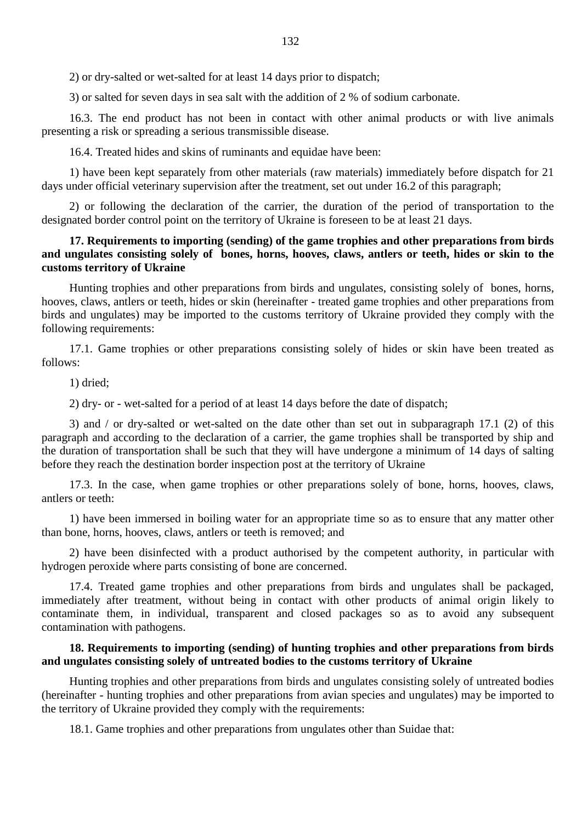2) or dry-salted or wet-salted for at least 14 days prior to dispatch;

3) or salted for seven days in sea salt with the addition of 2 % of sodium carbonate.

16.3. The end product has not been in contact with other animal products or with live animals presenting a risk or spreading a serious transmissible disease.

16.4. Treated hides and skins of ruminants and equidae have been:

1) have been kept separately from other materials (raw materials) immediately before dispatch for 21 days under official veterinary supervision after the treatment, set out under 16.2 of this paragraph;

2) or following the declaration of the carrier, the duration of the period of transportation to the designated border control point on the territory of Ukraine is foreseen to be at least 21 days.

## **17. Requirements to importing (sending) of the game trophies and other preparations from birds and ungulates consisting solely of bones, horns, hooves, claws, antlers or teeth, hides or skin to the customs territory of Ukraine**

Hunting trophies and other preparations from birds and ungulates, consisting solely of bones, horns, hooves, claws, antlers or teeth, hides or skin (hereinafter - treated game trophies and other preparations from birds and ungulates) may be imported to the customs territory of Ukraine provided they comply with the following requirements:

17.1. Game trophies or other preparations consisting solely of hides or skin have been treated as follows:

1) dried;

2) dry- or - wet-salted for a period of at least 14 days before the date of dispatch;

3) and / or dry-salted or wet-salted on the date other than set out in subparagraph 17.1 (2) of this paragraph and according to the declaration of a carrier, the game trophies shall be transported by ship and the duration of transportation shall be such that they will have undergone a minimum of 14 days of salting before they reach the destination border inspection post at the territory of Ukraine

17.3. In the case, when game trophies or other preparations solely of bone, horns, hooves, claws, antlers or teeth:

1) have been immersed in boiling water for an appropriate time so as to ensure that any matter other than bone, horns, hooves, claws, antlers or teeth is removed; and

2) have been disinfected with a product authorised by the competent authority, in particular with hydrogen peroxide where parts consisting of bone are concerned.

17.4. Treated game trophies and other preparations from birds and ungulates shall be packaged, immediately after treatment, without being in contact with other products of animal origin likely to contaminate them, in individual, transparent and closed packages so as to avoid any subsequent contamination with pathogens.

# **18. Requirements to importing (sending) of hunting trophies and other preparations from birds and ungulates consisting solely of untreated bodies to the customs territory of Ukraine**

Hunting trophies and other preparations from birds and ungulates consisting solely of untreated bodies (hereinafter - hunting trophies and other preparations from avian species and ungulates) may be imported to the territory of Ukraine provided they comply with the requirements:

18.1. Game trophies and other preparations from ungulates other than Suidae that: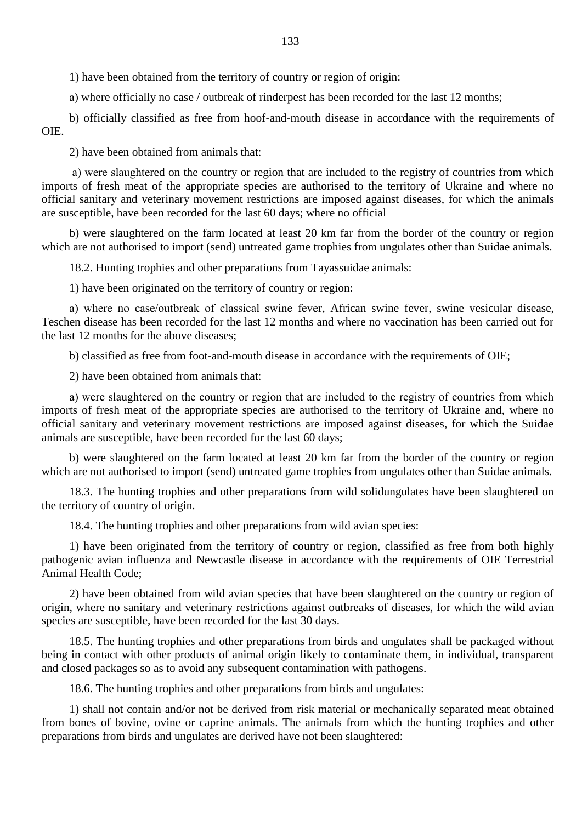1) have been obtained from the territory of country or region of origin:

а) where officially no case / outbreak of rinderpest has been recorded for the last 12 months;

b) officially classified as free from hoof-and-mouth disease in accordance with the requirements of OIE.

2) have been obtained from animals that:

а) were slaughtered on the country or region that are included to the registry of countries from which imports of fresh meat of the appropriate species are authorised to the territory of Ukraine and where no official sanitary and veterinary movement restrictions are imposed against diseases, for which the animals are susceptible, have been recorded for the last 60 days; where no official

b) were slaughtered on the farm located at least 20 km far from the border of the country or region which are not authorised to import (send) untreated game trophies from ungulates other than Suidae animals.

18.2. Hunting trophies and other preparations from Tayassuidae animals:

1) have been originated on the territory of country or region:

а) where no case/outbreak of classical swine fever, African swine fever, swine vesicular disease, Teschen disease has been recorded for the last 12 months and where no vaccination has been carried out for the last 12 months for the above diseases;

b) classified as free from foot-and-mouth disease in accordance with the requirements of OIE;

2) have been obtained from animals that:

а) were slaughtered on the country or region that are included to the registry of countries from which imports of fresh meat of the appropriate species are authorised to the territory of Ukraine and, where no official sanitary and veterinary movement restrictions are imposed against diseases, for which the Suidae animals are susceptible, have been recorded for the last 60 days;

b) were slaughtered on the farm located at least 20 km far from the border of the country or region which are not authorised to import (send) untreated game trophies from ungulates other than Suidae animals.

18.3. The hunting trophies and other preparations from wild solidungulates have been slaughtered on the territory of country of origin.

18.4. The hunting trophies and other preparations from wild avian species:

1) have been originated from the territory of country or region, classified as free from both highly pathogenic avian influenza and Newcastle disease in accordance with the requirements of OIE Terrestrial Animal Health Code;

2) have been obtained from wild avian species that have been slaughtered on the country or region of origin, where no sanitary and veterinary restrictions against outbreaks of diseases, for which the wild avian species are susceptible, have been recorded for the last 30 days.

18.5. The hunting trophies and other preparations from birds and ungulates shall be packaged without being in contact with other products of animal origin likely to contaminate them, in individual, transparent and closed packages so as to avoid any subsequent contamination with pathogens.

18.6. The hunting trophies and other preparations from birds and ungulates:

1) shall not contain and/or not be derived from risk material or mechanically separated meat obtained from bones of bovine, ovine or caprine animals. The animals from which the hunting trophies and other preparations from birds and ungulates are derived have not been slaughtered: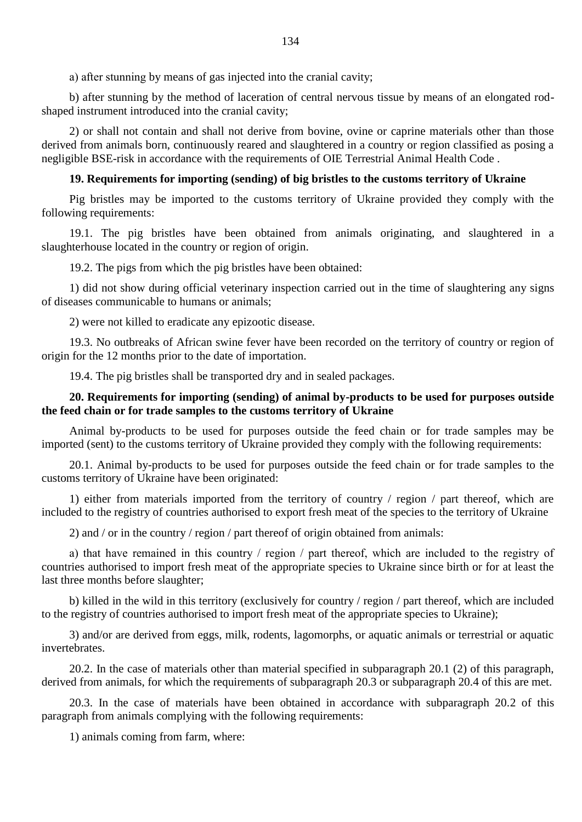а) after stunning by means of gas injected into the cranial cavity;

b) after stunning by the method of laceration of central nervous tissue by means of an elongated rodshaped instrument introduced into the cranial cavity;

2) or shall not contain and shall not derive from bovine, ovine or caprine materials other than those derived from animals born, continuously reared and slaughtered in a country or region classified as posing a negligible BSE-risk in accordance with the requirements of OIE Terrestrial Animal Health Code .

#### **19. Requirements for importing (sending) of big bristles to the customs territory of Ukraine**

Pig bristles may be imported to the customs territory of Ukraine provided they comply with the following requirements:

19.1. The pig bristles have been obtained from animals originating, and slaughtered in a slaughterhouse located in the country or region of origin.

19.2. The pigs from which the pig bristles have been obtained:

1) did not show during official veterinary inspection carried out in the time of slaughtering any signs of diseases communicable to humans or animals;

2) were not killed to eradicate any epizootic disease.

19.3. No outbreaks of African swine fever have been recorded on the territory of country or region of origin for the 12 months prior to the date of importation.

19.4. The pig bristles shall be transported dry and in sealed packages.

### **20. Requirements for importing (sending) of animal by-products to be used for purposes outside the feed chain or for trade samples to the customs territory of Ukraine**

Animal by-products to be used for purposes outside the feed chain or for trade samples may be imported (sent) to the customs territory of Ukraine provided they comply with the following requirements:

20.1. Animal by-products to be used for purposes outside the feed chain or for trade samples to the customs territory of Ukraine have been originated:

1) either from materials imported from the territory of country / region / part thereof, which are included to the registry of countries authorised to export fresh meat of the species to the territory of Ukraine

2) and / or in the country / region / part thereof of origin obtained from animals:

а) that have remained in this country / region / part thereof, which are included to the registry of countries authorised to import fresh meat of the appropriate species to Ukraine since birth or for at least the last three months before slaughter;

b) killed in the wild in this territory (exclusively for country / region / part thereof, which are included to the registry of countries authorised to import fresh meat of the appropriate species to Ukraine);

3) and/or are derived from eggs, milk, rodents, lagomorphs, or aquatic animals or terrestrial or aquatic invertebrates.

20.2. In the case of materials other than material specified in subparagraph 20.1 (2) of this paragraph, derived from animals, for which the requirements of subparagraph 20.3 or subparagraph 20.4 of this are met.

20.3. In the case of materials have been obtained in accordance with subparagraph 20.2 of this paragraph from animals complying with the following requirements:

1) animals coming from farm, where: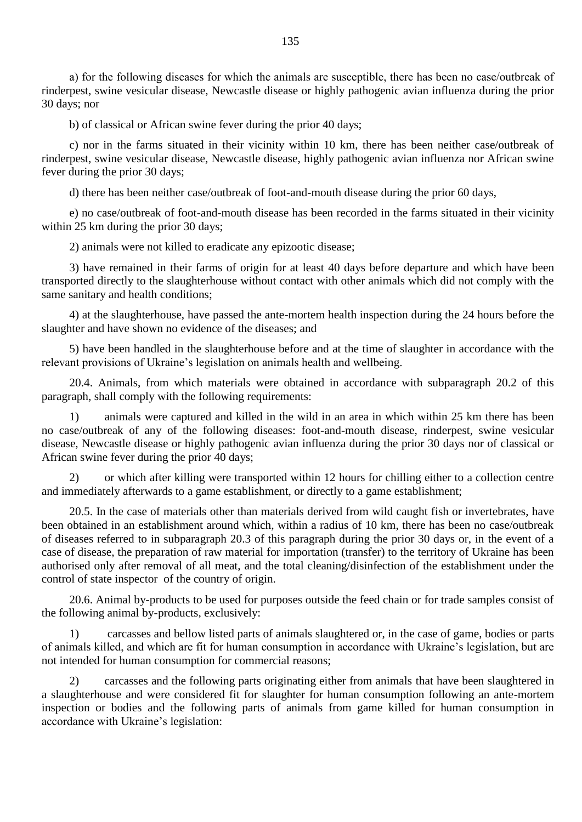а) for the following diseases for which the animals are susceptible, there has been no case/outbreak of rinderpest, swine vesicular disease, Newcastle disease or highly pathogenic avian influenza during the prior 30 days; nor

b) of classical or African swine fever during the prior 40 days;

c) nor in the farms situated in their vicinity within 10 km, there has been neither case/outbreak of rinderpest, swine vesicular disease, Newcastle disease, highly pathogenic avian influenza nor African swine fever during the prior 30 days;

d) there has been neither case/outbreak of foot-and-mouth disease during the prior 60 days,

e) no case/outbreak of foot-and-mouth disease has been recorded in the farms situated in their vicinity within 25 km during the prior 30 days;

2) animals were not killed to eradicate any epizootic disease;

3) have remained in their farms of origin for at least 40 days before departure and which have been transported directly to the slaughterhouse without contact with other animals which did not comply with the same sanitary and health conditions;

4) at the slaughterhouse, have passed the ante-mortem health inspection during the 24 hours before the slaughter and have shown no evidence of the diseases; and

5) have been handled in the slaughterhouse before and at the time of slaughter in accordance with the relevant provisions of Ukraine"s legislation on animals health and wellbeing.

20.4. Animals, from which materials were obtained in accordance with subparagraph 20.2 of this paragraph, shall comply with the following requirements:

1) animals were captured and killed in the wild in an area in which within 25 km there has been no case/outbreak of any of the following diseases: foot-and-mouth disease, rinderpest, swine vesicular disease, Newcastle disease or highly pathogenic avian influenza during the prior 30 days nor of classical or African swine fever during the prior 40 days;

2) or which after killing were transported within 12 hours for chilling either to a collection centre and immediately afterwards to a game establishment, or directly to a game establishment;

20.5. In the case of materials other than materials derived from wild caught fish or invertebrates, have been obtained in an establishment around which, within a radius of 10 km, there has been no case/outbreak of diseases referred to in subparagraph 20.3 of this paragraph during the prior 30 days or, in the event of a case of disease, the preparation of raw material for importation (transfer) to the territory of Ukraine has been authorised only after removal of all meat, and the total cleaning/disinfection of the establishment under the control of state inspector of the country of origin.

20.6. Animal by-products to be used for purposes outside the feed chain or for trade samples consist of the following animal by-products, exclusively:

1) carcasses and bellow listed parts of animals slaughtered or, in the case of game, bodies or parts of animals killed, and which are fit for human consumption in accordance with Ukraine"s legislation, but are not intended for human consumption for commercial reasons;

2) carcasses and the following parts originating either from animals that have been slaughtered in a slaughterhouse and were considered fit for slaughter for human consumption following an ante-mortem inspection or bodies and the following parts of animals from game killed for human consumption in accordance with Ukraine"s legislation: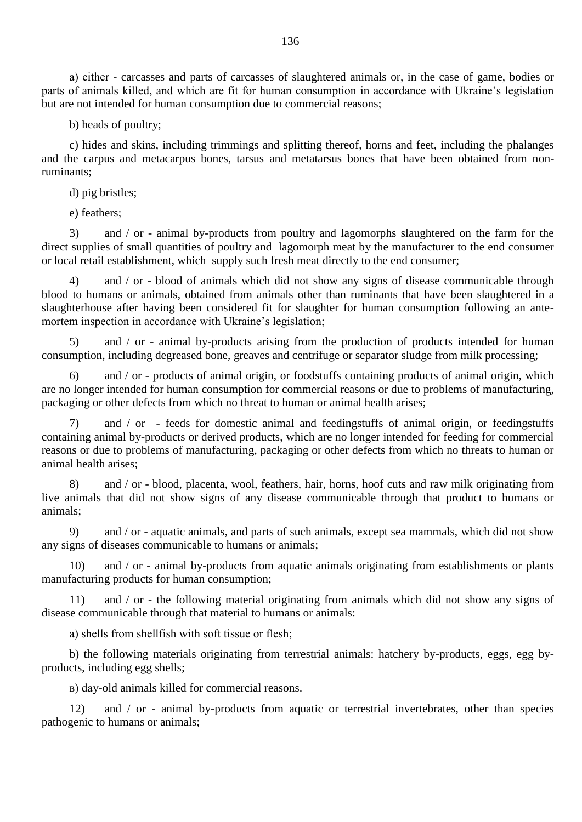а) either - carcasses and parts of carcasses of slaughtered animals or, in the case of game, bodies or parts of animals killed, and which are fit for human consumption in accordance with Ukraine"s legislation but are not intended for human consumption due to commercial reasons;

b) heads of poultry;

c) hides and skins, including trimmings and splitting thereof, horns and feet, including the phalanges and the carpus and metacarpus bones, tarsus and metatarsus bones that have been obtained from nonruminants;

d) pig bristles;

e) feathers;

3) and / or - animal by-products from poultry and lagomorphs slaughtered on the farm for the direct supplies of small quantities of poultry and lagomorph meat by the manufacturer to the end consumer or local retail establishment, which supply such fresh meat directly to the end consumer;

4) and / or - blood of animals which did not show any signs of disease communicable through blood to humans or animals, obtained from animals other than ruminants that have been slaughtered in a slaughterhouse after having been considered fit for slaughter for human consumption following an antemortem inspection in accordance with Ukraine's legislation;

5) and / or - animal by-products arising from the production of products intended for human consumption, including degreased bone, greaves and centrifuge or separator sludge from milk processing;

6) and / or - products of animal origin, or foodstuffs containing products of animal origin, which are no longer intended for human consumption for commercial reasons or due to problems of manufacturing, packaging or other defects from which no threat to human or animal health arises;

7) and / or - feeds for domestic animal and feedingstuffs of animal origin, or feedingstuffs containing animal by-products or derived products, which are no longer intended for feeding for commercial reasons or due to problems of manufacturing, packaging or other defects from which no threats to human or animal health arises;

8) and / or - blood, placenta, wool, feathers, hair, horns, hoof cuts and raw milk originating from live animals that did not show signs of any disease communicable through that product to humans or animals;

9) and / or - aquatic animals, and parts of such animals, except sea mammals, which did not show any signs of diseases communicable to humans or animals;

10) and / or - animal by-products from aquatic animals originating from establishments or plants manufacturing products for human consumption;

11) and / or - the following material originating from animals which did not show any signs of disease communicable through that material to humans or animals:

а) shells from shellfish with soft tissue or flesh;

b) the following materials originating from terrestrial animals: hatchery by-products, eggs, egg byproducts, including egg shells;

в) day-old animals killed for commercial reasons.

12) and / or - animal by-products from aquatic or terrestrial invertebrates, other than species pathogenic to humans or animals;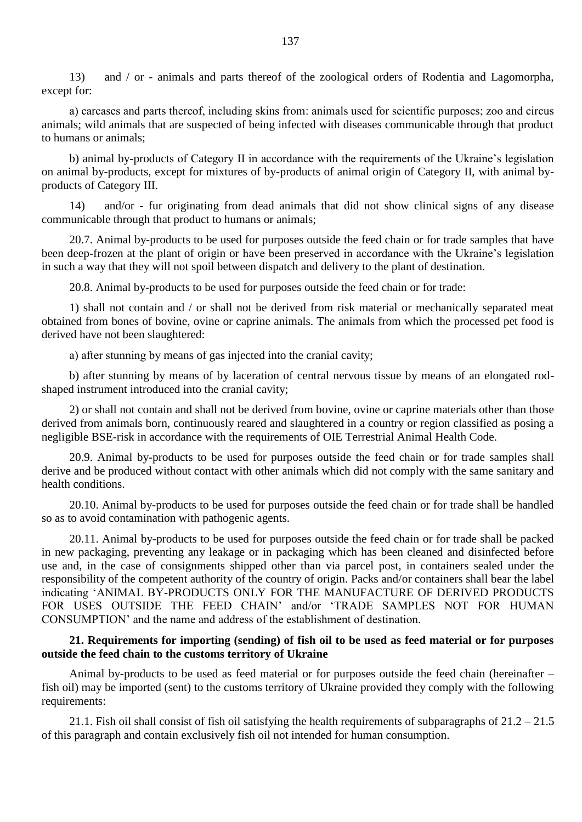13) and / or - animals and parts thereof of the zoological orders of Rodentia and Lagomorpha, except for:

а) carcases and parts thereof, including skins from: animals used for scientific purposes; zoo and circus animals; wild animals that are suspected of being infected with diseases communicable through that product to humans or animals;

b) animal by-products of Category II in accordance with the requirements of the Ukraine's legislation on animal by-products, except for mixtures of by-products of animal origin of Category II, with animal byproducts of Category III.

14) and/or - fur originating from dead animals that did not show clinical signs of any disease communicable through that product to humans or animals;

20.7. Animal by-products to be used for purposes outside the feed chain or for trade samples that have been deep-frozen at the plant of origin or have been preserved in accordance with the Ukraine's legislation in such a way that they will not spoil between dispatch and delivery to the plant of destination.

20.8. Animal by-products to be used for purposes outside the feed chain or for trade:

1) shall not contain and / or shall not be derived from risk material or mechanically separated meat obtained from bones of bovine, ovine or caprine animals. The animals from which the processed pet food is derived have not been slaughtered:

а) after stunning by means of gas injected into the cranial cavity;

b) after stunning by means of by laceration of central nervous tissue by means of an elongated rodshaped instrument introduced into the cranial cavity;

2) or shall not contain and shall not be derived from bovine, ovine or caprine materials other than those derived from animals born, continuously reared and slaughtered in a country or region classified as posing a negligible BSE-risk in accordance with the requirements of OIE Terrestrial Animal Health Code.

20.9. Animal by-products to be used for purposes outside the feed chain or for trade samples shall derive and be produced without contact with other animals which did not comply with the same sanitary and health conditions.

20.10. Animal by-products to be used for purposes outside the feed chain or for trade shall be handled so as to avoid contamination with pathogenic agents.

20.11. Animal by-products to be used for purposes outside the feed chain or for trade shall be packed in new packaging, preventing any leakage or in packaging which has been cleaned and disinfected before use and, in the case of consignments shipped other than via parcel post, in containers sealed under the responsibility of the competent authority of the country of origin. Packs and/or containers shall bear the label indicating "ANIMAL BY-PRODUCTS ONLY FOR THE MANUFACTURE OF DERIVED PRODUCTS FOR USES OUTSIDE THE FEED CHAIN" and/or "TRADE SAMPLES NOT FOR HUMAN CONSUMPTION" and the name and address of the establishment of destination.

#### **21. Requirements for importing (sending) of fish oil to be used as feed material or for purposes outside the feed chain to the customs territory of Ukraine**

Animal by-products to be used as feed material or for purposes outside the feed chain (hereinafter – fish oil) may be imported (sent) to the customs territory of Ukraine provided they comply with the following requirements:

21.1. Fish oil shall consist of fish oil satisfying the health requirements of subparagraphs of  $21.2 - 21.5$ of this paragraph and contain exclusively fish oil not intended for human consumption.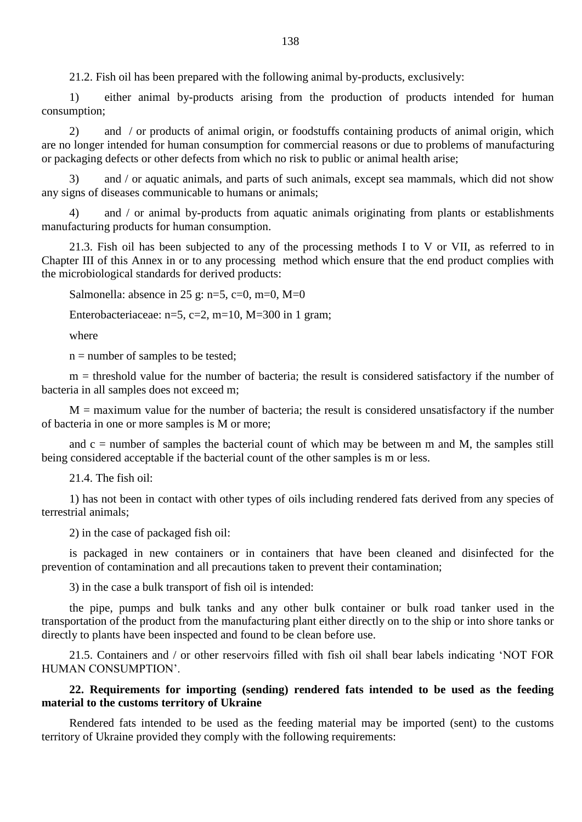21.2. Fish oil has been prepared with the following animal by-products, exclusively:

1) either animal by-products arising from the production of products intended for human consumption;

2) and / or products of animal origin, or foodstuffs containing products of animal origin, which are no longer intended for human consumption for commercial reasons or due to problems of manufacturing or packaging defects or other defects from which no risk to public or animal health arise;

3) and / or aquatic animals, and parts of such animals, except sea mammals, which did not show any signs of diseases communicable to humans or animals;

4) and / or animal by-products from aquatic animals originating from plants or establishments manufacturing products for human consumption.

21.3. Fish oil has been subjected to any of the processing methods I to V or VII, as referred to in Chapter III of this Annex in or to any processing method which ensure that the end product complies with the microbiological standards for derived products:

Salmonella: absence in 25 g: n=5, c=0, m=0, M=0

Enterobacteriaceae:  $n=5$ ,  $c=2$ ,  $m=10$ ,  $M=300$  in 1 gram;

where

 $n =$  number of samples to be tested;

m = threshold value for the number of bacteria; the result is considered satisfactory if the number of bacteria in all samples does not exceed m;

 $M =$  maximum value for the number of bacteria; the result is considered unsatisfactory if the number of bacteria in one or more samples is M or more;

and  $c =$  number of samples the bacterial count of which may be between m and M, the samples still being considered acceptable if the bacterial count of the other samples is m or less.

21.4. The fish oil:

1) has not been in contact with other types of oils including rendered fats derived from any species of terrestrial animals;

2) in the case of packaged fish oil:

is packaged in new containers or in containers that have been cleaned and disinfected for the prevention of contamination and all precautions taken to prevent their contamination;

3) in the case a bulk transport of fish oil is intended:

the pipe, pumps and bulk tanks and any other bulk container or bulk road tanker used in the transportation of the product from the manufacturing plant either directly on to the ship or into shore tanks or directly to plants have been inspected and found to be clean before use.

21.5. Containers and / or other reservoirs filled with fish oil shall bear labels indicating "NOT FOR HUMAN CONSUMPTION".

# **22. Requirements for importing (sending) rendered fats intended to be used as the feeding material to the customs territory of Ukraine**

Rendered fats intended to be used as the feeding material may be imported (sent) to the customs territory of Ukraine provided they comply with the following requirements: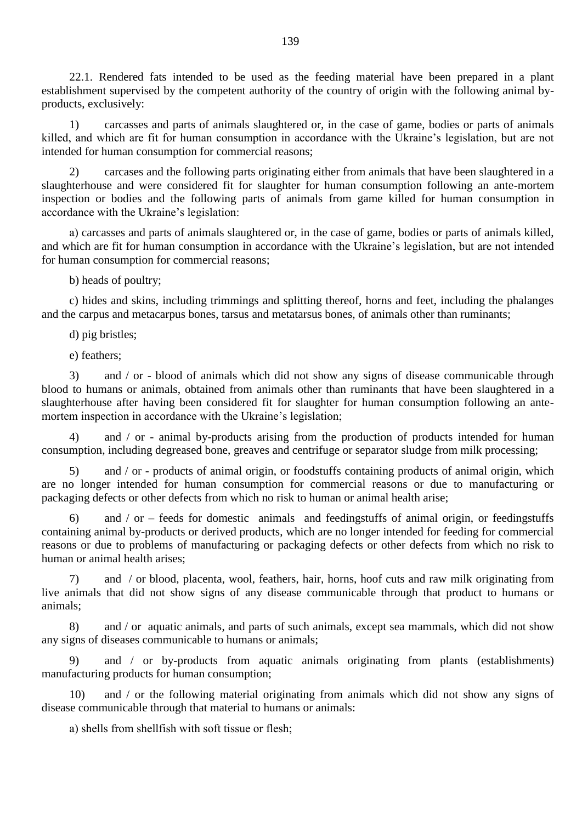22.1. Rendered fats intended to be used as the feeding material have been prepared in a plant establishment supervised by the competent authority of the country of origin with the following animal byproducts, exclusively:

1) carcasses and parts of animals slaughtered or, in the case of game, bodies or parts of animals killed, and which are fit for human consumption in accordance with the Ukraine's legislation, but are not intended for human consumption for commercial reasons;

2) carcases and the following parts originating either from animals that have been slaughtered in a slaughterhouse and were considered fit for slaughter for human consumption following an ante-mortem inspection or bodies and the following parts of animals from game killed for human consumption in accordance with the Ukraine"s legislation:

а) carcasses and parts of animals slaughtered or, in the case of game, bodies or parts of animals killed, and which are fit for human consumption in accordance with the Ukraine's legislation, but are not intended for human consumption for commercial reasons;

b) heads of poultry;

c) hides and skins, including trimmings and splitting thereof, horns and feet, including the phalanges and the carpus and metacarpus bones, tarsus and metatarsus bones, of animals other than ruminants;

d) pig bristles;

e) feathers;

3) and / or - blood of animals which did not show any signs of disease communicable through blood to humans or animals, obtained from animals other than ruminants that have been slaughtered in a slaughterhouse after having been considered fit for slaughter for human consumption following an antemortem inspection in accordance with the Ukraine's legislation;

4) and / or - animal by-products arising from the production of products intended for human consumption, including degreased bone, greaves and centrifuge or separator sludge from milk processing;

5) and / or - products of animal origin, or foodstuffs containing products of animal origin, which are no longer intended for human consumption for commercial reasons or due to manufacturing or packaging defects or other defects from which no risk to human or animal health arise;

and  $/$  or – feeds for domestic animals and feedingstuffs of animal origin, or feedingstuffs containing animal by-products or derived products, which are no longer intended for feeding for commercial reasons or due to problems of manufacturing or packaging defects or other defects from which no risk to human or animal health arises;

7) and / or blood, placenta, wool, feathers, hair, horns, hoof cuts and raw milk originating from live animals that did not show signs of any disease communicable through that product to humans or animals;

8) and / or aquatic animals, and parts of such animals, except sea mammals, which did not show any signs of diseases communicable to humans or animals;

9) and / or by-products from aquatic animals originating from plants (establishments) manufacturing products for human consumption;

10) and / or the following material originating from animals which did not show any signs of disease communicable through that material to humans or animals:

а) shells from shellfish with soft tissue or flesh;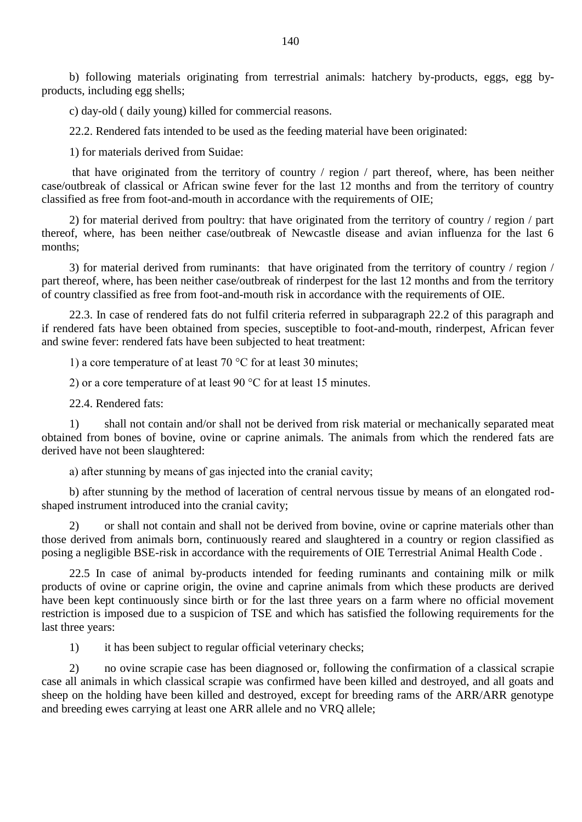b) following materials originating from terrestrial animals: hatchery by-products, eggs, egg byproducts, including egg shells;

c) day-old ( daily young) killed for commercial reasons.

22.2. Rendered fats intended to be used as the feeding material have been originated:

1) for materials derived from Suidae:

that have originated from the territory of country / region / part thereof, where, has been neither case/outbreak of classical or African swine fever for the last 12 months and from the territory of country classified as free from foot-and-mouth in accordance with the requirements of OIE;

2) for material derived from poultry: that have originated from the territory of country / region / part thereof, where, has been neither case/outbreak of Newcastle disease and avian influenza for the last 6 months;

3) for material derived from ruminants: that have originated from the territory of country / region / part thereof, where, has been neither case/outbreak of rinderpest for the last 12 months and from the territory of country classified as free from foot-and-mouth risk in accordance with the requirements of OIE.

22.3. In case of rendered fats do not fulfil criteria referred in subparagraph 22.2 of this paragraph and if rendered fats have been obtained from species, susceptible to foot-and-mouth, rinderpest, African fever and swine fever: rendered fats have been subjected to heat treatment:

1) a core temperature of at least 70 °C for at least 30 minutes;

2) or a core temperature of at least 90 °C for at least 15 minutes.

22.4. Rendered fats:

1) shall not contain and/or shall not be derived from risk material or mechanically separated meat obtained from bones of bovine, ovine or caprine animals. The animals from which the rendered fats are derived have not been slaughtered:

а) after stunning by means of gas injected into the cranial cavity;

b) after stunning by the method of laceration of central nervous tissue by means of an elongated rodshaped instrument introduced into the cranial cavity;

2) or shall not contain and shall not be derived from bovine, ovine or caprine materials other than those derived from animals born, continuously reared and slaughtered in a country or region classified as posing a negligible BSE-risk in accordance with the requirements of OIE Terrestrial Animal Health Code .

22.5 In case of animal by-products intended for feeding ruminants and containing milk or milk products of ovine or caprine origin, the ovine and caprine animals from which these products are derived have been kept continuously since birth or for the last three years on a farm where no official movement restriction is imposed due to a suspicion of TSE and which has satisfied the following requirements for the last three years:

1) it has been subject to regular official veterinary checks;

2) no ovine scrapie case has been diagnosed or, following the confirmation of a classical scrapie case all animals in which classical scrapie was confirmed have been killed and destroyed, and all goats and sheep on the holding have been killed and destroyed, except for breeding rams of the ARR/ARR genotype and breeding ewes carrying at least one ARR allele and no VRQ allele;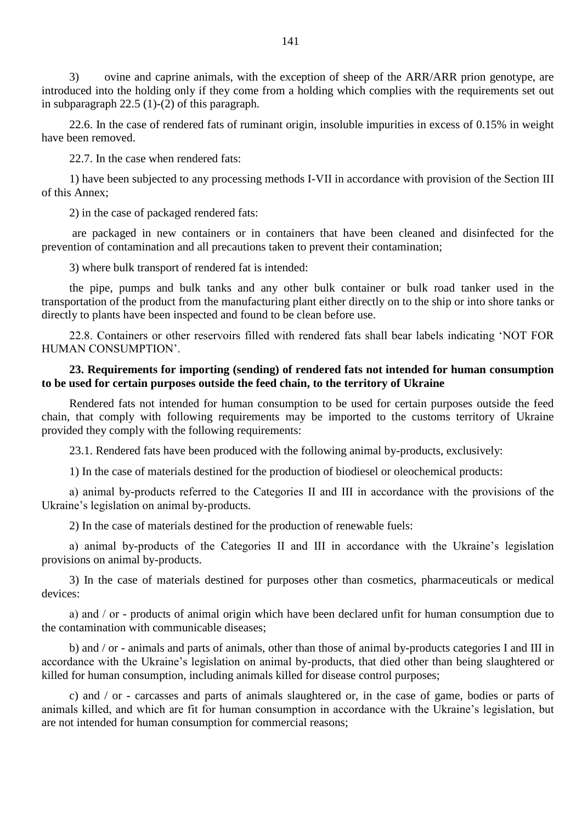3) ovine and caprine animals, with the exception of sheep of the ARR/ARR prion genotype, are introduced into the holding only if they come from a holding which complies with the requirements set out in subparagraph 22.5 (1)-(2) of this paragraph.

22.6. In the case of rendered fats of ruminant origin, insoluble impurities in excess of 0.15% in weight have been removed.

22.7. In the case when rendered fats:

1) have been subjected to any processing methods I-VII in accordance with provision of the Section III of this Annex;

2) in the case of packaged rendered fats:

are packaged in new containers or in containers that have been cleaned and disinfected for the prevention of contamination and all precautions taken to prevent their contamination;

3) where bulk transport of rendered fat is intended:

the pipe, pumps and bulk tanks and any other bulk container or bulk road tanker used in the transportation of the product from the manufacturing plant either directly on to the ship or into shore tanks or directly to plants have been inspected and found to be clean before use.

22.8. Containers or other reservoirs filled with rendered fats shall bear labels indicating "NOT FOR HUMAN CONSUMPTION".

# **23. Requirements for importing (sending) of rendered fats not intended for human consumption to be used for certain purposes outside the feed chain, to the territory of Ukraine**

Rendered fats not intended for human consumption to be used for certain purposes outside the feed chain, that comply with following requirements may be imported to the customs territory of Ukraine provided they comply with the following requirements:

23.1. Rendered fats have been produced with the following animal by-products, exclusively:

1) In the case of materials destined for the production of biodiesel or oleochemical products:

а) animal by-products referred to the Categories II and ІII in accordance with the provisions of the Ukraine"s legislation on animal by-products.

2) In the case of materials destined for the production of renewable fuels:

а) animal by-products of the Categories II and ІII in accordance with the Ukraine"s legislation provisions on animal by-products.

3) In the case of materials destined for purposes other than cosmetics, pharmaceuticals or medical devices:

а) and / or - products of animal origin which have been declared unfit for human consumption due to the contamination with communicable diseases;

b) and / or - animals and parts of animals, other than those of animal by-products categories I and III in accordance with the Ukraine's legislation on animal by-products, that died other than being slaughtered or killed for human consumption, including animals killed for disease control purposes;

c) and / or - carcasses and parts of animals slaughtered or, in the case of game, bodies or parts of animals killed, and which are fit for human consumption in accordance with the Ukraine"s legislation, but are not intended for human consumption for commercial reasons;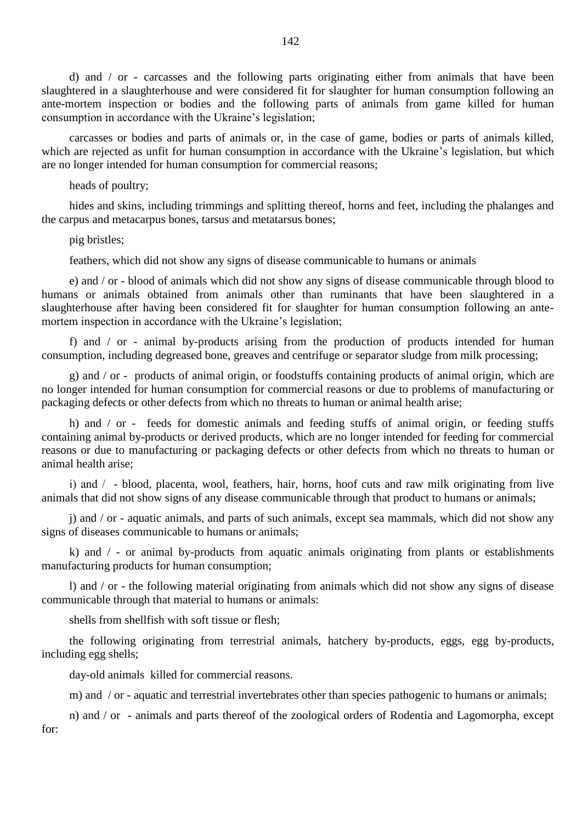d) and / or - carcasses and the following parts originating either from animals that have been slaughtered in a slaughterhouse and were considered fit for slaughter for human consumption following an ante-mortem inspection or bodies and the following parts of animals from game killed for human consumption in accordance with the Ukraine"s legislation;

carcasses or bodies and parts of animals or, in the case of game, bodies or parts of animals killed, which are rejected as unfit for human consumption in accordance with the Ukraine's legislation, but which are no longer intended for human consumption for commercial reasons;

heads of poultry;

hides and skins, including trimmings and splitting thereof, horns and feet, including the phalanges and the carpus and metacarpus bones, tarsus and metatarsus bones;

pig bristles;

feathers, which did not show any signs of disease communicable to humans or animals

e) and / or - blood of animals which did not show any signs of disease communicable through blood to humans or animals obtained from animals other than ruminants that have been slaughtered in a slaughterhouse after having been considered fit for slaughter for human consumption following an antemortem inspection in accordance with the Ukraine's legislation;

f) and / or - animal by-products arising from the production of products intended for human consumption, including degreased bone, greaves and centrifuge or separator sludge from milk processing;

g) and / or - products of animal origin, or foodstuffs containing products of animal origin, which are no longer intended for human consumption for commercial reasons or due to problems of manufacturing or packaging defects or other defects from which no threats to human or animal health arise;

h) and / or - feeds for domestic animals and feeding stuffs of animal origin, or feeding stuffs containing animal by-products or derived products, which are no longer intended for feeding for commercial reasons or due to manufacturing or packaging defects or other defects from which no threats to human or animal health arise;

і) and / - blood, placenta, wool, feathers, hair, horns, hoof cuts and raw milk originating from live animals that did not show signs of any disease communicable through that product to humans or animals;

j) and / or - aquatic animals, and parts of such animals, except sea mammals, which did not show any signs of diseases communicable to humans or animals;

k) and / - or animal by-products from aquatic animals originating from plants or establishments manufacturing products for human consumption;

l) and / or - the following material originating from animals which did not show any signs of disease communicable through that material to humans or animals:

shells from shellfish with soft tissue or flesh;

the following originating from terrestrial animals, hatchery by-products, eggs, egg by-products, including egg shells;

day-old animals killed for commercial reasons.

m) and / or - aquatic and terrestrial invertebrates other than species pathogenic to humans or animals;

n) and / or - animals and parts thereof of the zoological orders of Rodentia and Lagomorpha, except for: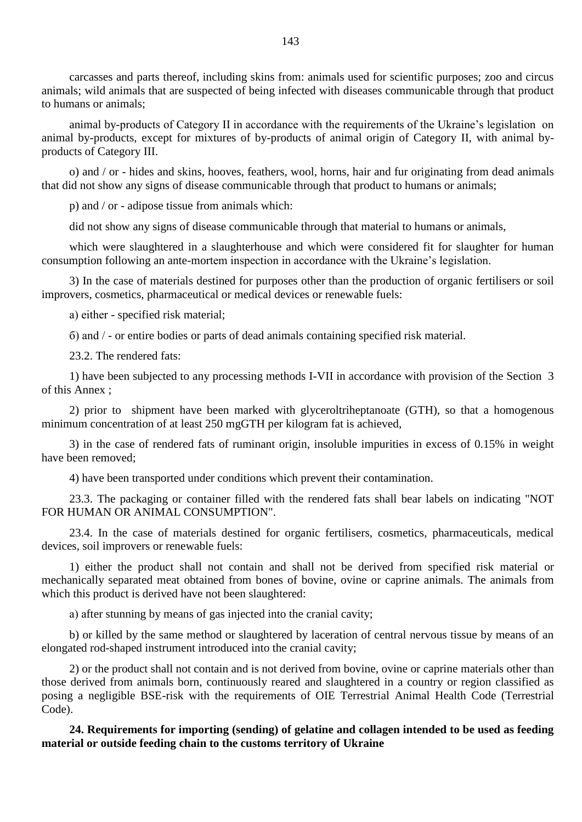carcasses and parts thereof, including skins from: animals used for scientific purposes; zoo and circus animals; wild animals that are suspected of being infected with diseases communicable through that product to humans or animals;

animal by-products of Category II in accordance with the requirements of the Ukraine"s legislation on animal by-products, except for mixtures of by-products of animal origin of Category II, with animal byproducts of Category III.

o) and / or - hides and skins, hooves, feathers, wool, horns, hair and fur originating from dead animals that did not show any signs of disease communicable through that product to humans or animals;

p) and / or - adipose tissue from animals which:

did not show any signs of disease communicable through that material to humans or animals,

which were slaughtered in a slaughterhouse and which were considered fit for slaughter for human consumption following an ante-mortem inspection in accordance with the Ukraine"s legislation.

3) In the case of materials destined for purposes other than the production of organic fertilisers or soil improvers, cosmetics, pharmaceutical or medical devices or renewable fuels:

а) either - specified risk material;

б) and / - or entire bodies or parts of dead animals containing specified risk material.

23.2. The rendered fats:

1) have been subjected to any processing methods I-VII in accordance with provision of the Section 3 of this Annex ;

2) prior to shipment have been marked with glyceroltriheptanoate (GTH), so that a homogenous minimum concentration of at least 250 mgGTH per kilogram fat is achieved,

3) in the case of rendered fats of ruminant origin, insoluble impurities in excess of 0.15% in weight have been removed;

4) have been transported under conditions which prevent their contamination.

23.3. The packaging or container filled with the rendered fats shall bear labels on indicating "NOT FOR HUMAN OR ANIMAL CONSUMPTION".

23.4. In the case of materials destined for organic fertilisers, cosmetics, pharmaceuticals, medical devices, soil improvers or renewable fuels:

1) either the product shall not contain and shall not be derived from specified risk material or mechanically separated meat obtained from bones of bovine, ovine or caprine animals. The animals from which this product is derived have not been slaughtered:

а) after stunning by means of gas injected into the cranial cavity;

b) or killed by the same method or slaughtered by laceration of central nervous tissue by means of an elongated rod-shaped instrument introduced into the cranial cavity;

2) or the product shall not contain and is not derived from bovine, ovine or caprine materials other than those derived from animals born, continuously reared and slaughtered in a country or region classified as posing a negligible BSE-risk with the requirements of OIE Terrestrial Animal Health Code (Terrestrial Code).

**24. Requirements for importing (sending) of gelatine and collagen intended to be used as feeding material or outside feeding chain to the customs territory of Ukraine**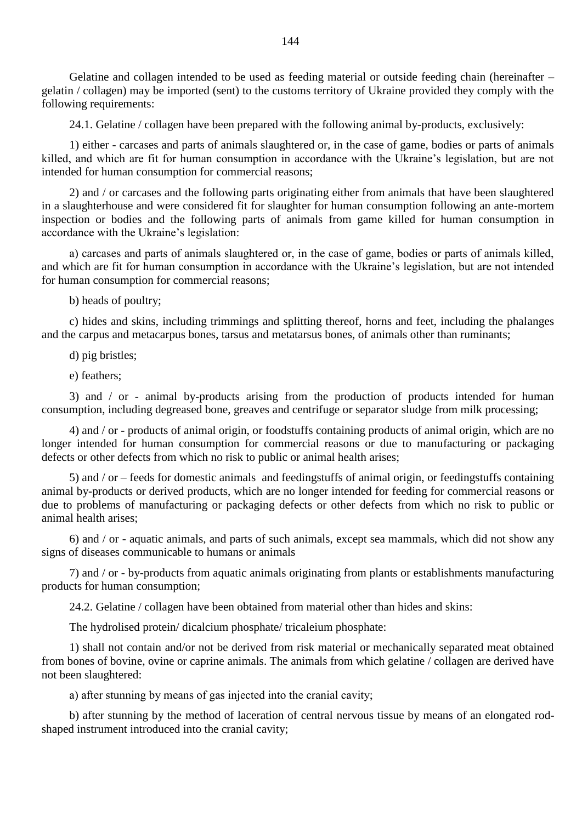Gelatine and collagen intended to be used as feeding material or outside feeding chain (hereinafter – gelatin / collagen) may be imported (sent) to the customs territory of Ukraine provided they comply with the following requirements:

24.1. Gelatine / collagen have been prepared with the following animal by-products, exclusively:

1) either - carcases and parts of animals slaughtered or, in the case of game, bodies or parts of animals killed, and which are fit for human consumption in accordance with the Ukraine's legislation, but are not intended for human consumption for commercial reasons;

2) and / or carcases and the following parts originating either from animals that have been slaughtered in a slaughterhouse and were considered fit for slaughter for human consumption following an ante-mortem inspection or bodies and the following parts of animals from game killed for human consumption in accordance with the Ukraine's legislation:

а) carcases and parts of animals slaughtered or, in the case of game, bodies or parts of animals killed, and which are fit for human consumption in accordance with the Ukraine's legislation, but are not intended for human consumption for commercial reasons;

b) heads of poultry;

c) hides and skins, including trimmings and splitting thereof, horns and feet, including the phalanges and the carpus and metacarpus bones, tarsus and metatarsus bones, of animals other than ruminants;

d) pig bristles;

e) feathers;

3) and / or - animal by-products arising from the production of products intended for human consumption, including degreased bone, greaves and centrifuge or separator sludge from milk processing;

4) and / or - products of animal origin, or foodstuffs containing products of animal origin, which are no longer intended for human consumption for commercial reasons or due to manufacturing or packaging defects or other defects from which no risk to public or animal health arises;

5) and / or – feeds for domestic animals and feedingstuffs of animal origin, or feedingstuffs containing animal by-products or derived products, which are no longer intended for feeding for commercial reasons or due to problems of manufacturing or packaging defects or other defects from which no risk to public or animal health arises;

6) and / or - aquatic animals, and parts of such animals, except sea mammals, which did not show any signs of diseases communicable to humans or animals

7) and / or - by-products from aquatic animals originating from plants or establishments manufacturing products for human consumption;

24.2. Gelatine / collagen have been obtained from material other than hides and skins:

The hydrolised protein/ dicalcium phosphate/ tricaleium phosphate:

1) shall not contain and/or not be derived from risk material or mechanically separated meat obtained from bones of bovine, ovine or caprine animals. The animals from which gelatine / collagen are derived have not been slaughtered:

а) after stunning by means of gas injected into the cranial cavity;

b) after stunning by the method of laceration of central nervous tissue by means of an elongated rodshaped instrument introduced into the cranial cavity;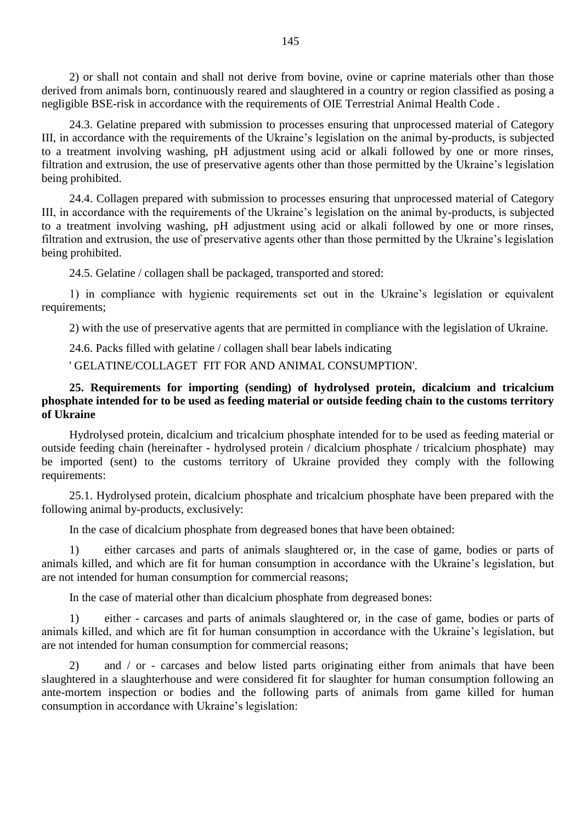2) or shall not contain and shall not derive from bovine, ovine or caprine materials other than those derived from animals born, continuously reared and slaughtered in a country or region classified as posing a negligible BSE-risk in accordance with the requirements of OIE Terrestrial Animal Health Code .

24.3. Gelatine prepared with submission to processes ensuring that unprocessed material of Category III, in accordance with the requirements of the Ukraine"s legislation on the animal by-products, is subjected to a treatment involving washing, pH adjustment using acid or alkali followed by one or more rinses, filtration and extrusion, the use of preservative agents other than those permitted by the Ukraine's legislation being prohibited.

24.4. Collagen prepared with submission to processes ensuring that unprocessed material of Category III, in accordance with the requirements of the Ukraine"s legislation on the animal by-products, is subjected to a treatment involving washing, pH adjustment using acid or alkali followed by one or more rinses, filtration and extrusion, the use of preservative agents other than those permitted by the Ukraine's legislation being prohibited.

24.5. Gelatine / collagen shall be packaged, transported and stored:

1) in compliance with hygienic requirements set out in the Ukraine"s legislation or equivalent requirements;

2) with the use of preservative agents that are permitted in compliance with the legislation of Ukraine.

24.6. Packs filled with gelatine / collagen shall bear labels indicating

' GELATINE/COLLAGET FIT FOR AND ANIMAL CONSUMPTION'.

# **25. Requirements for importing (sending) of hydrolysed protein, dicalcium and tricalcium phosphate intended for to be used as feeding material or outside feeding chain to the customs territory of Ukraine**

Hydrolysed protein, dicalcium and tricalcium phosphate intended for to be used as feeding material or outside feeding chain (hereinafter - hydrolysed protein / dicalcium phosphate / tricalcium phosphate) may be imported (sent) to the customs territory of Ukraine provided they comply with the following requirements:

25.1. Hydrolysed protein, dicalcium phosphate and tricalcium phosphate have been prepared with the following animal by-products, exclusively:

In the case of dicalcium phosphate from degreased bones that have been obtained:

1) either carcases and parts of animals slaughtered or, in the case of game, bodies or parts of animals killed, and which are fit for human consumption in accordance with the Ukraine"s legislation, but are not intended for human consumption for commercial reasons;

In the case of material other than dicalcium phosphate from degreased bones:

1) either - carcases and parts of animals slaughtered or, in the case of game, bodies or parts of animals killed, and which are fit for human consumption in accordance with the Ukraine"s legislation, but are not intended for human consumption for commercial reasons;

2) and / or - carcases and below listed parts originating either from animals that have been slaughtered in a slaughterhouse and were considered fit for slaughter for human consumption following an ante-mortem inspection or bodies and the following parts of animals from game killed for human consumption in accordance with Ukraine"s legislation: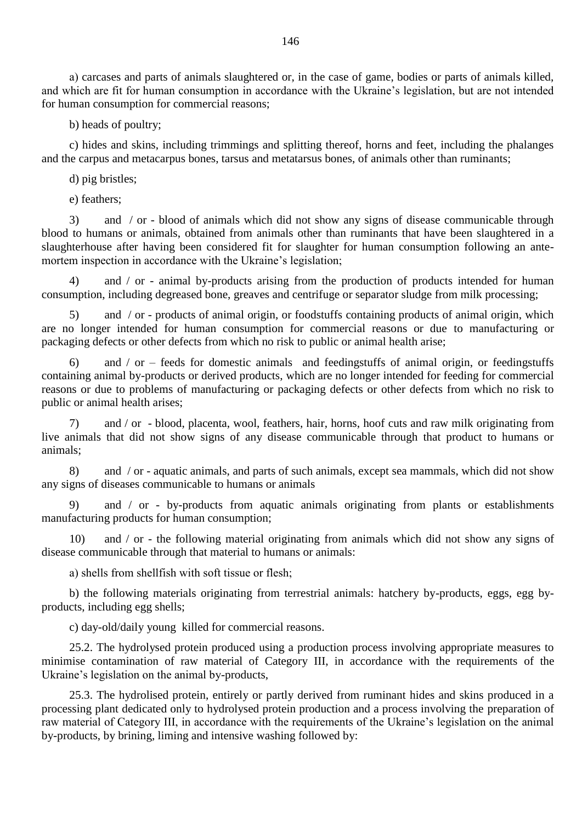а) carcases and parts of animals slaughtered or, in the case of game, bodies or parts of animals killed, and which are fit for human consumption in accordance with the Ukraine's legislation, but are not intended for human consumption for commercial reasons;

b) heads of poultry;

c) hides and skins, including trimmings and splitting thereof, horns and feet, including the phalanges and the carpus and metacarpus bones, tarsus and metatarsus bones, of animals other than ruminants;

d) pig bristles;

e) feathers;

3) and / or - blood of animals which did not show any signs of disease communicable through blood to humans or animals, obtained from animals other than ruminants that have been slaughtered in a slaughterhouse after having been considered fit for slaughter for human consumption following an antemortem inspection in accordance with the Ukraine's legislation;

4) and / or - animal by-products arising from the production of products intended for human consumption, including degreased bone, greaves and centrifuge or separator sludge from milk processing;

5) and / or - products of animal origin, or foodstuffs containing products of animal origin, which are no longer intended for human consumption for commercial reasons or due to manufacturing or packaging defects or other defects from which no risk to public or animal health arise;

6) and / or – feeds for domestic animals and feedingstuffs of animal origin, or feedingstuffs containing animal by-products or derived products, which are no longer intended for feeding for commercial reasons or due to problems of manufacturing or packaging defects or other defects from which no risk to public or animal health arises;

7) and / or - blood, placenta, wool, feathers, hair, horns, hoof cuts and raw milk originating from live animals that did not show signs of any disease communicable through that product to humans or animals;

8) and / or - aquatic animals, and parts of such animals, except sea mammals, which did not show any signs of diseases communicable to humans or animals

9) and / or - by-products from aquatic animals originating from plants or establishments manufacturing products for human consumption;

10) and / or - the following material originating from animals which did not show any signs of disease communicable through that material to humans or animals:

а) shells from shellfish with soft tissue or flesh;

b) the following materials originating from terrestrial animals: hatchery by-products, eggs, egg byproducts, including egg shells;

c) day-old/daily young killed for commercial reasons.

25.2. The hydrolysed protein produced using a production process involving appropriate measures to minimise contamination of raw material of Category III, in accordance with the requirements of the Ukraine's legislation on the animal by-products,

25.3. The hydrolised protein, entirely or partly derived from ruminant hides and skins produced in a processing plant dedicated only to hydrolysed protein production and a process involving the preparation of raw material of Category III, in accordance with the requirements of the Ukraine"s legislation on the animal by-products, by brining, liming and intensive washing followed by: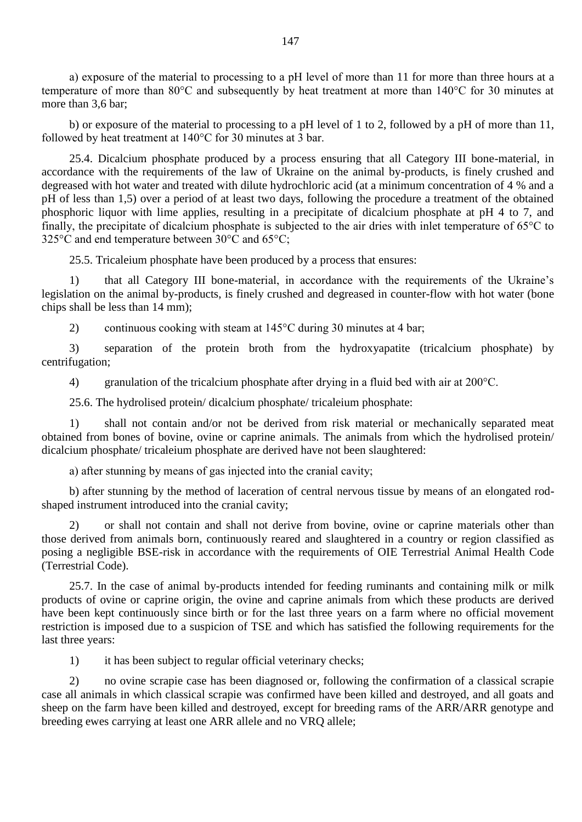а) exposure of the material to processing to a pH level of more than 11 for more than three hours at a temperature of more than 80°C and subsequently by heat treatment at more than 140°C for 30 minutes at more than 3.6 bar:

b) or exposure of the material to processing to a pH level of 1 to 2, followed by a pH of more than 11, followed by heat treatment at 140°C for 30 minutes at 3 bar.

25.4. Dicalcium phosphate produced by a process ensuring that all Category III bone-material, in accordance with the requirements of the law of Ukraine on the animal by-products, is finely crushed and degreased with hot water and treated with dilute hydrochloric acid (at a minimum concentration of 4 % and a pH of less than 1,5) over a period of at least two days, following the procedure a treatment of the obtained phosphoric liquor with lime applies, resulting in a precipitate of dicalcium phosphate at pH 4 to 7, and finally, the precipitate of dicalcium phosphate is subjected to the air dries with inlet temperature of 65°C to 325°C and end temperature between 30°C and 65°C;

25.5. Tricaleium phosphate have been produced by a process that ensures:

1) that all Category III bone-material, in accordance with the requirements of the Ukraine"s legislation on the animal by-products, is finely crushed and degreased in counter-flow with hot water (bone chips shall be less than 14 mm);

2) continuous cooking with steam at 145°C during 30 minutes at 4 bar;

3) separation of the protein broth from the hydroxyapatite (tricalcium phosphate) by centrifugation;

4) granulation of the tricalcium phosphate after drying in a fluid bed with air at 200°C.

25.6. The hydrolised protein/ dicalcium phosphate/ tricaleium phosphate:

1) shall not contain and/or not be derived from risk material or mechanically separated meat obtained from bones of bovine, ovine or caprine animals. The animals from which the hydrolised protein/ dicalcium phosphate/ tricaleium phosphate are derived have not been slaughtered:

а) after stunning by means of gas injected into the cranial cavity;

b) after stunning by the method of laceration of central nervous tissue by means of an elongated rodshaped instrument introduced into the cranial cavity;

2) or shall not contain and shall not derive from bovine, ovine or caprine materials other than those derived from animals born, continuously reared and slaughtered in a country or region classified as posing a negligible BSE-risk in accordance with the requirements of OIE Terrestrial Animal Health Code (Terrestrial Code).

25.7. In the case of animal by-products intended for feeding ruminants and containing milk or milk products of ovine or caprine origin, the ovine and caprine animals from which these products are derived have been kept continuously since birth or for the last three years on a farm where no official movement restriction is imposed due to a suspicion of TSE and which has satisfied the following requirements for the last three years:

1) it has been subject to regular official veterinary checks;

2) no ovine scrapie case has been diagnosed or, following the confirmation of a classical scrapie case all animals in which classical scrapie was confirmed have been killed and destroyed, and all goats and sheep on the farm have been killed and destroyed, except for breeding rams of the ARR/ARR genotype and breeding ewes carrying at least one ARR allele and no VRQ allele;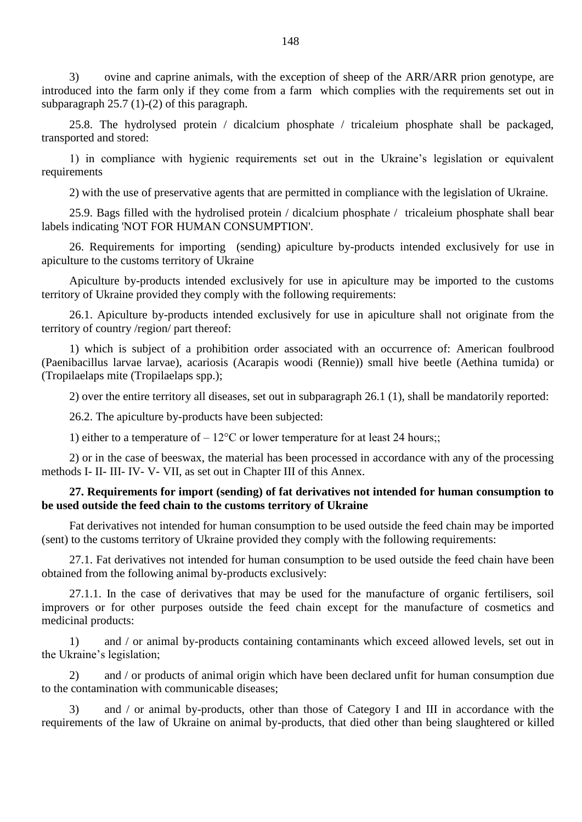3) ovine and caprine animals, with the exception of sheep of the ARR/ARR prion genotype, are introduced into the farm only if they come from a farm which complies with the requirements set out in subparagraph 25.7 (1)-(2) of this paragraph.

25.8. The hydrolysed protein / dicalcium phosphate / tricaleium phosphate shall be packaged, transported and stored:

1) in compliance with hygienic requirements set out in the Ukraine"s legislation or equivalent requirements

2) with the use of preservative agents that are permitted in compliance with the legislation of Ukraine.

25.9. Bags filled with the hydrolised protein / dicalcium phosphate / tricaleium phosphate shall bear labels indicating 'NOT FOR HUMAN CONSUMPTION'.

26. Requirements for importing (sending) apiculture by-products intended exclusively for use in apiculture to the customs territory of Ukraine

Apiculture by-products intended exclusively for use in apiculture may be imported to the customs territory of Ukraine provided they comply with the following requirements:

26.1. Apiculture by-products intended exclusively for use in apiculture shall not originate from the territory of country /region/ part thereof:

1) which is subject of a prohibition order associated with an occurrence of: American foulbrood (Paenibacillus larvae larvae), acariosis (Acarapis woodi (Rennie)) small hive beetle (Aethina tumida) or (Tropilaelaps mite (Tropilaelaps spp.);

2) over the entire territory all diseases, set out in subparagraph 26.1 (1), shall be mandatorily reported:

26.2. The apiculture by-products have been subjected:

1) either to a temperature of  $-12^{\circ}$ C or lower temperature for at least 24 hours;;

2) or in the case of beeswax, the material has been processed in accordance with any of the processing methods I- II- III- IV- V- VII, as set out in Chapter III of this Annex.

# **27. Requirements for import (sending) of fat derivatives not intended for human consumption to be used outside the feed chain to the customs territory of Ukraine**

Fat derivatives not intended for human consumption to be used outside the feed chain may be imported (sent) to the customs territory of Ukraine provided they comply with the following requirements:

27.1. Fat derivatives not intended for human consumption to be used outside the feed chain have been obtained from the following animal by-products exclusively:

27.1.1. In the case of derivatives that may be used for the manufacture of organic fertilisers, soil improvers or for other purposes outside the feed chain except for the manufacture of cosmetics and medicinal products:

1) and / or animal by-products containing contaminants which exceed allowed levels, set out in the Ukraine"s legislation;

2) and / or products of animal origin which have been declared unfit for human consumption due to the contamination with communicable diseases;

3) and / or animal by-products, other than those of Category I and III in accordance with the requirements of the law of Ukraine on animal by-products, that died other than being slaughtered or killed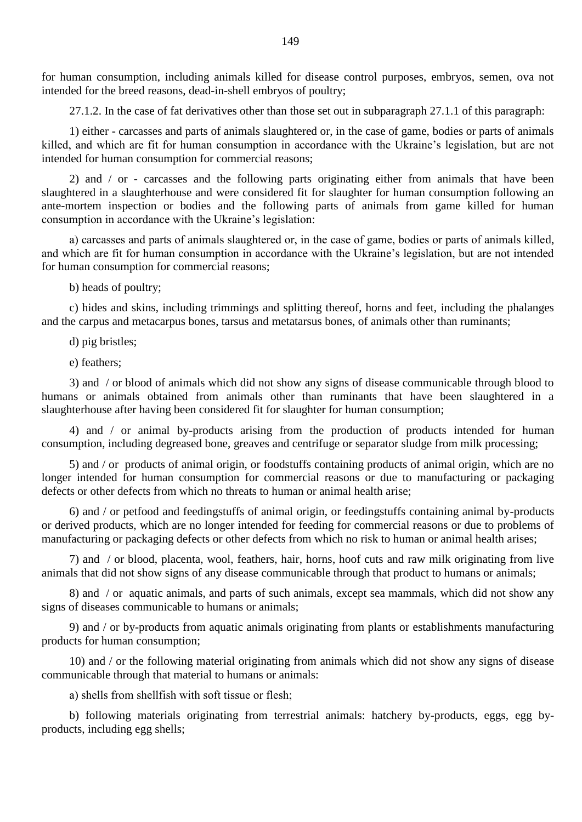for human consumption, including animals killed for disease control purposes, embryos, semen, ova not intended for the breed reasons, dead-in-shell embryos of poultry;

27.1.2. In the case of fat derivatives other than those set out in subparagraph 27.1.1 of this paragraph:

1) either - carcasses and parts of animals slaughtered or, in the case of game, bodies or parts of animals killed, and which are fit for human consumption in accordance with the Ukraine's legislation, but are not intended for human consumption for commercial reasons;

2) and / or - carcasses and the following parts originating either from animals that have been slaughtered in a slaughterhouse and were considered fit for slaughter for human consumption following an ante-mortem inspection or bodies and the following parts of animals from game killed for human consumption in accordance with the Ukraine"s legislation:

а) carcasses and parts of animals slaughtered or, in the case of game, bodies or parts of animals killed, and which are fit for human consumption in accordance with the Ukraine's legislation, but are not intended for human consumption for commercial reasons;

b) heads of poultry;

c) hides and skins, including trimmings and splitting thereof, horns and feet, including the phalanges and the carpus and metacarpus bones, tarsus and metatarsus bones, of animals other than ruminants;

d) pig bristles;

e) feathers;

3) and / or blood of animals which did not show any signs of disease communicable through blood to humans or animals obtained from animals other than ruminants that have been slaughtered in a slaughterhouse after having been considered fit for slaughter for human consumption;

4) and / or animal by-products arising from the production of products intended for human consumption, including degreased bone, greaves and centrifuge or separator sludge from milk processing;

5) and / or products of animal origin, or foodstuffs containing products of animal origin, which are no longer intended for human consumption for commercial reasons or due to manufacturing or packaging defects or other defects from which no threats to human or animal health arise;

6) and / or petfood and feedingstuffs of animal origin, or feedingstuffs containing animal by-products or derived products, which are no longer intended for feeding for commercial reasons or due to problems of manufacturing or packaging defects or other defects from which no risk to human or animal health arises;

7) and / or blood, placenta, wool, feathers, hair, horns, hoof cuts and raw milk originating from live animals that did not show signs of any disease communicable through that product to humans or animals;

8) and / or aquatic animals, and parts of such animals, except sea mammals, which did not show any signs of diseases communicable to humans or animals;

9) and / or by-products from aquatic animals originating from plants or establishments manufacturing products for human consumption;

10) and / or the following material originating from animals which did not show any signs of disease communicable through that material to humans or animals:

а) shells from shellfish with soft tissue or flesh;

b) following materials originating from terrestrial animals: hatchery by-products, eggs, egg byproducts, including egg shells;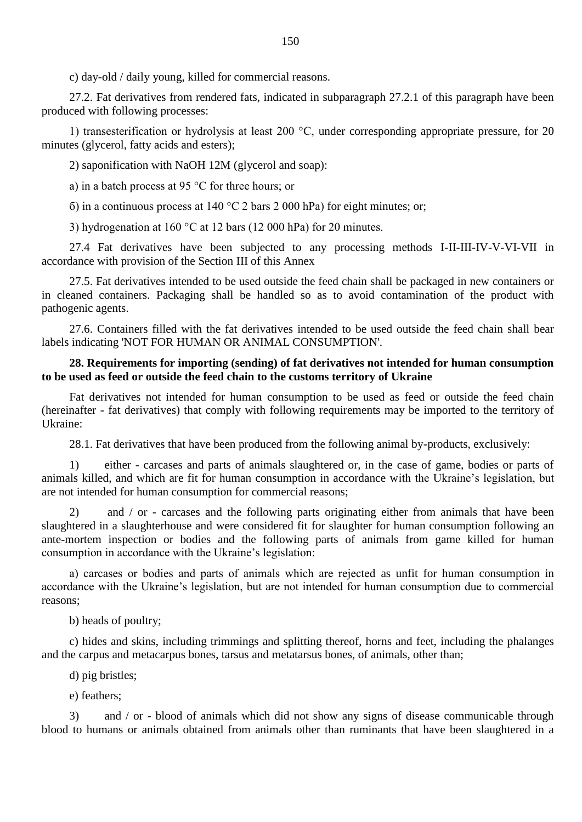c) day-old / daily young, killed for commercial reasons.

27.2. Fat derivatives from rendered fats, indicated in subparagraph 27.2.1 of this paragraph have been produced with following processes:

1) transesterification or hydrolysis at least 200 °C, under corresponding appropriate pressure, for 20 minutes (glycerol, fatty acids and esters);

2) saponification with NaOH 12M (glycerol and soap):

а) in a batch process at 95 °C for three hours; or

 $\sigma$ ) in a continuous process at 140 °C 2 bars 2 000 hPa) for eight minutes; or;

3) hydrogenation at 160 °C at 12 bars (12 000 hPa) for 20 minutes.

27.4 Fat derivatives have been subjected to any processing methods I-II-III-IV-V-VI-VII in accordance with provision of the Section III of this Annex

27.5. Fat derivatives intended to be used outside the feed chain shall be packaged in new containers or in cleaned containers. Packaging shall be handled so as to avoid contamination of the product with pathogenic agents.

27.6. Containers filled with the fat derivatives intended to be used outside the feed chain shall bear labels indicating 'NOT FOR HUMAN OR ANIMAL CONSUMPTION'.

## **28. Requirements for importing (sending) of fat derivatives not intended for human consumption to be used as feed or outside the feed chain to the customs territory of Ukraine**

Fat derivatives not intended for human consumption to be used as feed or outside the feed chain (hereinafter - fat derivatives) that comply with following requirements may be imported to the territory of Ukraine:

28.1. Fat derivatives that have been produced from the following animal by-products, exclusively:

1) either - carcases and parts of animals slaughtered or, in the case of game, bodies or parts of animals killed, and which are fit for human consumption in accordance with the Ukraine"s legislation, but are not intended for human consumption for commercial reasons;

2) and / or - carcases and the following parts originating either from animals that have been slaughtered in a slaughterhouse and were considered fit for slaughter for human consumption following an ante-mortem inspection or bodies and the following parts of animals from game killed for human consumption in accordance with the Ukraine's legislation:

а) carcases or bodies and parts of animals which are rejected as unfit for human consumption in accordance with the Ukraine's legislation, but are not intended for human consumption due to commercial reasons;

b) heads of poultry;

c) hides and skins, including trimmings and splitting thereof, horns and feet, including the phalanges and the carpus and metacarpus bones, tarsus and metatarsus bones, of animals, other than;

d) pig bristles;

e) feathers;

3) and / or - blood of animals which did not show any signs of disease communicable through blood to humans or animals obtained from animals other than ruminants that have been slaughtered in a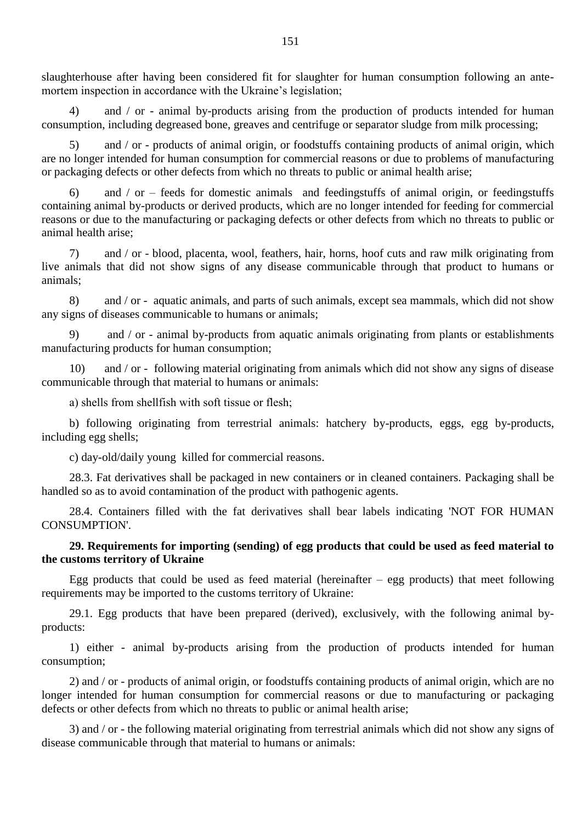slaughterhouse after having been considered fit for slaughter for human consumption following an antemortem inspection in accordance with the Ukraine's legislation;

4) and / or - animal by-products arising from the production of products intended for human consumption, including degreased bone, greaves and centrifuge or separator sludge from milk processing;

5) and / or - products of animal origin, or foodstuffs containing products of animal origin, which are no longer intended for human consumption for commercial reasons or due to problems of manufacturing or packaging defects or other defects from which no threats to public or animal health arise;

and  $/$  or – feeds for domestic animals and feedingstuffs of animal origin, or feedingstuffs containing animal by-products or derived products, which are no longer intended for feeding for commercial reasons or due to the manufacturing or packaging defects or other defects from which no threats to public or animal health arise;

7) and / or - blood, placenta, wool, feathers, hair, horns, hoof cuts and raw milk originating from live animals that did not show signs of any disease communicable through that product to humans or animals;

8) and / or - aquatic animals, and parts of such animals, except sea mammals, which did not show any signs of diseases communicable to humans or animals;

9) and / or - animal by-products from aquatic animals originating from plants or establishments manufacturing products for human consumption;

10) and / or - following material originating from animals which did not show any signs of disease communicable through that material to humans or animals:

а) shells from shellfish with soft tissue or flesh;

b) following originating from terrestrial animals: hatchery by-products, eggs, egg by-products, including egg shells;

c) day-old/daily young killed for commercial reasons.

28.3. Fat derivatives shall be packaged in new containers or in cleaned containers. Packaging shall be handled so as to avoid contamination of the product with pathogenic agents.

28.4. Containers filled with the fat derivatives shall bear labels indicating 'NOT FOR HUMAN CONSUMPTION'.

# **29. Requirements for importing (sending) of egg products that could be used as feed material to the customs territory of Ukraine**

Egg products that could be used as feed material (hereinafter  $-$  egg products) that meet following requirements may be imported to the customs territory of Ukraine:

29.1. Egg products that have been prepared (derived), exclusively, with the following animal byproducts:

1) either - animal by-products arising from the production of products intended for human consumption;

2) and / or - products of animal origin, or foodstuffs containing products of animal origin, which are no longer intended for human consumption for commercial reasons or due to manufacturing or packaging defects or other defects from which no threats to public or animal health arise;

3) and / or - the following material originating from terrestrial animals which did not show any signs of disease communicable through that material to humans or animals: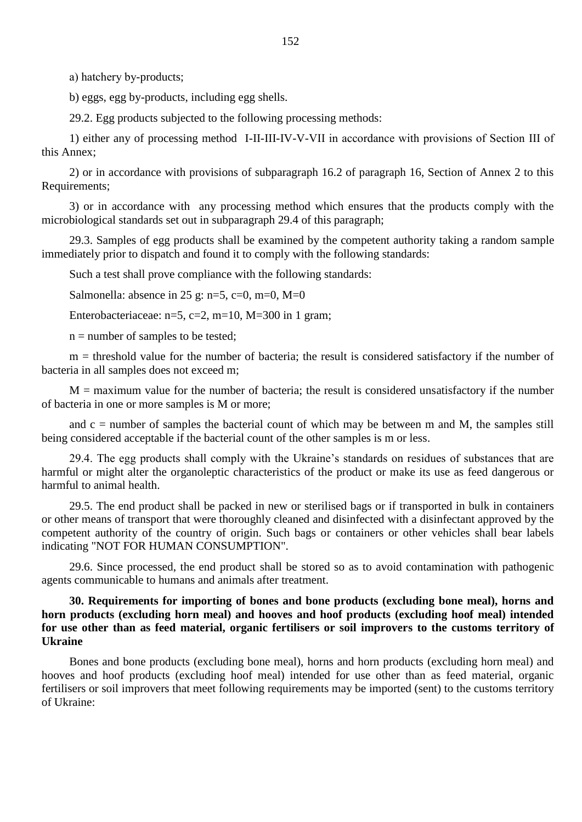а) hatchery by-products;

b) eggs, egg by-products, including egg shells.

29.2. Egg products subjected to the following processing methods:

1) either any of processing method I-II-III-IV-V-VII in accordance with provisions of Section ІІІ of this Annex;

2) or in accordance with provisions of subparagraph 16.2 of paragraph 16, Section of Annex 2 to this Requirements;

3) or in accordance with any processing method which ensures that the products comply with the microbiological standards set out in subparagraph 29.4 of this paragraph;

29.3. Samples of egg products shall be examined by the competent authority taking a random sample immediately prior to dispatch and found it to comply with the following standards:

Such a test shall prove compliance with the following standards:

Salmonella: absence in 25 g: n=5, c=0, m=0, M=0

Enterobacteriaceae:  $n=5$ ,  $c=2$ ,  $m=10$ ,  $M=300$  in 1 gram;

 $n =$  number of samples to be tested;

m = threshold value for the number of bacteria; the result is considered satisfactory if the number of bacteria in all samples does not exceed m;

 $M =$  maximum value for the number of bacteria; the result is considered unsatisfactory if the number of bacteria in one or more samples is M or more;

and  $c =$  number of samples the bacterial count of which may be between m and M, the samples still being considered acceptable if the bacterial count of the other samples is m or less.

29.4. The egg products shall comply with the Ukraine"s standards on residues of substances that are harmful or might alter the organoleptic characteristics of the product or make its use as feed dangerous or harmful to animal health.

29.5. The end product shall be packed in new or sterilised bags or if transported in bulk in containers or other means of transport that were thoroughly cleaned and disinfected with a disinfectant approved by the competent authority of the country of origin. Such bags or containers or other vehicles shall bear labels indicating "NOT FOR HUMAN CONSUMPTION".

29.6. Since processed, the end product shall be stored so as to avoid contamination with pathogenic agents communicable to humans and animals after treatment.

## **30. Requirements for importing of bones and bone products (excluding bone meal), horns and horn products (excluding horn meal) and hooves and hoof products (excluding hoof meal) intended for use other than as feed material, organic fertilisers or soil improvers to the customs territory of Ukraine**

Bones and bone products (excluding bone meal), horns and horn products (excluding horn meal) and hooves and hoof products (excluding hoof meal) intended for use other than as feed material, organic fertilisers or soil improvers that meet following requirements may be imported (sent) to the customs territory of Ukraine: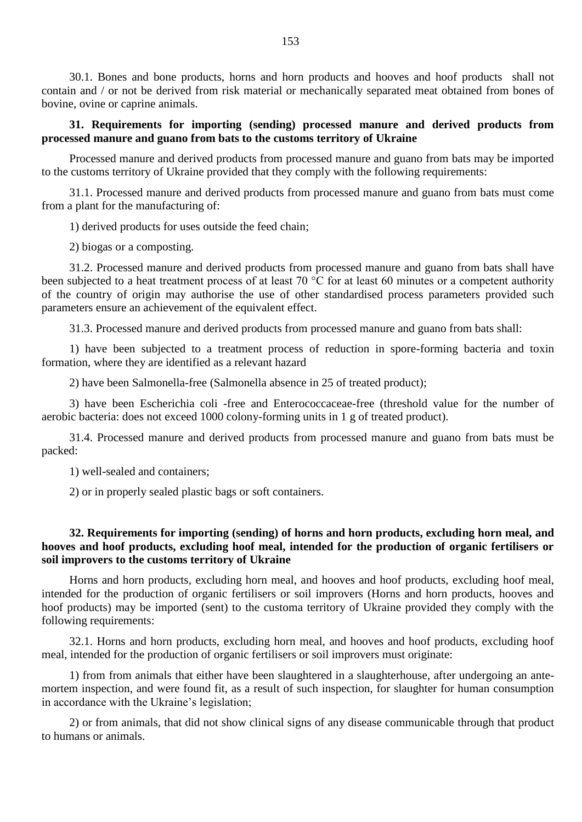30.1. Bones and bone products, horns and horn products and hooves and hoof products shall not contain and / or not be derived from risk material or mechanically separated meat obtained from bones of bovine, ovine or caprine animals.

## **31. Requirements for importing (sending) processed manure and derived products from processed manure and guano from bats to the customs territory of Ukraine**

Processed manure and derived products from processed manure and guano from bats may be imported to the customs territory of Ukraine provided that they comply with the following requirements:

31.1. Processed manure and derived products from processed manure and guano from bats must come from a plant for the manufacturing of:

1) derived products for uses outside the feed chain;

2) biogas or a composting.

31.2. Processed manure and derived products from processed manure and guano from bats shall have been subjected to a heat treatment process of at least 70 °C for at least 60 minutes or a competent authority of the country of origin may authorise the use of other standardised process parameters provided such parameters ensure an achievement of the equivalent effect.

31.3. Processed manure and derived products from processed manure and guano from bats shall:

1) have been subjected to a treatment process of reduction in spore-forming bacteria and toxin formation, where they are identified as a relevant hazard

2) have been Salmonella-free (Salmonella absence in 25 of treated product);

3) have been Escherichia coli -free and Enterococcaceae-free (threshold value for the number of aerobic bacteria: does not exceed 1000 colony-forming units in 1 g of treated product).

31.4. Processed manure and derived products from processed manure and guano from bats must be packed:

1) well-sealed and containers;

2) or in properly sealed plastic bags or soft containers.

### **32. Requirements for importing (sending) of horns and horn products, excluding horn meal, and hooves and hoof products, excluding hoof meal, intended for the production of organic fertilisers or soil improvers to the customs territory of Ukraine**

Horns and horn products, excluding horn meal, and hooves and hoof products, excluding hoof meal, intended for the production of organic fertilisers or soil improvers (Horns and horn products, hooves and hoof products) may be imported (sent) to the customa territory of Ukraine provided they comply with the following requirements:

32.1. Horns and horn products, excluding horn meal, and hooves and hoof products, excluding hoof meal, intended for the production of organic fertilisers or soil improvers must originate:

1) from from animals that either have been slaughtered in a slaughterhouse, after undergoing an antemortem inspection, and were found fit, as a result of such inspection, for slaughter for human consumption in accordance with the Ukraine's legislation;

2) or from animals, that did not show clinical signs of any disease communicable through that product to humans or animals.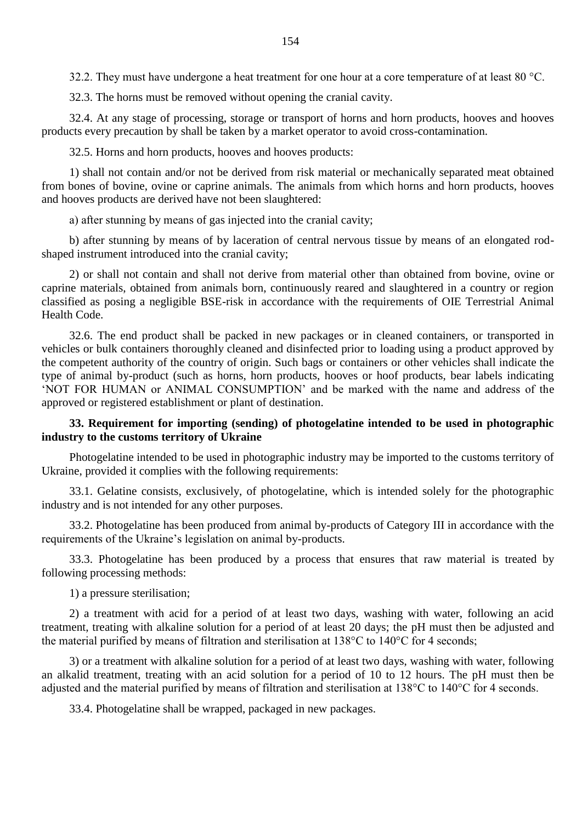32.2. They must have undergone a heat treatment for one hour at a core temperature of at least 80 °C.

32.3. The horns must be removed without opening the cranial cavity.

32.4. At any stage of processing, storage or transport of horns and horn products, hooves and hooves products every precaution by shall be taken by a market operator to avoid cross-contamination.

32.5. Horns and horn products, hooves and hooves products:

1) shall not contain and/or not be derived from risk material or mechanically separated meat obtained from bones of bovine, ovine or caprine animals. The animals from which horns and horn products, hooves and hooves products are derived have not been slaughtered:

а) after stunning by means of gas injected into the cranial cavity;

b) after stunning by means of by laceration of central nervous tissue by means of an elongated rodshaped instrument introduced into the cranial cavity;

2) or shall not contain and shall not derive from material other than obtained from bovine, ovine or caprine materials, obtained from animals born, continuously reared and slaughtered in a country or region classified as posing a negligible BSE-risk in accordance with the requirements of OIE Terrestrial Animal Health Code.

32.6. The end product shall be packed in new packages or in cleaned containers, or transported in vehicles or bulk containers thoroughly cleaned and disinfected prior to loading using a product approved by the competent authority of the country of origin. Such bags or containers or other vehicles shall indicate the type of animal by-product (such as horns, horn products, hooves or hoof products, bear labels indicating "NOT FOR HUMAN or ANIMAL CONSUMPTION" and be marked with the name and address of the approved or registered establishment or plant of destination.

## **33. Requirement for importing (sending) of photogelatine intended to be used in photographic industry to the customs territory of Ukraine**

Photogelatine intended to be used in photographic industry may be imported to the customs territory of Ukraine, provided it complies with the following requirements:

33.1. Gelatine consists, exclusively, of photogelatine, which is intended solely for the photographic industry and is not intended for any other purposes.

33.2. Photogelatine has been produced from animal by-products of Category III in accordance with the requirements of the Ukraine"s legislation on animal by-products.

33.3. Photogelatine has been produced by a process that ensures that raw material is treated by following processing methods:

1) a pressure sterilisation;

2) a treatment with acid for a period of at least two days, washing with water, following an acid treatment, treating with alkaline solution for a period of at least 20 days; the pH must then be adjusted and the material purified by means of filtration and sterilisation at 138°C to 140°C for 4 seconds;

3) or a treatment with alkaline solution for a period of at least two days, washing with water, following an alkalid treatment, treating with an acid solution for a period of 10 to 12 hours. The pH must then be adjusted and the material purified by means of filtration and sterilisation at 138°C to 140°C for 4 seconds.

33.4. Photogelatine shall be wrapped, packaged in new packages.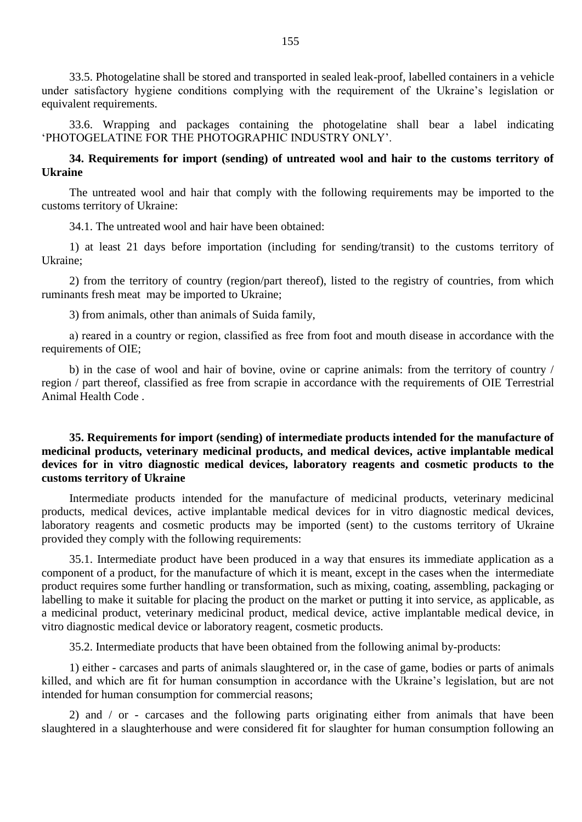33.5. Photogelatine shall be stored and transported in sealed leak-proof, labelled containers in a vehicle under satisfactory hygiene conditions complying with the requirement of the Ukraine"s legislation or equivalent requirements.

33.6. Wrapping and packages containing the photogelatine shall bear a label indicating "PHOTOGELATINE FOR THE PHOTOGRAPHIC INDUSTRY ONLY".

# **34. Requirements for import (sending) of untreated wool and hair to the customs territory of Ukraine**

The untreated wool and hair that comply with the following requirements may be imported to the customs territory of Ukraine:

34.1. The untreated wool and hair have been obtained:

1) at least 21 days before importation (including for sending/transit) to the customs territory of Ukraine;

2) from the territory of country (region/part thereof), listed to the registry of countries, from which ruminants fresh meat may be imported to Ukraine;

3) from animals, other than animals of Suida family,

а) reared in a country or region, classified as free from foot and mouth disease in accordance with the requirements of OIE;

b) in the case of wool and hair of bovine, ovine or caprine animals: from the territory of country / region / part thereof, classified as free from scrapie in accordance with the requirements of OIE Terrestrial Animal Health Code .

# **35. Requirements for import (sending) of intermediate products intended for the manufacture of medicinal products, veterinary medicinal products, and medical devices, active implantable medical devices for in vitro diagnostic medical devices, laboratory reagents and cosmetic products to the customs territory of Ukraine**

Intermediate products intended for the manufacture of medicinal products, veterinary medicinal products, medical devices, active implantable medical devices for in vitro diagnostic medical devices, laboratory reagents and cosmetic products may be imported (sent) to the customs territory of Ukraine provided they comply with the following requirements:

35.1. Intermediate product have been produced in a way that ensures its immediate application as a component of a product, for the manufacture of which it is meant, except in the cases when the intermediate product requires some further handling or transformation, such as mixing, coating, assembling, packaging or labelling to make it suitable for placing the product on the market or putting it into service, as applicable, as a medicinal product, veterinary medicinal product, medical device, active implantable medical device, in vitro diagnostic medical device or laboratory reagent, cosmetic products.

35.2. Intermediate products that have been obtained from the following animal by-products:

1) either - carcases and parts of animals slaughtered or, in the case of game, bodies or parts of animals killed, and which are fit for human consumption in accordance with the Ukraine's legislation, but are not intended for human consumption for commercial reasons;

2) and / or - carcases and the following parts originating either from animals that have been slaughtered in a slaughterhouse and were considered fit for slaughter for human consumption following an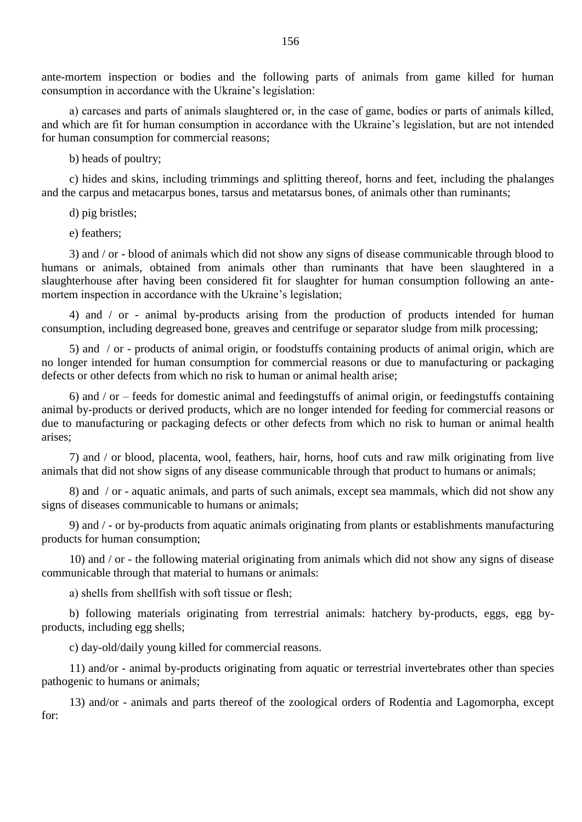ante-mortem inspection or bodies and the following parts of animals from game killed for human consumption in accordance with the Ukraine"s legislation:

а) carcases and parts of animals slaughtered or, in the case of game, bodies or parts of animals killed, and which are fit for human consumption in accordance with the Ukraine's legislation, but are not intended for human consumption for commercial reasons;

b) heads of poultry;

c) hides and skins, including trimmings and splitting thereof, horns and feet, including the phalanges and the carpus and metacarpus bones, tarsus and metatarsus bones, of animals other than ruminants;

d) pig bristles;

e) feathers;

3) and / or - blood of animals which did not show any signs of disease communicable through blood to humans or animals, obtained from animals other than ruminants that have been slaughtered in a slaughterhouse after having been considered fit for slaughter for human consumption following an antemortem inspection in accordance with the Ukraine's legislation:

4) and / or - animal by-products arising from the production of products intended for human consumption, including degreased bone, greaves and centrifuge or separator sludge from milk processing;

5) and / or - products of animal origin, or foodstuffs containing products of animal origin, which are no longer intended for human consumption for commercial reasons or due to manufacturing or packaging defects or other defects from which no risk to human or animal health arise;

6) and / or – feeds for domestic animal and feedingstuffs of animal origin, or feedingstuffs containing animal by-products or derived products, which are no longer intended for feeding for commercial reasons or due to manufacturing or packaging defects or other defects from which no risk to human or animal health arises;

7) and / or blood, placenta, wool, feathers, hair, horns, hoof cuts and raw milk originating from live animals that did not show signs of any disease communicable through that product to humans or animals;

8) and / or - aquatic animals, and parts of such animals, except sea mammals, which did not show any signs of diseases communicable to humans or animals;

9) and / - or by-products from aquatic animals originating from plants or establishments manufacturing products for human consumption;

10) and / or - the following material originating from animals which did not show any signs of disease communicable through that material to humans or animals:

а) shells from shellfish with soft tissue or flesh;

b) following materials originating from terrestrial animals: hatchery by-products, eggs, egg byproducts, including egg shells;

c) day-old/daily young killed for commercial reasons.

11) and/or - animal by-products originating from aquatic or terrestrial invertebrates other than species pathogenic to humans or animals;

13) and/or - animals and parts thereof of the zoological orders of Rodentia and Lagomorpha, except for: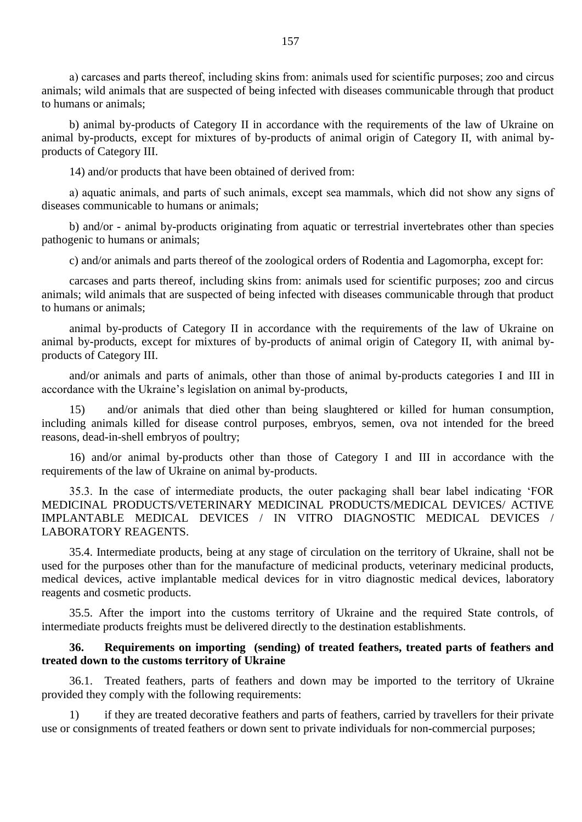а) carcases and parts thereof, including skins from: animals used for scientific purposes; zoo and circus animals; wild animals that are suspected of being infected with diseases communicable through that product to humans or animals;

b) animal by-products of Category II in accordance with the requirements of the law of Ukraine on animal by-products, except for mixtures of by-products of animal origin of Category II, with animal byproducts of Category III.

14) and/or products that have been obtained of derived from:

а) aquatic animals, and parts of such animals, except sea mammals, which did not show any signs of diseases communicable to humans or animals;

b) and/or - animal by-products originating from aquatic or terrestrial invertebrates other than species pathogenic to humans or animals;

c) and/or animals and parts thereof of the zoological orders of Rodentia and Lagomorpha, except for:

carcases and parts thereof, including skins from: animals used for scientific purposes; zoo and circus animals; wild animals that are suspected of being infected with diseases communicable through that product to humans or animals;

animal by-products of Category II in accordance with the requirements of the law of Ukraine on animal by-products, except for mixtures of by-products of animal origin of Category II, with animal byproducts of Category III.

and/or animals and parts of animals, other than those of animal by-products categories I and III in accordance with the Ukraine"s legislation on animal by-products,

15) and/or animals that died other than being slaughtered or killed for human consumption, including animals killed for disease control purposes, embryos, semen, ova not intended for the breed reasons, dead-in-shell embryos of poultry;

16) and/or animal by-products other than those of Category I and III in accordance with the requirements of the law of Ukraine on animal by-products.

35.3. In the case of intermediate products, the outer packaging shall bear label indicating "FOR MEDICINAL PRODUCTS/VETERINARY MEDICINAL PRODUCTS/MEDICAL DEVICES/ ACTIVE IMPLANTABLE MEDICAL DEVICES / IN VITRO DIAGNOSTIC MEDICAL DEVICES / LABORATORY REAGENTS.

35.4. Intermediate products, being at any stage of circulation on the territory of Ukraine, shall not be used for the purposes other than for the manufacture of medicinal products, veterinary medicinal products, medical devices, active implantable medical devices for in vitro diagnostic medical devices, laboratory reagents and cosmetic products.

35.5. After the import into the customs territory of Ukraine and the required State controls, of intermediate products freights must be delivered directly to the destination establishments.

### **36. Requirements on importing (sending) of treated feathers, treated parts of feathers and treated down to the customs territory of Ukraine**

36.1. Treated feathers, parts of feathers and down may be imported to the territory of Ukraine provided they comply with the following requirements:

1) if they are treated decorative feathers and parts of feathers, carried by travellers for their private use or consignments of treated feathers or down sent to private individuals for non-commercial purposes;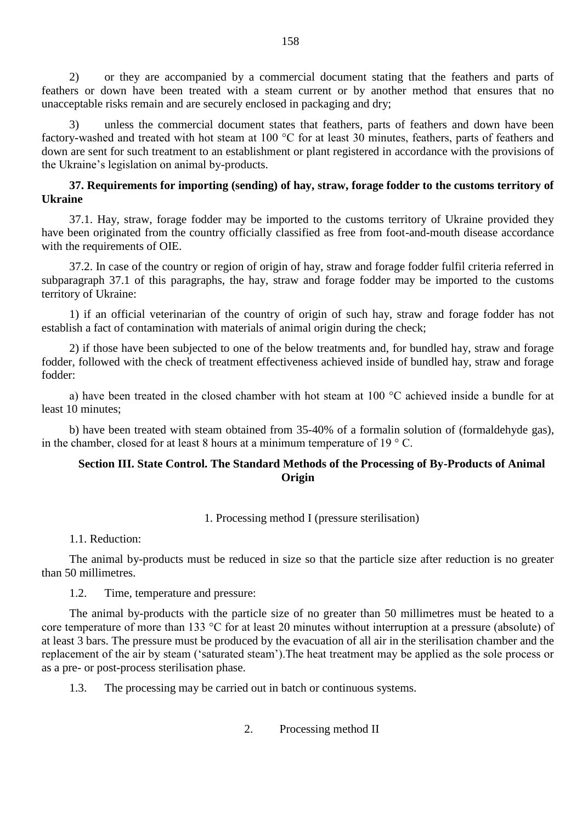2) or they are accompanied by a commercial document stating that the feathers and parts of feathers or down have been treated with a steam current or by another method that ensures that no unacceptable risks remain and are securely enclosed in packaging and dry;

3) unless the commercial document states that feathers, parts of feathers and down have been factory-washed and treated with hot steam at 100 °C for at least 30 minutes, feathers, parts of feathers and down are sent for such treatment to an establishment or plant registered in accordance with the provisions of the Ukraine"s legislation on animal by-products.

# **37. Requirements for importing (sending) of hay, straw, forage fodder to the customs territory of Ukraine**

37.1. Hay, straw, forage fodder may be imported to the customs territory of Ukraine provided they have been originated from the country officially classified as free from foot-and-mouth disease accordance with the requirements of OIE.

37.2. In case of the country or region of origin of hay, straw and forage fodder fulfil criteria referred in subparagraph 37.1 of this paragraphs, the hay, straw and forage fodder may be imported to the customs territory of Ukraine:

1) if an official veterinarian of the country of origin of such hay, straw and forage fodder has not establish a fact of contamination with materials of animal origin during the check;

2) if those have been subjected to one of the below treatments and, for bundled hay, straw and forage fodder, followed with the check of treatment effectiveness achieved inside of bundled hay, straw and forage fodder:

а) have been treated in the closed chamber with hot steam at 100 °C achieved inside a bundle for at least 10 minutes;

b) have been treated with steam obtained from 35-40% of a formalin solution of (formaldehyde gas), in the chamber, closed for at least 8 hours at a minimum temperature of  $19 \degree$  C.

# **Section III. State Control. The Standard Methods of the Processing of By-Products of Animal Origin**

1. Processing method I (pressure sterilisation)

1.1. Reduction:

The animal by-products must be reduced in size so that the particle size after reduction is no greater than 50 millimetres.

1.2. Time, temperature and pressure:

The animal by-products with the particle size of no greater than 50 millimetres must be heated to a core temperature of more than 133 °C for at least 20 minutes without interruption at a pressure (absolute) of at least 3 bars. The pressure must be produced by the evacuation of all air in the sterilisation chamber and the replacement of the air by steam ("saturated steam").The heat treatment may be applied as the sole process or as a pre- or post-process sterilisation phase.

1.3. The processing may be carried out in batch or continuous systems.

2. Processing method II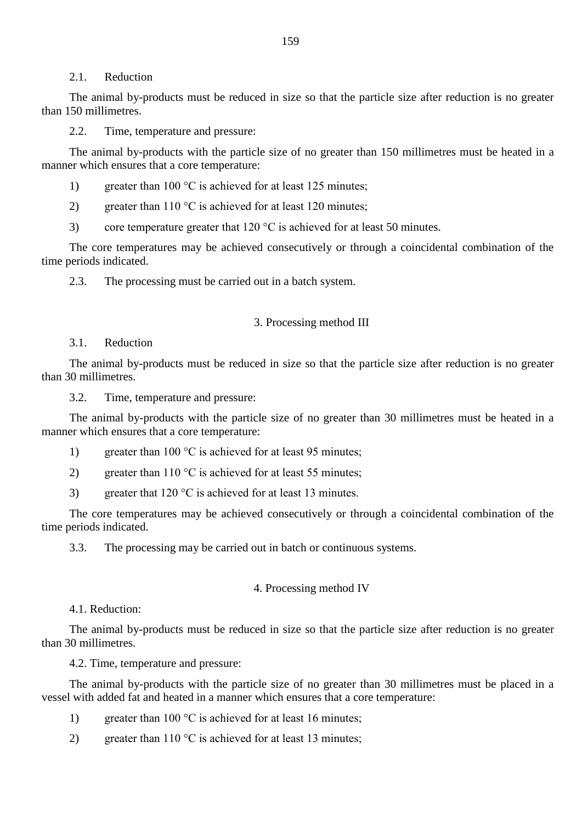#### 2.1. Reduction

The animal by-products must be reduced in size so that the particle size after reduction is no greater than 150 millimetres.

2.2. Time, temperature and pressure:

The animal by-products with the particle size of no greater than 150 millimetres must be heated in a manner which ensures that a core temperature:

- 1) greater than 100 °C is achieved for at least 125 minutes;
- 2) greater than 110  $\degree$ C is achieved for at least 120 minutes;
- 3) core temperature greater that  $120 \degree C$  is achieved for at least 50 minutes.

The core temperatures may be achieved consecutively or through a coincidental combination of the time periods indicated.

2.3. The processing must be carried out in a batch system.

### 3. Processing method III

3.1. Reduction

The animal by-products must be reduced in size so that the particle size after reduction is no greater than 30 millimetres.

3.2. Time, temperature and pressure:

The animal by-products with the particle size of no greater than 30 millimetres must be heated in a manner which ensures that a core temperature:

- 1) greater than 100 °C is achieved for at least 95 minutes:
- 2) greater than 110  $\degree$ C is achieved for at least 55 minutes;
- 3) greater that 120 °C is achieved for at least 13 minutes.

The core temperatures may be achieved consecutively or through a coincidental combination of the time periods indicated.

3.3. The processing may be carried out in batch or continuous systems.

#### 4. Processing method IV

4.1. Reduction:

The animal by-products must be reduced in size so that the particle size after reduction is no greater than 30 millimetres.

4.2. Time, temperature and pressure:

The animal by-products with the particle size of no greater than 30 millimetres must be placed in a vessel with added fat and heated in a manner which ensures that a core temperature:

- 1) greater than 100 °C is achieved for at least 16 minutes;
- 2) greater than 110  $\degree$ C is achieved for at least 13 minutes;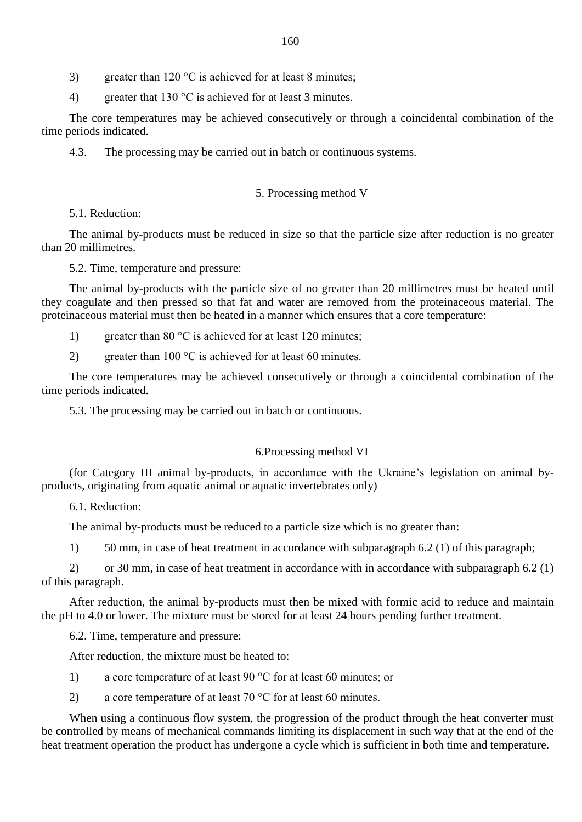3) greater than 120  $\degree$ C is achieved for at least 8 minutes;

4) greater that 130 °C is achieved for at least 3 minutes.

The core temperatures may be achieved consecutively or through a coincidental combination of the time periods indicated.

4.3. The processing may be carried out in batch or continuous systems.

### 5. Processing method V

5.1. Reduction:

The animal by-products must be reduced in size so that the particle size after reduction is no greater than 20 millimetres.

5.2. Time, temperature and pressure:

The animal by-products with the particle size of no greater than 20 millimetres must be heated until they coagulate and then pressed so that fat and water are removed from the proteinaceous material. The proteinaceous material must then be heated in a manner which ensures that a core temperature:

- 1) greater than 80 °C is achieved for at least 120 minutes;
- 2) greater than 100  $\degree$ C is achieved for at least 60 minutes.

The core temperatures may be achieved consecutively or through a coincidental combination of the time periods indicated.

5.3. The processing may be carried out in batch or continuous.

### 6.Processing method VI

(for Category III animal by-products, in accordance with the Ukraine"s legislation on animal byproducts, originating from aquatic animal or aquatic invertebrates only)

6.1. Reduction:

The animal by-products must be reduced to a particle size which is no greater than:

1) 50 mm, in case of heat treatment in accordance with subparagraph 6.2 (1) of this paragraph;

2) or 30 mm, in case of heat treatment in accordance with in accordance with subparagraph 6.2 (1) of this paragraph.

After reduction, the animal by-products must then be mixed with formic acid to reduce and maintain the pH to 4.0 or lower. The mixture must be stored for at least 24 hours pending further treatment.

6.2. Time, temperature and pressure:

After reduction, the mixture must be heated to:

- 1) a core temperature of at least 90 °C for at least 60 minutes; or
- 2) a core temperature of at least 70 °C for at least 60 minutes.

When using a continuous flow system, the progression of the product through the heat converter must be controlled by means of mechanical commands limiting its displacement in such way that at the end of the heat treatment operation the product has undergone a cycle which is sufficient in both time and temperature.